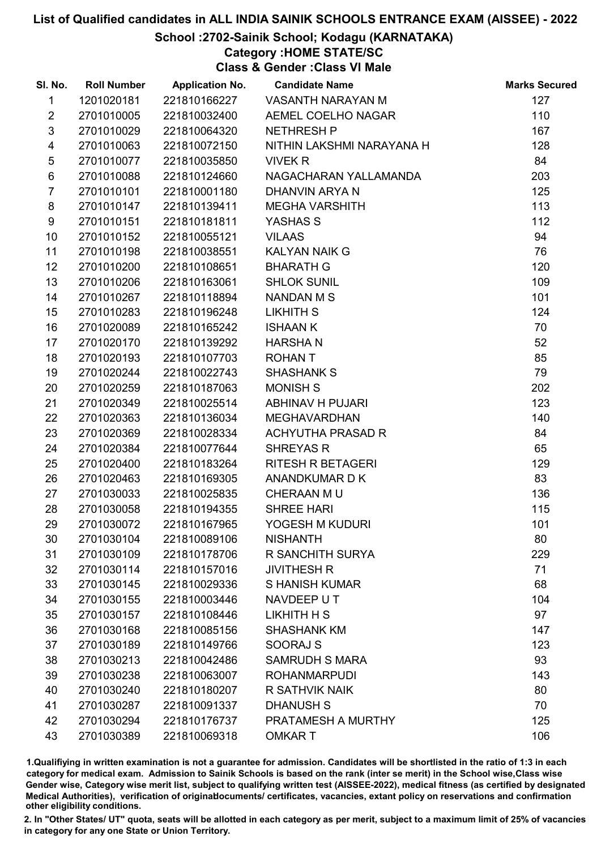### School :2702-Sainik School; Kodagu (KARNATAKA)

Category :HOME STATE/SC

Class & Gender :Class VI Male

| SI. No.                 | <b>Roll Number</b> | <b>Application No.</b> | <b>Candidate Name</b>     | <b>Marks Secured</b> |
|-------------------------|--------------------|------------------------|---------------------------|----------------------|
| 1                       | 1201020181         | 221810166227           | VASANTH NARAYAN M         | 127                  |
| $\overline{2}$          | 2701010005         | 221810032400           | AEMEL COELHO NAGAR        | 110                  |
| $\mathfrak{S}$          | 2701010029         | 221810064320           | <b>NETHRESH P</b>         | 167                  |
| $\overline{\mathbf{4}}$ | 2701010063         | 221810072150           | NITHIN LAKSHMI NARAYANA H | 128                  |
| $\sqrt{5}$              | 2701010077         | 221810035850           | <b>VIVEK R</b>            | 84                   |
| 6                       | 2701010088         | 221810124660           | NAGACHARAN YALLAMANDA     | 203                  |
| $\overline{7}$          | 2701010101         | 221810001180           | DHANVIN ARYA N            | 125                  |
| 8                       | 2701010147         | 221810139411           | <b>MEGHA VARSHITH</b>     | 113                  |
| 9                       | 2701010151         | 221810181811           | YASHAS S                  | 112                  |
| 10                      | 2701010152         | 221810055121           | <b>VILAAS</b>             | 94                   |
| 11                      | 2701010198         | 221810038551           | <b>KALYAN NAIK G</b>      | 76                   |
| 12                      | 2701010200         | 221810108651           | <b>BHARATH G</b>          | 120                  |
| 13                      | 2701010206         | 221810163061           | <b>SHLOK SUNIL</b>        | 109                  |
| 14                      | 2701010267         | 221810118894           | <b>NANDAN M S</b>         | 101                  |
| 15 <sub>15</sub>        | 2701010283         | 221810196248           | LIKHITH S                 | 124                  |
| 16                      | 2701020089         | 221810165242           | <b>ISHAAN K</b>           | 70                   |
| 17                      | 2701020170         | 221810139292           | <b>HARSHAN</b>            | 52                   |
| 18                      | 2701020193         | 221810107703           | <b>ROHANT</b>             | 85                   |
| 19                      | 2701020244         | 221810022743           | <b>SHASHANK S</b>         | 79                   |
| 20                      | 2701020259         | 221810187063           | <b>MONISH S</b>           | 202                  |
| 21                      | 2701020349         | 221810025514           | ABHINAV H PUJARI          | 123                  |
| 22                      | 2701020363         | 221810136034           | <b>MEGHAVARDHAN</b>       | 140                  |
| 23                      | 2701020369         | 221810028334           | <b>ACHYUTHA PRASAD R</b>  | 84                   |
| 24                      | 2701020384         | 221810077644           | <b>SHREYAS R</b>          | 65                   |
| 25                      | 2701020400         | 221810183264           | <b>RITESH R BETAGERI</b>  | 129                  |
| 26                      | 2701020463         | 221810169305           | ANANDKUMAR D K            | 83                   |
| 27                      | 2701030033         | 221810025835           | CHERAAN MU                | 136                  |
| 28                      | 2701030058         | 221810194355           | <b>SHREE HARI</b>         | 115                  |
| 29                      | 2701030072         | 221810167965           | YOGESH M KUDURI           | 101                  |
| 30                      | 2701030104         | 221810089106           | <b>NISHANTH</b>           | 80                   |
| 31                      | 2701030109         | 221810178706           | R SANCHITH SURYA          | 229                  |
| 32                      | 2701030114         | 221810157016           | <b>JIVITHESH R</b>        | 71                   |
| 33                      | 2701030145         | 221810029336           | <b>S HANISH KUMAR</b>     | 68                   |
| 34                      | 2701030155         | 221810003446           | NAVDEEP UT                | 104                  |
| 35                      | 2701030157         | 221810108446           | LIKHITH H S               | 97                   |
| 36                      | 2701030168         | 221810085156           | <b>SHASHANK KM</b>        | 147                  |
| 37                      | 2701030189         | 221810149766           | SOORAJ S                  | 123                  |
| 38                      | 2701030213         | 221810042486           | <b>SAMRUDH S MARA</b>     | 93                   |
| 39                      | 2701030238         | 221810063007           | <b>ROHANMARPUDI</b>       | 143                  |
| 40                      | 2701030240         | 221810180207           | R SATHVIK NAIK            | 80                   |
| 41                      | 2701030287         | 221810091337           | <b>DHANUSH S</b>          | 70                   |
| 42                      | 2701030294         | 221810176737           | PRATAMESH A MURTHY        | 125                  |
| 43                      | 2701030389         | 221810069318           | <b>OMKART</b>             | 106                  |

1.Qualifiying in written examination is not a guarantee for admission. Candidates will be shortlisted in the ratio of 1:3 in each category for medical exam. Admission to Sainik Schools is based on the rank (inter se merit) in the School wise,Class wise Gender wise, Category wise merit list, subject to qualifying written test (AISSEE-2022), medical fitness (as certified by designated Medical Authorities), verification of originablocuments/ certificates, vacancies, extant policy on reservations and confirmation other eligibility conditions.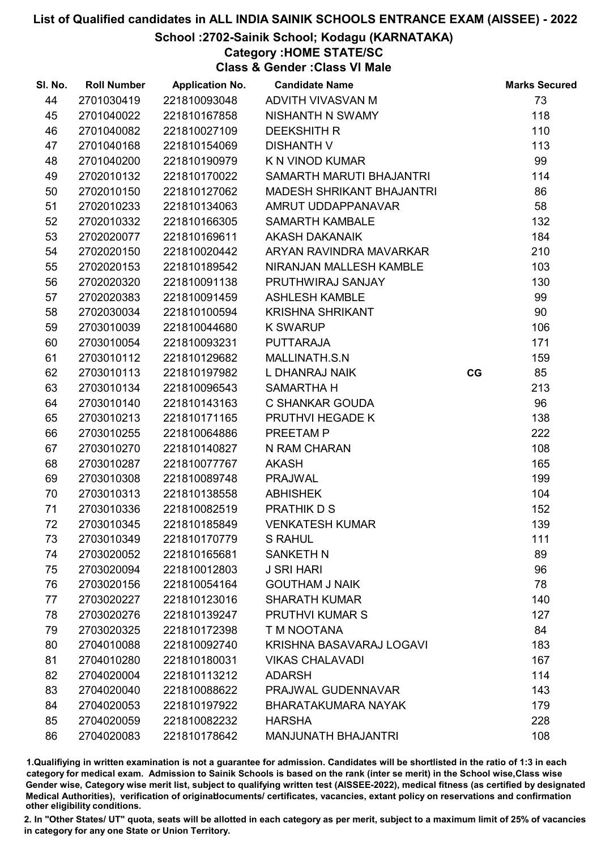### School :2702-Sainik School; Kodagu (KARNATAKA)

Category :HOME STATE/SC

Class & Gender :Class VI Male

| SI. No. | <b>Roll Number</b> | <b>Application No.</b> | <b>Candidate Name</b>            |    | <b>Marks Secured</b> |
|---------|--------------------|------------------------|----------------------------------|----|----------------------|
| 44      | 2701030419         | 221810093048           | ADVITH VIVASVAN M                |    | 73                   |
| 45      | 2701040022         | 221810167858           | NISHANTH N SWAMY                 |    | 118                  |
| 46      | 2701040082         | 221810027109           | <b>DEEKSHITH R</b>               |    | 110                  |
| 47      | 2701040168         | 221810154069           | <b>DISHANTH V</b>                |    | 113                  |
| 48      | 2701040200         | 221810190979           | K N VINOD KUMAR                  |    | 99                   |
| 49      | 2702010132         | 221810170022           | SAMARTH MARUTI BHAJANTRI         |    | 114                  |
| 50      | 2702010150         | 221810127062           | <b>MADESH SHRIKANT BHAJANTRI</b> |    | 86                   |
| 51      | 2702010233         | 221810134063           | AMRUT UDDAPPANAVAR               |    | 58                   |
| 52      | 2702010332         | 221810166305           | <b>SAMARTH KAMBALE</b>           |    | 132                  |
| 53      | 2702020077         | 221810169611           | <b>AKASH DAKANAIK</b>            |    | 184                  |
| 54      | 2702020150         | 221810020442           | ARYAN RAVINDRA MAVARKAR          |    | 210                  |
| 55      | 2702020153         | 221810189542           | NIRANJAN MALLESH KAMBLE          |    | 103                  |
| 56      | 2702020320         | 221810091138           | PRUTHWIRAJ SANJAY                |    | 130                  |
| 57      | 2702020383         | 221810091459           | <b>ASHLESH KAMBLE</b>            |    | 99                   |
| 58      | 2702030034         | 221810100594           | <b>KRISHNA SHRIKANT</b>          |    | 90                   |
| 59      | 2703010039         | 221810044680           | <b>K SWARUP</b>                  |    | 106                  |
| 60      | 2703010054         | 221810093231           | <b>PUTTARAJA</b>                 |    | 171                  |
| 61      | 2703010112         | 221810129682           | MALLINATH.S.N                    |    | 159                  |
| 62      | 2703010113         | 221810197982           | L DHANRAJ NAIK                   | CG | 85                   |
| 63      | 2703010134         | 221810096543           | <b>SAMARTHA H</b>                |    | 213                  |
| 64      | 2703010140         | 221810143163           | C SHANKAR GOUDA                  |    | 96                   |
| 65      | 2703010213         | 221810171165           | PRUTHVI HEGADE K                 |    | 138                  |
| 66      | 2703010255         | 221810064886           | PREETAM P                        |    | 222                  |
| 67      | 2703010270         | 221810140827           | N RAM CHARAN                     |    | 108                  |
| 68      | 2703010287         | 221810077767           | <b>AKASH</b>                     |    | 165                  |
| 69      | 2703010308         | 221810089748           | <b>PRAJWAL</b>                   |    | 199                  |
| 70      | 2703010313         | 221810138558           | <b>ABHISHEK</b>                  |    | 104                  |
| 71      | 2703010336         | 221810082519           | PRATHIK D S                      |    | 152                  |
| 72      | 2703010345         | 221810185849           | <b>VENKATESH KUMAR</b>           |    | 139                  |
| 73      | 2703010349         | 221810170779           | <b>S RAHUL</b>                   |    | 111                  |
| 74      | 2703020052         | 221810165681           | <b>SANKETH N</b>                 |    | 89                   |
| 75      | 2703020094         | 221810012803           | <b>J SRI HARI</b>                |    | 96                   |
| 76      | 2703020156         | 221810054164           | <b>GOUTHAM J NAIK</b>            |    | 78                   |
| 77      | 2703020227         | 221810123016           | <b>SHARATH KUMAR</b>             |    | 140                  |
| 78      | 2703020276         | 221810139247           | <b>PRUTHVI KUMAR S</b>           |    | 127                  |
| 79      | 2703020325         | 221810172398           | T M NOOTANA                      |    | 84                   |
| 80      | 2704010088         | 221810092740           | KRISHNA BASAVARAJ LOGAVI         |    | 183                  |
| 81      | 2704010280         | 221810180031           | <b>VIKAS CHALAVADI</b>           |    | 167                  |
| 82      | 2704020004         | 221810113212           | <b>ADARSH</b>                    |    | 114                  |
| 83      | 2704020040         | 221810088622           | PRAJWAL GUDENNAVAR               |    | 143                  |
| 84      | 2704020053         | 221810197922           | <b>BHARATAKUMARA NAYAK</b>       |    | 179                  |
| 85      | 2704020059         | 221810082232           | <b>HARSHA</b>                    |    | 228                  |
| 86      | 2704020083         | 221810178642           | <b>MANJUNATH BHAJANTRI</b>       |    | 108                  |

1.Qualifiying in written examination is not a guarantee for admission. Candidates will be shortlisted in the ratio of 1:3 in each category for medical exam. Admission to Sainik Schools is based on the rank (inter se merit) in the School wise,Class wise Gender wise, Category wise merit list, subject to qualifying written test (AISSEE-2022), medical fitness (as certified by designated Medical Authorities), verification of originablocuments/ certificates, vacancies, extant policy on reservations and confirmation other eligibility conditions.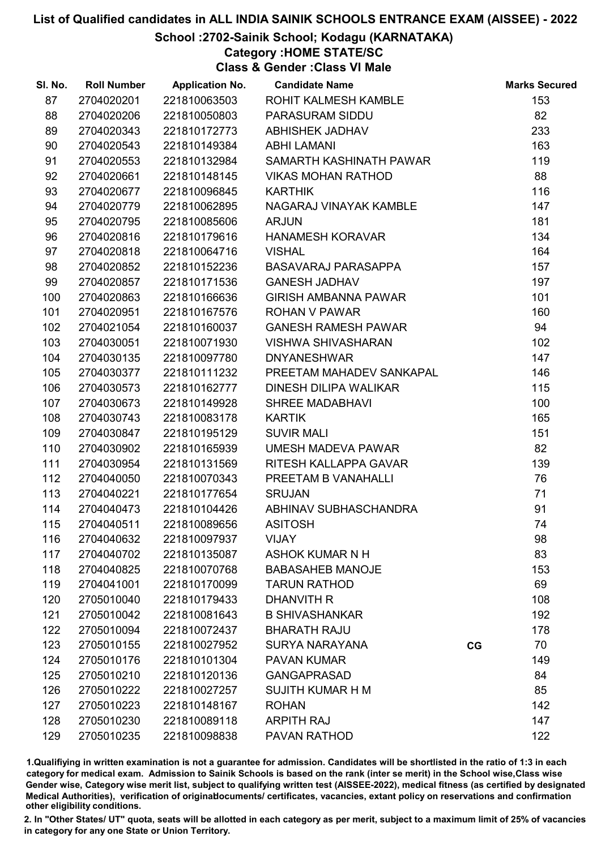### School :2702-Sainik School; Kodagu (KARNATAKA)

### Category :HOME STATE/SC

Class & Gender :Class VI Male

| SI. No. | <b>Roll Number</b> | <b>Application No.</b> | <b>Candidate Name</b>       |    | <b>Marks Secured</b> |
|---------|--------------------|------------------------|-----------------------------|----|----------------------|
| 87      | 2704020201         | 221810063503           | ROHIT KALMESH KAMBLE        |    | 153                  |
| 88      | 2704020206         | 221810050803           | PARASURAM SIDDU             |    | 82                   |
| 89      | 2704020343         | 221810172773           | ABHISHEK JADHAV             |    | 233                  |
| 90      | 2704020543         | 221810149384           | <b>ABHI LAMANI</b>          |    | 163                  |
| 91      | 2704020553         | 221810132984           | SAMARTH KASHINATH PAWAR     |    | 119                  |
| 92      | 2704020661         | 221810148145           | <b>VIKAS MOHAN RATHOD</b>   |    | 88                   |
| 93      | 2704020677         | 221810096845           | <b>KARTHIK</b>              |    | 116                  |
| 94      | 2704020779         | 221810062895           | NAGARAJ VINAYAK KAMBLE      |    | 147                  |
| 95      | 2704020795         | 221810085606           | <b>ARJUN</b>                |    | 181                  |
| 96      | 2704020816         | 221810179616           | HANAMESH KORAVAR            |    | 134                  |
| 97      | 2704020818         | 221810064716           | <b>VISHAL</b>               |    | 164                  |
| 98      | 2704020852         | 221810152236           | BASAVARAJ PARASAPPA         |    | 157                  |
| 99      | 2704020857         | 221810171536           | <b>GANESH JADHAV</b>        |    | 197                  |
| 100     | 2704020863         | 221810166636           | <b>GIRISH AMBANNA PAWAR</b> |    | 101                  |
| 101     | 2704020951         | 221810167576           | <b>ROHAN V PAWAR</b>        |    | 160                  |
| 102     | 2704021054         | 221810160037           | <b>GANESH RAMESH PAWAR</b>  |    | 94                   |
| 103     | 2704030051         | 221810071930           | <b>VISHWA SHIVASHARAN</b>   |    | 102                  |
| 104     | 2704030135         | 221810097780           | <b>DNYANESHWAR</b>          |    | 147                  |
| 105     | 2704030377         | 221810111232           | PREETAM MAHADEV SANKAPAL    |    | 146                  |
| 106     | 2704030573         | 221810162777           | DINESH DILIPA WALIKAR       |    | 115                  |
| 107     | 2704030673         | 221810149928           | <b>SHREE MADABHAVI</b>      |    | 100                  |
| 108     | 2704030743         | 221810083178           | <b>KARTIK</b>               |    | 165                  |
| 109     | 2704030847         | 221810195129           | <b>SUVIR MALI</b>           |    | 151                  |
| 110     | 2704030902         | 221810165939           | UMESH MADEVA PAWAR          |    | 82                   |
| 111     | 2704030954         | 221810131569           | RITESH KALLAPPA GAVAR       |    | 139                  |
| 112     | 2704040050         | 221810070343           | PREETAM B VANAHALLI         |    | 76                   |
| 113     | 2704040221         | 221810177654           | <b>SRUJAN</b>               |    | 71                   |
| 114     | 2704040473         | 221810104426           | ABHINAV SUBHASCHANDRA       |    | 91                   |
| 115     | 2704040511         | 221810089656           | <b>ASITOSH</b>              |    | 74                   |
| 116     | 2704040632         | 221810097937           | <b>VIJAY</b>                |    | 98                   |
| 117     | 2704040702         | 221810135087           | ASHOK KUMAR N H             |    | 83                   |
| 118     | 2704040825         | 221810070768           | <b>BABASAHEB MANOJE</b>     |    | 153                  |
| 119     | 2704041001         | 221810170099           | <b>TARUN RATHOD</b>         |    | 69                   |
| 120     | 2705010040         | 221810179433           | DHANVITH R                  |    | 108                  |
| 121     | 2705010042         | 221810081643           | <b>B SHIVASHANKAR</b>       |    | 192                  |
| 122     | 2705010094         | 221810072437           | <b>BHARATH RAJU</b>         |    | 178                  |
| 123     | 2705010155         | 221810027952           | <b>SURYA NARAYANA</b>       | CG | 70                   |
| 124     | 2705010176         | 221810101304           | <b>PAVAN KUMAR</b>          |    | 149                  |
| 125     | 2705010210         | 221810120136           | <b>GANGAPRASAD</b>          |    | 84                   |
| 126     | 2705010222         | 221810027257           | <b>SUJITH KUMAR H M</b>     |    | 85                   |
| 127     | 2705010223         | 221810148167           | <b>ROHAN</b>                |    | 142                  |
| 128     | 2705010230         | 221810089118           | <b>ARPITH RAJ</b>           |    | 147                  |
| 129     | 2705010235         | 221810098838           | PAVAN RATHOD                |    | 122                  |

1.Qualifiying in written examination is not a guarantee for admission. Candidates will be shortlisted in the ratio of 1:3 in each category for medical exam. Admission to Sainik Schools is based on the rank (inter se merit) in the School wise,Class wise Gender wise, Category wise merit list, subject to qualifying written test (AISSEE-2022), medical fitness (as certified by designated Medical Authorities), verification of originablocuments/ certificates, vacancies, extant policy on reservations and confirmation other eligibility conditions.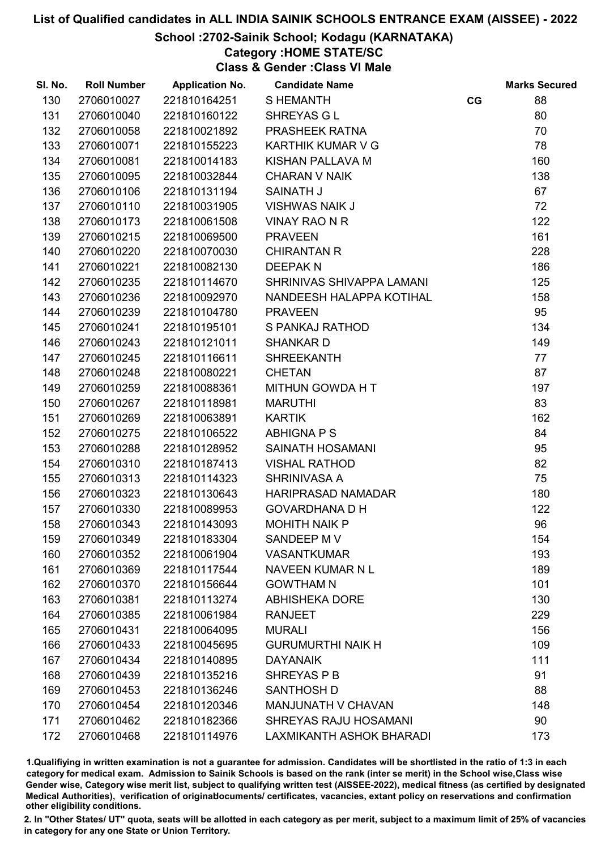### School :2702-Sainik School; Kodagu (KARNATAKA)

### Category :HOME STATE/SC

Class & Gender :Class VI Male

| SI. No. | <b>Roll Number</b> | <b>Application No.</b> | <b>Candidate Name</b>        |    | <b>Marks Secured</b> |
|---------|--------------------|------------------------|------------------------------|----|----------------------|
| 130     | 2706010027         | 221810164251           | <b>SHEMANTH</b>              | CG | 88                   |
| 131     | 2706010040         | 221810160122           | SHREYAS G L                  |    | 80                   |
| 132     | 2706010058         | 221810021892           | PRASHEEK RATNA               |    | 70                   |
| 133     | 2706010071         | 221810155223           | KARTHIK KUMAR V G            |    | 78                   |
| 134     | 2706010081         | 221810014183           | KISHAN PALLAVA M             |    | 160                  |
| 135     | 2706010095         | 221810032844           | <b>CHARAN V NAIK</b>         |    | 138                  |
| 136     | 2706010106         | 221810131194           | <b>SAINATH J</b>             |    | 67                   |
| 137     | 2706010110         | 221810031905           | <b>VISHWAS NAIK J</b>        |    | 72                   |
| 138     | 2706010173         | 221810061508           | <b>VINAY RAO N R</b>         |    | 122                  |
| 139     | 2706010215         | 221810069500           | <b>PRAVEEN</b>               |    | 161                  |
| 140     | 2706010220         | 221810070030           | <b>CHIRANTAN R</b>           |    | 228                  |
| 141     | 2706010221         | 221810082130           | <b>DEEPAKN</b>               |    | 186                  |
| 142     | 2706010235         | 221810114670           | SHRINIVAS SHIVAPPA LAMANI    |    | 125                  |
| 143     | 2706010236         | 221810092970           | NANDEESH HALAPPA KOTIHAL     |    | 158                  |
| 144     | 2706010239         | 221810104780           | <b>PRAVEEN</b>               |    | 95                   |
| 145     | 2706010241         | 221810195101           | <b>S PANKAJ RATHOD</b>       |    | 134                  |
| 146     | 2706010243         | 221810121011           | <b>SHANKARD</b>              |    | 149                  |
| 147     | 2706010245         | 221810116611           | <b>SHREEKANTH</b>            |    | 77                   |
| 148     | 2706010248         | 221810080221           | <b>CHETAN</b>                |    | 87                   |
| 149     | 2706010259         | 221810088361           | MITHUN GOWDA H T             |    | 197                  |
| 150     | 2706010267         | 221810118981           | <b>MARUTHI</b>               |    | 83                   |
| 151     | 2706010269         | 221810063891           | <b>KARTIK</b>                |    | 162                  |
| 152     | 2706010275         | 221810106522           | <b>ABHIGNA P S</b>           |    | 84                   |
| 153     | 2706010288         | 221810128952           | SAINATH HOSAMANI             |    | 95                   |
| 154     | 2706010310         | 221810187413           | <b>VISHAL RATHOD</b>         |    | 82                   |
| 155     | 2706010313         | 221810114323           | <b>SHRINIVASA A</b>          |    | 75                   |
| 156     | 2706010323         | 221810130643           | <b>HARIPRASAD NAMADAR</b>    |    | 180                  |
| 157     | 2706010330         | 221810089953           | <b>GOVARDHANA D H</b>        |    | 122                  |
| 158     | 2706010343         | 221810143093           | <b>MOHITH NAIK P</b>         |    | 96                   |
| 159     | 2706010349         | 221810183304           | SANDEEP M V                  |    | 154                  |
| 160     | 2706010352         | 221810061904           | <b>VASANTKUMAR</b>           |    | 193                  |
| 161     | 2706010369         | 221810117544           | NAVEEN KUMAR N L             |    | 189                  |
| 162     | 2706010370         | 221810156644           | <b>GOWTHAM N</b>             |    | 101                  |
| 163     | 2706010381         | 221810113274           | <b>ABHISHEKA DORE</b>        |    | 130                  |
| 164     | 2706010385         | 221810061984           | <b>RANJEET</b>               |    | 229                  |
| 165     | 2706010431         | 221810064095           | <b>MURALI</b>                |    | 156                  |
| 166     | 2706010433         | 221810045695           | <b>GURUMURTHI NAIK H</b>     |    | 109                  |
| 167     | 2706010434         | 221810140895           | <b>DAYANAIK</b>              |    | 111                  |
| 168     | 2706010439         | 221810135216           | SHREYAS P B                  |    | 91                   |
| 169     | 2706010453         | 221810136246           | SANTHOSH D                   |    | 88                   |
| 170     | 2706010454         | 221810120346           | <b>MANJUNATH V CHAVAN</b>    |    | 148                  |
| 171     | 2706010462         | 221810182366           | <b>SHREYAS RAJU HOSAMANI</b> |    | 90                   |
| 172     | 2706010468         | 221810114976           | LAXMIKANTH ASHOK BHARADI     |    | 173                  |

1.Qualifiying in written examination is not a guarantee for admission. Candidates will be shortlisted in the ratio of 1:3 in each category for medical exam. Admission to Sainik Schools is based on the rank (inter se merit) in the School wise,Class wise Gender wise, Category wise merit list, subject to qualifying written test (AISSEE-2022), medical fitness (as certified by designated Medical Authorities), verification of originablocuments/ certificates, vacancies, extant policy on reservations and confirmation other eligibility conditions.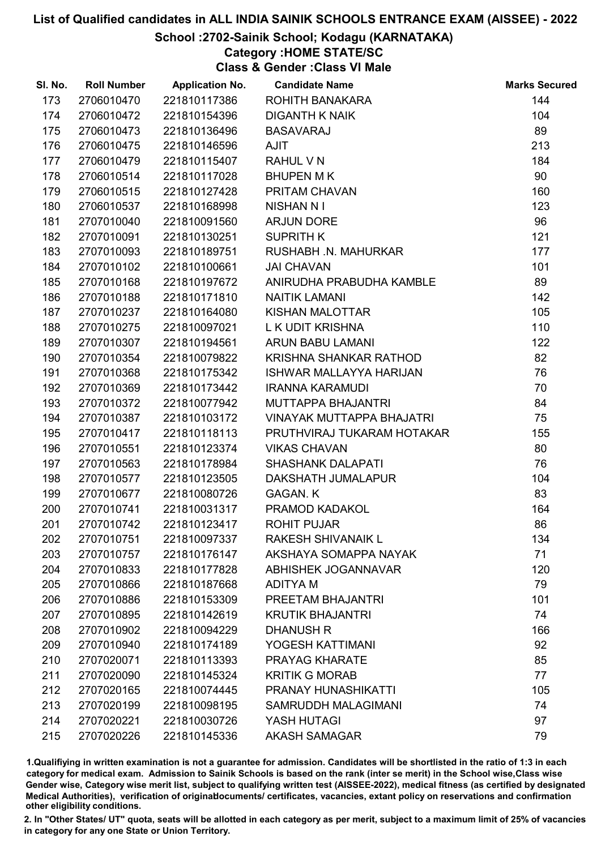### School :2702-Sainik School; Kodagu (KARNATAKA)

### Category :HOME STATE/SC

Class & Gender :Class VI Male

| SI. No. | <b>Roll Number</b> | <b>Application No.</b> | <b>Candidate Name</b>            | <b>Marks Secured</b> |
|---------|--------------------|------------------------|----------------------------------|----------------------|
| 173     | 2706010470         | 221810117386           | ROHITH BANAKARA                  | 144                  |
| 174     | 2706010472         | 221810154396           | <b>DIGANTH K NAIK</b>            | 104                  |
| 175     | 2706010473         | 221810136496           | <b>BASAVARAJ</b>                 | 89                   |
| 176     | 2706010475         | 221810146596           | <b>AJIT</b>                      | 213                  |
| 177     | 2706010479         | 221810115407           | RAHUL V N                        | 184                  |
| 178     | 2706010514         | 221810117028           | <b>BHUPEN MK</b>                 | 90                   |
| 179     | 2706010515         | 221810127428           | PRITAM CHAVAN                    | 160                  |
| 180     | 2706010537         | 221810168998           | <b>NISHAN N I</b>                | 123                  |
| 181     | 2707010040         | 221810091560           | <b>ARJUN DORE</b>                | 96                   |
| 182     | 2707010091         | 221810130251           | <b>SUPRITH K</b>                 | 121                  |
| 183     | 2707010093         | 221810189751           | RUSHABH .N. MAHURKAR             | 177                  |
| 184     | 2707010102         | 221810100661           | <b>JAI CHAVAN</b>                | 101                  |
| 185     | 2707010168         | 221810197672           | ANIRUDHA PRABUDHA KAMBLE         | 89                   |
| 186     | 2707010188         | 221810171810           | <b>NAITIK LAMANI</b>             | 142                  |
| 187     | 2707010237         | 221810164080           | KISHAN MALOTTAR                  | 105                  |
| 188     | 2707010275         | 221810097021           | L K UDIT KRISHNA                 | 110                  |
| 189     | 2707010307         | 221810194561           | ARUN BABU LAMANI                 | 122                  |
| 190     | 2707010354         | 221810079822           | KRISHNA SHANKAR RATHOD           | 82                   |
| 191     | 2707010368         | 221810175342           | <b>ISHWAR MALLAYYA HARIJAN</b>   | 76                   |
| 192     | 2707010369         | 221810173442           | <b>IRANNA KARAMUDI</b>           | 70                   |
| 193     | 2707010372         | 221810077942           | MUTTAPPA BHAJANTRI               | 84                   |
| 194     | 2707010387         | 221810103172           | <b>VINAYAK MUTTAPPA BHAJATRI</b> | 75                   |
| 195     | 2707010417         | 221810118113           | PRUTHVIRAJ TUKARAM HOTAKAR       | 155                  |
| 196     | 2707010551         | 221810123374           | <b>VIKAS CHAVAN</b>              | 80                   |
| 197     | 2707010563         | 221810178984           | <b>SHASHANK DALAPATI</b>         | 76                   |
| 198     | 2707010577         | 221810123505           | DAKSHATH JUMALAPUR               | 104                  |
| 199     | 2707010677         | 221810080726           | <b>GAGAN. K</b>                  | 83                   |
| 200     | 2707010741         | 221810031317           | PRAMOD KADAKOL                   | 164                  |
| 201     | 2707010742         | 221810123417           | <b>ROHIT PUJAR</b>               | 86                   |
| 202     | 2707010751         | 221810097337           | <b>RAKESH SHIVANAIK L</b>        | 134                  |
| 203     | 2707010757         | 221810176147           | AKSHAYA SOMAPPA NAYAK            | 71                   |
| 204     | 2707010833         | 221810177828           | <b>ABHISHEK JOGANNAVAR</b>       | 120                  |
| 205     | 2707010866         | 221810187668           | <b>ADITYAM</b>                   | 79                   |
| 206     | 2707010886         | 221810153309           | PREETAM BHAJANTRI                | 101                  |
| 207     | 2707010895         | 221810142619           | <b>KRUTIK BHAJANTRI</b>          | 74                   |
| 208     | 2707010902         | 221810094229           | <b>DHANUSH R</b>                 | 166                  |
| 209     | 2707010940         | 221810174189           | YOGESH KATTIMANI                 | 92                   |
| 210     | 2707020071         | 221810113393           | PRAYAG KHARATE                   | 85                   |
| 211     | 2707020090         | 221810145324           | <b>KRITIK G MORAB</b>            | 77                   |
| 212     | 2707020165         | 221810074445           | PRANAY HUNASHIKATTI              | 105                  |
| 213     | 2707020199         | 221810098195           | SAMRUDDH MALAGIMANI              | 74                   |
| 214     | 2707020221         | 221810030726           | YASH HUTAGI                      | 97                   |
| 215     | 2707020226         | 221810145336           | <b>AKASH SAMAGAR</b>             | 79                   |

1.Qualifiying in written examination is not a guarantee for admission. Candidates will be shortlisted in the ratio of 1:3 in each category for medical exam. Admission to Sainik Schools is based on the rank (inter se merit) in the School wise,Class wise Gender wise, Category wise merit list, subject to qualifying written test (AISSEE-2022), medical fitness (as certified by designated Medical Authorities), verification of originablocuments/ certificates, vacancies, extant policy on reservations and confirmation other eligibility conditions.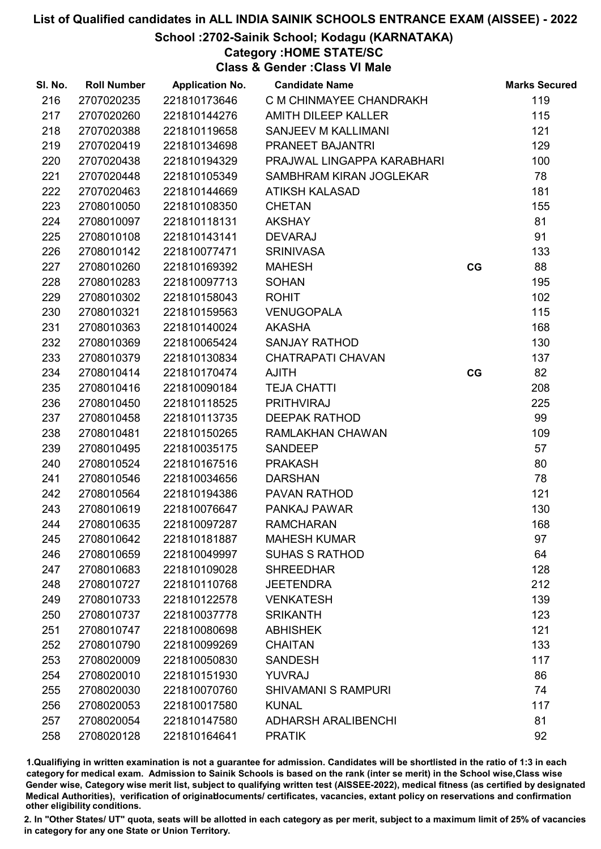School :2702-Sainik School; Kodagu (KARNATAKA)

Category :HOME STATE/SC

Class & Gender :Class VI Male

| SI. No. | <b>Roll Number</b> | <b>Application No.</b> | <b>Candidate Name</b>      |    | <b>Marks Secured</b> |
|---------|--------------------|------------------------|----------------------------|----|----------------------|
| 216     | 2707020235         | 221810173646           | C M CHINMAYEE CHANDRAKH    |    | 119                  |
| 217     | 2707020260         | 221810144276           | <b>AMITH DILEEP KALLER</b> |    | 115                  |
| 218     | 2707020388         | 221810119658           | SANJEEV M KALLIMANI        |    | 121                  |
| 219     | 2707020419         | 221810134698           | PRANEET BAJANTRI           |    | 129                  |
| 220     | 2707020438         | 221810194329           | PRAJWAL LINGAPPA KARABHARI |    | 100                  |
| 221     | 2707020448         | 221810105349           | SAMBHRAM KIRAN JOGLEKAR    |    | 78                   |
| 222     | 2707020463         | 221810144669           | <b>ATIKSH KALASAD</b>      |    | 181                  |
| 223     | 2708010050         | 221810108350           | <b>CHETAN</b>              |    | 155                  |
| 224     | 2708010097         | 221810118131           | <b>AKSHAY</b>              |    | 81                   |
| 225     | 2708010108         | 221810143141           | <b>DEVARAJ</b>             |    | 91                   |
| 226     | 2708010142         | 221810077471           | <b>SRINIVASA</b>           |    | 133                  |
| 227     | 2708010260         | 221810169392           | <b>MAHESH</b>              | CG | 88                   |
| 228     | 2708010283         | 221810097713           | <b>SOHAN</b>               |    | 195                  |
| 229     | 2708010302         | 221810158043           | <b>ROHIT</b>               |    | 102                  |
| 230     | 2708010321         | 221810159563           | <b>VENUGOPALA</b>          |    | 115                  |
| 231     | 2708010363         | 221810140024           | <b>AKASHA</b>              |    | 168                  |
| 232     | 2708010369         | 221810065424           | <b>SANJAY RATHOD</b>       |    | 130                  |
| 233     | 2708010379         | 221810130834           | <b>CHATRAPATI CHAVAN</b>   |    | 137                  |
| 234     | 2708010414         | 221810170474           | <b>AJITH</b>               | CG | 82                   |
| 235     | 2708010416         | 221810090184           | <b>TEJA CHATTI</b>         |    | 208                  |
| 236     | 2708010450         | 221810118525           | <b>PRITHVIRAJ</b>          |    | 225                  |
| 237     | 2708010458         | 221810113735           | <b>DEEPAK RATHOD</b>       |    | 99                   |
| 238     | 2708010481         | 221810150265           | RAMLAKHAN CHAWAN           |    | 109                  |
| 239     | 2708010495         | 221810035175           | <b>SANDEEP</b>             |    | 57                   |
| 240     | 2708010524         | 221810167516           | <b>PRAKASH</b>             |    | 80                   |
| 241     | 2708010546         | 221810034656           | <b>DARSHAN</b>             |    | 78                   |
| 242     | 2708010564         | 221810194386           | PAVAN RATHOD               |    | 121                  |
| 243     | 2708010619         | 221810076647           | PANKAJ PAWAR               |    | 130                  |
| 244     | 2708010635         | 221810097287           | <b>RAMCHARAN</b>           |    | 168                  |
| 245     | 2708010642         | 221810181887           | <b>MAHESH KUMAR</b>        |    | 97                   |
| 246     | 2708010659         | 221810049997           | <b>SUHAS S RATHOD</b>      |    | 64                   |
| 247     | 2708010683         | 221810109028           | <b>SHREEDHAR</b>           |    | 128                  |
| 248     | 2708010727         | 221810110768           | <b>JEETENDRA</b>           |    | 212                  |
| 249     | 2708010733         | 221810122578           | <b>VENKATESH</b>           |    | 139                  |
| 250     | 2708010737         | 221810037778           | <b>SRIKANTH</b>            |    | 123                  |
| 251     | 2708010747         | 221810080698           | <b>ABHISHEK</b>            |    | 121                  |
| 252     | 2708010790         | 221810099269           | <b>CHAITAN</b>             |    | 133                  |
| 253     | 2708020009         | 221810050830           | <b>SANDESH</b>             |    | 117                  |
| 254     | 2708020010         | 221810151930           | <b>YUVRAJ</b>              |    | 86                   |
| 255     | 2708020030         | 221810070760           | <b>SHIVAMANI S RAMPURI</b> |    | 74                   |
| 256     | 2708020053         | 221810017580           | <b>KUNAL</b>               |    | 117                  |
| 257     | 2708020054         | 221810147580           | <b>ADHARSH ARALIBENCHI</b> |    | 81                   |
| 258     | 2708020128         | 221810164641           | <b>PRATIK</b>              |    | 92                   |

1.Qualifiying in written examination is not a guarantee for admission. Candidates will be shortlisted in the ratio of 1:3 in each category for medical exam. Admission to Sainik Schools is based on the rank (inter se merit) in the School wise,Class wise Gender wise, Category wise merit list, subject to qualifying written test (AISSEE-2022), medical fitness (as certified by designated Medical Authorities), verification of originablocuments/ certificates, vacancies, extant policy on reservations and confirmation other eligibility conditions.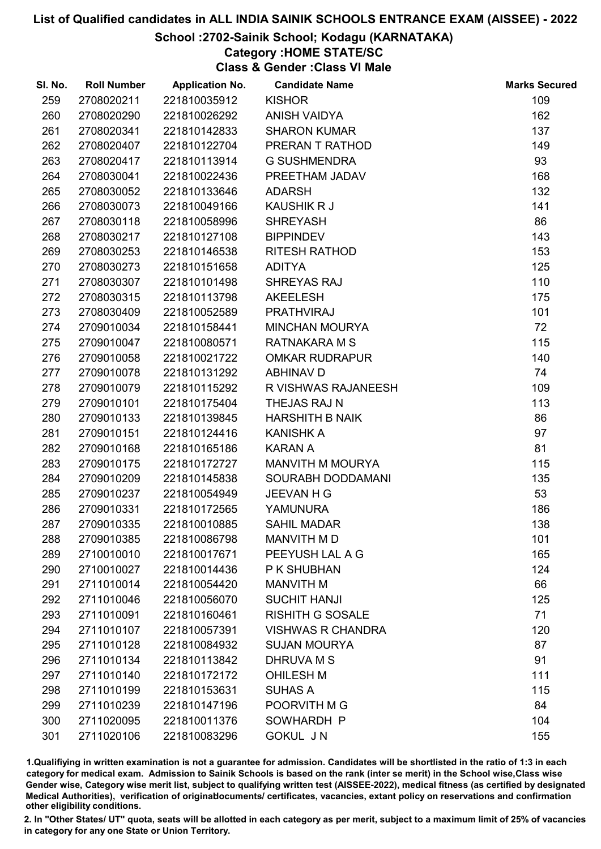### School :2702-Sainik School; Kodagu (KARNATAKA)

### Category :HOME STATE/SC

Class & Gender :Class VI Male

| SI. No. | <b>Roll Number</b> | <b>Application No.</b> | <b>Candidate Name</b>    | <b>Marks Secured</b> |
|---------|--------------------|------------------------|--------------------------|----------------------|
| 259     | 2708020211         | 221810035912           | <b>KISHOR</b>            | 109                  |
| 260     | 2708020290         | 221810026292           | <b>ANISH VAIDYA</b>      | 162                  |
| 261     | 2708020341         | 221810142833           | <b>SHARON KUMAR</b>      | 137                  |
| 262     | 2708020407         | 221810122704           | PRERAN T RATHOD          | 149                  |
| 263     | 2708020417         | 221810113914           | <b>G SUSHMENDRA</b>      | 93                   |
| 264     | 2708030041         | 221810022436           | PREETHAM JADAV           | 168                  |
| 265     | 2708030052         | 221810133646           | <b>ADARSH</b>            | 132                  |
| 266     | 2708030073         | 221810049166           | <b>KAUSHIK R J</b>       | 141                  |
| 267     | 2708030118         | 221810058996           | <b>SHREYASH</b>          | 86                   |
| 268     | 2708030217         | 221810127108           | <b>BIPPINDEV</b>         | 143                  |
| 269     | 2708030253         | 221810146538           | RITESH RATHOD            | 153                  |
| 270     | 2708030273         | 221810151658           | <b>ADITYA</b>            | 125                  |
| 271     | 2708030307         | 221810101498           | SHREYAS RAJ              | 110                  |
| 272     | 2708030315         | 221810113798           | <b>AKEELESH</b>          | 175                  |
| 273     | 2708030409         | 221810052589           | <b>PRATHVIRAJ</b>        | 101                  |
| 274     | 2709010034         | 221810158441           | <b>MINCHAN MOURYA</b>    | 72                   |
| 275     | 2709010047         | 221810080571           | RATNAKARA M S            | 115                  |
| 276     | 2709010058         | 221810021722           | <b>OMKAR RUDRAPUR</b>    | 140                  |
| 277     | 2709010078         | 221810131292           | <b>ABHINAV D</b>         | 74                   |
| 278     | 2709010079         | 221810115292           | R VISHWAS RAJANEESH      | 109                  |
| 279     | 2709010101         | 221810175404           | THEJAS RAJ N             | 113                  |
| 280     | 2709010133         | 221810139845           | <b>HARSHITH B NAIK</b>   | 86                   |
| 281     | 2709010151         | 221810124416           | <b>KANISHK A</b>         | 97                   |
| 282     | 2709010168         | 221810165186           | <b>KARAN A</b>           | 81                   |
| 283     | 2709010175         | 221810172727           | MANVITH M MOURYA         | 115                  |
| 284     | 2709010209         | 221810145838           | <b>SOURABH DODDAMANI</b> | 135                  |
| 285     | 2709010237         | 221810054949           | <b>JEEVAN H G</b>        | 53                   |
| 286     | 2709010331         | 221810172565           | <b>YAMUNURA</b>          | 186                  |
| 287     | 2709010335         | 221810010885           | <b>SAHIL MADAR</b>       | 138                  |
| 288     | 2709010385         | 221810086798           | MANVITH M D              | 101                  |
| 289     | 2710010010         | 221810017671           | PEEYUSH LAL A G          | 165                  |
| 290     | 2710010027         | 221810014436           | P K SHUBHAN              | 124                  |
| 291     | 2711010014         | 221810054420           | <b>MANVITH M</b>         | 66                   |
| 292     | 2711010046         | 221810056070           | <b>SUCHIT HANJI</b>      | 125                  |
| 293     | 2711010091         | 221810160461           | <b>RISHITH G SOSALE</b>  | 71                   |
| 294     | 2711010107         | 221810057391           | <b>VISHWAS R CHANDRA</b> | 120                  |
| 295     | 2711010128         | 221810084932           | <b>SUJAN MOURYA</b>      | 87                   |
| 296     | 2711010134         | 221810113842           | <b>DHRUVA M S</b>        | 91                   |
| 297     | 2711010140         | 221810172172           | <b>OHILESH M</b>         | 111                  |
| 298     | 2711010199         | 221810153631           | <b>SUHAS A</b>           | 115                  |
| 299     | 2711010239         | 221810147196           | POORVITH M G             | 84                   |
| 300     | 2711020095         | 221810011376           | SOWHARDH P               | 104                  |
| 301     | 2711020106         | 221810083296           | <b>GOKUL JN</b>          | 155                  |

1.Qualifiying in written examination is not a guarantee for admission. Candidates will be shortlisted in the ratio of 1:3 in each category for medical exam. Admission to Sainik Schools is based on the rank (inter se merit) in the School wise,Class wise Gender wise, Category wise merit list, subject to qualifying written test (AISSEE-2022), medical fitness (as certified by designated Medical Authorities), verification of originablocuments/ certificates, vacancies, extant policy on reservations and confirmation other eligibility conditions.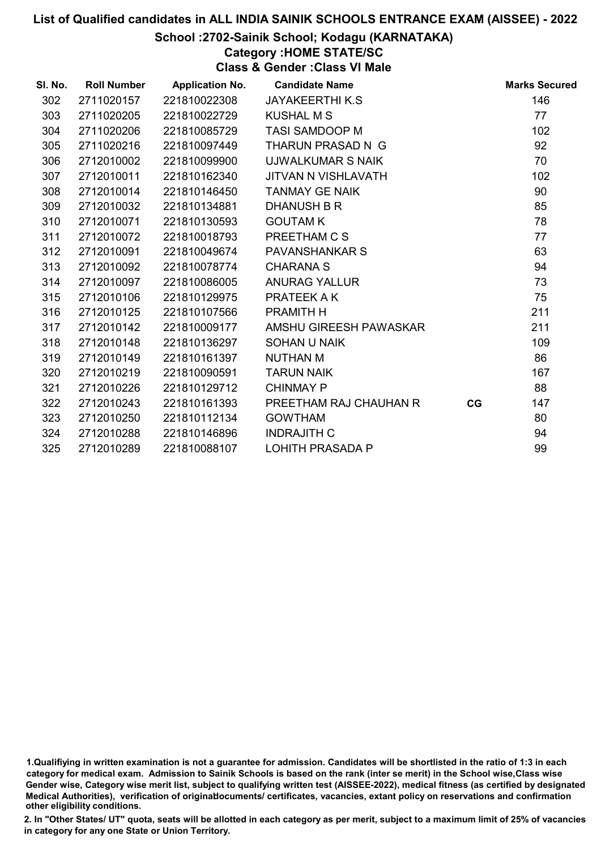### School :2702-Sainik School; Kodagu (KARNATAKA)

### Category :HOME STATE/SC

Class & Gender :Class VI Male

| SI. No. | <b>Roll Number</b> | <b>Application No.</b> | <b>Candidate Name</b>      |    | <b>Marks Secured</b> |
|---------|--------------------|------------------------|----------------------------|----|----------------------|
| 302     | 2711020157         | 221810022308           | <b>JAYAKEERTHI K.S.</b>    |    | 146                  |
| 303     | 2711020205         | 221810022729           | <b>KUSHAL M S</b>          |    | 77                   |
| 304     | 2711020206         | 221810085729           | <b>TASI SAMDOOP M</b>      |    | 102                  |
| 305     | 2711020216         | 221810097449           | THARUN PRASAD N G          |    | 92                   |
| 306     | 2712010002         | 221810099900           | <b>UJWALKUMAR S NAIK</b>   |    | 70                   |
| 307     | 2712010011         | 221810162340           | <b>JITVAN N VISHLAVATH</b> |    | 102                  |
| 308     | 2712010014         | 221810146450           | <b>TANMAY GE NAIK</b>      |    | 90                   |
| 309     | 2712010032         | 221810134881           | <b>DHANUSH B R</b>         |    | 85                   |
| 310     | 2712010071         | 221810130593           | <b>GOUTAM K</b>            |    | 78                   |
| 311     | 2712010072         | 221810018793           | PREETHAM C S               |    | 77                   |
| 312     | 2712010091         | 221810049674           | <b>PAVANSHANKAR S</b>      |    | 63                   |
| 313     | 2712010092         | 221810078774           | <b>CHARANA S</b>           |    | 94                   |
| 314     | 2712010097         | 221810086005           | <b>ANURAG YALLUR</b>       |    | 73                   |
| 315     | 2712010106         | 221810129975           | PRATEEK A K                |    | 75                   |
| 316     | 2712010125         | 221810107566           | PRAMITH H                  |    | 211                  |
| 317     | 2712010142         | 221810009177           | AMSHU GIREESH PAWASKAR     |    | 211                  |
| 318     | 2712010148         | 221810136297           | <b>SOHAN U NAIK</b>        |    | 109                  |
| 319     | 2712010149         | 221810161397           | <b>NUTHAN M</b>            |    | 86                   |
| 320     | 2712010219         | 221810090591           | <b>TARUN NAIK</b>          |    | 167                  |
| 321     | 2712010226         | 221810129712           | <b>CHINMAY P</b>           |    | 88                   |
| 322     | 2712010243         | 221810161393           | PREETHAM RAJ CHAUHAN R     | CG | 147                  |
| 323     | 2712010250         | 221810112134           | <b>GOWTHAM</b>             |    | 80                   |
| 324     | 2712010288         | 221810146896           | <b>INDRAJITH C</b>         |    | 94                   |
| 325     | 2712010289         | 221810088107           | <b>LOHITH PRASADA P</b>    |    | 99                   |

<sup>1.</sup>Qualifiying in written examination is not a guarantee for admission. Candidates will be shortlisted in the ratio of 1:3 in each category for medical exam. Admission to Sainik Schools is based on the rank (inter se merit) in the School wise,Class wise Gender wise, Category wise merit list, subject to qualifying written test (AISSEE-2022), medical fitness (as certified by designated Medical Authorities), verification of originablocuments/ certificates, vacancies, extant policy on reservations and confirmation other eligibility conditions.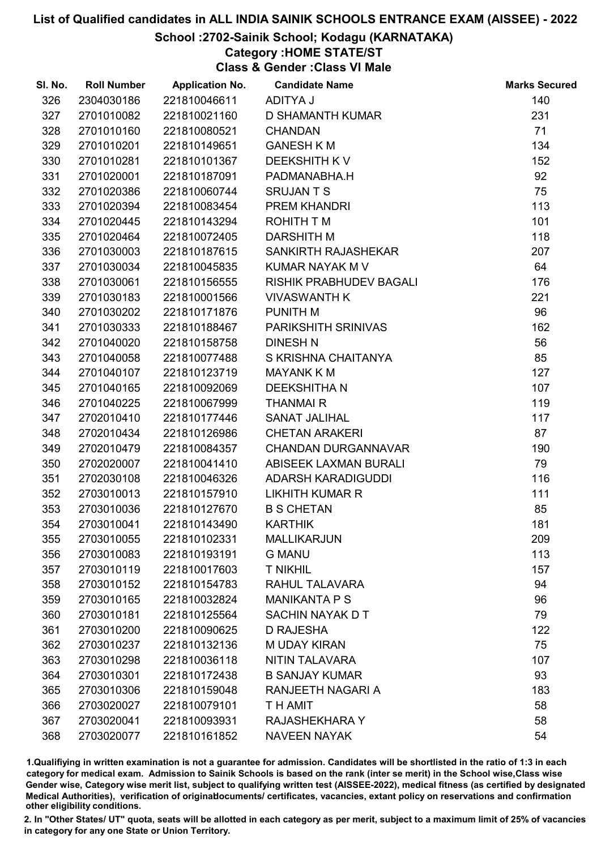### School :2702-Sainik School; Kodagu (KARNATAKA)

### Category :HOME STATE/ST

Class & Gender :Class VI Male

| SI. No. | <b>Roll Number</b> | <b>Application No.</b> | <b>Candidate Name</b>          | <b>Marks Secured</b> |
|---------|--------------------|------------------------|--------------------------------|----------------------|
| 326     | 2304030186         | 221810046611           | ADITYA J                       | 140                  |
| 327     | 2701010082         | 221810021160           | <b>D SHAMANTH KUMAR</b>        | 231                  |
| 328     | 2701010160         | 221810080521           | <b>CHANDAN</b>                 | 71                   |
| 329     | 2701010201         | 221810149651           | <b>GANESH K M</b>              | 134                  |
| 330     | 2701010281         | 221810101367           | <b>DEEKSHITH KV</b>            | 152                  |
| 331     | 2701020001         | 221810187091           | PADMANABHA.H                   | 92                   |
| 332     | 2701020386         | 221810060744           | <b>SRUJANTS</b>                | 75                   |
| 333     | 2701020394         | 221810083454           | PREM KHANDRI                   | 113                  |
| 334     | 2701020445         | 221810143294           | ROHITH T M                     | 101                  |
| 335     | 2701020464         | 221810072405           | <b>DARSHITH M</b>              | 118                  |
| 336     | 2701030003         | 221810187615           | SANKIRTH RAJASHEKAR            | 207                  |
| 337     | 2701030034         | 221810045835           | KUMAR NAYAK M V                | 64                   |
| 338     | 2701030061         | 221810156555           | <b>RISHIK PRABHUDEV BAGALI</b> | 176                  |
| 339     | 2701030183         | 221810001566           | <b>VIVASWANTH K</b>            | 221                  |
| 340     | 2701030202         | 221810171876           | PUNITH M                       | 96                   |
| 341     | 2701030333         | 221810188467           | <b>PARIKSHITH SRINIVAS</b>     | 162                  |
| 342     | 2701040020         | 221810158758           | <b>DINESH N</b>                | 56                   |
| 343     | 2701040058         | 221810077488           | S KRISHNA CHAITANYA            | 85                   |
| 344     | 2701040107         | 221810123719           | <b>MAYANK K M</b>              | 127                  |
| 345     | 2701040165         | 221810092069           | <b>DEEKSHITHAN</b>             | 107                  |
| 346     | 2701040225         | 221810067999           | <b>THANMAIR</b>                | 119                  |
| 347     | 2702010410         | 221810177446           | <b>SANAT JALIHAL</b>           | 117                  |
| 348     | 2702010434         | 221810126986           | <b>CHETAN ARAKERI</b>          | 87                   |
| 349     | 2702010479         | 221810084357           | <b>CHANDAN DURGANNAVAR</b>     | 190                  |
| 350     | 2702020007         | 221810041410           | ABISEEK LAXMAN BURALI          | 79                   |
| 351     | 2702030108         | 221810046326           | <b>ADARSH KARADIGUDDI</b>      | 116                  |
| 352     | 2703010013         | 221810157910           | <b>LIKHITH KUMAR R</b>         | 111                  |
| 353     | 2703010036         | 221810127670           | <b>B S CHETAN</b>              | 85                   |
| 354     | 2703010041         | 221810143490           | <b>KARTHIK</b>                 | 181                  |
| 355     | 2703010055         | 221810102331           | <b>MALLIKARJUN</b>             | 209                  |
| 356     | 2703010083         | 221810193191           | <b>G MANU</b>                  | 113                  |
| 357     | 2703010119         | 221810017603           | <b>T NIKHIL</b>                | 157                  |
| 358     | 2703010152         | 221810154783           | RAHUL TALAVARA                 | 94                   |
| 359     | 2703010165         | 221810032824           | <b>MANIKANTA P S</b>           | 96                   |
| 360     | 2703010181         | 221810125564           | SACHIN NAYAK D T               | 79                   |
| 361     | 2703010200         | 221810090625           | <b>D RAJESHA</b>               | 122                  |
| 362     | 2703010237         | 221810132136           | <b>MUDAY KIRAN</b>             | 75                   |
| 363     | 2703010298         | 221810036118           | NITIN TALAVARA                 | 107                  |
| 364     | 2703010301         | 221810172438           | <b>B SANJAY KUMAR</b>          | 93                   |
| 365     | 2703010306         | 221810159048           | RANJEETH NAGARI A              | 183                  |
| 366     | 2703020027         | 221810079101           | T H AMIT                       | 58                   |
| 367     | 2703020041         | 221810093931           | RAJASHEKHARA Y                 | 58                   |
| 368     | 2703020077         | 221810161852           | <b>NAVEEN NAYAK</b>            | 54                   |

1.Qualifiying in written examination is not a guarantee for admission. Candidates will be shortlisted in the ratio of 1:3 in each category for medical exam. Admission to Sainik Schools is based on the rank (inter se merit) in the School wise,Class wise Gender wise, Category wise merit list, subject to qualifying written test (AISSEE-2022), medical fitness (as certified by designated Medical Authorities), verification of originablocuments/ certificates, vacancies, extant policy on reservations and confirmation other eligibility conditions.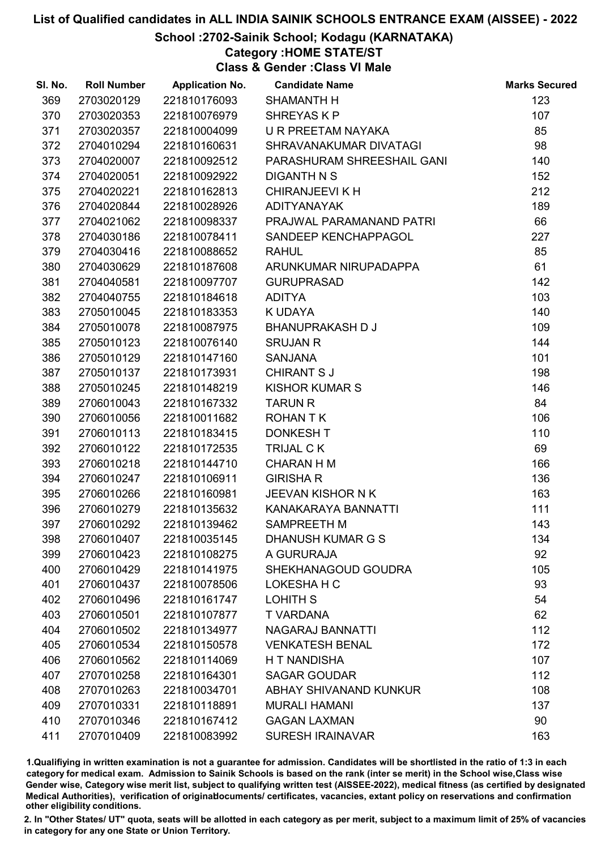### School :2702-Sainik School; Kodagu (KARNATAKA)

### Category :HOME STATE/ST

Class & Gender :Class VI Male

| SI. No. | <b>Roll Number</b> | <b>Application No.</b> | <b>Candidate Name</b>      | <b>Marks Secured</b> |
|---------|--------------------|------------------------|----------------------------|----------------------|
| 369     | 2703020129         | 221810176093           | <b>SHAMANTH H</b>          | 123                  |
| 370     | 2703020353         | 221810076979           | SHREYAS KP                 | 107                  |
| 371     | 2703020357         | 221810004099           | U R PREETAM NAYAKA         | 85                   |
| 372     | 2704010294         | 221810160631           | SHRAVANAKUMAR DIVATAGI     | 98                   |
| 373     | 2704020007         | 221810092512           | PARASHURAM SHREESHAIL GANI | 140                  |
| 374     | 2704020051         | 221810092922           | DIGANTH N S                | 152                  |
| 375     | 2704020221         | 221810162813           | <b>CHIRANJEEVI K H</b>     | 212                  |
| 376     | 2704020844         | 221810028926           | <b>ADITYANAYAK</b>         | 189                  |
| 377     | 2704021062         | 221810098337           | PRAJWAL PARAMANAND PATRI   | 66                   |
| 378     | 2704030186         | 221810078411           | SANDEEP KENCHAPPAGOL       | 227                  |
| 379     | 2704030416         | 221810088652           | <b>RAHUL</b>               | 85                   |
| 380     | 2704030629         | 221810187608           | ARUNKUMAR NIRUPADAPPA      | 61                   |
| 381     | 2704040581         | 221810097707           | <b>GURUPRASAD</b>          | 142                  |
| 382     | 2704040755         | 221810184618           | <b>ADITYA</b>              | 103                  |
| 383     | 2705010045         | 221810183353           | K UDAYA                    | 140                  |
| 384     | 2705010078         | 221810087975           | <b>BHANUPRAKASH D J</b>    | 109                  |
| 385     | 2705010123         | 221810076140           | <b>SRUJAN R</b>            | 144                  |
| 386     | 2705010129         | 221810147160           | <b>SANJANA</b>             | 101                  |
| 387     | 2705010137         | 221810173931           | <b>CHIRANT S J</b>         | 198                  |
| 388     | 2705010245         | 221810148219           | <b>KISHOR KUMAR S</b>      | 146                  |
| 389     | 2706010043         | 221810167332           | <b>TARUN R</b>             | 84                   |
| 390     | 2706010056         | 221810011682           | <b>ROHANTK</b>             | 106                  |
| 391     | 2706010113         | 221810183415           | <b>DONKESH T</b>           | 110                  |
| 392     | 2706010122         | 221810172535           | TRIJAL CK                  | 69                   |
| 393     | 2706010218         | 221810144710           | <b>CHARAN H M</b>          | 166                  |
| 394     | 2706010247         | 221810106911           | <b>GIRISHA R</b>           | 136                  |
| 395     | 2706010266         | 221810160981           | JEEVAN KISHOR N K          | 163                  |
| 396     | 2706010279         | 221810135632           | KANAKARAYA BANNATTI        | 111                  |
| 397     | 2706010292         | 221810139462           | SAMPREETH M                | 143                  |
| 398     | 2706010407         | 221810035145           | DHANUSH KUMAR G S          | 134                  |
| 399     | 2706010423         | 221810108275           | A GURURAJA                 | 92                   |
| 400     | 2706010429         | 221810141975           | SHEKHANAGOUD GOUDRA        | 105                  |
| 401     | 2706010437         | 221810078506           | LOKESHA H C                | 93                   |
| 402     | 2706010496         | 221810161747           | LOHITH S                   | 54                   |
| 403     | 2706010501         | 221810107877           | <b>T VARDANA</b>           | 62                   |
| 404     | 2706010502         | 221810134977           | NAGARAJ BANNATTI           | 112                  |
| 405     | 2706010534         | 221810150578           | <b>VENKATESH BENAL</b>     | 172                  |
| 406     | 2706010562         | 221810114069           | <b>HT NANDISHA</b>         | 107                  |
| 407     | 2707010258         | 221810164301           | <b>SAGAR GOUDAR</b>        | 112                  |
| 408     | 2707010263         | 221810034701           | ABHAY SHIVANAND KUNKUR     | 108                  |
| 409     | 2707010331         | 221810118891           | <b>MURALI HAMANI</b>       | 137                  |
| 410     | 2707010346         | 221810167412           | <b>GAGAN LAXMAN</b>        | 90                   |
| 411     | 2707010409         | 221810083992           | <b>SURESH IRAINAVAR</b>    | 163                  |

1.Qualifiying in written examination is not a guarantee for admission. Candidates will be shortlisted in the ratio of 1:3 in each category for medical exam. Admission to Sainik Schools is based on the rank (inter se merit) in the School wise,Class wise Gender wise, Category wise merit list, subject to qualifying written test (AISSEE-2022), medical fitness (as certified by designated Medical Authorities), verification of originablocuments/ certificates, vacancies, extant policy on reservations and confirmation other eligibility conditions.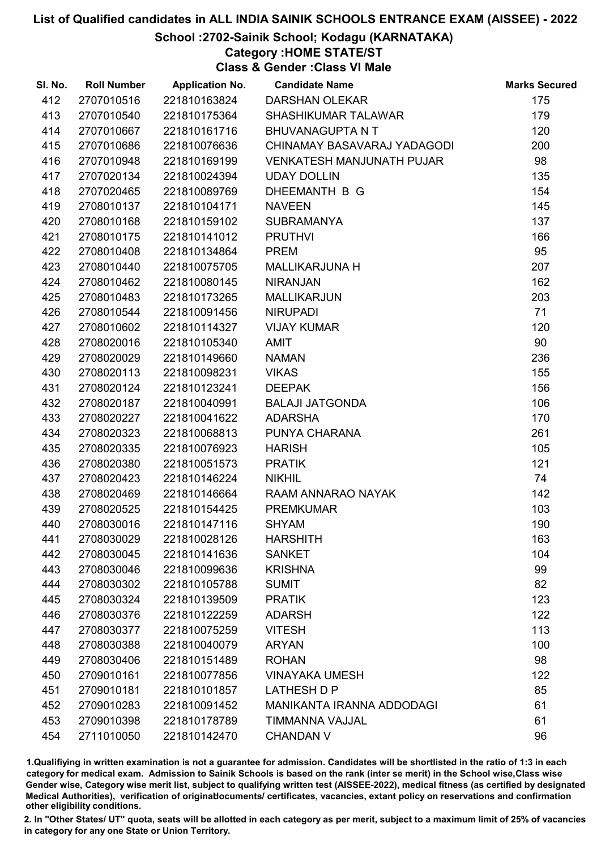### School :2702-Sainik School; Kodagu (KARNATAKA)

### Category :HOME STATE/ST

Class & Gender :Class VI Male

| SI. No. | <b>Roll Number</b> | <b>Application No.</b> | <b>Candidate Name</b>            | <b>Marks Secured</b> |
|---------|--------------------|------------------------|----------------------------------|----------------------|
| 412     | 2707010516         | 221810163824           | <b>DARSHAN OLEKAR</b>            | 175                  |
| 413     | 2707010540         | 221810175364           | <b>SHASHIKUMAR TALAWAR</b>       | 179                  |
| 414     | 2707010667         | 221810161716           | <b>BHUVANAGUPTA N T</b>          | 120                  |
| 415     | 2707010686         | 221810076636           | CHINAMAY BASAVARAJ YADAGODI      | 200                  |
| 416     | 2707010948         | 221810169199           | <b>VENKATESH MANJUNATH PUJAR</b> | 98                   |
| 417     | 2707020134         | 221810024394           | <b>UDAY DOLLIN</b>               | 135                  |
| 418     | 2707020465         | 221810089769           | DHEEMANTH B G                    | 154                  |
| 419     | 2708010137         | 221810104171           | <b>NAVEEN</b>                    | 145                  |
| 420     | 2708010168         | 221810159102           | <b>SUBRAMANYA</b>                | 137                  |
| 421     | 2708010175         | 221810141012           | <b>PRUTHVI</b>                   | 166                  |
| 422     | 2708010408         | 221810134864           | <b>PREM</b>                      | 95                   |
| 423     | 2708010440         | 221810075705           | <b>MALLIKARJUNA H</b>            | 207                  |
| 424     | 2708010462         | 221810080145           | <b>NIRANJAN</b>                  | 162                  |
| 425     | 2708010483         | 221810173265           | <b>MALLIKARJUN</b>               | 203                  |
| 426     | 2708010544         | 221810091456           | <b>NIRUPADI</b>                  | 71                   |
| 427     | 2708010602         | 221810114327           | <b>VIJAY KUMAR</b>               | 120                  |
| 428     | 2708020016         | 221810105340           | AMIT                             | 90                   |
| 429     | 2708020029         | 221810149660           | <b>NAMAN</b>                     | 236                  |
| 430     | 2708020113         | 221810098231           | <b>VIKAS</b>                     | 155                  |
| 431     | 2708020124         | 221810123241           | <b>DEEPAK</b>                    | 156                  |
| 432     | 2708020187         | 221810040991           | <b>BALAJI JATGONDA</b>           | 106                  |
| 433     | 2708020227         | 221810041622           | <b>ADARSHA</b>                   | 170                  |
| 434     | 2708020323         | 221810068813           | PUNYA CHARANA                    | 261                  |
| 435     | 2708020335         | 221810076923           | <b>HARISH</b>                    | 105                  |
| 436     | 2708020380         | 221810051573           | <b>PRATIK</b>                    | 121                  |
| 437     | 2708020423         | 221810146224           | <b>NIKHIL</b>                    | 74                   |
| 438     | 2708020469         | 221810146664           | RAAM ANNARAO NAYAK               | 142                  |
| 439     | 2708020525         | 221810154425           | <b>PREMKUMAR</b>                 | 103                  |
| 440     | 2708030016         | 221810147116           | <b>SHYAM</b>                     | 190                  |
| 441     | 2708030029         | 221810028126           | <b>HARSHITH</b>                  | 163                  |
| 442     | 2708030045         | 221810141636           | <b>SANKET</b>                    | 104                  |
| 443     | 2708030046         | 221810099636           | <b>KRISHNA</b>                   | 99                   |
| 444     | 2708030302         | 221810105788           | <b>SUMIT</b>                     | 82                   |
| 445     | 2708030324         | 221810139509           | <b>PRATIK</b>                    | 123                  |
| 446     | 2708030376         | 221810122259           | <b>ADARSH</b>                    | 122                  |
| 447     | 2708030377         | 221810075259           | <b>VITESH</b>                    | 113                  |
| 448     | 2708030388         | 221810040079           | <b>ARYAN</b>                     | 100                  |
| 449     | 2708030406         | 221810151489           | <b>ROHAN</b>                     | 98                   |
| 450     | 2709010161         | 221810077856           | <b>VINAYAKA UMESH</b>            | 122                  |
| 451     | 2709010181         | 221810101857           | <b>LATHESH D P</b>               | 85                   |
| 452     | 2709010283         | 221810091452           | <b>MANIKANTA IRANNA ADDODAGI</b> | 61                   |
| 453     | 2709010398         | 221810178789           | TIMMANNA VAJJAL                  | 61                   |
| 454     | 2711010050         | 221810142470           | <b>CHANDAN V</b>                 | 96                   |

1.Qualifiying in written examination is not a guarantee for admission. Candidates will be shortlisted in the ratio of 1:3 in each category for medical exam. Admission to Sainik Schools is based on the rank (inter se merit) in the School wise,Class wise Gender wise, Category wise merit list, subject to qualifying written test (AISSEE-2022), medical fitness (as certified by designated Medical Authorities), verification of originablocuments/ certificates, vacancies, extant policy on reservations and confirmation other eligibility conditions.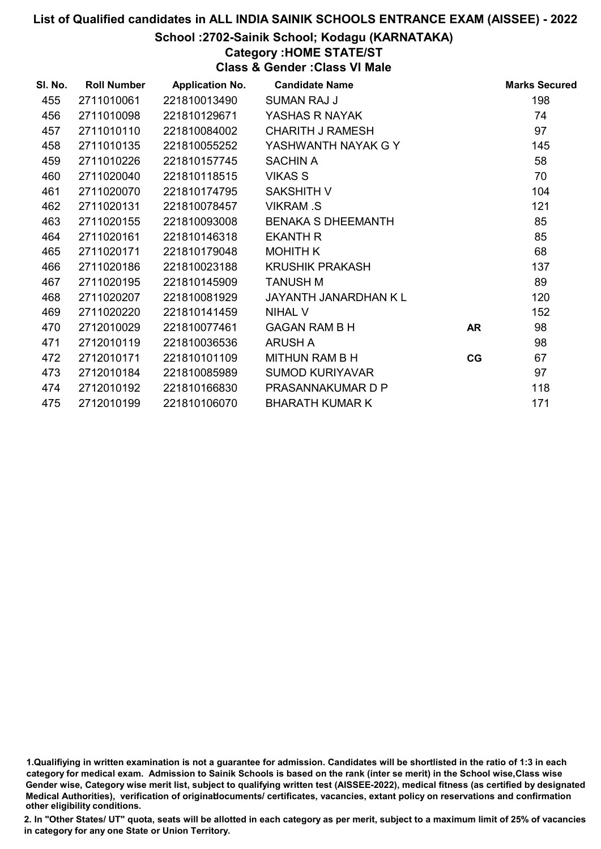### School :2702-Sainik School; Kodagu (KARNATAKA)

### Category :HOME STATE/ST

Class & Gender :Class VI Male

| SI. No. | <b>Roll Number</b> | <b>Application No.</b> | <b>Candidate Name</b>     |           | <b>Marks Secured</b> |
|---------|--------------------|------------------------|---------------------------|-----------|----------------------|
| 455     | 2711010061         | 221810013490           | <b>SUMAN RAJ J</b>        |           | 198                  |
| 456     | 2711010098         | 221810129671           | YASHAS R NAYAK            |           | 74                   |
| 457     | 2711010110         | 221810084002           | <b>CHARITH J RAMESH</b>   |           | 97                   |
| 458     | 2711010135         | 221810055252           | YASHWANTH NAYAK G Y       |           | 145                  |
| 459     | 2711010226         | 221810157745           | <b>SACHIN A</b>           |           | 58                   |
| 460     | 2711020040         | 221810118515           | <b>VIKAS S</b>            |           | 70                   |
| 461     | 2711020070         | 221810174795           | <b>SAKSHITH V</b>         |           | 104                  |
| 462     | 2711020131         | 221810078457           | <b>VIKRAM.S</b>           |           | 121                  |
| 463     | 2711020155         | 221810093008           | <b>BENAKA S DHEEMANTH</b> |           | 85                   |
| 464     | 2711020161         | 221810146318           | <b>EKANTH R</b>           |           | 85                   |
| 465     | 2711020171         | 221810179048           | <b>MOHITH K</b>           |           | 68                   |
| 466     | 2711020186         | 221810023188           | <b>KRUSHIK PRAKASH</b>    |           | 137                  |
| 467     | 2711020195         | 221810145909           | <b>TANUSH M</b>           |           | 89                   |
| 468     | 2711020207         | 221810081929           | JAYANTH JANARDHAN K L     |           | 120                  |
| 469     | 2711020220         | 221810141459           | <b>NIHAL V</b>            |           | 152                  |
| 470     | 2712010029         | 221810077461           | <b>GAGAN RAM B H</b>      | <b>AR</b> | 98                   |
| 471     | 2712010119         | 221810036536           | <b>ARUSH A</b>            |           | 98                   |
| 472     | 2712010171         | 221810101109           | MITHUN RAM B H            | CG        | 67                   |
| 473     | 2712010184         | 221810085989           | <b>SUMOD KURIYAVAR</b>    |           | 97                   |
| 474     | 2712010192         | 221810166830           | PRASANNAKUMAR D P         |           | 118                  |
| 475     | 2712010199         | 221810106070           | <b>BHARATH KUMAR K</b>    |           | 171                  |

1.Qualifiying in written examination is not a guarantee for admission. Candidates will be shortlisted in the ratio of 1:3 in each category for medical exam. Admission to Sainik Schools is based on the rank (inter se merit) in the School wise,Class wise Gender wise, Category wise merit list, subject to qualifying written test (AISSEE-2022), medical fitness (as certified by designated Medical Authorities), verification of originablocuments/ certificates, vacancies, extant policy on reservations and confirmation other eligibility conditions.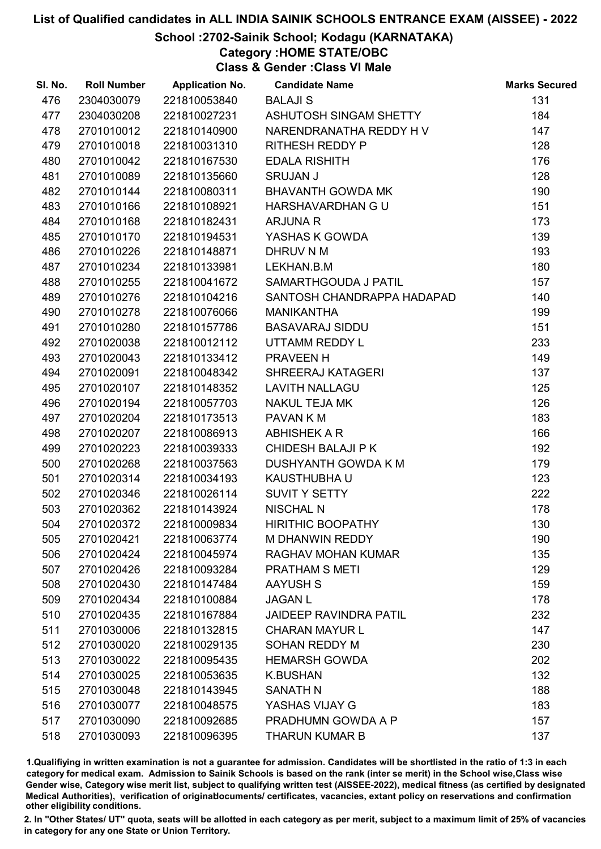### School :2702-Sainik School; Kodagu (KARNATAKA)

Category :HOME STATE/OBC

Class & Gender :Class VI Male

| SI. No. | <b>Roll Number</b> | <b>Application No.</b> | <b>Candidate Name</b>         | <b>Marks Secured</b> |
|---------|--------------------|------------------------|-------------------------------|----------------------|
| 476     | 2304030079         | 221810053840           | <b>BALAJI S</b>               | 131                  |
| 477     | 2304030208         | 221810027231           | ASHUTOSH SINGAM SHETTY        | 184                  |
| 478     | 2701010012         | 221810140900           | NARENDRANATHA REDDY H V       | 147                  |
| 479     | 2701010018         | 221810031310           | <b>RITHESH REDDY P</b>        | 128                  |
| 480     | 2701010042         | 221810167530           | <b>EDALA RISHITH</b>          | 176                  |
| 481     | 2701010089         | 221810135660           | <b>SRUJAN J</b>               | 128                  |
| 482     | 2701010144         | 221810080311           | <b>BHAVANTH GOWDA MK</b>      | 190                  |
| 483     | 2701010166         | 221810108921           | HARSHAVARDHAN G U             | 151                  |
| 484     | 2701010168         | 221810182431           | ARJUNA R                      | 173                  |
| 485     | 2701010170         | 221810194531           | YASHAS K GOWDA                | 139                  |
| 486     | 2701010226         | 221810148871           | DHRUV N M                     | 193                  |
| 487     | 2701010234         | 221810133981           | LEKHAN.B.M                    | 180                  |
| 488     | 2701010255         | 221810041672           | SAMARTHGOUDA J PATIL          | 157                  |
| 489     | 2701010276         | 221810104216           | SANTOSH CHANDRAPPA HADAPAD    | 140                  |
| 490     | 2701010278         | 221810076066           | <b>MANIKANTHA</b>             | 199                  |
| 491     | 2701010280         | 221810157786           | <b>BASAVARAJ SIDDU</b>        | 151                  |
| 492     | 2701020038         | 221810012112           | UTTAMM REDDY L                | 233                  |
| 493     | 2701020043         | 221810133412           | PRAVEEN H                     | 149                  |
| 494     | 2701020091         | 221810048342           | SHREERAJ KATAGERI             | 137                  |
| 495     | 2701020107         | 221810148352           | <b>LAVITH NALLAGU</b>         | 125                  |
| 496     | 2701020194         | 221810057703           | <b>NAKUL TEJA MK</b>          | 126                  |
| 497     | 2701020204         | 221810173513           | PAVAN K M                     | 183                  |
| 498     | 2701020207         | 221810086913           | <b>ABHISHEK A R</b>           | 166                  |
| 499     | 2701020223         | 221810039333           | <b>CHIDESH BALAJI P K</b>     | 192                  |
| 500     | 2701020268         | 221810037563           | DUSHYANTH GOWDA K M           | 179                  |
| 501     | 2701020314         | 221810034193           | KAUSTHUBHA U                  | 123                  |
| 502     | 2701020346         | 221810026114           | SUVIT Y SETTY                 | 222                  |
| 503     | 2701020362         | 221810143924           | <b>NISCHAL N</b>              | 178                  |
| 504     | 2701020372         | 221810009834           | <b>HIRITHIC BOOPATHY</b>      | 130                  |
| 505     | 2701020421         | 221810063774           | <b>M DHANWIN REDDY</b>        | 190                  |
| 506     | 2701020424         | 221810045974           | <b>RAGHAV MOHAN KUMAR</b>     | 135                  |
| 507     | 2701020426         | 221810093284           | <b>PRATHAM S METI</b>         | 129                  |
| 508     | 2701020430         | 221810147484           | <b>AAYUSH S</b>               | 159                  |
| 509     | 2701020434         | 221810100884           | <b>JAGAN L</b>                | 178                  |
| 510     | 2701020435         | 221810167884           | <b>JAIDEEP RAVINDRA PATIL</b> | 232                  |
| 511     | 2701030006         | 221810132815           | <b>CHARAN MAYUR L</b>         | 147                  |
| 512     | 2701030020         | 221810029135           | SOHAN REDDY M                 | 230                  |
| 513     | 2701030022         | 221810095435           | <b>HEMARSH GOWDA</b>          | 202                  |
| 514     | 2701030025         | 221810053635           | <b>K.BUSHAN</b>               | 132                  |
| 515     | 2701030048         | 221810143945           | <b>SANATH N</b>               | 188                  |
| 516     | 2701030077         | 221810048575           | YASHAS VIJAY G                | 183                  |
| 517     | 2701030090         | 221810092685           | PRADHUMN GOWDA A P            | 157                  |
| 518     | 2701030093         | 221810096395           | <b>THARUN KUMAR B</b>         | 137                  |

1.Qualifiying in written examination is not a guarantee for admission. Candidates will be shortlisted in the ratio of 1:3 in each category for medical exam. Admission to Sainik Schools is based on the rank (inter se merit) in the School wise,Class wise Gender wise, Category wise merit list, subject to qualifying written test (AISSEE-2022), medical fitness (as certified by designated Medical Authorities), verification of originablocuments/ certificates, vacancies, extant policy on reservations and confirmation other eligibility conditions.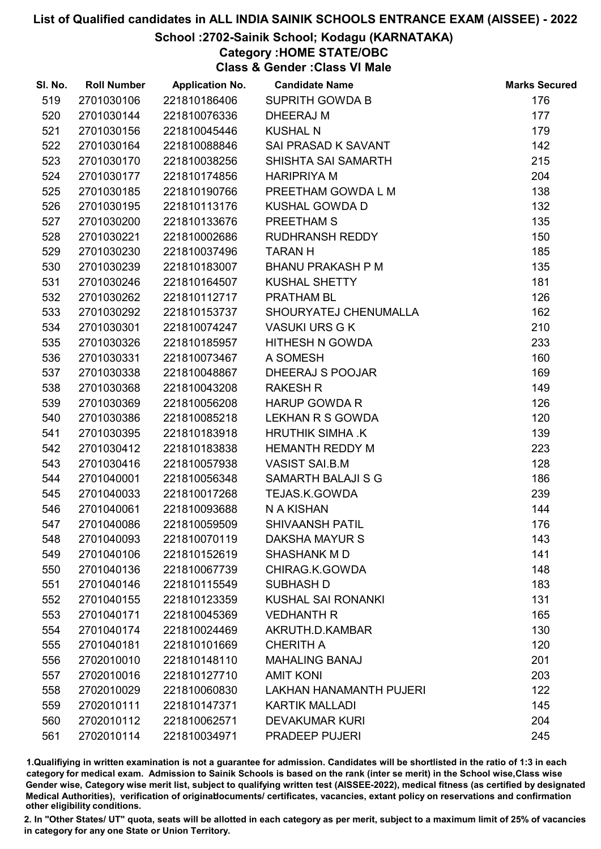### School :2702-Sainik School; Kodagu (KARNATAKA)

Category :HOME STATE/OBC

Class & Gender :Class VI Male

| SI. No. | <b>Roll Number</b> | <b>Application No.</b> | <b>Candidate Name</b>          | <b>Marks Secured</b> |
|---------|--------------------|------------------------|--------------------------------|----------------------|
| 519     | 2701030106         | 221810186406           | <b>SUPRITH GOWDA B</b>         | 176                  |
| 520     | 2701030144         | 221810076336           | DHEERAJ M                      | 177                  |
| 521     | 2701030156         | 221810045446           | <b>KUSHAL N</b>                | 179                  |
| 522     | 2701030164         | 221810088846           | SAI PRASAD K SAVANT            | 142                  |
| 523     | 2701030170         | 221810038256           | SHISHTA SAI SAMARTH            | 215                  |
| 524     | 2701030177         | 221810174856           | <b>HARIPRIYA M</b>             | 204                  |
| 525     | 2701030185         | 221810190766           | PREETHAM GOWDA L M             | 138                  |
| 526     | 2701030195         | 221810113176           | <b>KUSHAL GOWDA D</b>          | 132                  |
| 527     | 2701030200         | 221810133676           | PREETHAM S                     | 135                  |
| 528     | 2701030221         | 221810002686           | RUDHRANSH REDDY                | 150                  |
| 529     | 2701030230         | 221810037496           | <b>TARANH</b>                  | 185                  |
| 530     | 2701030239         | 221810183007           | <b>BHANU PRAKASH P M</b>       | 135                  |
| 531     | 2701030246         | 221810164507           | <b>KUSHAL SHETTY</b>           | 181                  |
| 532     | 2701030262         | 221810112717           | <b>PRATHAM BL</b>              | 126                  |
| 533     | 2701030292         | 221810153737           | SHOURYATEJ CHENUMALLA          | 162                  |
| 534     | 2701030301         | 221810074247           | <b>VASUKI URS G K</b>          | 210                  |
| 535     | 2701030326         | 221810185957           | HITHESH N GOWDA                | 233                  |
| 536     | 2701030331         | 221810073467           | A SOMESH                       | 160                  |
| 537     | 2701030338         | 221810048867           | DHEERAJ S POOJAR               | 169                  |
| 538     | 2701030368         | 221810043208           | <b>RAKESH R</b>                | 149                  |
| 539     | 2701030369         | 221810056208           | <b>HARUP GOWDA R</b>           | 126                  |
| 540     | 2701030386         | 221810085218           | LEKHAN R S GOWDA               | 120                  |
| 541     | 2701030395         | 221810183918           | HRUTHIK SIMHA .K               | 139                  |
| 542     | 2701030412         | 221810183838           | <b>HEMANTH REDDY M</b>         | 223                  |
| 543     | 2701030416         | 221810057938           | <b>VASIST SAI.B.M</b>          | 128                  |
| 544     | 2701040001         | 221810056348           | SAMARTH BALAJI S G             | 186                  |
| 545     | 2701040033         | 221810017268           | TEJAS.K.GOWDA                  | 239                  |
| 546     | 2701040061         | 221810093688           | N A KISHAN                     | 144                  |
| 547     | 2701040086         | 221810059509           | <b>SHIVAANSH PATIL</b>         | 176                  |
| 548     | 2701040093         | 221810070119           | DAKSHA MAYUR S                 | 143                  |
| 549     | 2701040106         | 221810152619           | SHASHANK MD                    | 141                  |
| 550     | 2701040136         | 221810067739           | CHIRAG.K.GOWDA                 | 148                  |
| 551     | 2701040146         | 221810115549           | <b>SUBHASH D</b>               | 183                  |
| 552     | 2701040155         | 221810123359           | <b>KUSHAL SAI RONANKI</b>      | 131                  |
| 553     | 2701040171         | 221810045369           | <b>VEDHANTH R</b>              | 165                  |
| 554     | 2701040174         | 221810024469           | AKRUTH.D.KAMBAR                | 130                  |
| 555     | 2701040181         | 221810101669           | <b>CHERITH A</b>               | 120                  |
| 556     | 2702010010         | 221810148110           | <b>MAHALING BANAJ</b>          | 201                  |
| 557     | 2702010016         | 221810127710           | <b>AMIT KONI</b>               | 203                  |
| 558     | 2702010029         | 221810060830           | <b>LAKHAN HANAMANTH PUJERI</b> | 122                  |
| 559     | 2702010111         | 221810147371           | <b>KARTIK MALLADI</b>          | 145                  |
| 560     | 2702010112         | 221810062571           | <b>DEVAKUMAR KURI</b>          | 204                  |
| 561     | 2702010114         | 221810034971           | PRADEEP PUJERI                 | 245                  |

1.Qualifiying in written examination is not a guarantee for admission. Candidates will be shortlisted in the ratio of 1:3 in each category for medical exam. Admission to Sainik Schools is based on the rank (inter se merit) in the School wise,Class wise Gender wise, Category wise merit list, subject to qualifying written test (AISSEE-2022), medical fitness (as certified by designated Medical Authorities), verification of originablocuments/ certificates, vacancies, extant policy on reservations and confirmation other eligibility conditions.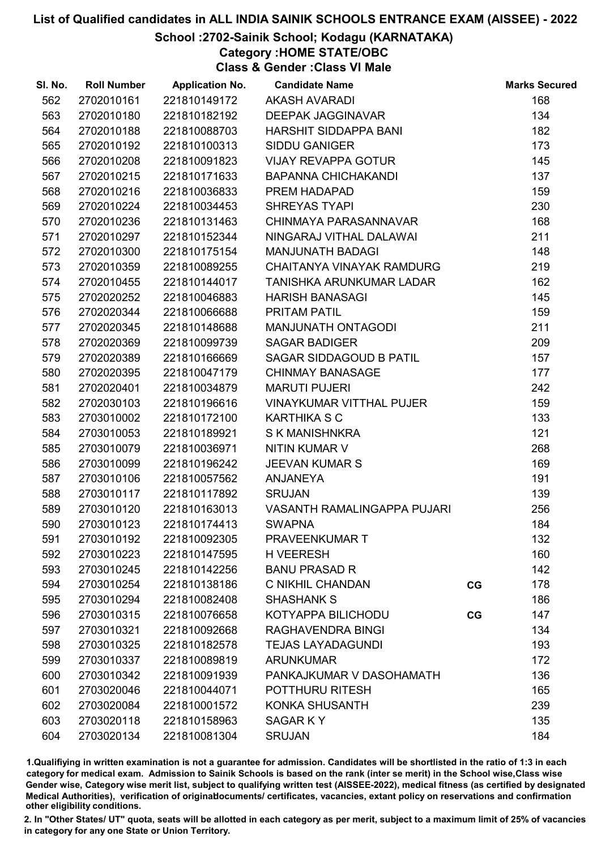### School :2702-Sainik School; Kodagu (KARNATAKA)

Category :HOME STATE/OBC

Class & Gender :Class VI Male

| SI. No. | <b>Roll Number</b> | <b>Application No.</b> | <b>Candidate Name</b>              |    | <b>Marks Secured</b> |
|---------|--------------------|------------------------|------------------------------------|----|----------------------|
| 562     | 2702010161         | 221810149172           | <b>AKASH AVARADI</b>               |    | 168                  |
| 563     | 2702010180         | 221810182192           | <b>DEEPAK JAGGINAVAR</b>           |    | 134                  |
| 564     | 2702010188         | 221810088703           | HARSHIT SIDDAPPA BANI              |    | 182                  |
| 565     | 2702010192         | 221810100313           | <b>SIDDU GANIGER</b>               |    | 173                  |
| 566     | 2702010208         | 221810091823           | <b>VIJAY REVAPPA GOTUR</b>         |    | 145                  |
| 567     | 2702010215         | 221810171633           | <b>BAPANNA CHICHAKANDI</b>         |    | 137                  |
| 568     | 2702010216         | 221810036833           | PREM HADAPAD                       |    | 159                  |
| 569     | 2702010224         | 221810034453           | <b>SHREYAS TYAPI</b>               |    | 230                  |
| 570     | 2702010236         | 221810131463           | CHINMAYA PARASANNAVAR              |    | 168                  |
| 571     | 2702010297         | 221810152344           | NINGARAJ VITHAL DALAWAI            |    | 211                  |
| 572     | 2702010300         | 221810175154           | <b>MANJUNATH BADAGI</b>            |    | 148                  |
| 573     | 2702010359         | 221810089255           | CHAITANYA VINAYAK RAMDURG          |    | 219                  |
| 574     | 2702010455         | 221810144017           | TANISHKA ARUNKUMAR LADAR           |    | 162                  |
| 575     | 2702020252         | 221810046883           | <b>HARISH BANASAGI</b>             |    | 145                  |
| 576     | 2702020344         | 221810066688           | <b>PRITAM PATIL</b>                |    | 159                  |
| 577     | 2702020345         | 221810148688           | MANJUNATH ONTAGODI                 |    | 211                  |
| 578     | 2702020369         | 221810099739           | <b>SAGAR BADIGER</b>               |    | 209                  |
| 579     | 2702020389         | 221810166669           | SAGAR SIDDAGOUD B PATIL            |    | 157                  |
| 580     | 2702020395         | 221810047179           | <b>CHINMAY BANASAGE</b>            |    | 177                  |
| 581     | 2702020401         | 221810034879           | <b>MARUTI PUJERI</b>               |    | 242                  |
| 582     | 2702030103         | 221810196616           | <b>VINAYKUMAR VITTHAL PUJER</b>    |    | 159                  |
| 583     | 2703010002         | 221810172100           | <b>KARTHIKA S C</b>                |    | 133                  |
| 584     | 2703010053         | 221810189921           | <b>S K MANISHNKRA</b>              |    | 121                  |
| 585     | 2703010079         | 221810036971           | <b>NITIN KUMAR V</b>               |    | 268                  |
| 586     | 2703010099         | 221810196242           | <b>JEEVAN KUMAR S</b>              |    | 169                  |
| 587     | 2703010106         | 221810057562           | <b>ANJANEYA</b>                    |    | 191                  |
| 588     | 2703010117         | 221810117892           | <b>SRUJAN</b>                      |    | 139                  |
| 589     | 2703010120         | 221810163013           | <b>VASANTH RAMALINGAPPA PUJARI</b> |    | 256                  |
| 590     | 2703010123         | 221810174413           | <b>SWAPNA</b>                      |    | 184                  |
| 591     | 2703010192         | 221810092305           | PRAVEENKUMAR T                     |    | 132                  |
| 592     | 2703010223         | 221810147595           | <b>H VEERESH</b>                   |    | 160                  |
| 593     | 2703010245         | 221810142256           | <b>BANU PRASAD R</b>               |    | 142                  |
| 594     | 2703010254         | 221810138186           | C NIKHIL CHANDAN                   | CG | 178                  |
| 595     | 2703010294         | 221810082408           | <b>SHASHANK S</b>                  |    | 186                  |
| 596     | 2703010315         | 221810076658           | KOTYAPPA BILICHODU                 | CG | 147                  |
| 597     | 2703010321         | 221810092668           | RAGHAVENDRA BINGI                  |    | 134                  |
| 598     | 2703010325         | 221810182578           | <b>TEJAS LAYADAGUNDI</b>           |    | 193                  |
| 599     | 2703010337         | 221810089819           | <b>ARUNKUMAR</b>                   |    | 172                  |
| 600     | 2703010342         | 221810091939           | PANKAJKUMAR V DASOHAMATH           |    | 136                  |
| 601     | 2703020046         | 221810044071           | POTTHURU RITESH                    |    | 165                  |
| 602     | 2703020084         | 221810001572           | KONKA SHUSANTH                     |    | 239                  |
| 603     | 2703020118         | 221810158963           | SAGAR KY                           |    | 135                  |
| 604     | 2703020134         | 221810081304           | <b>SRUJAN</b>                      |    | 184                  |

1.Qualifiying in written examination is not a guarantee for admission. Candidates will be shortlisted in the ratio of 1:3 in each category for medical exam. Admission to Sainik Schools is based on the rank (inter se merit) in the School wise,Class wise Gender wise, Category wise merit list, subject to qualifying written test (AISSEE-2022), medical fitness (as certified by designated Medical Authorities), verification of originablocuments/ certificates, vacancies, extant policy on reservations and confirmation other eligibility conditions.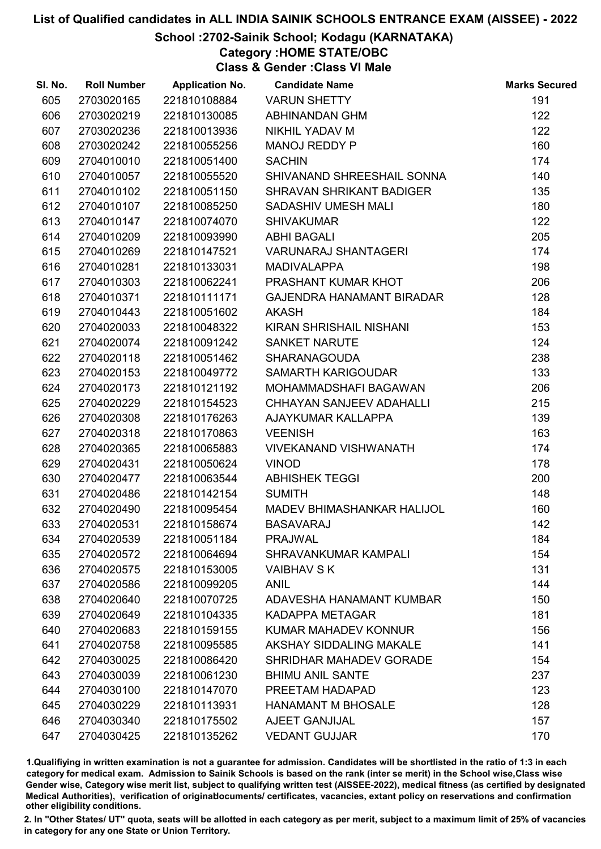### School :2702-Sainik School; Kodagu (KARNATAKA)

Category :HOME STATE/OBC

Class & Gender :Class VI Male

| SI. No. | <b>Roll Number</b> | <b>Application No.</b> | <b>Candidate Name</b>             | <b>Marks Secured</b> |
|---------|--------------------|------------------------|-----------------------------------|----------------------|
| 605     | 2703020165         | 221810108884           | <b>VARUN SHETTY</b>               | 191                  |
| 606     | 2703020219         | 221810130085           | <b>ABHINANDAN GHM</b>             | 122                  |
| 607     | 2703020236         | 221810013936           | NIKHIL YADAV M                    | 122                  |
| 608     | 2703020242         | 221810055256           | MANOJ REDDY P                     | 160                  |
| 609     | 2704010010         | 221810051400           | <b>SACHIN</b>                     | 174                  |
| 610     | 2704010057         | 221810055520           | SHIVANAND SHREESHAIL SONNA        | 140                  |
| 611     | 2704010102         | 221810051150           | <b>SHRAVAN SHRIKANT BADIGER</b>   | 135                  |
| 612     | 2704010107         | 221810085250           | SADASHIV UMESH MALI               | 180                  |
| 613     | 2704010147         | 221810074070           | <b>SHIVAKUMAR</b>                 | 122                  |
| 614     | 2704010209         | 221810093990           | <b>ABHI BAGALI</b>                | 205                  |
| 615     | 2704010269         | 221810147521           | <b>VARUNARAJ SHANTAGERI</b>       | 174                  |
| 616     | 2704010281         | 221810133031           | <b>MADIVALAPPA</b>                | 198                  |
| 617     | 2704010303         | 221810062241           | PRASHANT KUMAR KHOT               | 206                  |
| 618     | 2704010371         | 221810111171           | <b>GAJENDRA HANAMANT BIRADAR</b>  | 128                  |
| 619     | 2704010443         | 221810051602           | <b>AKASH</b>                      | 184                  |
| 620     | 2704020033         | 221810048322           | KIRAN SHRISHAIL NISHANI           | 153                  |
| 621     | 2704020074         | 221810091242           | <b>SANKET NARUTE</b>              | 124                  |
| 622     | 2704020118         | 221810051462           | <b>SHARANAGOUDA</b>               | 238                  |
| 623     | 2704020153         | 221810049772           | <b>SAMARTH KARIGOUDAR</b>         | 133                  |
| 624     | 2704020173         | 221810121192           | MOHAMMADSHAFI BAGAWAN             | 206                  |
| 625     | 2704020229         | 221810154523           | CHHAYAN SANJEEV ADAHALLI          | 215                  |
| 626     | 2704020308         | 221810176263           | AJAYKUMAR KALLAPPA                | 139                  |
| 627     | 2704020318         | 221810170863           | <b>VEENISH</b>                    | 163                  |
| 628     | 2704020365         | 221810065883           | <b>VIVEKANAND VISHWANATH</b>      | 174                  |
| 629     | 2704020431         | 221810050624           | <b>VINOD</b>                      | 178                  |
| 630     | 2704020477         | 221810063544           | <b>ABHISHEK TEGGI</b>             | 200                  |
| 631     | 2704020486         | 221810142154           | <b>SUMITH</b>                     | 148                  |
| 632     | 2704020490         | 221810095454           | <b>MADEV BHIMASHANKAR HALIJOL</b> | 160                  |
| 633     | 2704020531         | 221810158674           | <b>BASAVARAJ</b>                  | 142                  |
| 634     | 2704020539         | 221810051184           | <b>PRAJWAL</b>                    | 184                  |
| 635     | 2704020572         | 221810064694           | <b>SHRAVANKUMAR KAMPALI</b>       | 154                  |
| 636     | 2704020575         | 221810153005           | <b>VAIBHAV S K</b>                | 131                  |
| 637     | 2704020586         | 221810099205           | <b>ANIL</b>                       | 144                  |
| 638     | 2704020640         | 221810070725           | ADAVESHA HANAMANT KUMBAR          | 150                  |
| 639     | 2704020649         | 221810104335           | <b>KADAPPA METAGAR</b>            | 181                  |
| 640     | 2704020683         | 221810159155           | KUMAR MAHADEV KONNUR              | 156                  |
| 641     | 2704020758         | 221810095585           | AKSHAY SIDDALING MAKALE           | 141                  |
| 642     | 2704030025         | 221810086420           | SHRIDHAR MAHADEV GORADE           | 154                  |
| 643     | 2704030039         | 221810061230           | <b>BHIMU ANIL SANTE</b>           | 237                  |
| 644     | 2704030100         | 221810147070           | PREETAM HADAPAD                   | 123                  |
| 645     | 2704030229         | 221810113931           | <b>HANAMANT M BHOSALE</b>         | 128                  |
| 646     | 2704030340         | 221810175502           | AJEET GANJIJAL                    | 157                  |
| 647     | 2704030425         | 221810135262           | <b>VEDANT GUJJAR</b>              | 170                  |

1.Qualifiying in written examination is not a guarantee for admission. Candidates will be shortlisted in the ratio of 1:3 in each category for medical exam. Admission to Sainik Schools is based on the rank (inter se merit) in the School wise,Class wise Gender wise, Category wise merit list, subject to qualifying written test (AISSEE-2022), medical fitness (as certified by designated Medical Authorities), verification of originablocuments/ certificates, vacancies, extant policy on reservations and confirmation other eligibility conditions.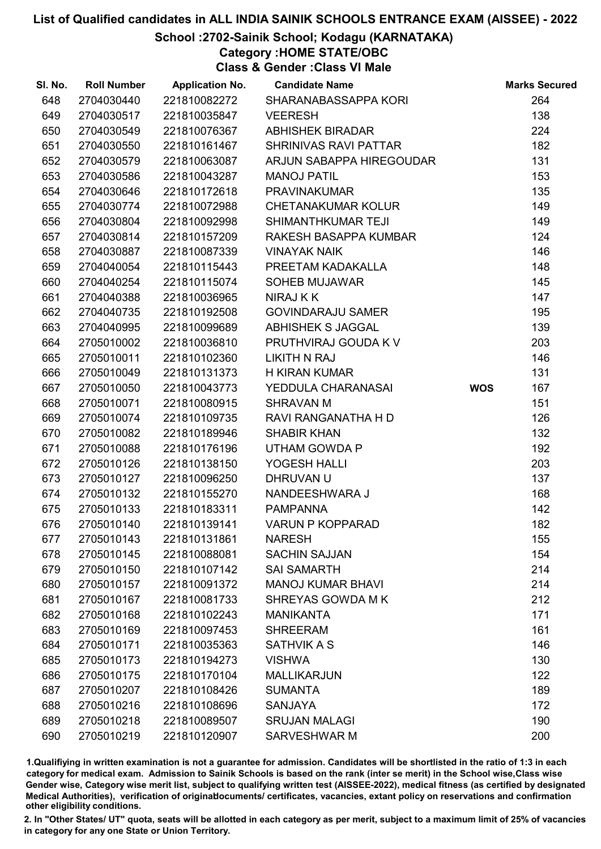### School :2702-Sainik School; Kodagu (KARNATAKA)

Category :HOME STATE/OBC

Class & Gender :Class VI Male

| SI. No. | <b>Roll Number</b> | <b>Application No.</b> | <b>Candidate Name</b>     |            | <b>Marks Secured</b> |
|---------|--------------------|------------------------|---------------------------|------------|----------------------|
| 648     | 2704030440         | 221810082272           | SHARANABASSAPPA KORI      |            | 264                  |
| 649     | 2704030517         | 221810035847           | <b>VEERESH</b>            |            | 138                  |
| 650     | 2704030549         | 221810076367           | <b>ABHISHEK BIRADAR</b>   |            | 224                  |
| 651     | 2704030550         | 221810161467           | SHRINIVAS RAVI PATTAR     |            | 182                  |
| 652     | 2704030579         | 221810063087           | ARJUN SABAPPA HIREGOUDAR  |            | 131                  |
| 653     | 2704030586         | 221810043287           | <b>MANOJ PATIL</b>        |            | 153                  |
| 654     | 2704030646         | 221810172618           | <b>PRAVINAKUMAR</b>       |            | 135                  |
| 655     | 2704030774         | 221810072988           | <b>CHETANAKUMAR KOLUR</b> |            | 149                  |
| 656     | 2704030804         | 221810092998           | SHIMANTHKUMAR TEJI        |            | 149                  |
| 657     | 2704030814         | 221810157209           | RAKESH BASAPPA KUMBAR     |            | 124                  |
| 658     | 2704030887         | 221810087339           | <b>VINAYAK NAIK</b>       |            | 146                  |
| 659     | 2704040054         | 221810115443           | PREETAM KADAKALLA         |            | 148                  |
| 660     | 2704040254         | 221810115074           | <b>SOHEB MUJAWAR</b>      |            | 145                  |
| 661     | 2704040388         | 221810036965           | NIRAJ K K                 |            | 147                  |
| 662     | 2704040735         | 221810192508           | <b>GOVINDARAJU SAMER</b>  |            | 195                  |
| 663     | 2704040995         | 221810099689           | <b>ABHISHEK S JAGGAL</b>  |            | 139                  |
| 664     | 2705010002         | 221810036810           | PRUTHVIRAJ GOUDA K V      |            | 203                  |
| 665     | 2705010011         | 221810102360           | <b>LIKITH N RAJ</b>       |            | 146                  |
| 666     | 2705010049         | 221810131373           | <b>H KIRAN KUMAR</b>      |            | 131                  |
| 667     | 2705010050         | 221810043773           | YEDDULA CHARANASAI        | <b>WOS</b> | 167                  |
| 668     | 2705010071         | 221810080915           | <b>SHRAVAN M</b>          |            | 151                  |
| 669     | 2705010074         | 221810109735           | RAVI RANGANATHA H D       |            | 126                  |
| 670     | 2705010082         | 221810189946           | <b>SHABIR KHAN</b>        |            | 132                  |
| 671     | 2705010088         | 221810176196           | <b>UTHAM GOWDA P</b>      |            | 192                  |
| 672     | 2705010126         | 221810138150           | YOGESH HALLI              |            | 203                  |
| 673     | 2705010127         | 221810096250           | DHRUVAN U                 |            | 137                  |
| 674     | 2705010132         | 221810155270           | NANDEESHWARA J            |            | 168                  |
| 675     | 2705010133         | 221810183311           | <b>PAMPANNA</b>           |            | 142                  |
| 676     | 2705010140         | 221810139141           | <b>VARUN P KOPPARAD</b>   |            | 182                  |
| 677     | 2705010143         | 221810131861           | <b>NARESH</b>             |            | 155                  |
| 678     | 2705010145         | 221810088081           | <b>SACHIN SAJJAN</b>      |            | 154                  |
| 679     | 2705010150         | 221810107142           | <b>SAI SAMARTH</b>        |            | 214                  |
| 680     | 2705010157         | 221810091372           | <b>MANOJ KUMAR BHAVI</b>  |            | 214                  |
| 681     | 2705010167         | 221810081733           | SHREYAS GOWDA M K         |            | 212                  |
| 682     | 2705010168         | 221810102243           | <b>MANIKANTA</b>          |            | 171                  |
| 683     | 2705010169         | 221810097453           | <b>SHREERAM</b>           |            | 161                  |
| 684     | 2705010171         | 221810035363           | <b>SATHVIK A S</b>        |            | 146                  |
| 685     | 2705010173         | 221810194273           | <b>VISHWA</b>             |            | 130                  |
| 686     | 2705010175         | 221810170104           | <b>MALLIKARJUN</b>        |            | 122                  |
| 687     | 2705010207         | 221810108426           | <b>SUMANTA</b>            |            | 189                  |
| 688     | 2705010216         | 221810108696           | <b>SANJAYA</b>            |            | 172                  |
| 689     | 2705010218         | 221810089507           | <b>SRUJAN MALAGI</b>      |            | 190                  |
| 690     | 2705010219         | 221810120907           | SARVESHWAR M              |            | 200                  |

1.Qualifiying in written examination is not a guarantee for admission. Candidates will be shortlisted in the ratio of 1:3 in each category for medical exam. Admission to Sainik Schools is based on the rank (inter se merit) in the School wise,Class wise Gender wise, Category wise merit list, subject to qualifying written test (AISSEE-2022), medical fitness (as certified by designated Medical Authorities), verification of originablocuments/ certificates, vacancies, extant policy on reservations and confirmation other eligibility conditions.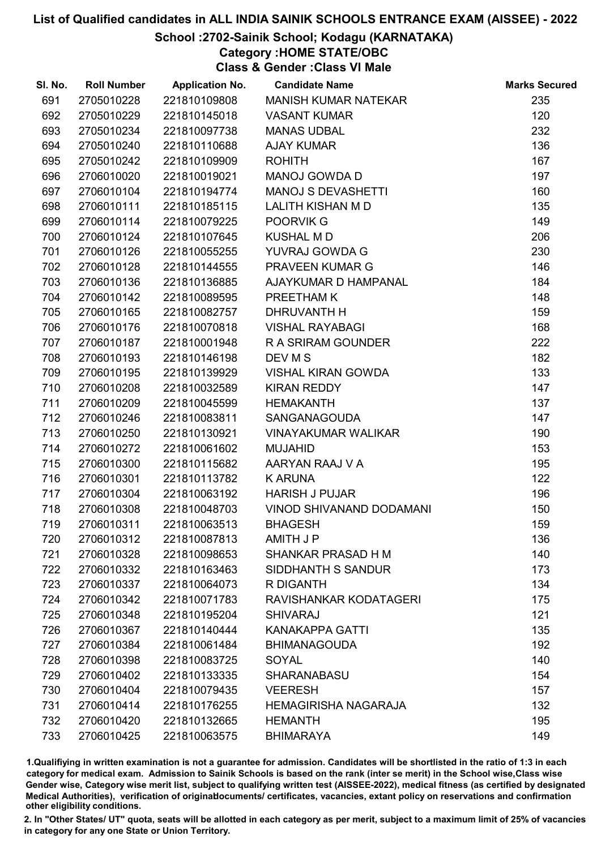### School :2702-Sainik School; Kodagu (KARNATAKA)

Category :HOME STATE/OBC

Class & Gender :Class VI Male

| SI. No. | <b>Roll Number</b> | <b>Application No.</b> | <b>Candidate Name</b>           | <b>Marks Secured</b> |
|---------|--------------------|------------------------|---------------------------------|----------------------|
| 691     | 2705010228         | 221810109808           | <b>MANISH KUMAR NATEKAR</b>     | 235                  |
| 692     | 2705010229         | 221810145018           | <b>VASANT KUMAR</b>             | 120                  |
| 693     | 2705010234         | 221810097738           | <b>MANAS UDBAL</b>              | 232                  |
| 694     | 2705010240         | 221810110688           | <b>AJAY KUMAR</b>               | 136                  |
| 695     | 2705010242         | 221810109909           | <b>ROHITH</b>                   | 167                  |
| 696     | 2706010020         | 221810019021           | <b>MANOJ GOWDA D</b>            | 197                  |
| 697     | 2706010104         | 221810194774           | <b>MANOJ S DEVASHETTI</b>       | 160                  |
| 698     | 2706010111         | 221810185115           | <b>LALITH KISHAN M D</b>        | 135                  |
| 699     | 2706010114         | 221810079225           | POORVIK G                       | 149                  |
| 700     | 2706010124         | 221810107645           | <b>KUSHAL MD</b>                | 206                  |
| 701     | 2706010126         | 221810055255           | YUVRAJ GOWDA G                  | 230                  |
| 702     | 2706010128         | 221810144555           | <b>PRAVEEN KUMAR G</b>          | 146                  |
| 703     | 2706010136         | 221810136885           | AJAYKUMAR D HAMPANAL            | 184                  |
| 704     | 2706010142         | 221810089595           | PREETHAM K                      | 148                  |
| 705     | 2706010165         | 221810082757           | DHRUVANTH H                     | 159                  |
| 706     | 2706010176         | 221810070818           | <b>VISHAL RAYABAGI</b>          | 168                  |
| 707     | 2706010187         | 221810001948           | R A SRIRAM GOUNDER              | 222                  |
| 708     | 2706010193         | 221810146198           | DEV M S                         | 182                  |
| 709     | 2706010195         | 221810139929           | <b>VISHAL KIRAN GOWDA</b>       | 133                  |
| 710     | 2706010208         | 221810032589           | <b>KIRAN REDDY</b>              | 147                  |
| 711     | 2706010209         | 221810045599           | <b>HEMAKANTH</b>                | 137                  |
| 712     | 2706010246         | 221810083811           | SANGANAGOUDA                    | 147                  |
| 713     | 2706010250         | 221810130921           | <b>VINAYAKUMAR WALIKAR</b>      | 190                  |
| 714     | 2706010272         | 221810061602           | <b>MUJAHID</b>                  | 153                  |
| 715     | 2706010300         | 221810115682           | AARYAN RAAJ V A                 | 195                  |
| 716     | 2706010301         | 221810113782           | <b>K ARUNA</b>                  | 122                  |
| 717     | 2706010304         | 221810063192           | <b>HARISH J PUJAR</b>           | 196                  |
| 718     | 2706010308         | 221810048703           | <b>VINOD SHIVANAND DODAMANI</b> | 150                  |
| 719     | 2706010311         | 221810063513           | <b>BHAGESH</b>                  | 159                  |
| 720     | 2706010312         | 221810087813           | AMITH J P                       | 136                  |
| 721     | 2706010328         | 221810098653           | SHANKAR PRASAD H M              | 140                  |
| 722     | 2706010332         | 221810163463           | SIDDHANTH S SANDUR              | 173                  |
| 723     | 2706010337         | 221810064073           | R DIGANTH                       | 134                  |
| 724     | 2706010342         | 221810071783           | RAVISHANKAR KODATAGERI          | 175                  |
| 725     | 2706010348         | 221810195204           | <b>SHIVARAJ</b>                 | 121                  |
| 726     | 2706010367         | 221810140444           | <b>KANAKAPPA GATTI</b>          | 135                  |
| 727     | 2706010384         | 221810061484           | <b>BHIMANAGOUDA</b>             | 192                  |
| 728     | 2706010398         | 221810083725           | <b>SOYAL</b>                    | 140                  |
| 729     | 2706010402         | 221810133335           | <b>SHARANABASU</b>              | 154                  |
| 730     | 2706010404         | 221810079435           | <b>VEERESH</b>                  | 157                  |
| 731     | 2706010414         | 221810176255           | <b>HEMAGIRISHA NAGARAJA</b>     | 132                  |
| 732     | 2706010420         | 221810132665           | <b>HEMANTH</b>                  | 195                  |
| 733     | 2706010425         | 221810063575           | <b>BHIMARAYA</b>                | 149                  |

1.Qualifiying in written examination is not a guarantee for admission. Candidates will be shortlisted in the ratio of 1:3 in each category for medical exam. Admission to Sainik Schools is based on the rank (inter se merit) in the School wise,Class wise Gender wise, Category wise merit list, subject to qualifying written test (AISSEE-2022), medical fitness (as certified by designated Medical Authorities), verification of originablocuments/ certificates, vacancies, extant policy on reservations and confirmation other eligibility conditions.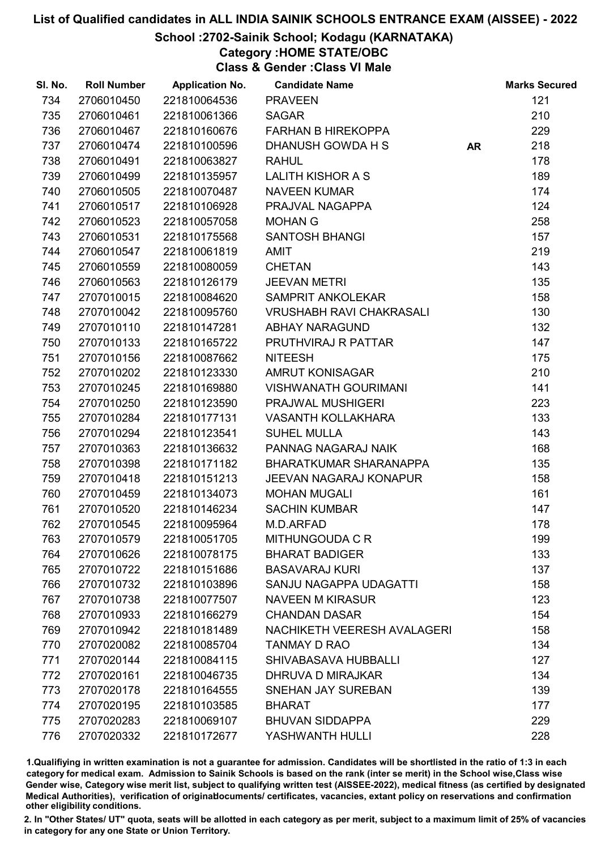### School :2702-Sainik School; Kodagu (KARNATAKA)

Category :HOME STATE/OBC

Class & Gender :Class VI Male

| SI. No. | <b>Roll Number</b> | <b>Application No.</b> | <b>Candidate Name</b>              |           | <b>Marks Secured</b> |
|---------|--------------------|------------------------|------------------------------------|-----------|----------------------|
| 734     | 2706010450         | 221810064536           | <b>PRAVEEN</b>                     |           | 121                  |
| 735     | 2706010461         | 221810061366           | <b>SAGAR</b>                       |           | 210                  |
| 736     | 2706010467         | 221810160676           | <b>FARHAN B HIREKOPPA</b>          |           | 229                  |
| 737     | 2706010474         | 221810100596           | DHANUSH GOWDA H S                  | <b>AR</b> | 218                  |
| 738     | 2706010491         | 221810063827           | <b>RAHUL</b>                       |           | 178                  |
| 739     | 2706010499         | 221810135957           | <b>LALITH KISHOR A S</b>           |           | 189                  |
| 740     | 2706010505         | 221810070487           | <b>NAVEEN KUMAR</b>                |           | 174                  |
| 741     | 2706010517         | 221810106928           | PRAJVAL NAGAPPA                    |           | 124                  |
| 742     | 2706010523         | 221810057058           | <b>MOHAN G</b>                     |           | 258                  |
| 743     | 2706010531         | 221810175568           | <b>SANTOSH BHANGI</b>              |           | 157                  |
| 744     | 2706010547         | 221810061819           | <b>AMIT</b>                        |           | 219                  |
| 745     | 2706010559         | 221810080059           | <b>CHETAN</b>                      |           | 143                  |
| 746     | 2706010563         | 221810126179           | <b>JEEVAN METRI</b>                |           | 135                  |
| 747     | 2707010015         | 221810084620           | SAMPRIT ANKOLEKAR                  |           | 158                  |
| 748     | 2707010042         | 221810095760           | <b>VRUSHABH RAVI CHAKRASALI</b>    |           | 130                  |
| 749     | 2707010110         | 221810147281           | <b>ABHAY NARAGUND</b>              |           | 132                  |
| 750     | 2707010133         | 221810165722           | PRUTHVIRAJ R PATTAR                |           | 147                  |
| 751     | 2707010156         | 221810087662           | <b>NITEESH</b>                     |           | 175                  |
| 752     | 2707010202         | 221810123330           | <b>AMRUT KONISAGAR</b>             |           | 210                  |
| 753     | 2707010245         | 221810169880           | <b>VISHWANATH GOURIMANI</b>        |           | 141                  |
| 754     | 2707010250         | 221810123590           | PRAJWAL MUSHIGERI                  |           | 223                  |
| 755     | 2707010284         | 221810177131           | <b>VASANTH KOLLAKHARA</b>          |           | 133                  |
| 756     | 2707010294         | 221810123541           | <b>SUHEL MULLA</b>                 |           | 143                  |
| 757     | 2707010363         | 221810136632           | PANNAG NAGARAJ NAIK                |           | 168                  |
| 758     | 2707010398         | 221810171182           | BHARATKUMAR SHARANAPPA             |           | 135                  |
| 759     | 2707010418         | 221810151213           | <b>JEEVAN NAGARAJ KONAPUR</b>      |           | 158                  |
| 760     | 2707010459         | 221810134073           | <b>MOHAN MUGALI</b>                |           | 161                  |
| 761     | 2707010520         | 221810146234           | <b>SACHIN KUMBAR</b>               |           | 147                  |
| 762     | 2707010545         | 221810095964           | M.D.ARFAD                          |           | 178                  |
| 763     | 2707010579         | 221810051705           | MITHUNGOUDA C R                    |           | 199                  |
| 764     | 2707010626         | 221810078175           | <b>BHARAT BADIGER</b>              |           | 133                  |
| 765     | 2707010722         | 221810151686           | <b>BASAVARAJ KURI</b>              |           | 137                  |
| 766     | 2707010732         | 221810103896           | SANJU NAGAPPA UDAGATTI             |           | 158                  |
| 767     | 2707010738         | 221810077507           | <b>NAVEEN M KIRASUR</b>            |           | 123                  |
| 768     | 2707010933         | 221810166279           | <b>CHANDAN DASAR</b>               |           | 154                  |
| 769     | 2707010942         | 221810181489           | <b>NACHIKETH VEERESH AVALAGERI</b> |           | 158                  |
| 770     | 2707020082         | 221810085704           | <b>TANMAY D RAO</b>                |           | 134                  |
| 771     | 2707020144         | 221810084115           | SHIVABASAVA HUBBALLI               |           | 127                  |
| 772     | 2707020161         | 221810046735           | DHRUVA D MIRAJKAR                  |           | 134                  |
| 773     | 2707020178         | 221810164555           | <b>SNEHAN JAY SUREBAN</b>          |           | 139                  |
| 774     | 2707020195         | 221810103585           | <b>BHARAT</b>                      |           | 177                  |
| 775     | 2707020283         | 221810069107           | <b>BHUVAN SIDDAPPA</b>             |           | 229                  |
| 776     | 2707020332         | 221810172677           | YASHWANTH HULLI                    |           | 228                  |
|         |                    |                        |                                    |           |                      |

1.Qualifiying in written examination is not a guarantee for admission. Candidates will be shortlisted in the ratio of 1:3 in each category for medical exam. Admission to Sainik Schools is based on the rank (inter se merit) in the School wise,Class wise Gender wise, Category wise merit list, subject to qualifying written test (AISSEE-2022), medical fitness (as certified by designated Medical Authorities), verification of originablocuments/ certificates, vacancies, extant policy on reservations and confirmation other eligibility conditions.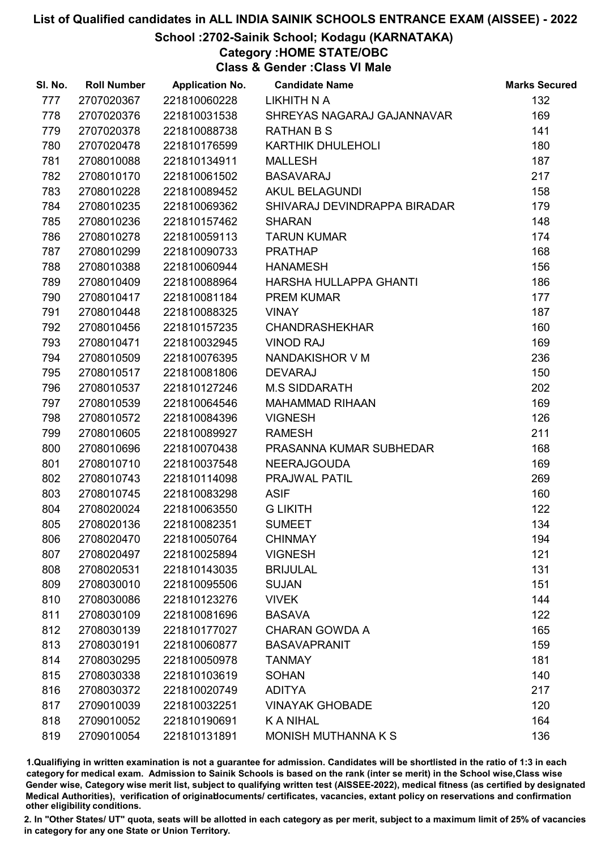### School :2702-Sainik School; Kodagu (KARNATAKA)

### Category :HOME STATE/OBC

Class & Gender :Class VI Male

| SI. No. | <b>Roll Number</b> | <b>Application No.</b> | <b>Candidate Name</b>        | <b>Marks Secured</b> |
|---------|--------------------|------------------------|------------------------------|----------------------|
| 777     | 2707020367         | 221810060228           | <b>LIKHITH N A</b>           | 132                  |
| 778     | 2707020376         | 221810031538           | SHREYAS NAGARAJ GAJANNAVAR   | 169                  |
| 779     | 2707020378         | 221810088738           | <b>RATHAN B S</b>            | 141                  |
| 780     | 2707020478         | 221810176599           | <b>KARTHIK DHULEHOLI</b>     | 180                  |
| 781     | 2708010088         | 221810134911           | <b>MALLESH</b>               | 187                  |
| 782     | 2708010170         | 221810061502           | <b>BASAVARAJ</b>             | 217                  |
| 783     | 2708010228         | 221810089452           | <b>AKUL BELAGUNDI</b>        | 158                  |
| 784     | 2708010235         | 221810069362           | SHIVARAJ DEVINDRAPPA BIRADAR | 179                  |
| 785     | 2708010236         | 221810157462           | <b>SHARAN</b>                | 148                  |
| 786     | 2708010278         | 221810059113           | <b>TARUN KUMAR</b>           | 174                  |
| 787     | 2708010299         | 221810090733           | <b>PRATHAP</b>               | 168                  |
| 788     | 2708010388         | 221810060944           | <b>HANAMESH</b>              | 156                  |
| 789     | 2708010409         | 221810088964           | HARSHA HULLAPPA GHANTI       | 186                  |
| 790     | 2708010417         | 221810081184           | <b>PREM KUMAR</b>            | 177                  |
| 791     | 2708010448         | 221810088325           | <b>VINAY</b>                 | 187                  |
| 792     | 2708010456         | 221810157235           | <b>CHANDRASHEKHAR</b>        | 160                  |
| 793     | 2708010471         | 221810032945           | <b>VINOD RAJ</b>             | 169                  |
| 794     | 2708010509         | 221810076395           | NANDAKISHOR V M              | 236                  |
| 795     | 2708010517         | 221810081806           | <b>DEVARAJ</b>               | 150                  |
| 796     | 2708010537         | 221810127246           | <b>M.S SIDDARATH</b>         | 202                  |
| 797     | 2708010539         | 221810064546           | <b>MAHAMMAD RIHAAN</b>       | 169                  |
| 798     | 2708010572         | 221810084396           | <b>VIGNESH</b>               | 126                  |
| 799     | 2708010605         | 221810089927           | <b>RAMESH</b>                | 211                  |
| 800     | 2708010696         | 221810070438           | PRASANNA KUMAR SUBHEDAR      | 168                  |
| 801     | 2708010710         | 221810037548           | <b>NEERAJGOUDA</b>           | 169                  |
| 802     | 2708010743         | 221810114098           | PRAJWAL PATIL                | 269                  |
| 803     | 2708010745         | 221810083298           | <b>ASIF</b>                  | 160                  |
| 804     | 2708020024         | 221810063550           | <b>G LIKITH</b>              | 122                  |
| 805     | 2708020136         | 221810082351           | <b>SUMEET</b>                | 134                  |
| 806     | 2708020470         | 221810050764           | <b>CHINMAY</b>               | 194                  |
| 807     | 2708020497         | 221810025894           | <b>VIGNESH</b>               | 121                  |
| 808     | 2708020531         | 221810143035           | <b>BRIJULAL</b>              | 131                  |
| 809     | 2708030010         | 221810095506           | <b>SUJAN</b>                 | 151                  |
| 810     | 2708030086         | 221810123276           | <b>VIVEK</b>                 | 144                  |
| 811     | 2708030109         | 221810081696           | <b>BASAVA</b>                | 122                  |
| 812     | 2708030139         | 221810177027           | <b>CHARAN GOWDA A</b>        | 165                  |
| 813     | 2708030191         | 221810060877           | <b>BASAVAPRANIT</b>          | 159                  |
| 814     | 2708030295         | 221810050978           | <b>TANMAY</b>                | 181                  |
| 815     | 2708030338         | 221810103619           | <b>SOHAN</b>                 | 140                  |
| 816     | 2708030372         | 221810020749           | <b>ADITYA</b>                | 217                  |
| 817     | 2709010039         | 221810032251           | <b>VINAYAK GHOBADE</b>       | 120                  |
| 818     | 2709010052         | 221810190691           | <b>KANIHAL</b>               | 164                  |
| 819     | 2709010054         | 221810131891           | MONISH MUTHANNA K S          | 136                  |

1.Qualifiying in written examination is not a guarantee for admission. Candidates will be shortlisted in the ratio of 1:3 in each category for medical exam. Admission to Sainik Schools is based on the rank (inter se merit) in the School wise,Class wise Gender wise, Category wise merit list, subject to qualifying written test (AISSEE-2022), medical fitness (as certified by designated Medical Authorities), verification of originablocuments/ certificates, vacancies, extant policy on reservations and confirmation other eligibility conditions.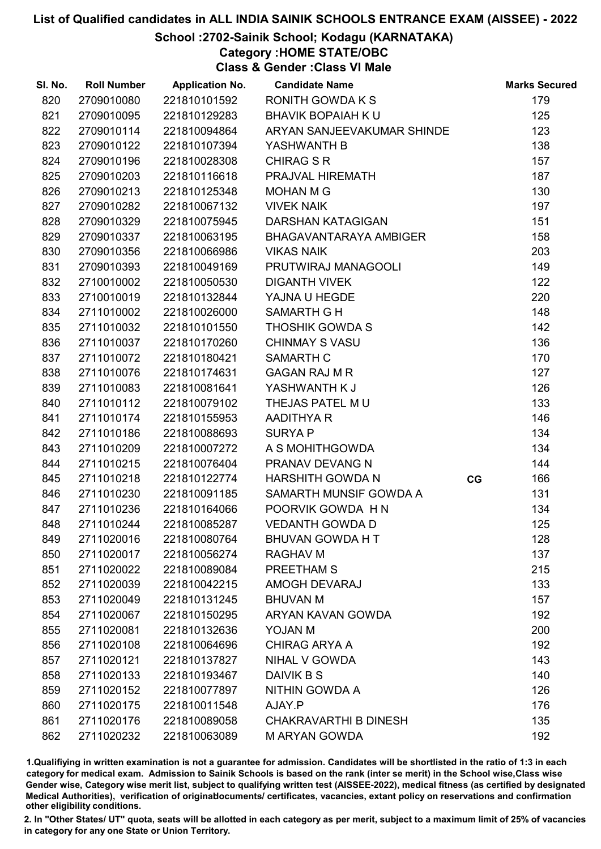### School :2702-Sainik School; Kodagu (KARNATAKA)

Category :HOME STATE/OBC

Class & Gender :Class VI Male

| SI. No. | <b>Roll Number</b> | <b>Application No.</b> | <b>Candidate Name</b>        |    | <b>Marks Secured</b> |
|---------|--------------------|------------------------|------------------------------|----|----------------------|
| 820     | 2709010080         | 221810101592           | <b>RONITH GOWDAKS</b>        |    | 179                  |
| 821     | 2709010095         | 221810129283           | <b>BHAVIK BOPAIAH K U</b>    |    | 125                  |
| 822     | 2709010114         | 221810094864           | ARYAN SANJEEVAKUMAR SHINDE   |    | 123                  |
| 823     | 2709010122         | 221810107394           | YASHWANTH B                  |    | 138                  |
| 824     | 2709010196         | 221810028308           | <b>CHIRAG S R</b>            |    | 157                  |
| 825     | 2709010203         | 221810116618           | PRAJVAL HIREMATH             |    | 187                  |
| 826     | 2709010213         | 221810125348           | <b>MOHAN M G</b>             |    | 130                  |
| 827     | 2709010282         | 221810067132           | <b>VIVEK NAIK</b>            |    | 197                  |
| 828     | 2709010329         | 221810075945           | <b>DARSHAN KATAGIGAN</b>     |    | 151                  |
| 829     | 2709010337         | 221810063195           | BHAGAVANTARAYA AMBIGER       |    | 158                  |
| 830     | 2709010356         | 221810066986           | <b>VIKAS NAIK</b>            |    | 203                  |
| 831     | 2709010393         | 221810049169           | PRUTWIRAJ MANAGOOLI          |    | 149                  |
| 832     | 2710010002         | 221810050530           | <b>DIGANTH VIVEK</b>         |    | 122                  |
| 833     | 2710010019         | 221810132844           | YAJNA U HEGDE                |    | 220                  |
| 834     | 2711010002         | 221810026000           | <b>SAMARTH G H</b>           |    | 148                  |
| 835     | 2711010032         | 221810101550           | <b>THOSHIK GOWDA S</b>       |    | 142                  |
| 836     | 2711010037         | 221810170260           | <b>CHINMAY S VASU</b>        |    | 136                  |
| 837     | 2711010072         | 221810180421           | <b>SAMARTH C</b>             |    | 170                  |
| 838     | 2711010076         | 221810174631           | <b>GAGAN RAJ M R</b>         |    | 127                  |
| 839     | 2711010083         | 221810081641           | YASHWANTH K J                |    | 126                  |
| 840     | 2711010112         | 221810079102           | THEJAS PATEL MU              |    | 133                  |
| 841     | 2711010174         | 221810155953           | <b>AADITHYA R</b>            |    | 146                  |
| 842     | 2711010186         | 221810088693           | <b>SURYAP</b>                |    | 134                  |
| 843     | 2711010209         | 221810007272           | A S MOHITHGOWDA              |    | 134                  |
| 844     | 2711010215         | 221810076404           | PRANAV DEVANG N              |    | 144                  |
| 845     | 2711010218         | 221810122774           | <b>HARSHITH GOWDA N</b>      | CG | 166                  |
| 846     | 2711010230         | 221810091185           | SAMARTH MUNSIF GOWDA A       |    | 131                  |
| 847     | 2711010236         | 221810164066           | POORVIK GOWDA HN             |    | 134                  |
| 848     | 2711010244         | 221810085287           | <b>VEDANTH GOWDA D</b>       |    | 125                  |
| 849     | 2711020016         | 221810080764           | <b>BHUVAN GOWDA H T</b>      |    | 128                  |
| 850     | 2711020017         | 221810056274           | <b>RAGHAV M</b>              |    | 137                  |
| 851     | 2711020022         | 221810089084           | PREETHAM S                   |    | 215                  |
| 852     | 2711020039         | 221810042215           | <b>AMOGH DEVARAJ</b>         |    | 133                  |
| 853     | 2711020049         | 221810131245           | <b>BHUVAN M</b>              |    | 157                  |
| 854     | 2711020067         | 221810150295           | ARYAN KAVAN GOWDA            |    | 192                  |
| 855     | 2711020081         | 221810132636           | <b>YOJAN M</b>               |    | 200                  |
| 856     | 2711020108         | 221810064696           | <b>CHIRAG ARYA A</b>         |    | 192                  |
| 857     | 2711020121         | 221810137827           | NIHAL V GOWDA                |    | 143                  |
| 858     | 2711020133         | 221810193467           | DAIVIK B S                   |    | 140                  |
| 859     | 2711020152         | 221810077897           | NITHIN GOWDA A               |    | 126                  |
| 860     | 2711020175         | 221810011548           | AJAY.P                       |    | 176                  |
| 861     | 2711020176         | 221810089058           | <b>CHAKRAVARTHI B DINESH</b> |    | 135                  |
| 862     | 2711020232         | 221810063089           | <b>MARYAN GOWDA</b>          |    | 192                  |

1.Qualifiying in written examination is not a guarantee for admission. Candidates will be shortlisted in the ratio of 1:3 in each category for medical exam. Admission to Sainik Schools is based on the rank (inter se merit) in the School wise,Class wise Gender wise, Category wise merit list, subject to qualifying written test (AISSEE-2022), medical fitness (as certified by designated Medical Authorities), verification of originablocuments/ certificates, vacancies, extant policy on reservations and confirmation other eligibility conditions.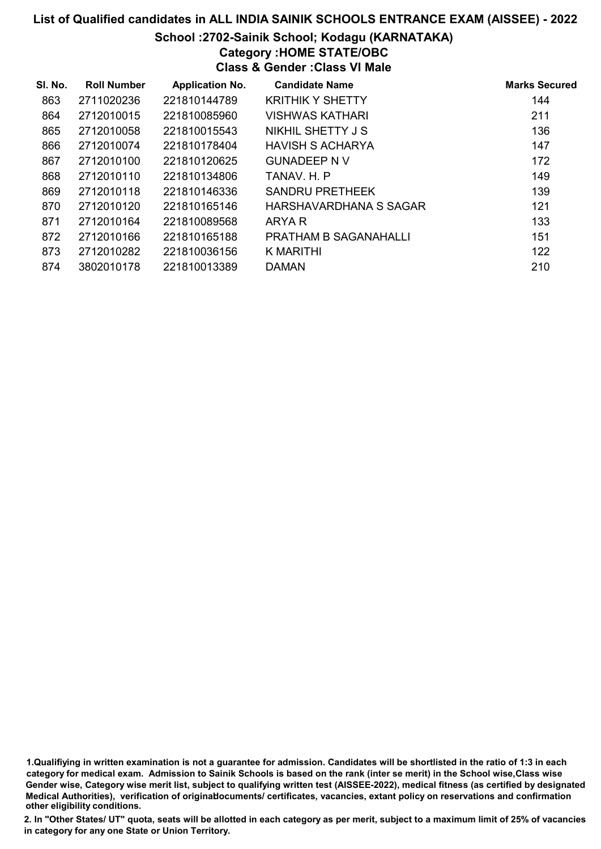### School :2702-Sainik School; Kodagu (KARNATAKA) Category :HOME STATE/OBC

Class & Gender :Class VI Male

| SI. No. | <b>Roll Number</b> | <b>Application No.</b> | <b>Candidate Name</b>        | <b>Marks Secured</b> |
|---------|--------------------|------------------------|------------------------------|----------------------|
| 863     | 2711020236         | 221810144789           | <b>KRITHIK Y SHETTY</b>      | 144                  |
| 864     | 2712010015         | 221810085960           | <b>VISHWAS KATHARI</b>       | 211                  |
| 865     | 2712010058         | 221810015543           | NIKHIL SHETTY J S            | 136                  |
| 866     | 2712010074         | 221810178404           | <b>HAVISH S ACHARYA</b>      | 147                  |
| 867     | 2712010100         | 221810120625           | <b>GUNADEEP N V</b>          | 172                  |
| 868     | 2712010110         | 221810134806           | TANAV. H. P                  | 149                  |
| 869     | 2712010118         | 221810146336           | <b>SANDRU PRETHEEK</b>       | 139                  |
| 870     | 2712010120         | 221810165146           | HARSHAVARDHANA S SAGAR       | 121                  |
| 871     | 2712010164         | 221810089568           | ARYA R                       | 133                  |
| 872     | 2712010166         | 221810165188           | <b>PRATHAM B SAGANAHALLI</b> | 151                  |
| 873     | 2712010282         | 221810036156           | K MARITHI                    | 122                  |
| 874     | 3802010178         | 221810013389           | <b>DAMAN</b>                 | 210                  |

1.Qualifiying in written examination is not a guarantee for admission. Candidates will be shortlisted in the ratio of 1:3 in each category for medical exam. Admission to Sainik Schools is based on the rank (inter se merit) in the School wise,Class wise Gender wise, Category wise merit list, subject to qualifying written test (AISSEE-2022), medical fitness (as certified by designated Medical Authorities), verification of originablocuments/ certificates, vacancies, extant policy on reservations and confirmation other eligibility conditions.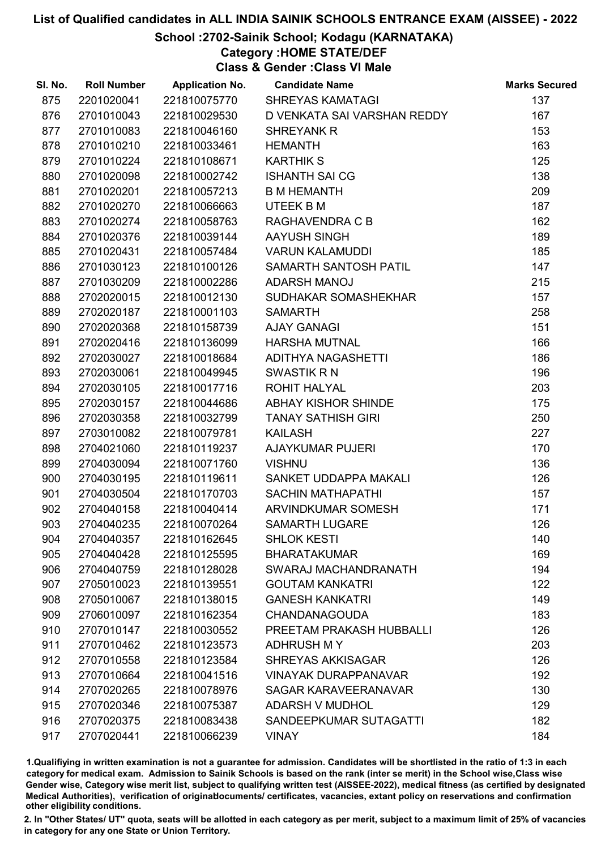### School :2702-Sainik School; Kodagu (KARNATAKA)

### Category :HOME STATE/DEF

Class & Gender :Class VI Male

| SI. No. | <b>Roll Number</b> | <b>Application No.</b> | <b>Candidate Name</b>       | <b>Marks Secured</b> |
|---------|--------------------|------------------------|-----------------------------|----------------------|
| 875     | 2201020041         | 221810075770           | <b>SHREYAS KAMATAGI</b>     | 137                  |
| 876     | 2701010043         | 221810029530           | D VENKATA SAI VARSHAN REDDY | 167                  |
| 877     | 2701010083         | 221810046160           | <b>SHREYANK R</b>           | 153                  |
| 878     | 2701010210         | 221810033461           | <b>HEMANTH</b>              | 163                  |
| 879     | 2701010224         | 221810108671           | <b>KARTHIK S</b>            | 125                  |
| 880     | 2701020098         | 221810002742           | <b>ISHANTH SAI CG</b>       | 138                  |
| 881     | 2701020201         | 221810057213           | <b>B M HEMANTH</b>          | 209                  |
| 882     | 2701020270         | 221810066663           | UTEEK B M                   | 187                  |
| 883     | 2701020274         | 221810058763           | RAGHAVENDRA C B             | 162                  |
| 884     | 2701020376         | 221810039144           | <b>AAYUSH SINGH</b>         | 189                  |
| 885     | 2701020431         | 221810057484           | <b>VARUN KALAMUDDI</b>      | 185                  |
| 886     | 2701030123         | 221810100126           | SAMARTH SANTOSH PATIL       | 147                  |
| 887     | 2701030209         | 221810002286           | ADARSH MANOJ                | 215                  |
| 888     | 2702020015         | 221810012130           | SUDHAKAR SOMASHEKHAR        | 157                  |
| 889     | 2702020187         | 221810001103           | <b>SAMARTH</b>              | 258                  |
| 890     | 2702020368         | 221810158739           | <b>AJAY GANAGI</b>          | 151                  |
| 891     | 2702020416         | 221810136099           | <b>HARSHA MUTNAL</b>        | 166                  |
| 892     | 2702030027         | 221810018684           | <b>ADITHYA NAGASHETTI</b>   | 186                  |
| 893     | 2702030061         | 221810049945           | <b>SWASTIK R N</b>          | 196                  |
| 894     | 2702030105         | 221810017716           | <b>ROHIT HALYAL</b>         | 203                  |
| 895     | 2702030157         | 221810044686           | <b>ABHAY KISHOR SHINDE</b>  | 175                  |
| 896     | 2702030358         | 221810032799           | <b>TANAY SATHISH GIRI</b>   | 250                  |
| 897     | 2703010082         | 221810079781           | <b>KAILASH</b>              | 227                  |
| 898     | 2704021060         | 221810119237           | <b>AJAYKUMAR PUJERI</b>     | 170                  |
| 899     | 2704030094         | 221810071760           | <b>VISHNU</b>               | 136                  |
| 900     | 2704030195         | 221810119611           | SANKET UDDAPPA MAKALI       | 126                  |
| 901     | 2704030504         | 221810170703           | <b>SACHIN MATHAPATHI</b>    | 157                  |
| 902     | 2704040158         | 221810040414           | ARVINDKUMAR SOMESH          | 171                  |
| 903     | 2704040235         | 221810070264           | <b>SAMARTH LUGARE</b>       | 126                  |
| 904     | 2704040357         | 221810162645           | <b>SHLOK KESTI</b>          | 140                  |
| 905     | 2704040428         | 221810125595           | <b>BHARATAKUMAR</b>         | 169                  |
| 906     | 2704040759         | 221810128028           | SWARAJ MACHANDRANATH        | 194                  |
| 907     | 2705010023         | 221810139551           | <b>GOUTAM KANKATRI</b>      | 122                  |
| 908     | 2705010067         | 221810138015           | <b>GANESH KANKATRI</b>      | 149                  |
| 909     | 2706010097         | 221810162354           | <b>CHANDANAGOUDA</b>        | 183                  |
| 910     | 2707010147         | 221810030552           | PREETAM PRAKASH HUBBALLI    | 126                  |
| 911     | 2707010462         | 221810123573           | <b>ADHRUSH MY</b>           | 203                  |
| 912     | 2707010558         | 221810123584           | <b>SHREYAS AKKISAGAR</b>    | 126                  |
| 913     | 2707010664         | 221810041516           | <b>VINAYAK DURAPPANAVAR</b> | 192                  |
| 914     | 2707020265         | 221810078976           | SAGAR KARAVEERANAVAR        | 130                  |
| 915     | 2707020346         | 221810075387           | <b>ADARSH V MUDHOL</b>      | 129                  |
| 916     | 2707020375         | 221810083438           | SANDEEPKUMAR SUTAGATTI      | 182                  |
| 917     | 2707020441         | 221810066239           | <b>VINAY</b>                | 184                  |

1.Qualifiying in written examination is not a guarantee for admission. Candidates will be shortlisted in the ratio of 1:3 in each category for medical exam. Admission to Sainik Schools is based on the rank (inter se merit) in the School wise,Class wise Gender wise, Category wise merit list, subject to qualifying written test (AISSEE-2022), medical fitness (as certified by designated Medical Authorities), verification of originablocuments/ certificates, vacancies, extant policy on reservations and confirmation other eligibility conditions.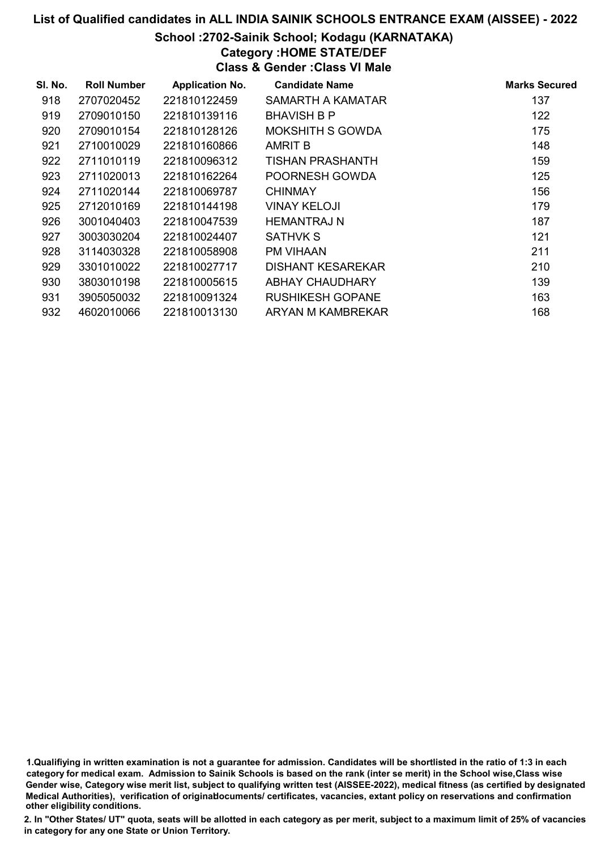#### School :2702-Sainik School; Kodagu (KARNATAKA)

### Category :HOME STATE/DEF

Class & Gender :Class VI Male

| SI. No. | <b>Roll Number</b> | <b>Application No.</b> | <b>Candidate Name</b>   | <b>Marks Secured</b> |
|---------|--------------------|------------------------|-------------------------|----------------------|
| 918     | 2707020452         | 221810122459           | SAMARTH A KAMATAR       | 137                  |
| 919     | 2709010150         | 221810139116           | <b>BHAVISH B P</b>      | 122                  |
| 920     | 2709010154         | 221810128126           | <b>MOKSHITH S GOWDA</b> | 175                  |
| 921     | 2710010029         | 221810160866           | <b>AMRIT B</b>          | 148                  |
| 922     | 2711010119         | 221810096312           | <b>TISHAN PRASHANTH</b> | 159                  |
| 923     | 2711020013         | 221810162264           | POORNESH GOWDA          | 125                  |
| 924     | 2711020144         | 221810069787           | <b>CHINMAY</b>          | 156                  |
| 925     | 2712010169         | 221810144198           | <b>VINAY KELOJI</b>     | 179                  |
| 926     | 3001040403         | 221810047539           | <b>HEMANTRAJ N</b>      | 187                  |
| 927     | 3003030204         | 221810024407           | <b>SATHVK S</b>         | 121                  |
| 928     | 3114030328         | 221810058908           | <b>PM VIHAAN</b>        | 211                  |
| 929     | 3301010022         | 221810027717           | DISHANT KESAREKAR       | 210                  |
| 930     | 3803010198         | 221810005615           | ABHAY CHAUDHARY         | 139                  |
| 931     | 3905050032         | 221810091324           | <b>RUSHIKESH GOPANE</b> | 163                  |
| 932     | 4602010066         | 221810013130           | ARYAN M KAMBREKAR       | 168                  |

1.Qualifiying in written examination is not a guarantee for admission. Candidates will be shortlisted in the ratio of 1:3 in each category for medical exam. Admission to Sainik Schools is based on the rank (inter se merit) in the School wise,Class wise Gender wise, Category wise merit list, subject to qualifying written test (AISSEE-2022), medical fitness (as certified by designated Medical Authorities), verification of originablocuments/ certificates, vacancies, extant policy on reservations and confirmation other eligibility conditions.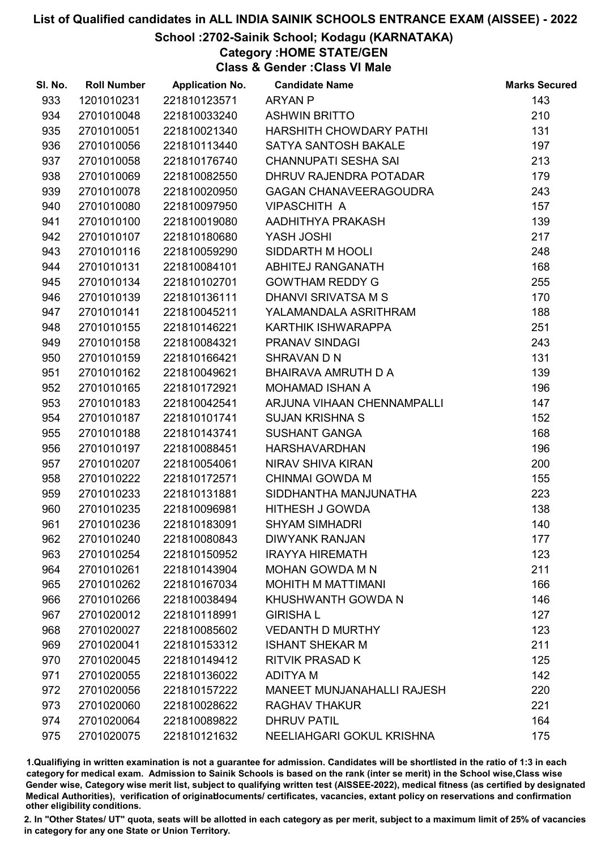### School :2702-Sainik School; Kodagu (KARNATAKA)

Category :HOME STATE/GEN

Class & Gender :Class VI Male

| SI. No. | <b>Roll Number</b> | <b>Application No.</b> | <b>Candidate Name</b>             | <b>Marks Secured</b> |
|---------|--------------------|------------------------|-----------------------------------|----------------------|
| 933     | 1201010231         | 221810123571           | <b>ARYAN P</b>                    | 143                  |
| 934     | 2701010048         | 221810033240           | <b>ASHWIN BRITTO</b>              | 210                  |
| 935     | 2701010051         | 221810021340           | HARSHITH CHOWDARY PATHI           | 131                  |
| 936     | 2701010056         | 221810113440           | <b>SATYA SANTOSH BAKALE</b>       | 197                  |
| 937     | 2701010058         | 221810176740           | <b>CHANNUPATI SESHA SAI</b>       | 213                  |
| 938     | 2701010069         | 221810082550           | DHRUV RAJENDRA POTADAR            | 179                  |
| 939     | 2701010078         | 221810020950           | <b>GAGAN CHANAVEERAGOUDRA</b>     | 243                  |
| 940     | 2701010080         | 221810097950           | <b>VIPASCHITH A</b>               | 157                  |
| 941     | 2701010100         | 221810019080           | AADHITHYA PRAKASH                 | 139                  |
| 942     | 2701010107         | 221810180680           | <b>YASH JOSHI</b>                 | 217                  |
| 943     | 2701010116         | 221810059290           | SIDDARTH M HOOLI                  | 248                  |
| 944     | 2701010131         | 221810084101           | ABHITEJ RANGANATH                 | 168                  |
| 945     | 2701010134         | 221810102701           | <b>GOWTHAM REDDY G</b>            | 255                  |
| 946     | 2701010139         | 221810136111           | DHANVI SRIVATSA M S               | 170                  |
| 947     | 2701010141         | 221810045211           | YALAMANDALA ASRITHRAM             | 188                  |
| 948     | 2701010155         | 221810146221           | KARTHIK ISHWARAPPA                | 251                  |
| 949     | 2701010158         | 221810084321           | <b>PRANAV SINDAGI</b>             | 243                  |
| 950     | 2701010159         | 221810166421           | SHRAVAN D N                       | 131                  |
| 951     | 2701010162         | 221810049621           | BHAIRAVA AMRUTH D A               | 139                  |
| 952     | 2701010165         | 221810172921           | <b>MOHAMAD ISHAN A</b>            | 196                  |
| 953     | 2701010183         | 221810042541           | ARJUNA VIHAAN CHENNAMPALLI        | 147                  |
| 954     | 2701010187         | 221810101741           | <b>SUJAN KRISHNA S</b>            | 152                  |
| 955     | 2701010188         | 221810143741           | <b>SUSHANT GANGA</b>              | 168                  |
| 956     | 2701010197         | 221810088451           | <b>HARSHAVARDHAN</b>              | 196                  |
| 957     | 2701010207         | 221810054061           | NIRAV SHIVA KIRAN                 | 200                  |
| 958     | 2701010222         | 221810172571           | <b>CHINMAI GOWDA M</b>            | 155                  |
| 959     | 2701010233         | 221810131881           | SIDDHANTHA MANJUNATHA             | 223                  |
| 960     | 2701010235         | 221810096981           | <b>HITHESH J GOWDA</b>            | 138                  |
| 961     | 2701010236         | 221810183091           | <b>SHYAM SIMHADRI</b>             | 140                  |
| 962     | 2701010240         | 221810080843           | <b>DIWYANK RANJAN</b>             | 177                  |
| 963     | 2701010254         | 221810150952           | <b>IRAYYA HIREMATH</b>            | 123                  |
| 964     | 2701010261         | 221810143904           | <b>MOHAN GOWDA M N</b>            | 211                  |
| 965     | 2701010262         | 221810167034           | <b>MOHITH M MATTIMANI</b>         | 166                  |
| 966     | 2701010266         | 221810038494           | KHUSHWANTH GOWDA N                | 146                  |
| 967     | 2701020012         | 221810118991           | <b>GIRISHAL</b>                   | 127                  |
| 968     | 2701020027         | 221810085602           | <b>VEDANTH D MURTHY</b>           | 123                  |
| 969     | 2701020041         | 221810153312           | <b>ISHANT SHEKAR M</b>            | 211                  |
| 970     | 2701020045         | 221810149412           | <b>RITVIK PRASAD K</b>            | 125                  |
| 971     | 2701020055         | 221810136022           | <b>ADITYAM</b>                    | 142                  |
| 972     | 2701020056         | 221810157222           | <b>MANEET MUNJANAHALLI RAJESH</b> | 220                  |
| 973     | 2701020060         | 221810028622           | <b>RAGHAV THAKUR</b>              | 221                  |
| 974     | 2701020064         | 221810089822           | <b>DHRUV PATIL</b>                | 164                  |
| 975     | 2701020075         | 221810121632           | NEELIAHGARI GOKUL KRISHNA         | 175                  |

1.Qualifiying in written examination is not a guarantee for admission. Candidates will be shortlisted in the ratio of 1:3 in each category for medical exam. Admission to Sainik Schools is based on the rank (inter se merit) in the School wise,Class wise Gender wise, Category wise merit list, subject to qualifying written test (AISSEE-2022), medical fitness (as certified by designated Medical Authorities), verification of originablocuments/ certificates, vacancies, extant policy on reservations and confirmation other eligibility conditions.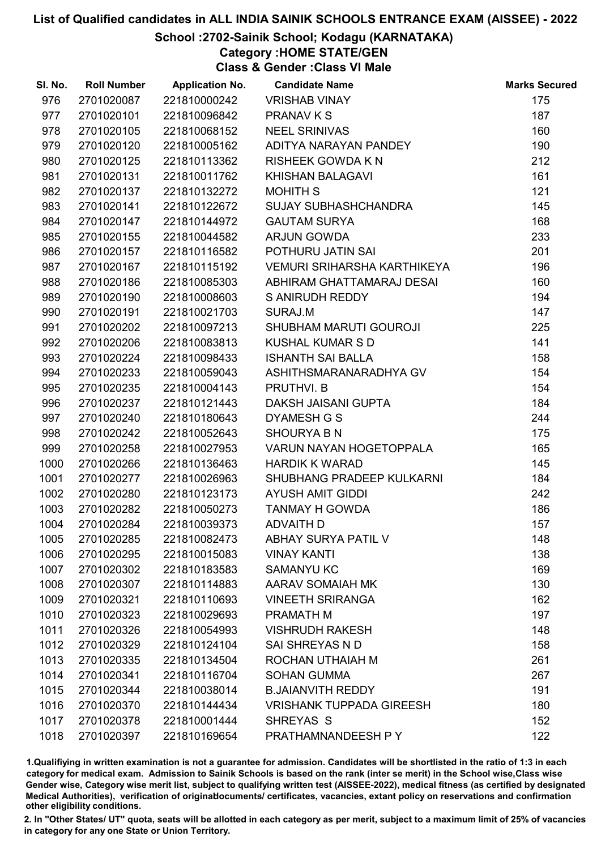### School :2702-Sainik School; Kodagu (KARNATAKA)

Category :HOME STATE/GEN

Class & Gender :Class VI Male

| SI. No. | <b>Roll Number</b> | <b>Application No.</b> | <b>Candidate Name</b>              | <b>Marks Secured</b> |
|---------|--------------------|------------------------|------------------------------------|----------------------|
| 976     | 2701020087         | 221810000242           | <b>VRISHAB VINAY</b>               | 175                  |
| 977     | 2701020101         | 221810096842           | <b>PRANAV K S</b>                  | 187                  |
| 978     | 2701020105         | 221810068152           | <b>NEEL SRINIVAS</b>               | 160                  |
| 979     | 2701020120         | 221810005162           | ADITYA NARAYAN PANDEY              | 190                  |
| 980     | 2701020125         | 221810113362           | <b>RISHEEK GOWDA K N</b>           | 212                  |
| 981     | 2701020131         | 221810011762           | <b>KHISHAN BALAGAVI</b>            | 161                  |
| 982     | 2701020137         | 221810132272           | <b>MOHITH S</b>                    | 121                  |
| 983     | 2701020141         | 221810122672           | <b>SUJAY SUBHASHCHANDRA</b>        | 145                  |
| 984     | 2701020147         | 221810144972           | <b>GAUTAM SURYA</b>                | 168                  |
| 985     | 2701020155         | 221810044582           | <b>ARJUN GOWDA</b>                 | 233                  |
| 986     | 2701020157         | 221810116582           | POTHURU JATIN SAI                  | 201                  |
| 987     | 2701020167         | 221810115192           | <b>VEMURI SRIHARSHA KARTHIKEYA</b> | 196                  |
| 988     | 2701020186         | 221810085303           | ABHIRAM GHATTAMARAJ DESAI          | 160                  |
| 989     | 2701020190         | 221810008603           | S ANIRUDH REDDY                    | 194                  |
| 990     | 2701020191         | 221810021703           | SURAJ.M                            | 147                  |
| 991     | 2701020202         | 221810097213           | <b>SHUBHAM MARUTI GOUROJI</b>      | 225                  |
| 992     | 2701020206         | 221810083813           | <b>KUSHAL KUMAR S D</b>            | 141                  |
| 993     | 2701020224         | 221810098433           | <b>ISHANTH SAI BALLA</b>           | 158                  |
| 994     | 2701020233         | 221810059043           | ASHITHSMARANARADHYA GV             | 154                  |
| 995     | 2701020235         | 221810004143           | PRUTHVI. B                         | 154                  |
| 996     | 2701020237         | 221810121443           | DAKSH JAISANI GUPTA                | 184                  |
| 997     | 2701020240         | 221810180643           | <b>DYAMESH G S</b>                 | 244                  |
| 998     | 2701020242         | 221810052643           | <b>SHOURYA B N</b>                 | 175                  |
| 999     | 2701020258         | 221810027953           | VARUN NAYAN HOGETOPPALA            | 165                  |
| 1000    | 2701020266         | 221810136463           | <b>HARDIK K WARAD</b>              | 145                  |
| 1001    | 2701020277         | 221810026963           | SHUBHANG PRADEEP KULKARNI          | 184                  |
| 1002    | 2701020280         | 221810123173           | <b>AYUSH AMIT GIDDI</b>            | 242                  |
| 1003    | 2701020282         | 221810050273           | <b>TANMAY H GOWDA</b>              | 186                  |
| 1004    | 2701020284         | 221810039373           | <b>ADVAITH D</b>                   | 157                  |
| 1005    | 2701020285         | 221810082473           | <b>ABHAY SURYA PATIL V</b>         | 148                  |
| 1006    | 2701020295         | 221810015083           | <b>VINAY KANTI</b>                 | 138                  |
| 1007    | 2701020302         | 221810183583           | <b>SAMANYU KC</b>                  | 169                  |
| 1008    | 2701020307         | 221810114883           | AARAV SOMAIAH MK                   | 130                  |
| 1009    | 2701020321         | 221810110693           | <b>VINEETH SRIRANGA</b>            | 162                  |
| 1010    | 2701020323         | 221810029693           | PRAMATH M                          | 197                  |
| 1011    | 2701020326         | 221810054993           | <b>VISHRUDH RAKESH</b>             | 148                  |
| 1012    | 2701020329         | 221810124104           | SAI SHREYAS N D                    | 158                  |
| 1013    | 2701020335         | 221810134504           | ROCHAN UTHAIAH M                   | 261                  |
| 1014    | 2701020341         | 221810116704           | <b>SOHAN GUMMA</b>                 | 267                  |
| 1015    | 2701020344         | 221810038014           | <b>B.JAIANVITH REDDY</b>           | 191                  |
| 1016    | 2701020370         | 221810144434           | <b>VRISHANK TUPPADA GIREESH</b>    | 180                  |
| 1017    | 2701020378         | 221810001444           | SHREYAS S                          | 152                  |
| 1018    | 2701020397         | 221810169654           | PRATHAMNANDEESH P Y                | 122                  |

1.Qualifiying in written examination is not a guarantee for admission. Candidates will be shortlisted in the ratio of 1:3 in each category for medical exam. Admission to Sainik Schools is based on the rank (inter se merit) in the School wise,Class wise Gender wise, Category wise merit list, subject to qualifying written test (AISSEE-2022), medical fitness (as certified by designated Medical Authorities), verification of originablocuments/ certificates, vacancies, extant policy on reservations and confirmation other eligibility conditions.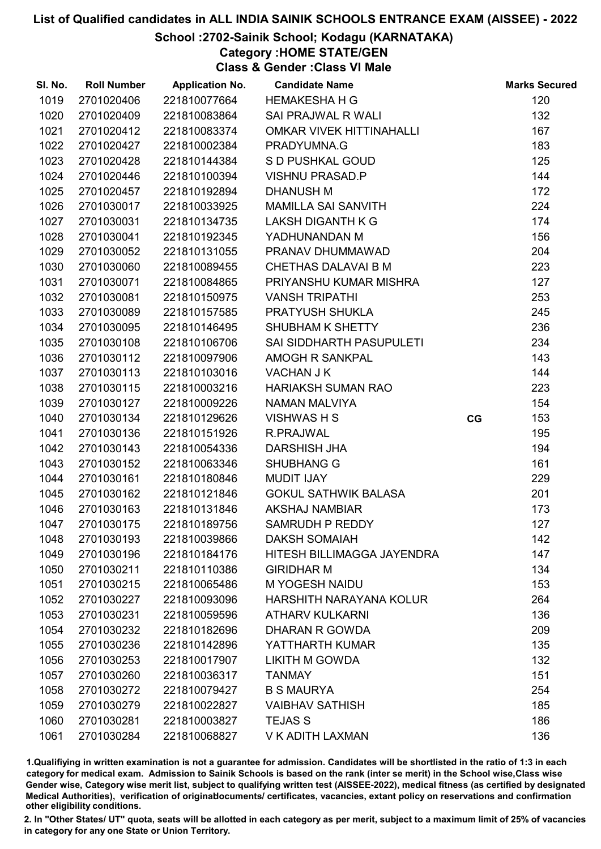### School :2702-Sainik School; Kodagu (KARNATAKA)

Category :HOME STATE/GEN

Class & Gender :Class VI Male

| SI. No. | <b>Roll Number</b> | <b>Application No.</b> | <b>Candidate Name</b>           |    | <b>Marks Secured</b> |
|---------|--------------------|------------------------|---------------------------------|----|----------------------|
| 1019    | 2701020406         | 221810077664           | <b>HEMAKESHA H G</b>            |    | 120                  |
| 1020    | 2701020409         | 221810083864           | <b>SAI PRAJWAL R WALI</b>       |    | 132                  |
| 1021    | 2701020412         | 221810083374           | <b>OMKAR VIVEK HITTINAHALLI</b> |    | 167                  |
| 1022    | 2701020427         | 221810002384           | PRADYUMNA.G                     |    | 183                  |
| 1023    | 2701020428         | 221810144384           | S D PUSHKAL GOUD                |    | 125                  |
| 1024    | 2701020446         | 221810100394           | <b>VISHNU PRASAD.P</b>          |    | 144                  |
| 1025    | 2701020457         | 221810192894           | <b>DHANUSH M</b>                |    | 172                  |
| 1026    | 2701030017         | 221810033925           | <b>MAMILLA SAI SANVITH</b>      |    | 224                  |
| 1027    | 2701030031         | 221810134735           | LAKSH DIGANTH K G               |    | 174                  |
| 1028    | 2701030041         | 221810192345           | YADHUNANDAN M                   |    | 156                  |
| 1029    | 2701030052         | 221810131055           | PRANAV DHUMMAWAD                |    | 204                  |
| 1030    | 2701030060         | 221810089455           | CHETHAS DALAVAI B M             |    | 223                  |
| 1031    | 2701030071         | 221810084865           | PRIYANSHU KUMAR MISHRA          |    | 127                  |
| 1032    | 2701030081         | 221810150975           | <b>VANSH TRIPATHI</b>           |    | 253                  |
| 1033    | 2701030089         | 221810157585           | PRATYUSH SHUKLA                 |    | 245                  |
| 1034    | 2701030095         | 221810146495           | SHUBHAM K SHETTY                |    | 236                  |
| 1035    | 2701030108         | 221810106706           | SAI SIDDHARTH PASUPULETI        |    | 234                  |
| 1036    | 2701030112         | 221810097906           | <b>AMOGH R SANKPAL</b>          |    | 143                  |
| 1037    | 2701030113         | 221810103016           | <b>VACHAN J K</b>               |    | 144                  |
| 1038    | 2701030115         | 221810003216           | <b>HARIAKSH SUMAN RAO</b>       |    | 223                  |
| 1039    | 2701030127         | 221810009226           | <b>NAMAN MALVIYA</b>            |    | 154                  |
| 1040    | 2701030134         | 221810129626           | <b>VISHWAS H S</b>              | CG | 153                  |
| 1041    | 2701030136         | 221810151926           | R.PRAJWAL                       |    | 195                  |
| 1042    | 2701030143         | 221810054336           | <b>DARSHISH JHA</b>             |    | 194                  |
| 1043    | 2701030152         | 221810063346           | <b>SHUBHANG G</b>               |    | 161                  |
| 1044    | 2701030161         | 221810180846           | <b>MUDIT IJAY</b>               |    | 229                  |
| 1045    | 2701030162         | 221810121846           | <b>GOKUL SATHWIK BALASA</b>     |    | 201                  |
| 1046    | 2701030163         | 221810131846           | <b>AKSHAJ NAMBIAR</b>           |    | 173                  |
| 1047    | 2701030175         | 221810189756           | SAMRUDH P REDDY                 |    | 127                  |
| 1048    | 2701030193         | 221810039866           | <b>DAKSH SOMAIAH</b>            |    | 142                  |
| 1049    | 2701030196         | 221810184176           | HITESH BILLIMAGGA JAYENDRA      |    | 147                  |
| 1050    | 2701030211         | 221810110386           | <b>GIRIDHAR M</b>               |    | 134                  |
| 1051    | 2701030215         | 221810065486           | <b>M YOGESH NAIDU</b>           |    | 153                  |
| 1052    | 2701030227         | 221810093096           | <b>HARSHITH NARAYANA KOLUR</b>  |    | 264                  |
| 1053    | 2701030231         | 221810059596           | <b>ATHARV KULKARNI</b>          |    | 136                  |
| 1054    | 2701030232         | 221810182696           | DHARAN R GOWDA                  |    | 209                  |
| 1055    | 2701030236         | 221810142896           | YATTHARTH KUMAR                 |    | 135                  |
| 1056    | 2701030253         | 221810017907           | <b>LIKITH M GOWDA</b>           |    | 132                  |
| 1057    | 2701030260         | 221810036317           | <b>TANMAY</b>                   |    | 151                  |
| 1058    | 2701030272         | 221810079427           | <b>B S MAURYA</b>               |    | 254                  |
| 1059    | 2701030279         | 221810022827           | <b>VAIBHAV SATHISH</b>          |    | 185                  |
| 1060    | 2701030281         | 221810003827           | <b>TEJAS S</b>                  |    | 186                  |
| 1061    | 2701030284         | 221810068827           | V K ADITH LAXMAN                |    | 136                  |

1.Qualifiying in written examination is not a guarantee for admission. Candidates will be shortlisted in the ratio of 1:3 in each category for medical exam. Admission to Sainik Schools is based on the rank (inter se merit) in the School wise,Class wise Gender wise, Category wise merit list, subject to qualifying written test (AISSEE-2022), medical fitness (as certified by designated Medical Authorities), verification of originablocuments/ certificates, vacancies, extant policy on reservations and confirmation other eligibility conditions.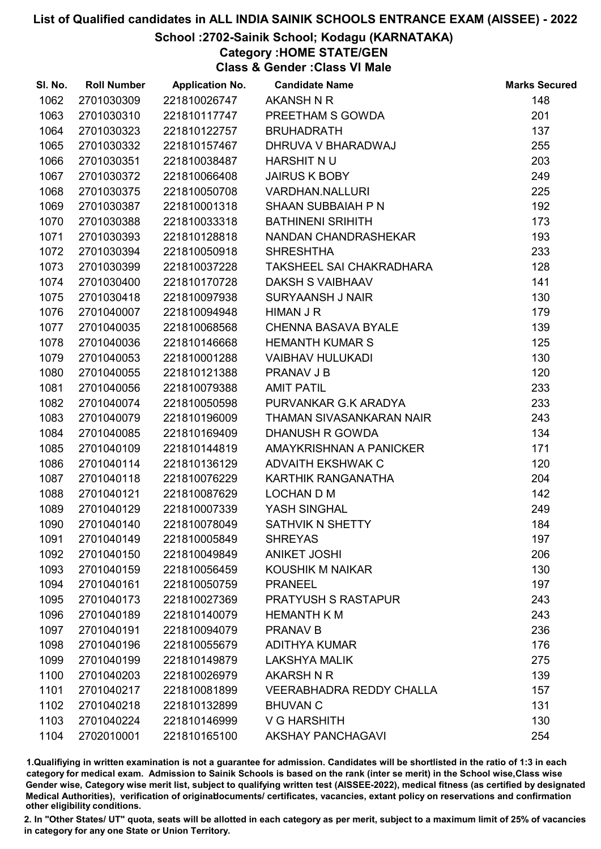### School :2702-Sainik School; Kodagu (KARNATAKA)

Category :HOME STATE/GEN

Class & Gender :Class VI Male

| SI. No. | <b>Roll Number</b> | <b>Application No.</b> | <b>Candidate Name</b>           | <b>Marks Secured</b> |
|---------|--------------------|------------------------|---------------------------------|----------------------|
| 1062    | 2701030309         | 221810026747           | AKANSH N R                      | 148                  |
| 1063    | 2701030310         | 221810117747           | PREETHAM S GOWDA                | 201                  |
| 1064    | 2701030323         | 221810122757           | <b>BRUHADRATH</b>               | 137                  |
| 1065    | 2701030332         | 221810157467           | DHRUVA V BHARADWAJ              | 255                  |
| 1066    | 2701030351         | 221810038487           | HARSHIT NU                      | 203                  |
| 1067    | 2701030372         | 221810066408           | <b>JAIRUS K BOBY</b>            | 249                  |
| 1068    | 2701030375         | 221810050708           | <b>VARDHAN.NALLURI</b>          | 225                  |
| 1069    | 2701030387         | 221810001318           | SHAAN SUBBAIAH P N              | 192                  |
| 1070    | 2701030388         | 221810033318           | <b>BATHINENI SRIHITH</b>        | 173                  |
| 1071    | 2701030393         | 221810128818           | NANDAN CHANDRASHEKAR            | 193                  |
| 1072    | 2701030394         | 221810050918           | <b>SHRESHTHA</b>                | 233                  |
| 1073    | 2701030399         | 221810037228           | TAKSHEEL SAI CHAKRADHARA        | 128                  |
| 1074    | 2701030400         | 221810170728           | DAKSH S VAIBHAAV                | 141                  |
| 1075    | 2701030418         | 221810097938           | <b>SURYAANSH J NAIR</b>         | 130                  |
| 1076    | 2701040007         | 221810094948           | <b>HIMAN J R</b>                | 179                  |
| 1077    | 2701040035         | 221810068568           | <b>CHENNA BASAVA BYALE</b>      | 139                  |
| 1078    | 2701040036         | 221810146668           | <b>HEMANTH KUMAR S</b>          | 125                  |
| 1079    | 2701040053         | 221810001288           | <b>VAIBHAV HULUKADI</b>         | 130                  |
| 1080    | 2701040055         | 221810121388           | <b>PRANAV J B</b>               | 120                  |
| 1081    | 2701040056         | 221810079388           | <b>AMIT PATIL</b>               | 233                  |
| 1082    | 2701040074         | 221810050598           | PURVANKAR G.K ARADYA            | 233                  |
| 1083    | 2701040079         | 221810196009           | THAMAN SIVASANKARAN NAIR        | 243                  |
| 1084    | 2701040085         | 221810169409           | <b>DHANUSH R GOWDA</b>          | 134                  |
| 1085    | 2701040109         | 221810144819           | AMAYKRISHNAN A PANICKER         | 171                  |
| 1086    | 2701040114         | 221810136129           | <b>ADVAITH EKSHWAK C</b>        | 120                  |
| 1087    | 2701040118         | 221810076229           | KARTHIK RANGANATHA              | 204                  |
| 1088    | 2701040121         | 221810087629           | <b>LOCHAN D M</b>               | 142                  |
| 1089    | 2701040129         | 221810007339           | YASH SINGHAL                    | 249                  |
| 1090    | 2701040140         | 221810078049           | SATHVIK N SHETTY                | 184                  |
| 1091    | 2701040149         | 221810005849           | <b>SHREYAS</b>                  | 197                  |
| 1092    | 2701040150         | 221810049849           | <b>ANIKET JOSHI</b>             | 206                  |
| 1093    | 2701040159         | 221810056459           | KOUSHIK M NAIKAR                | 130                  |
| 1094    | 2701040161         | 221810050759           | <b>PRANEEL</b>                  | 197                  |
| 1095    | 2701040173         | 221810027369           | <b>PRATYUSH S RASTAPUR</b>      | 243                  |
| 1096    | 2701040189         | 221810140079           | <b>HEMANTH K M</b>              | 243                  |
| 1097    | 2701040191         | 221810094079           | <b>PRANAV B</b>                 | 236                  |
| 1098    | 2701040196         | 221810055679           | <b>ADITHYA KUMAR</b>            | 176                  |
| 1099    | 2701040199         | 221810149879           | <b>LAKSHYA MALIK</b>            | 275                  |
| 1100    | 2701040203         | 221810026979           | AKARSH N R                      | 139                  |
| 1101    | 2701040217         | 221810081899           | <b>VEERABHADRA REDDY CHALLA</b> | 157                  |
| 1102    | 2701040218         | 221810132899           | <b>BHUVAN C</b>                 | 131                  |
| 1103    | 2701040224         | 221810146999           | <b>V G HARSHITH</b>             | 130                  |
| 1104    | 2702010001         | 221810165100           | <b>AKSHAY PANCHAGAVI</b>        | 254                  |

1.Qualifiying in written examination is not a guarantee for admission. Candidates will be shortlisted in the ratio of 1:3 in each category for medical exam. Admission to Sainik Schools is based on the rank (inter se merit) in the School wise,Class wise Gender wise, Category wise merit list, subject to qualifying written test (AISSEE-2022), medical fitness (as certified by designated Medical Authorities), verification of originablocuments/ certificates, vacancies, extant policy on reservations and confirmation other eligibility conditions.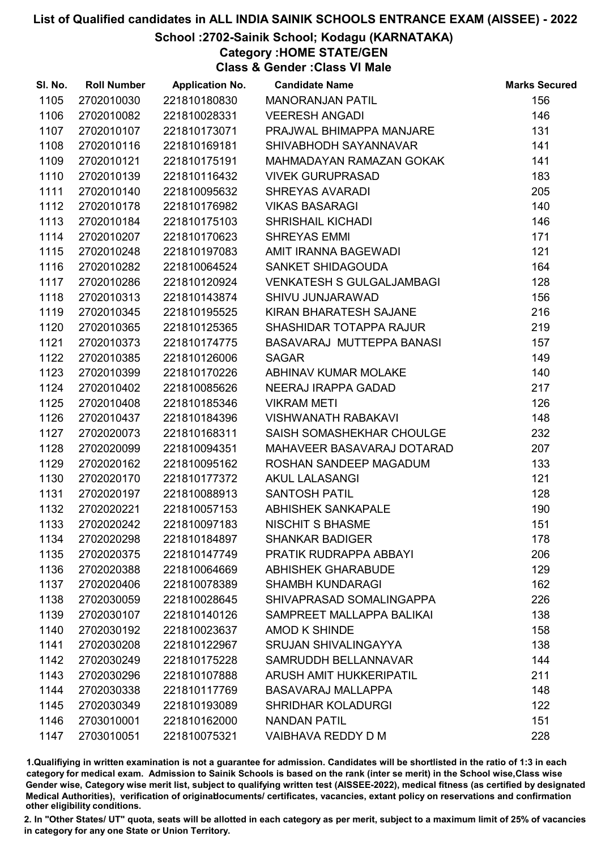### School :2702-Sainik School; Kodagu (KARNATAKA)

Category :HOME STATE/GEN

Class & Gender :Class VI Male

| SI. No. | <b>Roll Number</b> | <b>Application No.</b> | <b>Candidate Name</b>            | <b>Marks Secured</b> |
|---------|--------------------|------------------------|----------------------------------|----------------------|
| 1105    | 2702010030         | 221810180830           | <b>MANORANJAN PATIL</b>          | 156                  |
| 1106    | 2702010082         | 221810028331           | <b>VEERESH ANGADI</b>            | 146                  |
| 1107    | 2702010107         | 221810173071           | PRAJWAL BHIMAPPA MANJARE         | 131                  |
| 1108    | 2702010116         | 221810169181           | SHIVABHODH SAYANNAVAR            | 141                  |
| 1109    | 2702010121         | 221810175191           | MAHMADAYAN RAMAZAN GOKAK         | 141                  |
| 1110    | 2702010139         | 221810116432           | <b>VIVEK GURUPRASAD</b>          | 183                  |
| 1111    | 2702010140         | 221810095632           | <b>SHREYAS AVARADI</b>           | 205                  |
| 1112    | 2702010178         | 221810176982           | <b>VIKAS BASARAGI</b>            | 140                  |
| 1113    | 2702010184         | 221810175103           | <b>SHRISHAIL KICHADI</b>         | 146                  |
| 1114    | 2702010207         | 221810170623           | <b>SHREYAS EMMI</b>              | 171                  |
| 1115    | 2702010248         | 221810197083           | AMIT IRANNA BAGEWADI             | 121                  |
| 1116    | 2702010282         | 221810064524           | <b>SANKET SHIDAGOUDA</b>         | 164                  |
| 1117    | 2702010286         | 221810120924           | <b>VENKATESH S GULGALJAMBAGI</b> | 128                  |
| 1118    | 2702010313         | 221810143874           | SHIVU JUNJARAWAD                 | 156                  |
| 1119    | 2702010345         | 221810195525           | KIRAN BHARATESH SAJANE           | 216                  |
| 1120    | 2702010365         | 221810125365           | SHASHIDAR TOTAPPA RAJUR          | 219                  |
| 1121    | 2702010373         | 221810174775           | BASAVARAJ MUTTEPPA BANASI        | 157                  |
| 1122    | 2702010385         | 221810126006           | <b>SAGAR</b>                     | 149                  |
| 1123    | 2702010399         | 221810170226           | ABHINAV KUMAR MOLAKE             | 140                  |
| 1124    | 2702010402         | 221810085626           | NEERAJ IRAPPA GADAD              | 217                  |
| 1125    | 2702010408         | 221810185346           | <b>VIKRAM METI</b>               | 126                  |
| 1126    | 2702010437         | 221810184396           | <b>VISHWANATH RABAKAVI</b>       | 148                  |
| 1127    | 2702020073         | 221810168311           | SAISH SOMASHEKHAR CHOULGE        | 232                  |
| 1128    | 2702020099         | 221810094351           | MAHAVEER BASAVARAJ DOTARAD       | 207                  |
| 1129    | 2702020162         | 221810095162           | ROSHAN SANDEEP MAGADUM           | 133                  |
| 1130    | 2702020170         | 221810177372           | <b>AKUL LALASANGI</b>            | 121                  |
| 1131    | 2702020197         | 221810088913           | <b>SANTOSH PATIL</b>             | 128                  |
| 1132    | 2702020221         | 221810057153           | <b>ABHISHEK SANKAPALE</b>        | 190                  |
| 1133    | 2702020242         | 221810097183           | <b>NISCHIT S BHASME</b>          | 151                  |
| 1134    | 2702020298         | 221810184897           | <b>SHANKAR BADIGER</b>           | 178                  |
| 1135    | 2702020375         | 221810147749           | PRATIK RUDRAPPA ABBAYI           | 206                  |
| 1136    | 2702020388         | 221810064669           | <b>ABHISHEK GHARABUDE</b>        | 129                  |
| 1137    | 2702020406         | 221810078389           | <b>SHAMBH KUNDARAGI</b>          | 162                  |
| 1138    | 2702030059         | 221810028645           | SHIVAPRASAD SOMALINGAPPA         | 226                  |
| 1139    | 2702030107         | 221810140126           | SAMPREET MALLAPPA BALIKAI        | 138                  |
| 1140    | 2702030192         | 221810023637           | AMOD K SHINDE                    | 158                  |
| 1141    | 2702030208         | 221810122967           | <b>SRUJAN SHIVALINGAYYA</b>      | 138                  |
| 1142    | 2702030249         | 221810175228           | SAMRUDDH BELLANNAVAR             | 144                  |
| 1143    | 2702030296         | 221810107888           | ARUSH AMIT HUKKERIPATIL          | 211                  |
| 1144    | 2702030338         | 221810117769           | <b>BASAVARAJ MALLAPPA</b>        | 148                  |
| 1145    | 2702030349         | 221810193089           | <b>SHRIDHAR KOLADURGI</b>        | 122                  |
| 1146    | 2703010001         | 221810162000           | <b>NANDAN PATIL</b>              | 151                  |
| 1147    | 2703010051         | 221810075321           | VAIBHAVA REDDY D M               | 228                  |

1.Qualifiying in written examination is not a guarantee for admission. Candidates will be shortlisted in the ratio of 1:3 in each category for medical exam. Admission to Sainik Schools is based on the rank (inter se merit) in the School wise,Class wise Gender wise, Category wise merit list, subject to qualifying written test (AISSEE-2022), medical fitness (as certified by designated Medical Authorities), verification of originablocuments/ certificates, vacancies, extant policy on reservations and confirmation other eligibility conditions.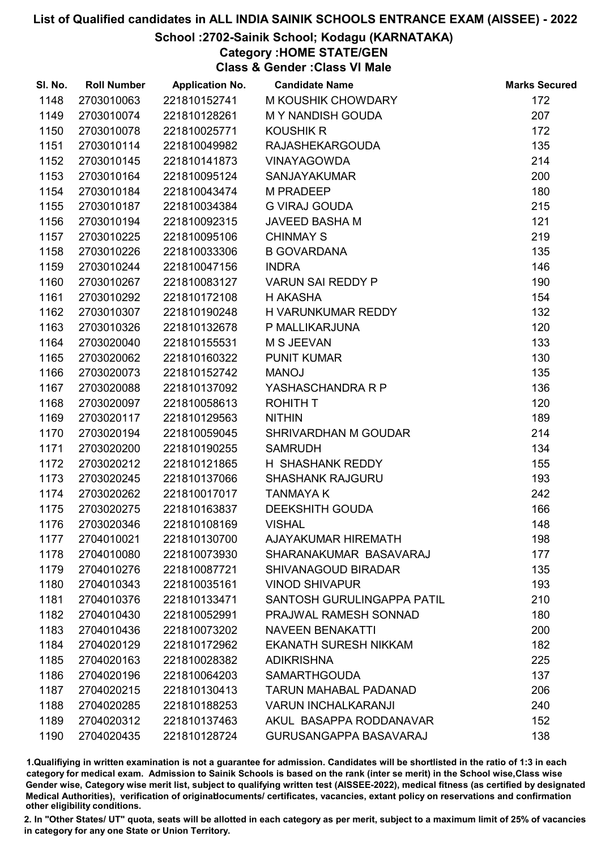### School :2702-Sainik School; Kodagu (KARNATAKA)

Category :HOME STATE/GEN

Class & Gender :Class VI Male

| SI. No. | <b>Roll Number</b> | <b>Application No.</b> | <b>Candidate Name</b>         | <b>Marks Secured</b> |
|---------|--------------------|------------------------|-------------------------------|----------------------|
| 1148    | 2703010063         | 221810152741           | M KOUSHIK CHOWDARY            | 172                  |
| 1149    | 2703010074         | 221810128261           | <b>MY NANDISH GOUDA</b>       | 207                  |
| 1150    | 2703010078         | 221810025771           | <b>KOUSHIK R</b>              | 172                  |
| 1151    | 2703010114         | 221810049982           | <b>RAJASHEKARGOUDA</b>        | 135                  |
| 1152    | 2703010145         | 221810141873           | <b>VINAYAGOWDA</b>            | 214                  |
| 1153    | 2703010164         | 221810095124           | <b>SANJAYAKUMAR</b>           | 200                  |
| 1154    | 2703010184         | 221810043474           | <b>M PRADEEP</b>              | 180                  |
| 1155    | 2703010187         | 221810034384           | <b>G VIRAJ GOUDA</b>          | 215                  |
| 1156    | 2703010194         | 221810092315           | JAVEED BASHA M                | 121                  |
| 1157    | 2703010225         | 221810095106           | <b>CHINMAY S</b>              | 219                  |
| 1158    | 2703010226         | 221810033306           | <b>B GOVARDANA</b>            | 135                  |
| 1159    | 2703010244         | 221810047156           | <b>INDRA</b>                  | 146                  |
| 1160    | 2703010267         | 221810083127           | <b>VARUN SAI REDDY P</b>      | 190                  |
| 1161    | 2703010292         | 221810172108           | H AKASHA                      | 154                  |
| 1162    | 2703010307         | 221810190248           | H VARUNKUMAR REDDY            | 132                  |
| 1163    | 2703010326         | 221810132678           | P MALLIKARJUNA                | 120                  |
| 1164    | 2703020040         | 221810155531           | M S JEEVAN                    | 133                  |
| 1165    | 2703020062         | 221810160322           | <b>PUNIT KUMAR</b>            | 130                  |
| 1166    | 2703020073         | 221810152742           | <b>MANOJ</b>                  | 135                  |
| 1167    | 2703020088         | 221810137092           | YASHASCHANDRA R P             | 136                  |
| 1168    | 2703020097         | 221810058613           | <b>ROHITH T</b>               | 120                  |
| 1169    | 2703020117         | 221810129563           | <b>NITHIN</b>                 | 189                  |
| 1170    | 2703020194         | 221810059045           | SHRIVARDHAN M GOUDAR          | 214                  |
| 1171    | 2703020200         | 221810190255           | <b>SAMRUDH</b>                | 134                  |
| 1172    | 2703020212         | 221810121865           | H SHASHANK REDDY              | 155                  |
| 1173    | 2703020245         | 221810137066           | <b>SHASHANK RAJGURU</b>       | 193                  |
| 1174    | 2703020262         | 221810017017           | <b>TANMAYAK</b>               | 242                  |
| 1175    | 2703020275         | 221810163837           | <b>DEEKSHITH GOUDA</b>        | 166                  |
| 1176    | 2703020346         | 221810108169           | <b>VISHAL</b>                 | 148                  |
| 1177    | 2704010021         | 221810130700           | <b>AJAYAKUMAR HIREMATH</b>    | 198                  |
| 1178    | 2704010080         | 221810073930           | SHARANAKUMAR BASAVARAJ        | 177                  |
| 1179    | 2704010276         | 221810087721           | <b>SHIVANAGOUD BIRADAR</b>    | 135                  |
| 1180    | 2704010343         | 221810035161           | <b>VINOD SHIVAPUR</b>         | 193                  |
| 1181    | 2704010376         | 221810133471           | SANTOSH GURULINGAPPA PATIL    | 210                  |
| 1182    | 2704010430         | 221810052991           | PRAJWAL RAMESH SONNAD         | 180                  |
| 1183    | 2704010436         | 221810073202           | <b>NAVEEN BENAKATTI</b>       | 200                  |
| 1184    | 2704020129         | 221810172962           | <b>EKANATH SURESH NIKKAM</b>  | 182                  |
| 1185    | 2704020163         | 221810028382           | <b>ADIKRISHNA</b>             | 225                  |
| 1186    | 2704020196         | 221810064203           | <b>SAMARTHGOUDA</b>           | 137                  |
| 1187    | 2704020215         | 221810130413           | <b>TARUN MAHABAL PADANAD</b>  | 206                  |
| 1188    | 2704020285         | 221810188253           | <b>VARUN INCHALKARANJI</b>    | 240                  |
| 1189    | 2704020312         | 221810137463           | AKUL BASAPPA RODDANAVAR       | 152                  |
| 1190    | 2704020435         | 221810128724           | <b>GURUSANGAPPA BASAVARAJ</b> | 138                  |

1.Qualifiying in written examination is not a guarantee for admission. Candidates will be shortlisted in the ratio of 1:3 in each category for medical exam. Admission to Sainik Schools is based on the rank (inter se merit) in the School wise,Class wise Gender wise, Category wise merit list, subject to qualifying written test (AISSEE-2022), medical fitness (as certified by designated Medical Authorities), verification of originablocuments/ certificates, vacancies, extant policy on reservations and confirmation other eligibility conditions.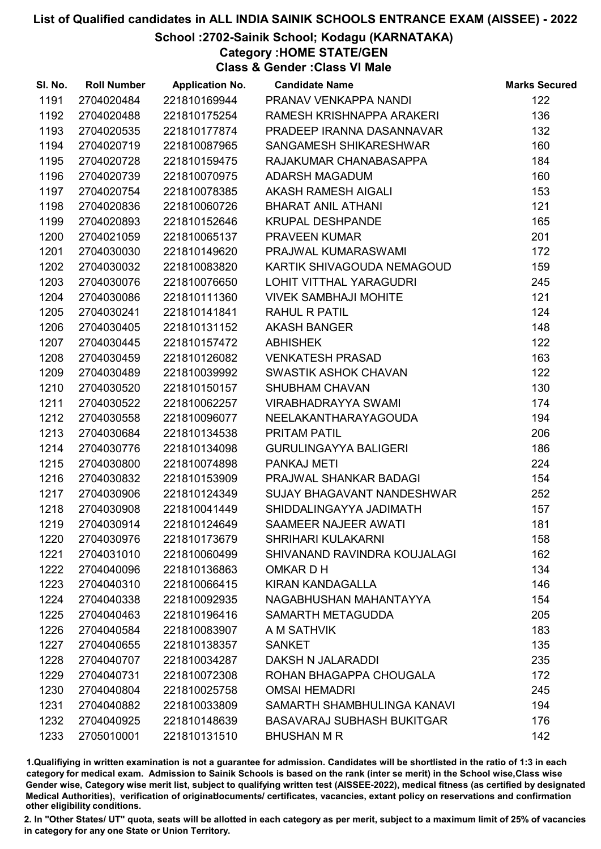### School :2702-Sainik School; Kodagu (KARNATAKA)

Category :HOME STATE/GEN

Class & Gender :Class VI Male

| SI. No. | <b>Roll Number</b> | <b>Application No.</b> | <b>Candidate Name</b>             | <b>Marks Secured</b> |
|---------|--------------------|------------------------|-----------------------------------|----------------------|
| 1191    | 2704020484         | 221810169944           | PRANAV VENKAPPA NANDI             | 122                  |
| 1192    | 2704020488         | 221810175254           | RAMESH KRISHNAPPA ARAKERI         | 136                  |
| 1193    | 2704020535         | 221810177874           | PRADEEP IRANNA DASANNAVAR         | 132                  |
| 1194    | 2704020719         | 221810087965           | SANGAMESH SHIKARESHWAR            | 160                  |
| 1195    | 2704020728         | 221810159475           | RAJAKUMAR CHANABASAPPA            | 184                  |
| 1196    | 2704020739         | 221810070975           | <b>ADARSH MAGADUM</b>             | 160                  |
| 1197    | 2704020754         | 221810078385           | <b>AKASH RAMESH AIGALI</b>        | 153                  |
| 1198    | 2704020836         | 221810060726           | <b>BHARAT ANIL ATHANI</b>         | 121                  |
| 1199    | 2704020893         | 221810152646           | <b>KRUPAL DESHPANDE</b>           | 165                  |
| 1200    | 2704021059         | 221810065137           | PRAVEEN KUMAR                     | 201                  |
| 1201    | 2704030030         | 221810149620           | PRAJWAL KUMARASWAMI               | 172                  |
| 1202    | 2704030032         | 221810083820           | KARTIK SHIVAGOUDA NEMAGOUD        | 159                  |
| 1203    | 2704030076         | 221810076650           | LOHIT VITTHAL YARAGUDRI           | 245                  |
| 1204    | 2704030086         | 221810111360           | <b>VIVEK SAMBHAJI MOHITE</b>      | 121                  |
| 1205    | 2704030241         | 221810141841           | <b>RAHUL R PATIL</b>              | 124                  |
| 1206    | 2704030405         | 221810131152           | <b>AKASH BANGER</b>               | 148                  |
| 1207    | 2704030445         | 221810157472           | <b>ABHISHEK</b>                   | 122                  |
| 1208    | 2704030459         | 221810126082           | <b>VENKATESH PRASAD</b>           | 163                  |
| 1209    | 2704030489         | 221810039992           | SWASTIK ASHOK CHAVAN              | 122                  |
| 1210    | 2704030520         | 221810150157           | <b>SHUBHAM CHAVAN</b>             | 130                  |
| 1211    | 2704030522         | 221810062257           | <b>VIRABHADRAYYA SWAMI</b>        | 174                  |
| 1212    | 2704030558         | 221810096077           | NEELAKANTHARAYAGOUDA              | 194                  |
| 1213    | 2704030684         | 221810134538           | <b>PRITAM PATIL</b>               | 206                  |
| 1214    | 2704030776         | 221810134098           | <b>GURULINGAYYA BALIGERI</b>      | 186                  |
| 1215    | 2704030800         | 221810074898           | <b>PANKAJ METI</b>                | 224                  |
| 1216    | 2704030832         | 221810153909           | PRAJWAL SHANKAR BADAGI            | 154                  |
| 1217    | 2704030906         | 221810124349           | SUJAY BHAGAVANT NANDESHWAR        | 252                  |
| 1218    | 2704030908         | 221810041449           | SHIDDALINGAYYA JADIMATH           | 157                  |
| 1219    | 2704030914         | 221810124649           | SAAMEER NAJEER AWATI              | 181                  |
| 1220    | 2704030976         | 221810173679           | <b>SHRIHARI KULAKARNI</b>         | 158                  |
| 1221    | 2704031010         | 221810060499           | SHIVANAND RAVINDRA KOUJALAGI      | 162                  |
| 1222    | 2704040096         | 221810136863           | OMKAR D H                         | 134                  |
| 1223    | 2704040310         | 221810066415           | <b>KIRAN KANDAGALLA</b>           | 146                  |
| 1224    | 2704040338         | 221810092935           | NAGABHUSHAN MAHANTAYYA            | 154                  |
| 1225    | 2704040463         | 221810196416           | SAMARTH METAGUDDA                 | 205                  |
| 1226    | 2704040584         | 221810083907           | A M SATHVIK                       | 183                  |
| 1227    | 2704040655         | 221810138357           | <b>SANKET</b>                     | 135                  |
| 1228    | 2704040707         | 221810034287           | DAKSH N JALARADDI                 | 235                  |
| 1229    | 2704040731         | 221810072308           | ROHAN BHAGAPPA CHOUGALA           | 172                  |
| 1230    | 2704040804         | 221810025758           | <b>OMSAI HEMADRI</b>              | 245                  |
| 1231    | 2704040882         | 221810033809           | SAMARTH SHAMBHULINGA KANAVI       | 194                  |
| 1232    | 2704040925         | 221810148639           | <b>BASAVARAJ SUBHASH BUKITGAR</b> | 176                  |
| 1233    | 2705010001         | 221810131510           | <b>BHUSHAN M R</b>                | 142                  |

1.Qualifiying in written examination is not a guarantee for admission. Candidates will be shortlisted in the ratio of 1:3 in each category for medical exam. Admission to Sainik Schools is based on the rank (inter se merit) in the School wise,Class wise Gender wise, Category wise merit list, subject to qualifying written test (AISSEE-2022), medical fitness (as certified by designated Medical Authorities), verification of originablocuments/ certificates, vacancies, extant policy on reservations and confirmation other eligibility conditions.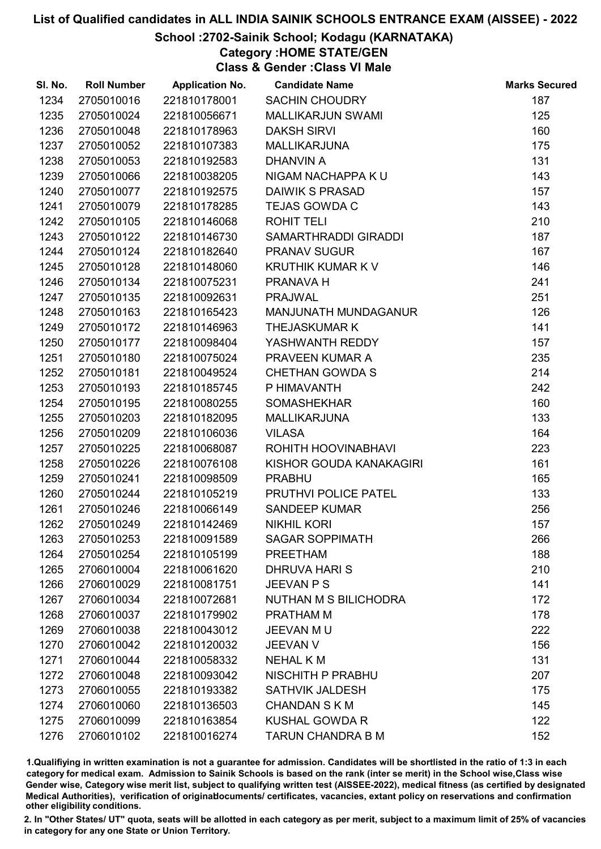### School :2702-Sainik School; Kodagu (KARNATAKA)

Category :HOME STATE/GEN

Class & Gender :Class VI Male

| SI. No. | <b>Roll Number</b> | <b>Application No.</b> | <b>Candidate Name</b>       | <b>Marks Secured</b> |
|---------|--------------------|------------------------|-----------------------------|----------------------|
| 1234    | 2705010016         | 221810178001           | <b>SACHIN CHOUDRY</b>       | 187                  |
| 1235    | 2705010024         | 221810056671           | <b>MALLIKARJUN SWAMI</b>    | 125                  |
| 1236    | 2705010048         | 221810178963           | <b>DAKSH SIRVI</b>          | 160                  |
| 1237    | 2705010052         | 221810107383           | <b>MALLIKARJUNA</b>         | 175                  |
| 1238    | 2705010053         | 221810192583           | <b>DHANVIN A</b>            | 131                  |
| 1239    | 2705010066         | 221810038205           | NIGAM NACHAPPA KU           | 143                  |
| 1240    | 2705010077         | 221810192575           | <b>DAIWIK S PRASAD</b>      | 157                  |
| 1241    | 2705010079         | 221810178285           | <b>TEJAS GOWDA C</b>        | 143                  |
| 1242    | 2705010105         | 221810146068           | ROHIT TELI                  | 210                  |
| 1243    | 2705010122         | 221810146730           | SAMARTHRADDI GIRADDI        | 187                  |
| 1244    | 2705010124         | 221810182640           | <b>PRANAV SUGUR</b>         | 167                  |
| 1245    | 2705010128         | 221810148060           | <b>KRUTHIK KUMAR K V</b>    | 146                  |
| 1246    | 2705010134         | 221810075231           | PRANAVA H                   | 241                  |
| 1247    | 2705010135         | 221810092631           | <b>PRAJWAL</b>              | 251                  |
| 1248    | 2705010163         | 221810165423           | <b>MANJUNATH MUNDAGANUR</b> | 126                  |
| 1249    | 2705010172         | 221810146963           | <b>THEJASKUMARK</b>         | 141                  |
| 1250    | 2705010177         | 221810098404           | YASHWANTH REDDY             | 157                  |
| 1251    | 2705010180         | 221810075024           | PRAVEEN KUMAR A             | 235                  |
| 1252    | 2705010181         | 221810049524           | <b>CHETHAN GOWDA S</b>      | 214                  |
| 1253    | 2705010193         | 221810185745           | P HIMAVANTH                 | 242                  |
| 1254    | 2705010195         | 221810080255           | <b>SOMASHEKHAR</b>          | 160                  |
| 1255    | 2705010203         | 221810182095           | <b>MALLIKARJUNA</b>         | 133                  |
| 1256    | 2705010209         | 221810106036           | <b>VILASA</b>               | 164                  |
| 1257    | 2705010225         | 221810068087           | ROHITH HOOVINABHAVI         | 223                  |
| 1258    | 2705010226         | 221810076108           | KISHOR GOUDA KANAKAGIRI     | 161                  |
| 1259    | 2705010241         | 221810098509           | <b>PRABHU</b>               | 165                  |
| 1260    | 2705010244         | 221810105219           | PRUTHVI POLICE PATEL        | 133                  |
| 1261    | 2705010246         | 221810066149           | <b>SANDEEP KUMAR</b>        | 256                  |
| 1262    | 2705010249         | 221810142469           | <b>NIKHIL KORI</b>          | 157                  |
| 1263    | 2705010253         | 221810091589           | <b>SAGAR SOPPIMATH</b>      | 266                  |
| 1264    | 2705010254         | 221810105199           | <b>PREETHAM</b>             | 188                  |
| 1265    | 2706010004         | 221810061620           | DHRUVA HARI S               | 210                  |
| 1266    | 2706010029         | 221810081751           | <b>JEEVAN P S</b>           | 141                  |
| 1267    | 2706010034         | 221810072681           | NUTHAN M S BILICHODRA       | 172                  |
| 1268    | 2706010037         | 221810179902           | PRATHAM M                   | 178                  |
| 1269    | 2706010038         | 221810043012           | JEEVAN MU                   | 222                  |
| 1270    | 2706010042         | 221810120032           | <b>JEEVAN V</b>             | 156                  |
| 1271    | 2706010044         | 221810058332           | <b>NEHAL KM</b>             | 131                  |
| 1272    | 2706010048         | 221810093042           | NISCHITH P PRABHU           | 207                  |
| 1273    | 2706010055         | 221810193382           | <b>SATHVIK JALDESH</b>      | 175                  |
| 1274    | 2706010060         | 221810136503           | <b>CHANDAN S K M</b>        | 145                  |
| 1275    | 2706010099         | 221810163854           | <b>KUSHAL GOWDA R</b>       | 122                  |
| 1276    | 2706010102         | 221810016274           | <b>TARUN CHANDRA B M</b>    | 152                  |

1.Qualifiying in written examination is not a guarantee for admission. Candidates will be shortlisted in the ratio of 1:3 in each category for medical exam. Admission to Sainik Schools is based on the rank (inter se merit) in the School wise,Class wise Gender wise, Category wise merit list, subject to qualifying written test (AISSEE-2022), medical fitness (as certified by designated Medical Authorities), verification of originablocuments/ certificates, vacancies, extant policy on reservations and confirmation other eligibility conditions.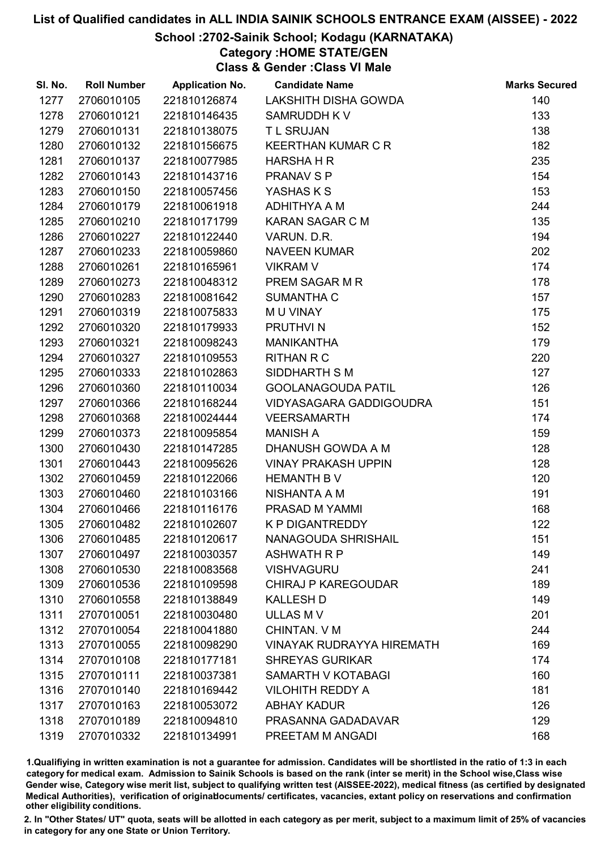### School :2702-Sainik School; Kodagu (KARNATAKA)

Category :HOME STATE/GEN

Class & Gender :Class VI Male

| SI. No. | <b>Roll Number</b> | <b>Application No.</b> | <b>Candidate Name</b>            | <b>Marks Secured</b> |
|---------|--------------------|------------------------|----------------------------------|----------------------|
| 1277    | 2706010105         | 221810126874           | <b>LAKSHITH DISHA GOWDA</b>      | 140                  |
| 1278    | 2706010121         | 221810146435           | SAMRUDDH K V                     | 133                  |
| 1279    | 2706010131         | 221810138075           | <b>TL SRUJAN</b>                 | 138                  |
| 1280    | 2706010132         | 221810156675           | <b>KEERTHAN KUMAR C R</b>        | 182                  |
| 1281    | 2706010137         | 221810077985           | <b>HARSHA H R</b>                | 235                  |
| 1282    | 2706010143         | 221810143716           | <b>PRANAV S P</b>                | 154                  |
| 1283    | 2706010150         | 221810057456           | YASHAS K S                       | 153                  |
| 1284    | 2706010179         | 221810061918           | ADHITHYA A M                     | 244                  |
| 1285    | 2706010210         | 221810171799           | <b>KARAN SAGAR C M</b>           | 135                  |
| 1286    | 2706010227         | 221810122440           | VARUN. D.R.                      | 194                  |
| 1287    | 2706010233         | 221810059860           | <b>NAVEEN KUMAR</b>              | 202                  |
| 1288    | 2706010261         | 221810165961           | <b>VIKRAM V</b>                  | 174                  |
| 1289    | 2706010273         | 221810048312           | PREM SAGAR M R                   | 178                  |
| 1290    | 2706010283         | 221810081642           | <b>SUMANTHA C</b>                | 157                  |
| 1291    | 2706010319         | 221810075833           | M U VINAY                        | 175                  |
| 1292    | 2706010320         | 221810179933           | PRUTHVI N                        | 152                  |
| 1293    | 2706010321         | 221810098243           | <b>MANIKANTHA</b>                | 179                  |
| 1294    | 2706010327         | 221810109553           | <b>RITHAN R C</b>                | 220                  |
| 1295    | 2706010333         | 221810102863           | SIDDHARTH S M                    | 127                  |
| 1296    | 2706010360         | 221810110034           | <b>GOOLANAGOUDA PATIL</b>        | 126                  |
| 1297    | 2706010366         | 221810168244           | VIDYASAGARA GADDIGOUDRA          | 151                  |
| 1298    | 2706010368         | 221810024444           | <b>VEERSAMARTH</b>               | 174                  |
| 1299    | 2706010373         | 221810095854           | <b>MANISH A</b>                  | 159                  |
| 1300    | 2706010430         | 221810147285           | DHANUSH GOWDA A M                | 128                  |
| 1301    | 2706010443         | 221810095626           | <b>VINAY PRAKASH UPPIN</b>       | 128                  |
| 1302    | 2706010459         | 221810122066           | <b>HEMANTH B V</b>               | 120                  |
| 1303    | 2706010460         | 221810103166           | NISHANTA A M                     | 191                  |
| 1304    | 2706010466         | 221810116176           | PRASAD M YAMMI                   | 168                  |
| 1305    | 2706010482         | 221810102607           | <b>K P DIGANTREDDY</b>           | 122                  |
| 1306    | 2706010485         | 221810120617           | NANAGOUDA SHRISHAIL              | 151                  |
| 1307    | 2706010497         | 221810030357           | <b>ASHWATH R P</b>               | 149                  |
| 1308    | 2706010530         | 221810083568           | <b>VISHVAGURU</b>                | 241                  |
| 1309    | 2706010536         | 221810109598           | <b>CHIRAJ P KAREGOUDAR</b>       | 189                  |
| 1310    | 2706010558         | 221810138849           | <b>KALLESH D</b>                 | 149                  |
| 1311    | 2707010051         | 221810030480           | <b>ULLAS M V</b>                 | 201                  |
| 1312    | 2707010054         | 221810041880           | CHINTAN. V M                     | 244                  |
| 1313    | 2707010055         | 221810098290           | <b>VINAYAK RUDRAYYA HIREMATH</b> | 169                  |
| 1314    | 2707010108         | 221810177181           | <b>SHREYAS GURIKAR</b>           | 174                  |
| 1315    | 2707010111         | 221810037381           | SAMARTH V KOTABAGI               | 160                  |
| 1316    | 2707010140         | 221810169442           | <b>VILOHITH REDDY A</b>          | 181                  |
| 1317    | 2707010163         | 221810053072           | <b>ABHAY KADUR</b>               | 126                  |
| 1318    | 2707010189         | 221810094810           | PRASANNA GADADAVAR               | 129                  |
| 1319    | 2707010332         | 221810134991           | PREETAM M ANGADI                 | 168                  |

1.Qualifiying in written examination is not a guarantee for admission. Candidates will be shortlisted in the ratio of 1:3 in each category for medical exam. Admission to Sainik Schools is based on the rank (inter se merit) in the School wise,Class wise Gender wise, Category wise merit list, subject to qualifying written test (AISSEE-2022), medical fitness (as certified by designated Medical Authorities), verification of originablocuments/ certificates, vacancies, extant policy on reservations and confirmation other eligibility conditions.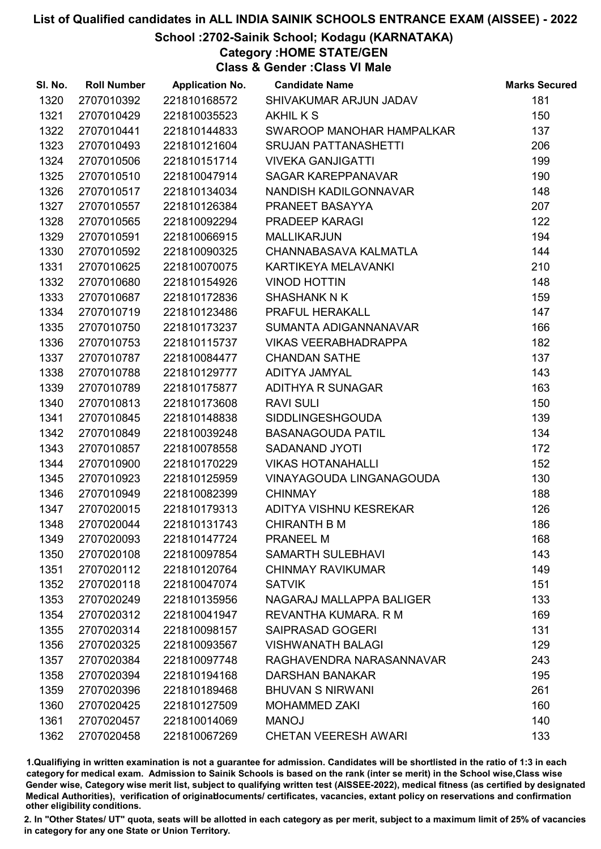### School :2702-Sainik School; Kodagu (KARNATAKA)

Category :HOME STATE/GEN

Class & Gender :Class VI Male

| SI. No. | <b>Roll Number</b> | <b>Application No.</b> | <b>Candidate Name</b>           | <b>Marks Secured</b> |
|---------|--------------------|------------------------|---------------------------------|----------------------|
| 1320    | 2707010392         | 221810168572           | SHIVAKUMAR ARJUN JADAV          | 181                  |
| 1321    | 2707010429         | 221810035523           | <b>AKHILKS</b>                  | 150                  |
| 1322    | 2707010441         | 221810144833           | SWAROOP MANOHAR HAMPALKAR       | 137                  |
| 1323    | 2707010493         | 221810121604           | <b>SRUJAN PATTANASHETTI</b>     | 206                  |
| 1324    | 2707010506         | 221810151714           | <b>VIVEKA GANJIGATTI</b>        | 199                  |
| 1325    | 2707010510         | 221810047914           | <b>SAGAR KAREPPANAVAR</b>       | 190                  |
| 1326    | 2707010517         | 221810134034           | NANDISH KADILGONNAVAR           | 148                  |
| 1327    | 2707010557         | 221810126384           | PRANEET BASAYYA                 | 207                  |
| 1328    | 2707010565         | 221810092294           | PRADEEP KARAGI                  | 122                  |
| 1329    | 2707010591         | 221810066915           | <b>MALLIKARJUN</b>              | 194                  |
| 1330    | 2707010592         | 221810090325           | CHANNABASAVA KALMATLA           | 144                  |
| 1331    | 2707010625         | 221810070075           | KARTIKEYA MELAVANKI             | 210                  |
| 1332    | 2707010680         | 221810154926           | <b>VINOD HOTTIN</b>             | 148                  |
| 1333    | 2707010687         | 221810172836           | <b>SHASHANK N K</b>             | 159                  |
| 1334    | 2707010719         | 221810123486           | PRAFUL HERAKALL                 | 147                  |
| 1335    | 2707010750         | 221810173237           | SUMANTA ADIGANNANAVAR           | 166                  |
| 1336    | 2707010753         | 221810115737           | <b>VIKAS VEERABHADRAPPA</b>     | 182                  |
| 1337    | 2707010787         | 221810084477           | <b>CHANDAN SATHE</b>            | 137                  |
| 1338    | 2707010788         | 221810129777           | ADITYA JAMYAL                   | 143                  |
| 1339    | 2707010789         | 221810175877           | ADITHYA R SUNAGAR               | 163                  |
| 1340    | 2707010813         | 221810173608           | <b>RAVI SULI</b>                | 150                  |
| 1341    | 2707010845         | 221810148838           | <b>SIDDLINGESHGOUDA</b>         | 139                  |
| 1342    | 2707010849         | 221810039248           | <b>BASANAGOUDA PATIL</b>        | 134                  |
| 1343    | 2707010857         | 221810078558           | <b>SADANAND JYOTI</b>           | 172                  |
| 1344    | 2707010900         | 221810170229           | <b>VIKAS HOTANAHALLI</b>        | 152                  |
| 1345    | 2707010923         | 221810125959           | <b>VINAYAGOUDA LINGANAGOUDA</b> | 130                  |
| 1346    | 2707010949         | 221810082399           | <b>CHINMAY</b>                  | 188                  |
| 1347    | 2707020015         | 221810179313           | ADITYA VISHNU KESREKAR          | 126                  |
| 1348    | 2707020044         | 221810131743           | <b>CHIRANTH B M</b>             | 186                  |
| 1349    | 2707020093         | 221810147724           | <b>PRANEEL M</b>                | 168                  |
| 1350    | 2707020108         | 221810097854           | <b>SAMARTH SULEBHAVI</b>        | 143                  |
| 1351    | 2707020112         | 221810120764           | <b>CHINMAY RAVIKUMAR</b>        | 149                  |
| 1352    | 2707020118         | 221810047074           | <b>SATVIK</b>                   | 151                  |
| 1353    | 2707020249         | 221810135956           | NAGARAJ MALLAPPA BALIGER        | 133                  |
| 1354    | 2707020312         | 221810041947           | REVANTHA KUMARA, R M            | 169                  |
| 1355    | 2707020314         | 221810098157           | <b>SAIPRASAD GOGERI</b>         | 131                  |
| 1356    | 2707020325         | 221810093567           | <b>VISHWANATH BALAGI</b>        | 129                  |
| 1357    | 2707020384         | 221810097748           | RAGHAVENDRA NARASANNAVAR        | 243                  |
| 1358    | 2707020394         | 221810194168           | <b>DARSHAN BANAKAR</b>          | 195                  |
| 1359    | 2707020396         | 221810189468           | <b>BHUVAN S NIRWANI</b>         | 261                  |
| 1360    | 2707020425         | 221810127509           | <b>MOHAMMED ZAKI</b>            | 160                  |
| 1361    | 2707020457         | 221810014069           | <b>MANOJ</b>                    | 140                  |
| 1362    | 2707020458         | 221810067269           | <b>CHETAN VEERESH AWARI</b>     | 133                  |

1.Qualifiying in written examination is not a guarantee for admission. Candidates will be shortlisted in the ratio of 1:3 in each category for medical exam. Admission to Sainik Schools is based on the rank (inter se merit) in the School wise,Class wise Gender wise, Category wise merit list, subject to qualifying written test (AISSEE-2022), medical fitness (as certified by designated Medical Authorities), verification of originablocuments/ certificates, vacancies, extant policy on reservations and confirmation other eligibility conditions.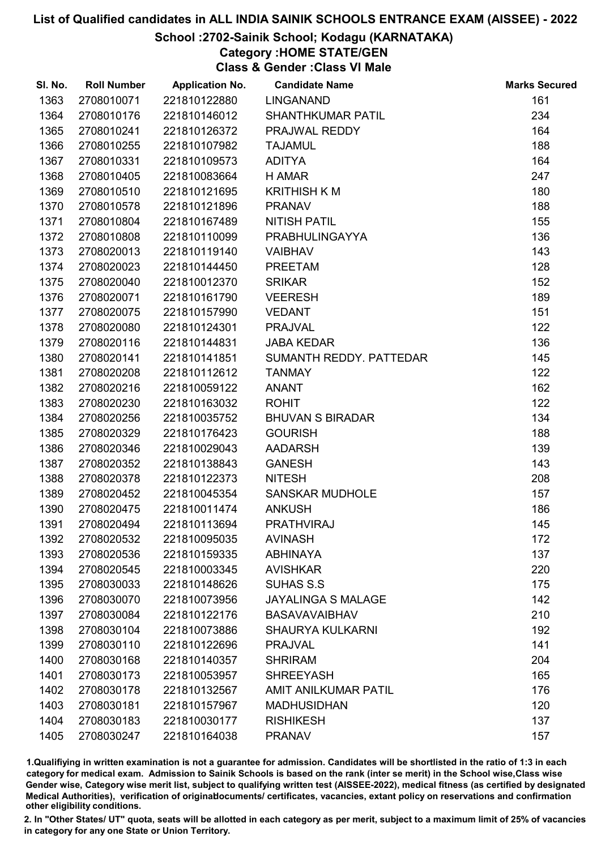### School :2702-Sainik School; Kodagu (KARNATAKA)

Category :HOME STATE/GEN

Class & Gender :Class VI Male

| SI. No. | <b>Roll Number</b> | <b>Application No.</b> | <b>Candidate Name</b>       | <b>Marks Secured</b> |
|---------|--------------------|------------------------|-----------------------------|----------------------|
| 1363    | 2708010071         | 221810122880           | <b>LINGANAND</b>            | 161                  |
| 1364    | 2708010176         | 221810146012           | <b>SHANTHKUMAR PATIL</b>    | 234                  |
| 1365    | 2708010241         | 221810126372           | PRAJWAL REDDY               | 164                  |
| 1366    | 2708010255         | 221810107982           | <b>TAJAMUL</b>              | 188                  |
| 1367    | 2708010331         | 221810109573           | <b>ADITYA</b>               | 164                  |
| 1368    | 2708010405         | 221810083664           | H AMAR                      | 247                  |
| 1369    | 2708010510         | 221810121695           | <b>KRITHISH K M</b>         | 180                  |
| 1370    | 2708010578         | 221810121896           | <b>PRANAV</b>               | 188                  |
| 1371    | 2708010804         | 221810167489           | <b>NITISH PATIL</b>         | 155                  |
| 1372    | 2708010808         | 221810110099           | <b>PRABHULINGAYYA</b>       | 136                  |
| 1373    | 2708020013         | 221810119140           | <b>VAIBHAV</b>              | 143                  |
| 1374    | 2708020023         | 221810144450           | <b>PREETAM</b>              | 128                  |
| 1375    | 2708020040         | 221810012370           | <b>SRIKAR</b>               | 152                  |
| 1376    | 2708020071         | 221810161790           | <b>VEERESH</b>              | 189                  |
| 1377    | 2708020075         | 221810157990           | <b>VEDANT</b>               | 151                  |
| 1378    | 2708020080         | 221810124301           | <b>PRAJVAL</b>              | 122                  |
| 1379    | 2708020116         | 221810144831           | <b>JABA KEDAR</b>           | 136                  |
| 1380    | 2708020141         | 221810141851           | SUMANTH REDDY. PATTEDAR     | 145                  |
| 1381    | 2708020208         | 221810112612           | <b>TANMAY</b>               | 122                  |
| 1382    | 2708020216         | 221810059122           | <b>ANANT</b>                | 162                  |
| 1383    | 2708020230         | 221810163032           | <b>ROHIT</b>                | 122                  |
| 1384    | 2708020256         | 221810035752           | <b>BHUVAN S BIRADAR</b>     | 134                  |
| 1385    | 2708020329         | 221810176423           | <b>GOURISH</b>              | 188                  |
| 1386    | 2708020346         | 221810029043           | <b>AADARSH</b>              | 139                  |
| 1387    | 2708020352         | 221810138843           | <b>GANESH</b>               | 143                  |
| 1388    | 2708020378         | 221810122373           | <b>NITESH</b>               | 208                  |
| 1389    | 2708020452         | 221810045354           | <b>SANSKAR MUDHOLE</b>      | 157                  |
| 1390    | 2708020475         | 221810011474           | <b>ANKUSH</b>               | 186                  |
| 1391    | 2708020494         | 221810113694           | <b>PRATHVIRAJ</b>           | 145                  |
| 1392    | 2708020532         | 221810095035           | <b>AVINASH</b>              | 172                  |
| 1393    | 2708020536         | 221810159335           | <b>ABHINAYA</b>             | 137                  |
| 1394    | 2708020545         | 221810003345           | <b>AVISHKAR</b>             | 220                  |
| 1395    | 2708030033         | 221810148626           | <b>SUHAS S.S</b>            | 175                  |
| 1396    | 2708030070         | 221810073956           | <b>JAYALINGA S MALAGE</b>   | 142                  |
| 1397    | 2708030084         | 221810122176           | <b>BASAVAVAIBHAV</b>        | 210                  |
| 1398    | 2708030104         | 221810073886           | <b>SHAURYA KULKARNI</b>     | 192                  |
| 1399    | 2708030110         | 221810122696           | <b>PRAJVAL</b>              | 141                  |
| 1400    | 2708030168         | 221810140357           | <b>SHRIRAM</b>              | 204                  |
| 1401    | 2708030173         | 221810053957           | <b>SHREEYASH</b>            | 165                  |
| 1402    | 2708030178         | 221810132567           | <b>AMIT ANILKUMAR PATIL</b> | 176                  |
| 1403    | 2708030181         | 221810157967           | <b>MADHUSIDHAN</b>          | 120                  |
| 1404    | 2708030183         | 221810030177           | <b>RISHIKESH</b>            | 137                  |
| 1405    | 2708030247         | 221810164038           | <b>PRANAV</b>               | 157                  |

1.Qualifiying in written examination is not a guarantee for admission. Candidates will be shortlisted in the ratio of 1:3 in each category for medical exam. Admission to Sainik Schools is based on the rank (inter se merit) in the School wise,Class wise Gender wise, Category wise merit list, subject to qualifying written test (AISSEE-2022), medical fitness (as certified by designated Medical Authorities), verification of originablocuments/ certificates, vacancies, extant policy on reservations and confirmation other eligibility conditions.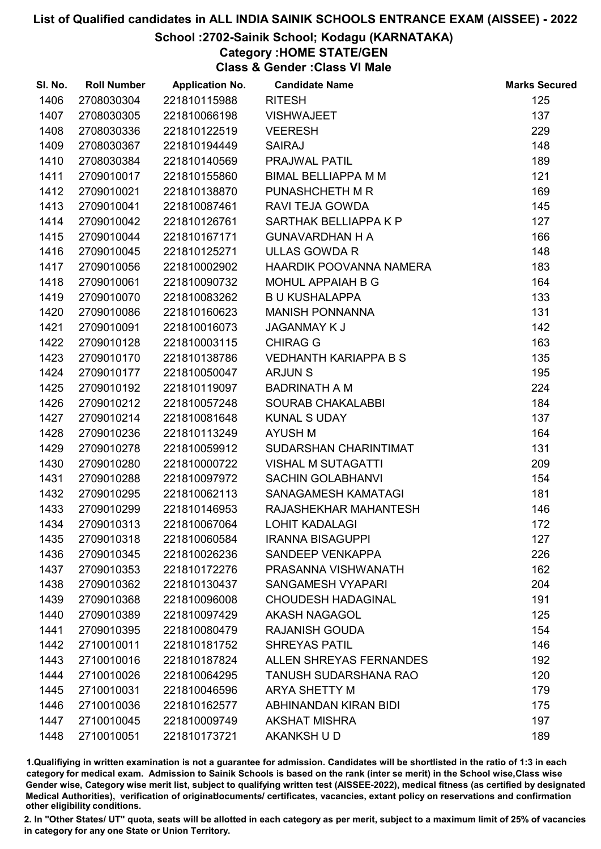### School :2702-Sainik School; Kodagu (KARNATAKA)

Category :HOME STATE/GEN

Class & Gender :Class VI Male

| SI. No. | <b>Roll Number</b> | <b>Application No.</b> | <b>Candidate Name</b>          | <b>Marks Secured</b> |
|---------|--------------------|------------------------|--------------------------------|----------------------|
| 1406    | 2708030304         | 221810115988           | <b>RITESH</b>                  | 125                  |
| 1407    | 2708030305         | 221810066198           | <b>VISHWAJEET</b>              | 137                  |
| 1408    | 2708030336         | 221810122519           | <b>VEERESH</b>                 | 229                  |
| 1409    | 2708030367         | 221810194449           | <b>SAIRAJ</b>                  | 148                  |
| 1410    | 2708030384         | 221810140569           | PRAJWAL PATIL                  | 189                  |
| 1411    | 2709010017         | 221810155860           | <b>BIMAL BELLIAPPA M M</b>     | 121                  |
| 1412    | 2709010021         | 221810138870           | PUNASHCHETH M R                | 169                  |
| 1413    | 2709010041         | 221810087461           | RAVI TEJA GOWDA                | 145                  |
| 1414    | 2709010042         | 221810126761           | SARTHAK BELLIAPPA K P          | 127                  |
| 1415    | 2709010044         | 221810167171           | <b>GUNAVARDHAN H A</b>         | 166                  |
| 1416    | 2709010045         | 221810125271           | <b>ULLAS GOWDA R</b>           | 148                  |
| 1417    | 2709010056         | 221810002902           | HAARDIK POOVANNA NAMERA        | 183                  |
| 1418    | 2709010061         | 221810090732           | MOHUL APPAIAH B G              | 164                  |
| 1419    | 2709010070         | 221810083262           | <b>B U KUSHALAPPA</b>          | 133                  |
| 1420    | 2709010086         | 221810160623           | <b>MANISH PONNANNA</b>         | 131                  |
| 1421    | 2709010091         | 221810016073           | <b>JAGANMAY K J</b>            | 142                  |
| 1422    | 2709010128         | 221810003115           | <b>CHIRAG G</b>                | 163                  |
| 1423    | 2709010170         | 221810138786           | <b>VEDHANTH KARIAPPA B S</b>   | 135                  |
| 1424    | 2709010177         | 221810050047           | <b>ARJUNS</b>                  | 195                  |
| 1425    | 2709010192         | 221810119097           | <b>BADRINATH A M</b>           | 224                  |
| 1426    | 2709010212         | 221810057248           | SOURAB CHAKALABBI              | 184                  |
| 1427    | 2709010214         | 221810081648           | <b>KUNAL S UDAY</b>            | 137                  |
| 1428    | 2709010236         | 221810113249           | <b>AYUSH M</b>                 | 164                  |
| 1429    | 2709010278         | 221810059912           | SUDARSHAN CHARINTIMAT          | 131                  |
| 1430    | 2709010280         | 221810000722           | <b>VISHAL M SUTAGATTI</b>      | 209                  |
| 1431    | 2709010288         | 221810097972           | <b>SACHIN GOLABHANVI</b>       | 154                  |
| 1432    | 2709010295         | 221810062113           | SANAGAMESH KAMATAGI            | 181                  |
| 1433    | 2709010299         | 221810146953           | RAJASHEKHAR MAHANTESH          | 146                  |
| 1434    | 2709010313         | 221810067064           | <b>LOHIT KADALAGI</b>          | 172                  |
| 1435    | 2709010318         | 221810060584           | <b>IRANNA BISAGUPPI</b>        | 127                  |
| 1436    | 2709010345         | 221810026236           | SANDEEP VENKAPPA               | 226                  |
| 1437    | 2709010353         | 221810172276           | PRASANNA VISHWANATH            | 162                  |
| 1438    | 2709010362         | 221810130437           | <b>SANGAMESH VYAPARI</b>       | 204                  |
| 1439    | 2709010368         | 221810096008           | <b>CHOUDESH HADAGINAL</b>      | 191                  |
| 1440    | 2709010389         | 221810097429           | <b>AKASH NAGAGOL</b>           | 125                  |
| 1441    | 2709010395         | 221810080479           | <b>RAJANISH GOUDA</b>          | 154                  |
| 1442    | 2710010011         | 221810181752           | <b>SHREYAS PATIL</b>           | 146                  |
| 1443    | 2710010016         | 221810187824           | <b>ALLEN SHREYAS FERNANDES</b> | 192                  |
| 1444    | 2710010026         | 221810064295           | <b>TANUSH SUDARSHANA RAO</b>   | 120                  |
| 1445    | 2710010031         | 221810046596           | <b>ARYA SHETTY M</b>           | 179                  |
| 1446    | 2710010036         | 221810162577           | ABHINANDAN KIRAN BIDI          | 175                  |
| 1447    | 2710010045         | 221810009749           | <b>AKSHAT MISHRA</b>           | 197                  |
| 1448    | 2710010051         | 221810173721           | AKANKSH U D                    | 189                  |

1.Qualifiying in written examination is not a guarantee for admission. Candidates will be shortlisted in the ratio of 1:3 in each category for medical exam. Admission to Sainik Schools is based on the rank (inter se merit) in the School wise,Class wise Gender wise, Category wise merit list, subject to qualifying written test (AISSEE-2022), medical fitness (as certified by designated Medical Authorities), verification of originablocuments/ certificates, vacancies, extant policy on reservations and confirmation other eligibility conditions.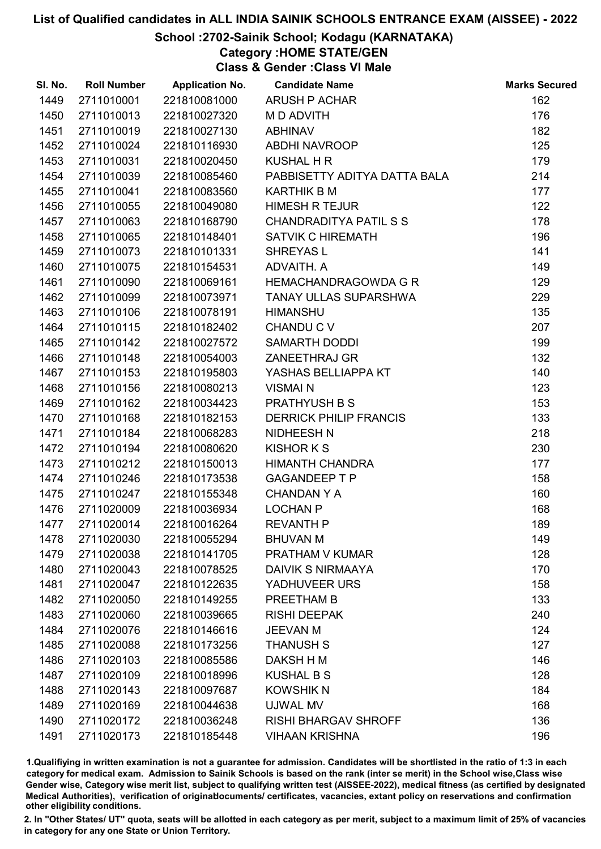### School :2702-Sainik School; Kodagu (KARNATAKA)

Category :HOME STATE/GEN

Class & Gender :Class VI Male

| SI. No. | <b>Roll Number</b> | <b>Application No.</b> | <b>Candidate Name</b>         | <b>Marks Secured</b> |
|---------|--------------------|------------------------|-------------------------------|----------------------|
| 1449    | 2711010001         | 221810081000           | ARUSH P ACHAR                 | 162                  |
| 1450    | 2711010013         | 221810027320           | M D ADVITH                    | 176                  |
| 1451    | 2711010019         | 221810027130           | <b>ABHINAV</b>                | 182                  |
| 1452    | 2711010024         | 221810116930           | <b>ABDHI NAVROOP</b>          | 125                  |
| 1453    | 2711010031         | 221810020450           | <b>KUSHAL H R</b>             | 179                  |
| 1454    | 2711010039         | 221810085460           | PABBISETTY ADITYA DATTA BALA  | 214                  |
| 1455    | 2711010041         | 221810083560           | <b>KARTHIK B M</b>            | 177                  |
| 1456    | 2711010055         | 221810049080           | <b>HIMESH R TEJUR</b>         | 122                  |
| 1457    | 2711010063         | 221810168790           | CHANDRADITYA PATIL S S        | 178                  |
| 1458    | 2711010065         | 221810148401           | <b>SATVIK C HIREMATH</b>      | 196                  |
| 1459    | 2711010073         | 221810101331           | SHREYAS L                     | 141                  |
| 1460    | 2711010075         | 221810154531           | ADVAITH. A                    | 149                  |
| 1461    | 2711010090         | 221810069161           | HEMACHANDRAGOWDA G R          | 129                  |
| 1462    | 2711010099         | 221810073971           | TANAY ULLAS SUPARSHWA         | 229                  |
| 1463    | 2711010106         | 221810078191           | <b>HIMANSHU</b>               | 135                  |
| 1464    | 2711010115         | 221810182402           | CHANDU C V                    | 207                  |
| 1465    | 2711010142         | 221810027572           | SAMARTH DODDI                 | 199                  |
| 1466    | 2711010148         | 221810054003           | <b>ZANEETHRAJ GR</b>          | 132                  |
| 1467    | 2711010153         | 221810195803           | YASHAS BELLIAPPA KT           | 140                  |
| 1468    | 2711010156         | 221810080213           | <b>VISMAI N</b>               | 123                  |
| 1469    | 2711010162         | 221810034423           | <b>PRATHYUSH B S</b>          | 153                  |
| 1470    | 2711010168         | 221810182153           | <b>DERRICK PHILIP FRANCIS</b> | 133                  |
| 1471    | 2711010184         | 221810068283           | NIDHEESH N                    | 218                  |
| 1472    | 2711010194         | 221810080620           | <b>KISHOR K S</b>             | 230                  |
| 1473    | 2711010212         | 221810150013           | HIMANTH CHANDRA               | 177                  |
| 1474    | 2711010246         | 221810173538           | <b>GAGANDEEP T P</b>          | 158                  |
| 1475    | 2711010247         | 221810155348           | <b>CHANDAN Y A</b>            | 160                  |
| 1476    | 2711020009         | 221810036934           | <b>LOCHAN P</b>               | 168                  |
| 1477    | 2711020014         | 221810016264           | <b>REVANTH P</b>              | 189                  |
| 1478    | 2711020030         | 221810055294           | <b>BHUVAN M</b>               | 149                  |
| 1479    | 2711020038         | 221810141705           | <b>PRATHAM V KUMAR</b>        | 128                  |
| 1480    | 2711020043         | 221810078525           | <b>DAIVIK S NIRMAAYA</b>      | 170                  |
| 1481    | 2711020047         | 221810122635           | YADHUVEER URS                 | 158                  |
| 1482    | 2711020050         | 221810149255           | PREETHAM B                    | 133                  |
| 1483    | 2711020060         | 221810039665           | <b>RISHI DEEPAK</b>           | 240                  |
| 1484    | 2711020076         | 221810146616           | <b>JEEVAN M</b>               | 124                  |
| 1485    | 2711020088         | 221810173256           | <b>THANUSH S</b>              | 127                  |
| 1486    | 2711020103         | 221810085586           | DAKSH H M                     | 146                  |
| 1487    | 2711020109         | 221810018996           | <b>KUSHAL B S</b>             | 128                  |
| 1488    | 2711020143         | 221810097687           | <b>KOWSHIK N</b>              | 184                  |
| 1489    | 2711020169         | 221810044638           | UJWAL MV                      | 168                  |
| 1490    | 2711020172         | 221810036248           | <b>RISHI BHARGAV SHROFF</b>   | 136                  |
| 1491    | 2711020173         | 221810185448           | <b>VIHAAN KRISHNA</b>         | 196                  |

1.Qualifiying in written examination is not a guarantee for admission. Candidates will be shortlisted in the ratio of 1:3 in each category for medical exam. Admission to Sainik Schools is based on the rank (inter se merit) in the School wise,Class wise Gender wise, Category wise merit list, subject to qualifying written test (AISSEE-2022), medical fitness (as certified by designated Medical Authorities), verification of originablocuments/ certificates, vacancies, extant policy on reservations and confirmation other eligibility conditions.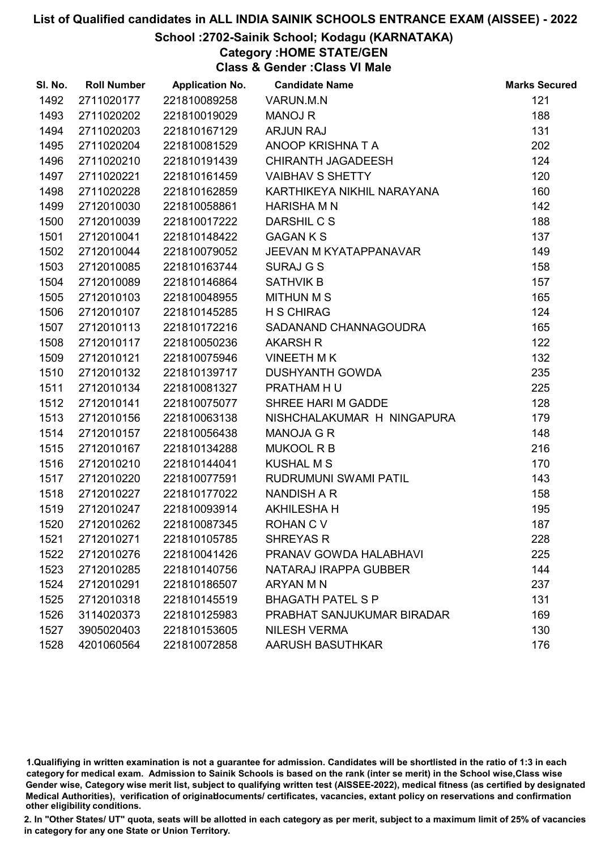#### School :2702-Sainik School; Kodagu (KARNATAKA)

Category :HOME STATE/GEN

Class & Gender :Class VI Male

| SI. No. | <b>Roll Number</b> | <b>Application No.</b> | <b>Candidate Name</b>      | <b>Marks Secured</b> |
|---------|--------------------|------------------------|----------------------------|----------------------|
| 1492    | 2711020177         | 221810089258           | VARUN.M.N                  | 121                  |
| 1493    | 2711020202         | 221810019029           | <b>MANOJ R</b>             | 188                  |
| 1494    | 2711020203         | 221810167129           | <b>ARJUN RAJ</b>           | 131                  |
| 1495    | 2711020204         | 221810081529           | ANOOP KRISHNA T A          | 202                  |
| 1496    | 2711020210         | 221810191439           | <b>CHIRANTH JAGADEESH</b>  | 124                  |
| 1497    | 2711020221         | 221810161459           | <b>VAIBHAV S SHETTY</b>    | 120                  |
| 1498    | 2711020228         | 221810162859           | KARTHIKEYA NIKHIL NARAYANA | 160                  |
| 1499    | 2712010030         | 221810058861           | <b>HARISHA M N</b>         | 142                  |
| 1500    | 2712010039         | 221810017222           | DARSHIL C S                | 188                  |
| 1501    | 2712010041         | 221810148422           | <b>GAGAN K S</b>           | 137                  |
| 1502    | 2712010044         | 221810079052           | JEEVAN M KYATAPPANAVAR     | 149                  |
| 1503    | 2712010085         | 221810163744           | <b>SURAJ G S</b>           | 158                  |
| 1504    | 2712010089         | 221810146864           | <b>SATHVIK B</b>           | 157                  |
| 1505    | 2712010103         | 221810048955           | <b>MITHUN M S</b>          | 165                  |
| 1506    | 2712010107         | 221810145285           | <b>H S CHIRAG</b>          | 124                  |
| 1507    | 2712010113         | 221810172216           | SADANAND CHANNAGOUDRA      | 165                  |
| 1508    | 2712010117         | 221810050236           | <b>AKARSH R</b>            | 122                  |
| 1509    | 2712010121         | 221810075946           | <b>VINEETH MK</b>          | 132                  |
| 1510    | 2712010132         | 221810139717           | <b>DUSHYANTH GOWDA</b>     | 235                  |
| 1511    | 2712010134         | 221810081327           | PRATHAM HU                 | 225                  |
| 1512    | 2712010141         | 221810075077           | SHREE HARI M GADDE         | 128                  |
| 1513    | 2712010156         | 221810063138           | NISHCHALAKUMAR H NINGAPURA | 179                  |
| 1514    | 2712010157         | 221810056438           | <b>MANOJA G R</b>          | 148                  |
| 1515    | 2712010167         | 221810134288           | <b>MUKOOL R B</b>          | 216                  |
| 1516    | 2712010210         | 221810144041           | <b>KUSHAL M S</b>          | 170                  |
| 1517    | 2712010220         | 221810077591           | RUDRUMUNI SWAMI PATIL      | 143                  |
| 1518    | 2712010227         | 221810177022           | NANDISH A R                | 158                  |
| 1519    | 2712010247         | 221810093914           | <b>AKHILESHA H</b>         | 195                  |
| 1520    | 2712010262         | 221810087345           | <b>ROHAN C V</b>           | 187                  |
| 1521    | 2712010271         | 221810105785           | <b>SHREYAS R</b>           | 228                  |
| 1522    | 2712010276         | 221810041426           | PRANAV GOWDA HALABHAVI     | 225                  |
| 1523    | 2712010285         | 221810140756           | NATARAJ IRAPPA GUBBER      | 144                  |
| 1524    | 2712010291         | 221810186507           | ARYAN M N                  | 237                  |
| 1525    | 2712010318         | 221810145519           | <b>BHAGATH PATEL S P</b>   | 131                  |
| 1526    | 3114020373         | 221810125983           | PRABHAT SANJUKUMAR BIRADAR | 169                  |
| 1527    | 3905020403         | 221810153605           | <b>NILESH VERMA</b>        | 130                  |
| 1528    | 4201060564         | 221810072858           | AARUSH BASUTHKAR           | 176                  |

1.Qualifiying in written examination is not a guarantee for admission. Candidates will be shortlisted in the ratio of 1:3 in each category for medical exam. Admission to Sainik Schools is based on the rank (inter se merit) in the School wise,Class wise Gender wise, Category wise merit list, subject to qualifying written test (AISSEE-2022), medical fitness (as certified by designated Medical Authorities), verification of originablocuments/ certificates, vacancies, extant policy on reservations and confirmation other eligibility conditions.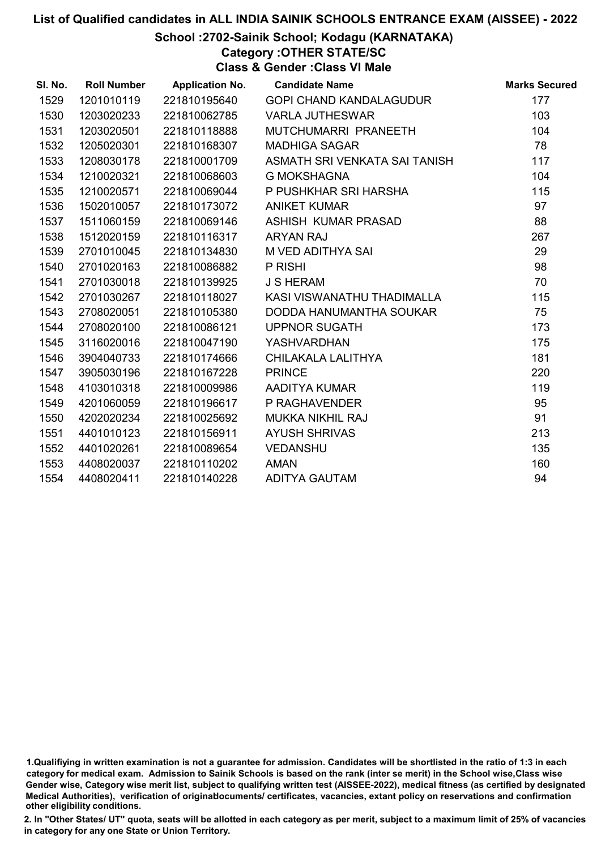### List of Qualified candidates in ALL INDIA SAINIK SCHOOLS ENTRANCE EXAM (AISSEE) - 2022 School :2702-Sainik School; Kodagu (KARNATAKA)

Category :OTHER STATE/SC

Class & Gender :Class VI Male

| SI. No. | <b>Roll Number</b> | <b>Application No.</b> | <b>Candidate Name</b>         | <b>Marks Secured</b> |
|---------|--------------------|------------------------|-------------------------------|----------------------|
| 1529    | 1201010119         | 221810195640           | GOPI CHAND KANDALAGUDUR       | 177                  |
| 1530    | 1203020233         | 221810062785           | <b>VARLA JUTHESWAR</b>        | 103                  |
| 1531    | 1203020501         | 221810118888           | MUTCHUMARRI PRANEETH          | 104                  |
| 1532    | 1205020301         | 221810168307           | <b>MADHIGA SAGAR</b>          | 78                   |
| 1533    | 1208030178         | 221810001709           | ASMATH SRI VENKATA SAI TANISH | 117                  |
| 1534    | 1210020321         | 221810068603           | <b>G MOKSHAGNA</b>            | 104                  |
| 1535    | 1210020571         | 221810069044           | P PUSHKHAR SRI HARSHA         | 115                  |
| 1536    | 1502010057         | 221810173072           | <b>ANIKET KUMAR</b>           | 97                   |
| 1537    | 1511060159         | 221810069146           | ASHISH KUMAR PRASAD           | 88                   |
| 1538    | 1512020159         | 221810116317           | ARYAN RAJ                     | 267                  |
| 1539    | 2701010045         | 221810134830           | M VED ADITHYA SAI             | 29                   |
| 1540    | 2701020163         | 221810086882           | P RISHI                       | 98                   |
| 1541    | 2701030018         | 221810139925           | <b>J S HERAM</b>              | 70                   |
| 1542    | 2701030267         | 221810118027           | KASI VISWANATHU THADIMALLA    | 115                  |
| 1543    | 2708020051         | 221810105380           | DODDA HANUMANTHA SOUKAR       | 75                   |
| 1544    | 2708020100         | 221810086121           | <b>UPPNOR SUGATH</b>          | 173                  |
| 1545    | 3116020016         | 221810047190           | <b>YASHVARDHAN</b>            | 175                  |
| 1546    | 3904040733         | 221810174666           | CHILAKALA LALITHYA            | 181                  |
| 1547    | 3905030196         | 221810167228           | <b>PRINCE</b>                 | 220                  |
| 1548    | 4103010318         | 221810009986           | AADITYA KUMAR                 | 119                  |
| 1549    | 4201060059         | 221810196617           | P RAGHAVENDER                 | 95                   |
| 1550    | 4202020234         | 221810025692           | <b>MUKKA NIKHIL RAJ</b>       | 91                   |
| 1551    | 4401010123         | 221810156911           | <b>AYUSH SHRIVAS</b>          | 213                  |
| 1552    | 4401020261         | 221810089654           | <b>VEDANSHU</b>               | 135                  |
| 1553    | 4408020037         | 221810110202           | <b>AMAN</b>                   | 160                  |
| 1554    | 4408020411         | 221810140228           | ADITYA GAUTAM                 | 94                   |

<sup>1.</sup>Qualifiying in written examination is not a guarantee for admission. Candidates will be shortlisted in the ratio of 1:3 in each category for medical exam. Admission to Sainik Schools is based on the rank (inter se merit) in the School wise,Class wise Gender wise, Category wise merit list, subject to qualifying written test (AISSEE-2022), medical fitness (as certified by designated Medical Authorities), verification of originablocuments/ certificates, vacancies, extant policy on reservations and confirmation other eligibility conditions.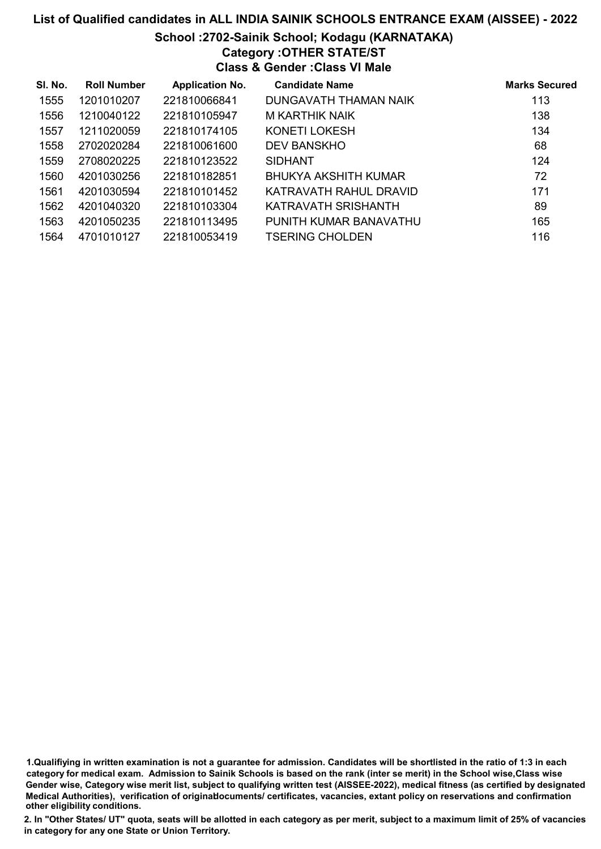# List of Qualified candidates in ALL INDIA SAINIK SCHOOLS ENTRANCE EXAM (AISSEE) - 2022 School :2702-Sainik School; Kodagu (KARNATAKA) Category :OTHER STATE/ST Class & Gender :Class VI Male

| SI. No. | <b>Roll Number</b> | <b>Application No.</b> | <b>Candidate Name</b>  | <b>Marks Secured</b> |
|---------|--------------------|------------------------|------------------------|----------------------|
| 1555    | 1201010207         | 221810066841           | DUNGAVATH THAMAN NAIK  | 113                  |
| 1556    | 1210040122         | 221810105947           | M KARTHIK NAIK         | 138                  |
| 1557    | 1211020059         | 221810174105           | KONETI LOKESH          | 134                  |
| 1558    | 2702020284         | 221810061600           | <b>DEV BANSKHO</b>     | 68                   |
| 1559    | 2708020225         | 221810123522           | <b>SIDHANT</b>         | 124                  |
| 1560    | 4201030256         | 221810182851           | BHUKYA AKSHITH KUMAR   | 72                   |
| 1561    | 4201030594         | 221810101452           | KATRAVATH RAHUL DRAVID | 171                  |
| 1562    | 4201040320         | 221810103304           | KATRAVATH SRISHANTH    | 89                   |
| 1563    | 4201050235         | 221810113495           | PUNITH KUMAR BANAVATHU | 165                  |
| 1564    | 4701010127         | 221810053419           | <b>TSERING CHOLDEN</b> | 116                  |

<sup>1.</sup>Qualifiying in written examination is not a guarantee for admission. Candidates will be shortlisted in the ratio of 1:3 in each category for medical exam. Admission to Sainik Schools is based on the rank (inter se merit) in the School wise,Class wise Gender wise, Category wise merit list, subject to qualifying written test (AISSEE-2022), medical fitness (as certified by designated Medical Authorities), verification of originablocuments/ certificates, vacancies, extant policy on reservations and confirmation other eligibility conditions.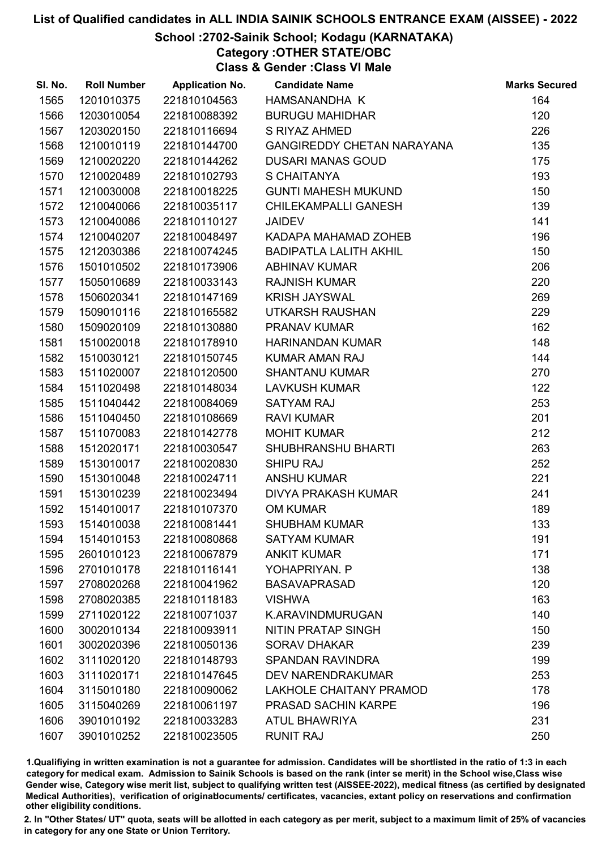### School :2702-Sainik School; Kodagu (KARNATAKA)

Category :OTHER STATE/OBC Class & Gender :Class VI Male

| 1201010375<br>HAMSANANDHA K<br>164<br>1565<br>221810104563<br>1566<br>1203010054<br>221810088392<br>120<br><b>BURUGU MAHIDHAR</b><br>1203020150<br>221810116694<br>226<br>1567<br>S RIYAZ AHMED<br>1210010119<br><b>GANGIREDDY CHETAN NARAYANA</b><br>135<br>1568<br>221810144700<br>175<br>1569<br>1210020220<br>221810144262<br><b>DUSARI MANAS GOUD</b><br>1210020489<br>221810102793<br>S CHAITANYA<br>193<br>1570<br>150<br>1571<br>1210030008<br>221810018225<br><b>GUNTI MAHESH MUKUND</b> |  |
|---------------------------------------------------------------------------------------------------------------------------------------------------------------------------------------------------------------------------------------------------------------------------------------------------------------------------------------------------------------------------------------------------------------------------------------------------------------------------------------------------|--|
|                                                                                                                                                                                                                                                                                                                                                                                                                                                                                                   |  |
|                                                                                                                                                                                                                                                                                                                                                                                                                                                                                                   |  |
|                                                                                                                                                                                                                                                                                                                                                                                                                                                                                                   |  |
|                                                                                                                                                                                                                                                                                                                                                                                                                                                                                                   |  |
|                                                                                                                                                                                                                                                                                                                                                                                                                                                                                                   |  |
|                                                                                                                                                                                                                                                                                                                                                                                                                                                                                                   |  |
|                                                                                                                                                                                                                                                                                                                                                                                                                                                                                                   |  |
| 1572<br>1210040066<br>139<br>221810035117<br><b>CHILEKAMPALLI GANESH</b>                                                                                                                                                                                                                                                                                                                                                                                                                          |  |
| 1210040086<br>141<br>1573<br>221810110127<br><b>JAIDEV</b>                                                                                                                                                                                                                                                                                                                                                                                                                                        |  |
| 196<br>1574<br>1210040207<br>221810048497<br>KADAPA MAHAMAD ZOHEB                                                                                                                                                                                                                                                                                                                                                                                                                                 |  |
| 150<br>1575<br>1212030386<br>221810074245<br><b>BADIPATLA LALITH AKHIL</b>                                                                                                                                                                                                                                                                                                                                                                                                                        |  |
| 206<br>1576<br>1501010502<br>221810173906<br><b>ABHINAV KUMAR</b>                                                                                                                                                                                                                                                                                                                                                                                                                                 |  |
| 220<br>1577<br>1505010689<br>221810033143<br><b>RAJNISH KUMAR</b>                                                                                                                                                                                                                                                                                                                                                                                                                                 |  |
| 1506020341<br>269<br>1578<br>221810147169<br><b>KRISH JAYSWAL</b>                                                                                                                                                                                                                                                                                                                                                                                                                                 |  |
| 229<br>1579<br>1509010116<br>221810165582<br>UTKARSH RAUSHAN                                                                                                                                                                                                                                                                                                                                                                                                                                      |  |
| 162<br>1509020109<br>1580<br>221810130880<br>PRANAV KUMAR                                                                                                                                                                                                                                                                                                                                                                                                                                         |  |
| 1510020018<br>148<br>1581<br>221810178910<br><b>HARINANDAN KUMAR</b>                                                                                                                                                                                                                                                                                                                                                                                                                              |  |
| 1582<br>1510030121<br>144<br>221810150745<br><b>KUMAR AMAN RAJ</b>                                                                                                                                                                                                                                                                                                                                                                                                                                |  |
| 270<br>1583<br>1511020007<br>221810120500<br><b>SHANTANU KUMAR</b>                                                                                                                                                                                                                                                                                                                                                                                                                                |  |
| 122<br>1584<br>1511020498<br>221810148034<br><b>LAVKUSH KUMAR</b>                                                                                                                                                                                                                                                                                                                                                                                                                                 |  |
| 253<br>1585<br>1511040442<br>221810084069<br><b>SATYAM RAJ</b>                                                                                                                                                                                                                                                                                                                                                                                                                                    |  |
| <b>RAVI KUMAR</b><br>201<br>1586<br>1511040450<br>221810108669                                                                                                                                                                                                                                                                                                                                                                                                                                    |  |
| 212<br>1587<br>1511070083<br>221810142778<br><b>MOHIT KUMAR</b>                                                                                                                                                                                                                                                                                                                                                                                                                                   |  |
| 263<br>1588<br>1512020171<br>221810030547<br>SHUBHRANSHU BHARTI                                                                                                                                                                                                                                                                                                                                                                                                                                   |  |
| 252<br>1589<br>1513010017<br>221810020830<br><b>SHIPU RAJ</b>                                                                                                                                                                                                                                                                                                                                                                                                                                     |  |
| 221<br>1590<br>1513010048<br>221810024711<br><b>ANSHU KUMAR</b>                                                                                                                                                                                                                                                                                                                                                                                                                                   |  |
| 241<br>1591<br>1513010239<br>221810023494<br>DIVYA PRAKASH KUMAR                                                                                                                                                                                                                                                                                                                                                                                                                                  |  |
| 1592<br>189<br>1514010017<br>221810107370<br><b>OM KUMAR</b>                                                                                                                                                                                                                                                                                                                                                                                                                                      |  |
| 133<br>1593<br>1514010038<br>221810081441<br><b>SHUBHAM KUMAR</b>                                                                                                                                                                                                                                                                                                                                                                                                                                 |  |
| 191<br>1594<br>1514010153<br>221810080868<br><b>SATYAM KUMAR</b>                                                                                                                                                                                                                                                                                                                                                                                                                                  |  |
| 1595<br>2601010123<br>221810067879<br><b>ANKIT KUMAR</b><br>171                                                                                                                                                                                                                                                                                                                                                                                                                                   |  |
| 138<br>1596<br>2701010178<br>221810116141<br>YOHAPRIYAN. P                                                                                                                                                                                                                                                                                                                                                                                                                                        |  |
| 1597<br>2708020268<br>221810041962<br><b>BASAVAPRASAD</b><br>120                                                                                                                                                                                                                                                                                                                                                                                                                                  |  |
| 163<br>1598<br>2708020385<br>221810118183<br><b>VISHWA</b>                                                                                                                                                                                                                                                                                                                                                                                                                                        |  |
| 140<br>1599<br>2711020122<br>221810071037<br>K.ARAVINDMURUGAN                                                                                                                                                                                                                                                                                                                                                                                                                                     |  |
| 3002010134<br>150<br>1600<br>221810093911<br>NITIN PRATAP SINGH                                                                                                                                                                                                                                                                                                                                                                                                                                   |  |
| 1601<br>3002020396<br>221810050136<br><b>SORAV DHAKAR</b><br>239                                                                                                                                                                                                                                                                                                                                                                                                                                  |  |
| 199<br>1602<br>3111020120<br>221810148793<br><b>SPANDAN RAVINDRA</b>                                                                                                                                                                                                                                                                                                                                                                                                                              |  |
| 253<br>1603<br>3111020171<br>221810147645<br><b>DEV NARENDRAKUMAR</b>                                                                                                                                                                                                                                                                                                                                                                                                                             |  |
| 1604<br>3115010180<br>221810090062<br><b>LAKHOLE CHAITANY PRAMOD</b><br>178                                                                                                                                                                                                                                                                                                                                                                                                                       |  |
| 1605<br>3115040269<br>221810061197<br>PRASAD SACHIN KARPE<br>196                                                                                                                                                                                                                                                                                                                                                                                                                                  |  |
| 231<br>1606<br>3901010192<br>221810033283<br><b>ATUL BHAWRIYA</b>                                                                                                                                                                                                                                                                                                                                                                                                                                 |  |
| 250<br>1607<br>3901010252<br>221810023505<br><b>RUNIT RAJ</b>                                                                                                                                                                                                                                                                                                                                                                                                                                     |  |

1.Qualifiying in written examination is not a guarantee for admission. Candidates will be shortlisted in the ratio of 1:3 in each category for medical exam. Admission to Sainik Schools is based on the rank (inter se merit) in the School wise,Class wise Gender wise, Category wise merit list, subject to qualifying written test (AISSEE-2022), medical fitness (as certified by designated Medical Authorities), verification of originablocuments/ certificates, vacancies, extant policy on reservations and confirmation other eligibility conditions.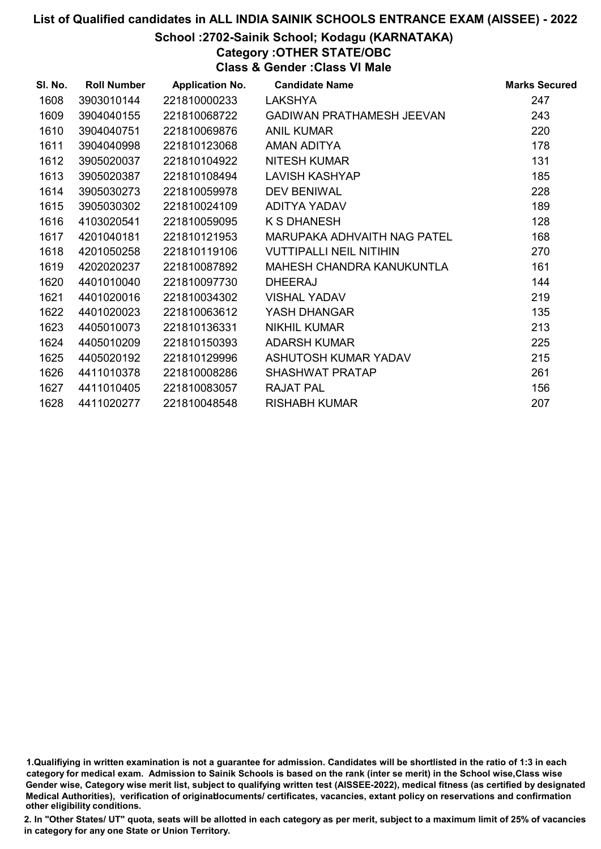### School :2702-Sainik School; Kodagu (KARNATAKA)

Category :OTHER STATE/OBC

Class & Gender :Class VI Male

| SI. No. | <b>Roll Number</b> | <b>Application No.</b> | <b>Candidate Name</b>            | <b>Marks Secured</b> |
|---------|--------------------|------------------------|----------------------------------|----------------------|
| 1608    | 3903010144         | 221810000233           | <b>LAKSHYA</b>                   | 247                  |
| 1609    | 3904040155         | 221810068722           | <b>GADIWAN PRATHAMESH JEEVAN</b> | 243                  |
| 1610    | 3904040751         | 221810069876           | <b>ANIL KUMAR</b>                | 220                  |
| 1611    | 3904040998         | 221810123068           | AMAN ADITYA                      | 178                  |
| 1612    | 3905020037         | 221810104922           | <b>NITESH KUMAR</b>              | 131                  |
| 1613    | 3905020387         | 221810108494           | <b>LAVISH KASHYAP</b>            | 185                  |
| 1614    | 3905030273         | 221810059978           | <b>DEV BENIWAL</b>               | 228                  |
| 1615    | 3905030302         | 221810024109           | ADITYA YADAV                     | 189                  |
| 1616    | 4103020541         | 221810059095           | <b>K S DHANESH</b>               | 128                  |
| 1617    | 4201040181         | 221810121953           | MARUPAKA ADHVAITH NAG PATEL      | 168                  |
| 1618    | 4201050258         | 221810119106           | <b>VUTTIPALLI NEIL NITIHIN</b>   | 270                  |
| 1619    | 4202020237         | 221810087892           | MAHESH CHANDRA KANUKUNTLA        | 161                  |
| 1620    | 4401010040         | 221810097730           | <b>DHEERAJ</b>                   | 144                  |
| 1621    | 4401020016         | 221810034302           | <b>VISHAL YADAV</b>              | 219                  |
| 1622    | 4401020023         | 221810063612           | YASH DHANGAR                     | 135                  |
| 1623    | 4405010073         | 221810136331           | <b>NIKHIL KUMAR</b>              | 213                  |
| 1624    | 4405010209         | 221810150393           | <b>ADARSH KUMAR</b>              | 225                  |
| 1625    | 4405020192         | 221810129996           | ASHUTOSH KUMAR YADAV             | 215                  |
| 1626    | 4411010378         | 221810008286           | SHASHWAT PRATAP                  | 261                  |
| 1627    | 4411010405         | 221810083057           | <b>RAJAT PAL</b>                 | 156                  |
| 1628    | 4411020277         | 221810048548           | <b>RISHABH KUMAR</b>             | 207                  |

<sup>1.</sup>Qualifiying in written examination is not a guarantee for admission. Candidates will be shortlisted in the ratio of 1:3 in each category for medical exam. Admission to Sainik Schools is based on the rank (inter se merit) in the School wise,Class wise Gender wise, Category wise merit list, subject to qualifying written test (AISSEE-2022), medical fitness (as certified by designated Medical Authorities), verification of originablocuments/ certificates, vacancies, extant policy on reservations and confirmation other eligibility conditions.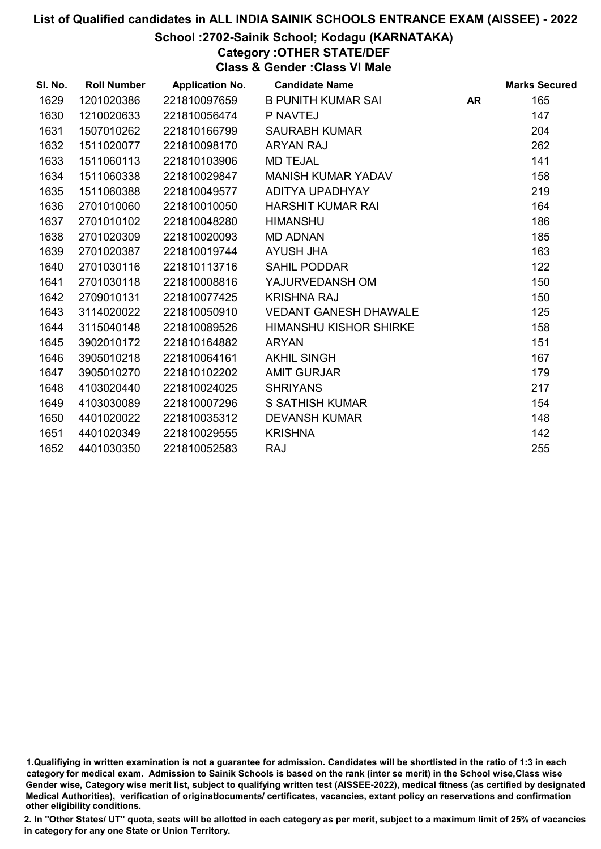### School :2702-Sainik School; Kodagu (KARNATAKA)

Category :OTHER STATE/DEF

Class & Gender :Class VI Male

| SI. No. | <b>Roll Number</b> | <b>Application No.</b> | <b>Candidate Name</b>         |           | <b>Marks Secured</b> |
|---------|--------------------|------------------------|-------------------------------|-----------|----------------------|
| 1629    | 1201020386         | 221810097659           | <b>B PUNITH KUMAR SAI</b>     | <b>AR</b> | 165                  |
| 1630    | 1210020633         | 221810056474           | P NAVTEJ                      |           | 147                  |
| 1631    | 1507010262         | 221810166799           | <b>SAURABH KUMAR</b>          |           | 204                  |
| 1632    | 1511020077         | 221810098170           | <b>ARYAN RAJ</b>              |           | 262                  |
| 1633    | 1511060113         | 221810103906           | <b>MD TEJAL</b>               |           | 141                  |
| 1634    | 1511060338         | 221810029847           | <b>MANISH KUMAR YADAV</b>     |           | 158                  |
| 1635    | 1511060388         | 221810049577           | ADITYA UPADHYAY               |           | 219                  |
| 1636    | 2701010060         | 221810010050           | <b>HARSHIT KUMAR RAI</b>      |           | 164                  |
| 1637    | 2701010102         | 221810048280           | <b>HIMANSHU</b>               |           | 186                  |
| 1638    | 2701020309         | 221810020093           | <b>MD ADNAN</b>               |           | 185                  |
| 1639    | 2701020387         | 221810019744           | AYUSH JHA                     |           | 163                  |
| 1640    | 2701030116         | 221810113716           | <b>SAHIL PODDAR</b>           |           | 122                  |
| 1641    | 2701030118         | 221810008816           | YAJURVEDANSH OM               |           | 150                  |
| 1642    | 2709010131         | 221810077425           | <b>KRISHNA RAJ</b>            |           | 150                  |
| 1643    | 3114020022         | 221810050910           | <b>VEDANT GANESH DHAWALE</b>  |           | 125                  |
| 1644    | 3115040148         | 221810089526           | <b>HIMANSHU KISHOR SHIRKE</b> |           | 158                  |
| 1645    | 3902010172         | 221810164882           | <b>ARYAN</b>                  |           | 151                  |
| 1646    | 3905010218         | 221810064161           | <b>AKHIL SINGH</b>            |           | 167                  |
| 1647    | 3905010270         | 221810102202           | <b>AMIT GURJAR</b>            |           | 179                  |
| 1648    | 4103020440         | 221810024025           | <b>SHRIYANS</b>               |           | 217                  |
| 1649    | 4103030089         | 221810007296           | <b>S SATHISH KUMAR</b>        |           | 154                  |
| 1650    | 4401020022         | 221810035312           | <b>DEVANSH KUMAR</b>          |           | 148                  |
| 1651    | 4401020349         | 221810029555           | <b>KRISHNA</b>                |           | 142                  |
| 1652    | 4401030350         | 221810052583           | <b>RAJ</b>                    |           | 255                  |

<sup>1.</sup>Qualifiying in written examination is not a guarantee for admission. Candidates will be shortlisted in the ratio of 1:3 in each category for medical exam. Admission to Sainik Schools is based on the rank (inter se merit) in the School wise,Class wise Gender wise, Category wise merit list, subject to qualifying written test (AISSEE-2022), medical fitness (as certified by designated Medical Authorities), verification of originablocuments/ certificates, vacancies, extant policy on reservations and confirmation other eligibility conditions.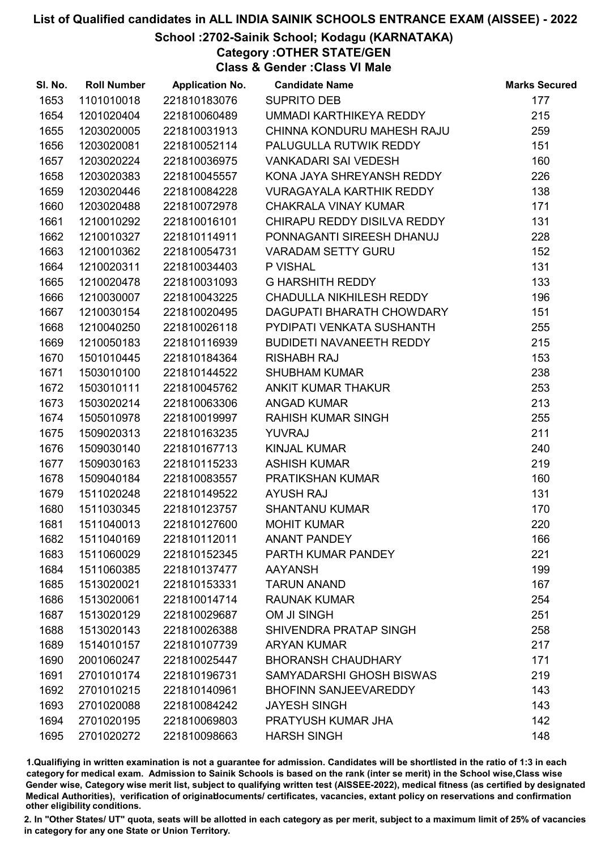### School :2702-Sainik School; Kodagu (KARNATAKA)

Category :OTHER STATE/GEN Class & Gender :Class VI Male

| SI. No. | <b>Roll Number</b> | <b>Application No.</b> | <b>Candidate Name</b>           | <b>Marks Secured</b> |
|---------|--------------------|------------------------|---------------------------------|----------------------|
| 1653    | 1101010018         | 221810183076           | <b>SUPRITO DEB</b>              | 177                  |
| 1654    | 1201020404         | 221810060489           | UMMADI KARTHIKEYA REDDY         | 215                  |
| 1655    | 1203020005         | 221810031913           | CHINNA KONDURU MAHESH RAJU      | 259                  |
| 1656    | 1203020081         | 221810052114           | PALUGULLA RUTWIK REDDY          | 151                  |
| 1657    | 1203020224         | 221810036975           | <b>VANKADARI SAI VEDESH</b>     | 160                  |
| 1658    | 1203020383         | 221810045557           | KONA JAYA SHREYANSH REDDY       | 226                  |
| 1659    | 1203020446         | 221810084228           | <b>VURAGAYALA KARTHIK REDDY</b> | 138                  |
| 1660    | 1203020488         | 221810072978           | <b>CHAKRALA VINAY KUMAR</b>     | 171                  |
| 1661    | 1210010292         | 221810016101           | CHIRAPU REDDY DISILVA REDDY     | 131                  |
| 1662    | 1210010327         | 221810114911           | PONNAGANTI SIREESH DHANUJ       | 228                  |
| 1663    | 1210010362         | 221810054731           | <b>VARADAM SETTY GURU</b>       | 152                  |
| 1664    | 1210020311         | 221810034403           | P VISHAL                        | 131                  |
| 1665    | 1210020478         | 221810031093           | <b>G HARSHITH REDDY</b>         | 133                  |
| 1666    | 1210030007         | 221810043225           | CHADULLA NIKHILESH REDDY        | 196                  |
| 1667    | 1210030154         | 221810020495           | DAGUPATI BHARATH CHOWDARY       | 151                  |
| 1668    | 1210040250         | 221810026118           | PYDIPATI VENKATA SUSHANTH       | 255                  |
| 1669    | 1210050183         | 221810116939           | <b>BUDIDETI NAVANEETH REDDY</b> | 215                  |
| 1670    | 1501010445         | 221810184364           | <b>RISHABH RAJ</b>              | 153                  |
| 1671    | 1503010100         | 221810144522           | <b>SHUBHAM KUMAR</b>            | 238                  |
| 1672    | 1503010111         | 221810045762           | ANKIT KUMAR THAKUR              | 253                  |
| 1673    | 1503020214         | 221810063306           | <b>ANGAD KUMAR</b>              | 213                  |
| 1674    | 1505010978         | 221810019997           | <b>RAHISH KUMAR SINGH</b>       | 255                  |
| 1675    | 1509020313         | 221810163235           | <b>YUVRAJ</b>                   | 211                  |
| 1676    | 1509030140         | 221810167713           | <b>KINJAL KUMAR</b>             | 240                  |
| 1677    | 1509030163         | 221810115233           | <b>ASHISH KUMAR</b>             | 219                  |
| 1678    | 1509040184         | 221810083557           | PRATIKSHAN KUMAR                | 160                  |
| 1679    | 1511020248         | 221810149522           | <b>AYUSH RAJ</b>                | 131                  |
| 1680    | 1511030345         | 221810123757           | <b>SHANTANU KUMAR</b>           | 170                  |
| 1681    | 1511040013         | 221810127600           | <b>MOHIT KUMAR</b>              | 220                  |
| 1682    | 1511040169         | 221810112011           | <b>ANANT PANDEY</b>             | 166                  |
| 1683    | 1511060029         | 221810152345           | PARTH KUMAR PANDEY              | 221                  |
| 1684    | 1511060385         | 221810137477           | <b>AAYANSH</b>                  | 199                  |
| 1685    | 1513020021         | 221810153331           | <b>TARUN ANAND</b>              | 167                  |
| 1686    | 1513020061         | 221810014714           | <b>RAUNAK KUMAR</b>             | 254                  |
| 1687    | 1513020129         | 221810029687           | OM JI SINGH                     | 251                  |
| 1688    | 1513020143         | 221810026388           | SHIVENDRA PRATAP SINGH          | 258                  |
| 1689    | 1514010157         | 221810107739           | <b>ARYAN KUMAR</b>              | 217                  |
| 1690    | 2001060247         | 221810025447           | <b>BHORANSH CHAUDHARY</b>       | 171                  |
| 1691    | 2701010174         | 221810196731           | SAMYADARSHI GHOSH BISWAS        | 219                  |
| 1692    | 2701010215         | 221810140961           | <b>BHOFINN SANJEEVAREDDY</b>    | 143                  |
| 1693    | 2701020088         | 221810084242           | <b>JAYESH SINGH</b>             | 143                  |
| 1694    | 2701020195         | 221810069803           | PRATYUSH KUMAR JHA              | 142                  |
| 1695    | 2701020272         | 221810098663           | <b>HARSH SINGH</b>              | 148                  |

1.Qualifiying in written examination is not a guarantee for admission. Candidates will be shortlisted in the ratio of 1:3 in each category for medical exam. Admission to Sainik Schools is based on the rank (inter se merit) in the School wise,Class wise Gender wise, Category wise merit list, subject to qualifying written test (AISSEE-2022), medical fitness (as certified by designated Medical Authorities), verification of originablocuments/ certificates, vacancies, extant policy on reservations and confirmation other eligibility conditions.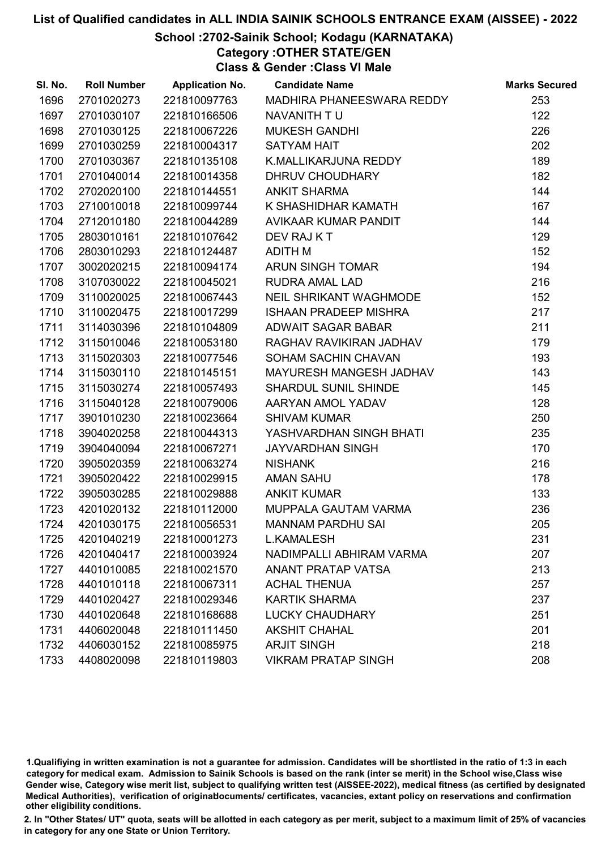### School :2702-Sainik School; Kodagu (KARNATAKA)

Category :OTHER STATE/GEN

Class & Gender :Class VI Male

| SI. No. | <b>Roll Number</b> | <b>Application No.</b> | <b>Candidate Name</b>        | <b>Marks Secured</b> |
|---------|--------------------|------------------------|------------------------------|----------------------|
| 1696    | 2701020273         | 221810097763           | MADHIRA PHANEESWARA REDDY    | 253                  |
| 1697    | 2701030107         | 221810166506           | NAVANITH TU                  | 122                  |
| 1698    | 2701030125         | 221810067226           | <b>MUKESH GANDHI</b>         | 226                  |
| 1699    | 2701030259         | 221810004317           | <b>SATYAM HAIT</b>           | 202                  |
| 1700    | 2701030367         | 221810135108           | K.MALLIKARJUNA REDDY         | 189                  |
| 1701    | 2701040014         | 221810014358           | DHRUV CHOUDHARY              | 182                  |
| 1702    | 2702020100         | 221810144551           | <b>ANKIT SHARMA</b>          | 144                  |
| 1703    | 2710010018         | 221810099744           | K SHASHIDHAR KAMATH          | 167                  |
| 1704    | 2712010180         | 221810044289           | AVIKAAR KUMAR PANDIT         | 144                  |
| 1705    | 2803010161         | 221810107642           | DEV RAJ KT                   | 129                  |
| 1706    | 2803010293         | 221810124487           | <b>ADITH M</b>               | 152                  |
| 1707    | 3002020215         | 221810094174           | ARUN SINGH TOMAR             | 194                  |
| 1708    | 3107030022         | 221810045021           | RUDRA AMAL LAD               | 216                  |
| 1709    | 3110020025         | 221810067443           | NEIL SHRIKANT WAGHMODE       | 152                  |
| 1710    | 3110020475         | 221810017299           | <b>ISHAAN PRADEEP MISHRA</b> | 217                  |
| 1711    | 3114030396         | 221810104809           | ADWAIT SAGAR BABAR           | 211                  |
| 1712    | 3115010046         | 221810053180           | RAGHAV RAVIKIRAN JADHAV      | 179                  |
| 1713    | 3115020303         | 221810077546           | SOHAM SACHIN CHAVAN          | 193                  |
| 1714    | 3115030110         | 221810145151           | MAYURESH MANGESH JADHAV      | 143                  |
| 1715    | 3115030274         | 221810057493           | <b>SHARDUL SUNIL SHINDE</b>  | 145                  |
| 1716    | 3115040128         | 221810079006           | AARYAN AMOL YADAV            | 128                  |
| 1717    | 3901010230         | 221810023664           | <b>SHIVAM KUMAR</b>          | 250                  |
| 1718    | 3904020258         | 221810044313           | YASHVARDHAN SINGH BHATI      | 235                  |
| 1719    | 3904040094         | 221810067271           | <b>JAYVARDHAN SINGH</b>      | 170                  |
| 1720    | 3905020359         | 221810063274           | <b>NISHANK</b>               | 216                  |
| 1721    | 3905020422         | 221810029915           | <b>AMAN SAHU</b>             | 178                  |
| 1722    | 3905030285         | 221810029888           | <b>ANKIT KUMAR</b>           | 133                  |
| 1723    | 4201020132         | 221810112000           | MUPPALA GAUTAM VARMA         | 236                  |
| 1724    | 4201030175         | 221810056531           | <b>MANNAM PARDHU SAI</b>     | 205                  |
| 1725    | 4201040219         | 221810001273           | <b>L.KAMALESH</b>            | 231                  |
| 1726    | 4201040417         | 221810003924           | NADIMPALLI ABHIRAM VARMA     | 207                  |
| 1727    | 4401010085         | 221810021570           | <b>ANANT PRATAP VATSA</b>    | 213                  |
| 1728    | 4401010118         | 221810067311           | <b>ACHAL THENUA</b>          | 257                  |
| 1729    | 4401020427         | 221810029346           | <b>KARTIK SHARMA</b>         | 237                  |
| 1730    | 4401020648         | 221810168688           | <b>LUCKY CHAUDHARY</b>       | 251                  |
| 1731    | 4406020048         | 221810111450           | <b>AKSHIT CHAHAL</b>         | 201                  |
| 1732    | 4406030152         | 221810085975           | <b>ARJIT SINGH</b>           | 218                  |
| 1733    | 4408020098         | 221810119803           | <b>VIKRAM PRATAP SINGH</b>   | 208                  |

1.Qualifiying in written examination is not a guarantee for admission. Candidates will be shortlisted in the ratio of 1:3 in each category for medical exam. Admission to Sainik Schools is based on the rank (inter se merit) in the School wise,Class wise Gender wise, Category wise merit list, subject to qualifying written test (AISSEE-2022), medical fitness (as certified by designated Medical Authorities), verification of originablocuments/ certificates, vacancies, extant policy on reservations and confirmation other eligibility conditions.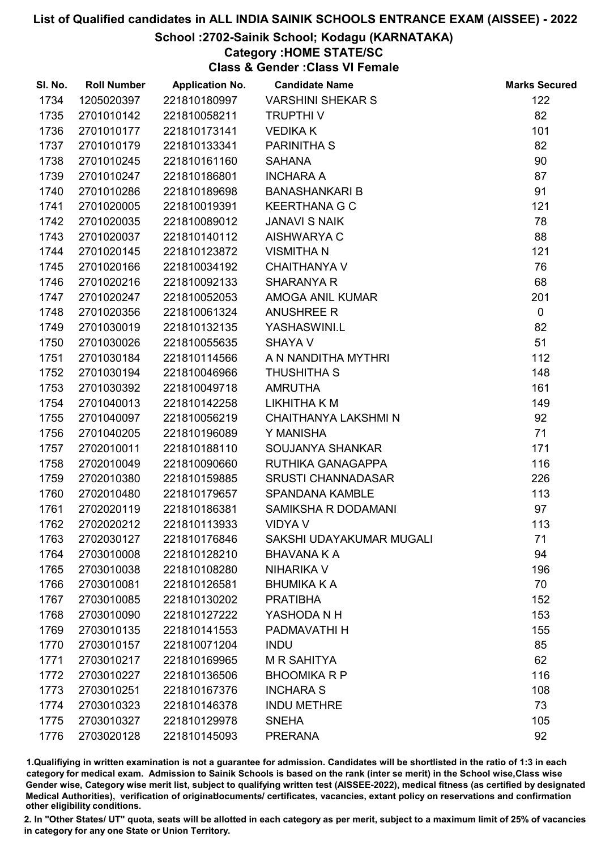### School :2702-Sainik School; Kodagu (KARNATAKA)

### Category :HOME STATE/SC

Class & Gender :Class VI Female

| SI. No. | <b>Roll Number</b> | <b>Application No.</b> | <b>Candidate Name</b>       | <b>Marks Secured</b> |
|---------|--------------------|------------------------|-----------------------------|----------------------|
| 1734    | 1205020397         | 221810180997           | <b>VARSHINI SHEKAR S</b>    | 122                  |
| 1735    | 2701010142         | 221810058211           | <b>TRUPTHIV</b>             | 82                   |
| 1736    | 2701010177         | 221810173141           | <b>VEDIKAK</b>              | 101                  |
| 1737    | 2701010179         | 221810133341           | PARINITHA S                 | 82                   |
| 1738    | 2701010245         | 221810161160           | <b>SAHANA</b>               | 90                   |
| 1739    | 2701010247         | 221810186801           | <b>INCHARA A</b>            | 87                   |
| 1740    | 2701010286         | 221810189698           | <b>BANASHANKARI B</b>       | 91                   |
| 1741    | 2701020005         | 221810019391           | <b>KEERTHANA G C</b>        | 121                  |
| 1742    | 2701020035         | 221810089012           | <b>JANAVI S NAIK</b>        | 78                   |
| 1743    | 2701020037         | 221810140112           | <b>AISHWARYA C</b>          | 88                   |
| 1744    | 2701020145         | 221810123872           | <b>VISMITHAN</b>            | 121                  |
| 1745    | 2701020166         | 221810034192           | <b>CHAITHANYA V</b>         | 76                   |
| 1746    | 2701020216         | 221810092133           | <b>SHARANYA R</b>           | 68                   |
| 1747    | 2701020247         | 221810052053           | AMOGA ANIL KUMAR            | 201                  |
| 1748    | 2701020356         | 221810061324           | <b>ANUSHREE R</b>           | $\mathbf 0$          |
| 1749    | 2701030019         | 221810132135           | YASHASWINI.L                | 82                   |
| 1750    | 2701030026         | 221810055635           | <b>SHAYA V</b>              | 51                   |
| 1751    | 2701030184         | 221810114566           | A N NANDITHA MYTHRI         | 112                  |
| 1752    | 2701030194         | 221810046966           | <b>THUSHITHA S</b>          | 148                  |
| 1753    | 2701030392         | 221810049718           | <b>AMRUTHA</b>              | 161                  |
| 1754    | 2701040013         | 221810142258           | LIKHITHA K M                | 149                  |
| 1755    | 2701040097         | 221810056219           | <b>CHAITHANYA LAKSHMI N</b> | 92                   |
| 1756    | 2701040205         | 221810196089           | Y MANISHA                   | 71                   |
| 1757    | 2702010011         | 221810188110           | SOUJANYA SHANKAR            | 171                  |
| 1758    | 2702010049         | 221810090660           | RUTHIKA GANAGAPPA           | 116                  |
| 1759    | 2702010380         | 221810159885           | <b>SRUSTI CHANNADASAR</b>   | 226                  |
| 1760    | 2702010480         | 221810179657           | <b>SPANDANA KAMBLE</b>      | 113                  |
| 1761    | 2702020119         | 221810186381           | <b>SAMIKSHA R DODAMANI</b>  | 97                   |
| 1762    | 2702020212         | 221810113933           | <b>VIDYA V</b>              | 113                  |
| 1763    | 2702030127         | 221810176846           | SAKSHI UDAYAKUMAR MUGALI    | 71                   |
| 1764    | 2703010008         | 221810128210           | BHAVANA K A                 | 94                   |
| 1765    | 2703010038         | 221810108280           | <b>NIHARIKA V</b>           | 196                  |
| 1766    | 2703010081         | 221810126581           | <b>BHUMIKA K A</b>          | 70                   |
| 1767    | 2703010085         | 221810130202           | <b>PRATIBHA</b>             | 152                  |
| 1768    | 2703010090         | 221810127222           | YASHODA N H                 | 153                  |
| 1769    | 2703010135         | 221810141553           | PADMAVATHI H                | 155                  |
| 1770    | 2703010157         | 221810071204           | <b>INDU</b>                 | 85                   |
| 1771    | 2703010217         | 221810169965           | <b>MR SAHITYA</b>           | 62                   |
| 1772    | 2703010227         | 221810136506           | <b>BHOOMIKA R P</b>         | 116                  |
| 1773    | 2703010251         | 221810167376           | <b>INCHARA S</b>            | 108                  |
| 1774    | 2703010323         | 221810146378           | <b>INDU METHRE</b>          | 73                   |
| 1775    | 2703010327         | 221810129978           | <b>SNEHA</b>                | 105                  |
| 1776    | 2703020128         | 221810145093           | <b>PRERANA</b>              | 92                   |

1.Qualifiying in written examination is not a guarantee for admission. Candidates will be shortlisted in the ratio of 1:3 in each category for medical exam. Admission to Sainik Schools is based on the rank (inter se merit) in the School wise,Class wise Gender wise, Category wise merit list, subject to qualifying written test (AISSEE-2022), medical fitness (as certified by designated Medical Authorities), verification of originablocuments/ certificates, vacancies, extant policy on reservations and confirmation other eligibility conditions.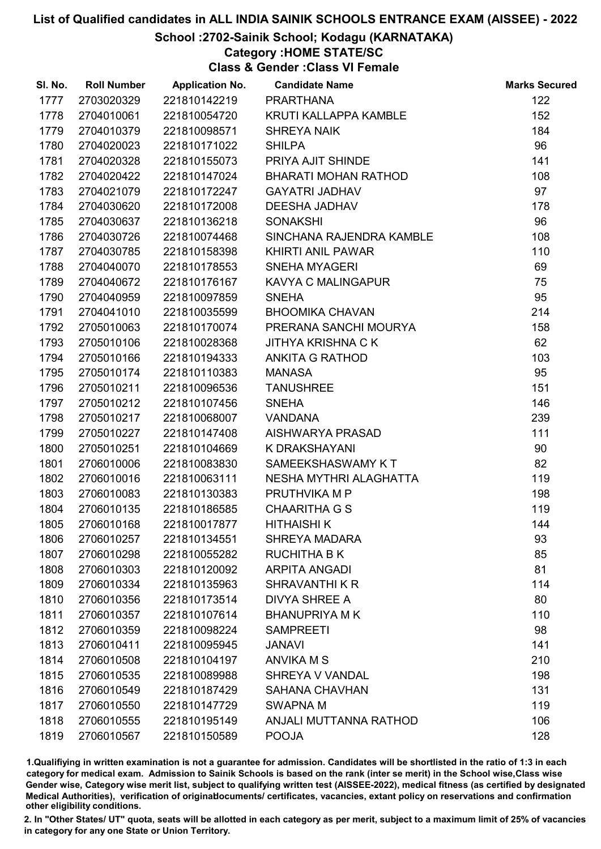### School :2702-Sainik School; Kodagu (KARNATAKA)

### Category :HOME STATE/SC

Class & Gender :Class VI Female

| SI. No. | <b>Roll Number</b> | <b>Application No.</b> | <b>Candidate Name</b>        | <b>Marks Secured</b> |
|---------|--------------------|------------------------|------------------------------|----------------------|
| 1777    | 2703020329         | 221810142219           | <b>PRARTHANA</b>             | 122                  |
| 1778    | 2704010061         | 221810054720           | <b>KRUTI KALLAPPA KAMBLE</b> | 152                  |
| 1779    | 2704010379         | 221810098571           | <b>SHREYA NAIK</b>           | 184                  |
| 1780    | 2704020023         | 221810171022           | <b>SHILPA</b>                | 96                   |
| 1781    | 2704020328         | 221810155073           | PRIYA AJIT SHINDE            | 141                  |
| 1782    | 2704020422         | 221810147024           | <b>BHARATI MOHAN RATHOD</b>  | 108                  |
| 1783    | 2704021079         | 221810172247           | <b>GAYATRI JADHAV</b>        | 97                   |
| 1784    | 2704030620         | 221810172008           | <b>DEESHA JADHAV</b>         | 178                  |
| 1785    | 2704030637         | 221810136218           | <b>SONAKSHI</b>              | 96                   |
| 1786    | 2704030726         | 221810074468           | SINCHANA RAJENDRA KAMBLE     | 108                  |
| 1787    | 2704030785         | 221810158398           | KHIRTI ANIL PAWAR            | 110                  |
| 1788    | 2704040070         | 221810178553           | <b>SNEHA MYAGERI</b>         | 69                   |
| 1789    | 2704040672         | 221810176167           | KAVYA C MALINGAPUR           | 75                   |
| 1790    | 2704040959         | 221810097859           | <b>SNEHA</b>                 | 95                   |
| 1791    | 2704041010         | 221810035599           | <b>BHOOMIKA CHAVAN</b>       | 214                  |
| 1792    | 2705010063         | 221810170074           | PRERANA SANCHI MOURYA        | 158                  |
| 1793    | 2705010106         | 221810028368           | <b>JITHYA KRISHNA C K</b>    | 62                   |
| 1794    | 2705010166         | 221810194333           | <b>ANKITA G RATHOD</b>       | 103                  |
| 1795    | 2705010174         | 221810110383           | <b>MANASA</b>                | 95                   |
| 1796    | 2705010211         | 221810096536           | <b>TANUSHREE</b>             | 151                  |
| 1797    | 2705010212         | 221810107456           | <b>SNEHA</b>                 | 146                  |
| 1798    | 2705010217         | 221810068007           | <b>VANDANA</b>               | 239                  |
| 1799    | 2705010227         | 221810147408           | AISHWARYA PRASAD             | 111                  |
| 1800    | 2705010251         | 221810104669           | K DRAKSHAYANI                | 90                   |
| 1801    | 2706010006         | 221810083830           | SAMEEKSHASWAMY KT            | 82                   |
| 1802    | 2706010016         | 221810063111           | NESHA MYTHRI ALAGHATTA       | 119                  |
| 1803    | 2706010083         | 221810130383           | PRUTHVIKA M P                | 198                  |
| 1804    | 2706010135         | 221810186585           | <b>CHAARITHA G S</b>         | 119                  |
| 1805    | 2706010168         | 221810017877           | <b>HITHAISHIK</b>            | 144                  |
| 1806    | 2706010257         | 221810134551           | <b>SHREYA MADARA</b>         | 93                   |
| 1807    | 2706010298         | 221810055282           | <b>RUCHITHA B K</b>          | 85                   |
| 1808    | 2706010303         | 221810120092           | <b>ARPITA ANGADI</b>         | 81                   |
| 1809    | 2706010334         | 221810135963           | <b>SHRAVANTHI K R</b>        | 114                  |
| 1810    | 2706010356         | 221810173514           | <b>DIVYA SHREE A</b>         | 80                   |
| 1811    | 2706010357         | 221810107614           | <b>BHANUPRIYA MK</b>         | 110                  |
| 1812    | 2706010359         | 221810098224           | <b>SAMPREETI</b>             | 98                   |
| 1813    | 2706010411         | 221810095945           | <b>JANAVI</b>                | 141                  |
| 1814    | 2706010508         | 221810104197           | <b>ANVIKA M S</b>            | 210                  |
| 1815    | 2706010535         | 221810089988           | SHREYA V VANDAL              | 198                  |
| 1816    | 2706010549         | 221810187429           | <b>SAHANA CHAVHAN</b>        | 131                  |
| 1817    | 2706010550         | 221810147729           | <b>SWAPNA M</b>              | 119                  |
| 1818    | 2706010555         | 221810195149           | ANJALI MUTTANNA RATHOD       | 106                  |
| 1819    | 2706010567         | 221810150589           | <b>POOJA</b>                 | 128                  |

1.Qualifiying in written examination is not a guarantee for admission. Candidates will be shortlisted in the ratio of 1:3 in each category for medical exam. Admission to Sainik Schools is based on the rank (inter se merit) in the School wise,Class wise Gender wise, Category wise merit list, subject to qualifying written test (AISSEE-2022), medical fitness (as certified by designated Medical Authorities), verification of originablocuments/ certificates, vacancies, extant policy on reservations and confirmation other eligibility conditions.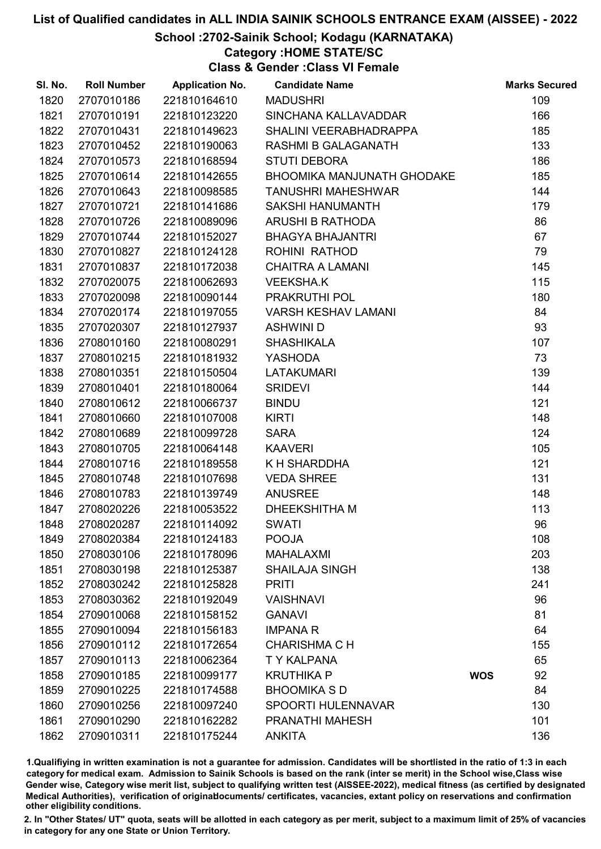### School :2702-Sainik School; Kodagu (KARNATAKA)

Category :HOME STATE/SC

Class & Gender :Class VI Female

| SI. No. | <b>Roll Number</b> | <b>Application No.</b> | <b>Candidate Name</b>             | <b>Marks Secured</b> |
|---------|--------------------|------------------------|-----------------------------------|----------------------|
| 1820    | 2707010186         | 221810164610           | <b>MADUSHRI</b>                   | 109                  |
| 1821    | 2707010191         | 221810123220           | SINCHANA KALLAVADDAR              | 166                  |
| 1822    | 2707010431         | 221810149623           | SHALINI VEERABHADRAPPA            | 185                  |
| 1823    | 2707010452         | 221810190063           | <b>RASHMI B GALAGANATH</b>        | 133                  |
| 1824    | 2707010573         | 221810168594           | <b>STUTI DEBORA</b>               | 186                  |
| 1825    | 2707010614         | 221810142655           | <b>BHOOMIKA MANJUNATH GHODAKE</b> | 185                  |
| 1826    | 2707010643         | 221810098585           | <b>TANUSHRI MAHESHWAR</b>         | 144                  |
| 1827    | 2707010721         | 221810141686           | <b>SAKSHI HANUMANTH</b>           | 179                  |
| 1828    | 2707010726         | 221810089096           | ARUSHI B RATHODA                  | 86                   |
| 1829    | 2707010744         | 221810152027           | <b>BHAGYA BHAJANTRI</b>           | 67                   |
| 1830    | 2707010827         | 221810124128           | ROHINI RATHOD                     | 79                   |
| 1831    | 2707010837         | 221810172038           | <b>CHAITRA A LAMANI</b>           | 145                  |
| 1832    | 2707020075         | 221810062693           | <b>VEEKSHA.K</b>                  | 115                  |
| 1833    | 2707020098         | 221810090144           | PRAKRUTHI POL                     | 180                  |
| 1834    | 2707020174         | 221810197055           | <b>VARSH KESHAV LAMANI</b>        | 84                   |
| 1835    | 2707020307         | 221810127937           | <b>ASHWINI D</b>                  | 93                   |
| 1836    | 2708010160         | 221810080291           | <b>SHASHIKALA</b>                 | 107                  |
| 1837    | 2708010215         | 221810181932           | <b>YASHODA</b>                    | 73                   |
| 1838    | 2708010351         | 221810150504           | <b>LATAKUMARI</b>                 | 139                  |
| 1839    | 2708010401         | 221810180064           | <b>SRIDEVI</b>                    | 144                  |
| 1840    | 2708010612         | 221810066737           | <b>BINDU</b>                      | 121                  |
| 1841    | 2708010660         | 221810107008           | <b>KIRTI</b>                      | 148                  |
| 1842    | 2708010689         | 221810099728           | <b>SARA</b>                       | 124                  |
| 1843    | 2708010705         | 221810064148           | <b>KAAVERI</b>                    | 105                  |
| 1844    | 2708010716         | 221810189558           | K H SHARDDHA                      | 121                  |
| 1845    | 2708010748         | 221810107698           | <b>VEDA SHREE</b>                 | 131                  |
| 1846    | 2708010783         | 221810139749           | <b>ANUSREE</b>                    | 148                  |
| 1847    | 2708020226         | 221810053522           | <b>DHEEKSHITHA M</b>              | 113                  |
| 1848    | 2708020287         | 221810114092           | <b>SWATI</b>                      | 96                   |
| 1849    | 2708020384         | 221810124183           | <b>POOJA</b>                      | 108                  |
| 1850    | 2708030106         | 221810178096           | <b>MAHALAXMI</b>                  | 203                  |
| 1851    | 2708030198         | 221810125387           | <b>SHAILAJA SINGH</b>             | 138                  |
| 1852    | 2708030242         | 221810125828           | <b>PRITI</b>                      | 241                  |
| 1853    | 2708030362         | 221810192049           | <b>VAISHNAVI</b>                  | 96                   |
| 1854    | 2709010068         | 221810158152           | <b>GANAVI</b>                     | 81                   |
| 1855    | 2709010094         | 221810156183           | <b>IMPANA R</b>                   | 64                   |
| 1856    | 2709010112         | 221810172654           | <b>CHARISHMA C H</b>              | 155                  |
| 1857    | 2709010113         | 221810062364           | <b>TY KALPANA</b>                 | 65                   |
| 1858    | 2709010185         | 221810099177           | <b>KRUTHIKA P</b>                 | 92<br><b>WOS</b>     |
| 1859    | 2709010225         | 221810174588           | <b>BHOOMIKA SD</b>                | 84                   |
| 1860    | 2709010256         | 221810097240           | <b>SPOORTI HULENNAVAR</b>         | 130                  |
| 1861    | 2709010290         | 221810162282           | PRANATHI MAHESH                   | 101                  |
| 1862    | 2709010311         | 221810175244           | <b>ANKITA</b>                     | 136                  |

1.Qualifiying in written examination is not a guarantee for admission. Candidates will be shortlisted in the ratio of 1:3 in each category for medical exam. Admission to Sainik Schools is based on the rank (inter se merit) in the School wise,Class wise Gender wise, Category wise merit list, subject to qualifying written test (AISSEE-2022), medical fitness (as certified by designated Medical Authorities), verification of originablocuments/ certificates, vacancies, extant policy on reservations and confirmation other eligibility conditions.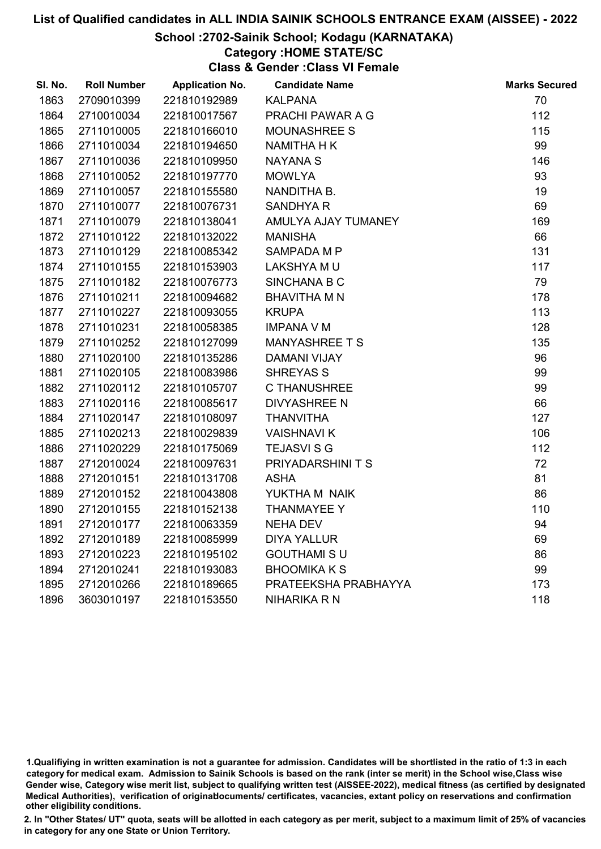#### School :2702-Sainik School; Kodagu (KARNATAKA)

### Category :HOME STATE/SC

Class & Gender :Class VI Female

| SI. No. | <b>Roll Number</b> | <b>Application No.</b> | <b>Candidate Name</b> | <b>Marks Secured</b> |
|---------|--------------------|------------------------|-----------------------|----------------------|
| 1863    | 2709010399         | 221810192989           | <b>KALPANA</b>        | 70                   |
| 1864    | 2710010034         | 221810017567           | PRACHI PAWAR A G      | 112                  |
| 1865    | 2711010005         | 221810166010           | <b>MOUNASHREE S</b>   | 115                  |
| 1866    | 2711010034         | 221810194650           | <b>NAMITHA H K</b>    | 99                   |
| 1867    | 2711010036         | 221810109950           | <b>NAYANA S</b>       | 146                  |
| 1868    | 2711010052         | 221810197770           | <b>MOWLYA</b>         | 93                   |
| 1869    | 2711010057         | 221810155580           | NANDITHA B.           | 19                   |
| 1870    | 2711010077         | 221810076731           | <b>SANDHYA R</b>      | 69                   |
| 1871    | 2711010079         | 221810138041           | AMULYA AJAY TUMANEY   | 169                  |
| 1872    | 2711010122         | 221810132022           | <b>MANISHA</b>        | 66                   |
| 1873    | 2711010129         | 221810085342           | SAMPADA M P           | 131                  |
| 1874    | 2711010155         | 221810153903           | LAKSHYA MU            | 117                  |
| 1875    | 2711010182         | 221810076773           | SINCHANA B C          | 79                   |
| 1876    | 2711010211         | 221810094682           | <b>BHAVITHA M N</b>   | 178                  |
| 1877    | 2711010227         | 221810093055           | <b>KRUPA</b>          | 113                  |
| 1878    | 2711010231         | 221810058385           | <b>IMPANA V M</b>     | 128                  |
| 1879    | 2711010252         | 221810127099           | <b>MANYASHREE T S</b> | 135                  |
| 1880    | 2711020100         | 221810135286           | <b>DAMANI VIJAY</b>   | 96                   |
| 1881    | 2711020105         | 221810083986           | <b>SHREYAS S</b>      | 99                   |
| 1882    | 2711020112         | 221810105707           | <b>C THANUSHREE</b>   | 99                   |
| 1883    | 2711020116         | 221810085617           | <b>DIVYASHREE N</b>   | 66                   |
| 1884    | 2711020147         | 221810108097           | <b>THANVITHA</b>      | 127                  |
| 1885    | 2711020213         | 221810029839           | <b>VAISHNAVIK</b>     | 106                  |
| 1886    | 2711020229         | 221810175069           | <b>TEJASVI S G</b>    | 112                  |
| 1887    | 2712010024         | 221810097631           | PRIYADARSHINI T S     | 72                   |
| 1888    | 2712010151         | 221810131708           | <b>ASHA</b>           | 81                   |
| 1889    | 2712010152         | 221810043808           | YUKTHA M NAIK         | 86                   |
| 1890    | 2712010155         | 221810152138           | <b>THANMAYEE Y</b>    | 110                  |
| 1891    | 2712010177         | 221810063359           | <b>NEHA DEV</b>       | 94                   |
| 1892    | 2712010189         | 221810085999           | <b>DIYA YALLUR</b>    | 69                   |
| 1893    | 2712010223         | 221810195102           | <b>GOUTHAMI S U</b>   | 86                   |
| 1894    | 2712010241         | 221810193083           | <b>BHOOMIKA K S</b>   | 99                   |
| 1895    | 2712010266         | 221810189665           | PRATEEKSHA PRABHAYYA  | 173                  |
| 1896    | 3603010197         | 221810153550           | <b>NIHARIKA R N</b>   | 118                  |

<sup>1.</sup>Qualifiying in written examination is not a guarantee for admission. Candidates will be shortlisted in the ratio of 1:3 in each category for medical exam. Admission to Sainik Schools is based on the rank (inter se merit) in the School wise,Class wise Gender wise, Category wise merit list, subject to qualifying written test (AISSEE-2022), medical fitness (as certified by designated Medical Authorities), verification of originablocuments/ certificates, vacancies, extant policy on reservations and confirmation other eligibility conditions.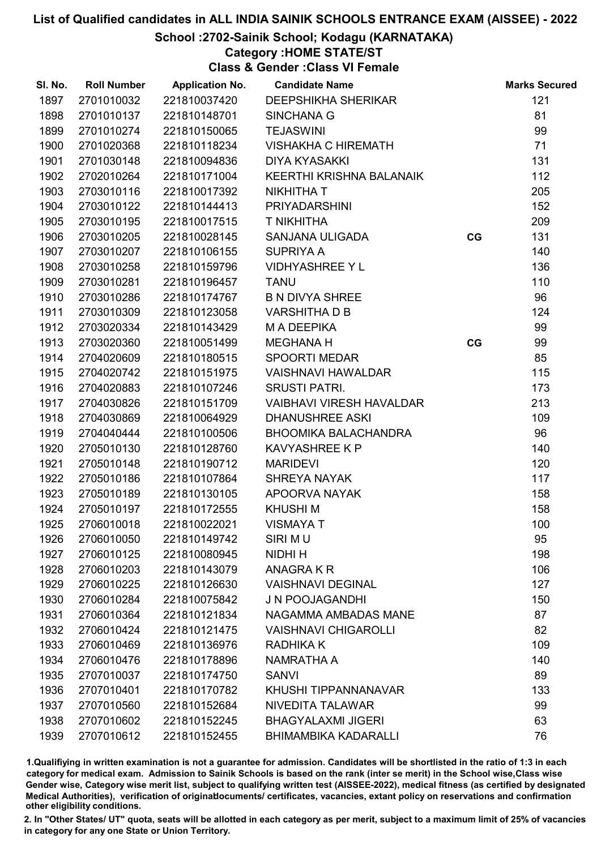### School :2702-Sainik School; Kodagu (KARNATAKA)

### Category :HOME STATE/ST

Class & Gender :Class VI Female

| SI. No. | <b>Roll Number</b> | <b>Application No.</b> | <b>Candidate Name</b>           |    | <b>Marks Secured</b> |
|---------|--------------------|------------------------|---------------------------------|----|----------------------|
| 1897    | 2701010032         | 221810037420           | <b>DEEPSHIKHA SHERIKAR</b>      |    | 121                  |
| 1898    | 2701010137         | 221810148701           | <b>SINCHANA G</b>               |    | 81                   |
| 1899    | 2701010274         | 221810150065           | <b>TEJASWINI</b>                |    | 99                   |
| 1900    | 2701020368         | 221810118234           | <b>VISHAKHA C HIREMATH</b>      |    | 71                   |
| 1901    | 2701030148         | 221810094836           | <b>DIYA KYASAKKI</b>            |    | 131                  |
| 1902    | 2702010264         | 221810171004           | KEERTHI KRISHNA BALANAIK        |    | 112                  |
| 1903    | 2703010116         | 221810017392           | <b>NIKHITHA T</b>               |    | 205                  |
| 1904    | 2703010122         | 221810144413           | <b>PRIYADARSHINI</b>            |    | 152                  |
| 1905    | 2703010195         | 221810017515           | <b>T NIKHITHA</b>               |    | 209                  |
| 1906    | 2703010205         | 221810028145           | SANJANA ULIGADA                 | CG | 131                  |
| 1907    | 2703010207         | 221810106155           | <b>SUPRIYA A</b>                |    | 140                  |
| 1908    | 2703010258         | 221810159796           | <b>VIDHYASHREE Y L</b>          |    | 136                  |
| 1909    | 2703010281         | 221810196457           | <b>TANU</b>                     |    | 110                  |
| 1910    | 2703010286         | 221810174767           | <b>B N DIVYA SHREE</b>          |    | 96                   |
| 1911    | 2703010309         | 221810123058           | <b>VARSHITHA D B</b>            |    | 124                  |
| 1912    | 2703020334         | 221810143429           | M A DEEPIKA                     |    | 99                   |
| 1913    | 2703020360         | 221810051499           | <b>MEGHANA H</b>                | CG | 99                   |
| 1914    | 2704020609         | 221810180515           | <b>SPOORTI MEDAR</b>            |    | 85                   |
| 1915    | 2704020742         | 221810151975           | <b>VAISHNAVI HAWALDAR</b>       |    | 115                  |
| 1916    | 2704020883         | 221810107246           | <b>SRUSTI PATRI.</b>            |    | 173                  |
| 1917    | 2704030826         | 221810151709           | <b>VAIBHAVI VIRESH HAVALDAR</b> |    | 213                  |
| 1918    | 2704030869         | 221810064929           | <b>DHANUSHREE ASKI</b>          |    | 109                  |
| 1919    | 2704040444         | 221810100506           | <b>BHOOMIKA BALACHANDRA</b>     |    | 96                   |
| 1920    | 2705010130         | 221810128760           | <b>KAVYASHREE K P</b>           |    | 140                  |
| 1921    | 2705010148         | 221810190712           | <b>MARIDEVI</b>                 |    | 120                  |
| 1922    | 2705010186         | 221810107864           | SHREYA NAYAK                    |    | 117                  |
| 1923    | 2705010189         | 221810130105           | APOORVA NAYAK                   |    | 158                  |
| 1924    | 2705010197         | 221810172555           | <b>KHUSHIM</b>                  |    | 158                  |
| 1925    | 2706010018         | 221810022021           | <b>VISMAYA T</b>                |    | 100                  |
| 1926    | 2706010050         | 221810149742           | SIRI MU                         |    | 95                   |
| 1927    | 2706010125         | 221810080945           | NIDHI H                         |    | 198                  |
| 1928    | 2706010203         | 221810143079           | ANAGRA K R                      |    | 106                  |
| 1929    | 2706010225         | 221810126630           | <b>VAISHNAVI DEGINAL</b>        |    | 127                  |
| 1930    | 2706010284         | 221810075842           | J N POOJAGANDHI                 |    | 150                  |
| 1931    | 2706010364         | 221810121834           | NAGAMMA AMBADAS MANE            |    | 87                   |
| 1932    | 2706010424         | 221810121475           | <b>VAISHNAVI CHIGAROLLI</b>     |    | 82                   |
| 1933    | 2706010469         | 221810136976           | <b>RADHIKA K</b>                |    | 109                  |
| 1934    | 2706010476         | 221810178896           | <b>NAMRATHA A</b>               |    | 140                  |
| 1935    | 2707010037         | 221810174750           | <b>SANVI</b>                    |    | 89                   |
| 1936    | 2707010401         | 221810170782           | KHUSHI TIPPANNANAVAR            |    | 133                  |
| 1937    | 2707010560         | 221810152684           | NIVEDITA TALAWAR                |    | 99                   |
| 1938    | 2707010602         | 221810152245           | <b>BHAGYALAXMI JIGERI</b>       |    | 63                   |
| 1939    | 2707010612         | 221810152455           | <b>BHIMAMBIKA KADARALLI</b>     |    | 76                   |

1.Qualifiying in written examination is not a guarantee for admission. Candidates will be shortlisted in the ratio of 1:3 in each category for medical exam. Admission to Sainik Schools is based on the rank (inter se merit) in the School wise,Class wise Gender wise, Category wise merit list, subject to qualifying written test (AISSEE-2022), medical fitness (as certified by designated Medical Authorities), verification of originablocuments/ certificates, vacancies, extant policy on reservations and confirmation other eligibility conditions.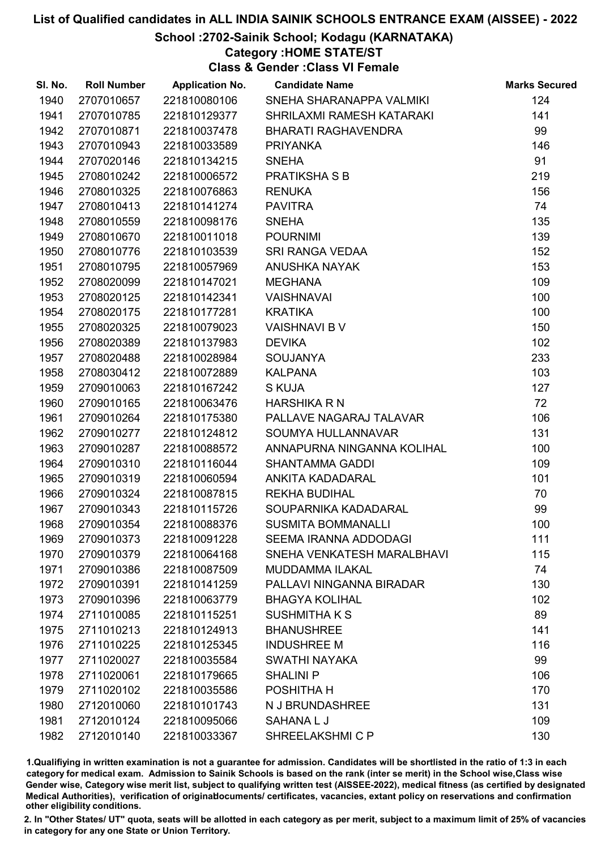### School :2702-Sainik School; Kodagu (KARNATAKA)

Category :HOME STATE/ST

Class & Gender :Class VI Female

| 124<br>1940<br>2707010657<br>221810080106<br>SNEHA SHARANAPPA VALMIKI<br>141<br>1941<br>2707010785<br>221810129377<br>SHRILAXMI RAMESH KATARAKI<br>99<br>1942<br>2707010871<br>221810037478<br><b>BHARATI RAGHAVENDRA</b><br>1943<br>146<br>2707010943<br>221810033589<br><b>PRIYANKA</b><br>91<br>1944<br><b>SNEHA</b><br>2707020146<br>221810134215<br><b>PRATIKSHASB</b><br>219<br>1945<br>2708010242<br>221810006572<br>1946<br>2708010325<br><b>RENUKA</b><br>156<br>221810076863<br>74<br>1947<br>2708010413<br>221810141274<br><b>PAVITRA</b><br>135<br><b>SNEHA</b><br>1948<br>2708010559<br>221810098176<br>139<br>1949<br>2708010670<br>221810011018<br><b>POURNIMI</b><br>SRI RANGA VEDAA<br>152<br>1950<br>2708010776<br>221810103539<br>153<br>1951<br>2708010795<br>221810057969<br><b>ANUSHKA NAYAK</b><br>109<br>1952<br>2708020099<br>221810147021<br><b>MEGHANA</b><br>100<br>1953<br>2708020125<br>221810142341<br><b>VAISHNAVAI</b><br>2708020175<br><b>KRATIKA</b><br>100<br>1954<br>221810177281<br>150<br>1955<br>2708020325<br>221810079023<br><b>VAISHNAVI B V</b><br>102<br>2708020389<br>1956<br>221810137983<br><b>DEVIKA</b><br>2708020488<br>233<br>1957<br>221810028984<br><b>SOUJANYA</b><br>1958<br>2708030412<br><b>KALPANA</b><br>103<br>221810072889<br>127<br>1959<br>2709010063<br>221810167242<br><b>S KUJA</b><br>72<br>2709010165<br>1960<br>221810063476<br><b>HARSHIKA R N</b><br>PALLAVE NAGARAJ TALAVAR<br>106<br>1961<br>2709010264<br>221810175380<br>SOUMYA HULLANNAVAR<br>131<br>1962<br>2709010277<br>221810124812<br>100<br>1963<br>2709010287<br>221810088572<br>ANNAPURNA NINGANNA KOLIHAL<br>109<br>1964<br>2709010310<br>221810116044<br><b>SHANTAMMA GADDI</b><br>101<br>1965<br>2709010319<br>221810060594<br><b>ANKITA KADADARAL</b><br>70<br>1966<br>2709010324<br>221810087815<br><b>REKHA BUDIHAL</b><br>99<br>1967<br>2709010343<br>221810115726<br>SOUPARNIKA KADADARAL<br>1968<br>100<br>2709010354<br>221810088376<br><b>SUSMITA BOMMANALLI</b><br><b>SEEMA IRANNA ADDODAGI</b><br>111<br>1969<br>2709010373<br>221810091228<br>1970<br>115<br>2709010379<br>221810064168<br>SNEHA VENKATESH MARALBHAVI<br>74<br>1971<br>2709010386<br>221810087509<br>MUDDAMMA ILAKAL<br>1972<br>130<br>2709010391<br>221810141259<br>PALLAVI NINGANNA BIRADAR<br>1973<br>2709010396<br>221810063779<br><b>BHAGYA KOLIHAL</b><br>102<br>89<br><b>SUSHMITHAKS</b><br>1974<br>2711010085<br>221810115251<br>141<br>1975<br>2711010213<br>221810124913<br><b>BHANUSHREE</b><br>116<br>1976<br>2711010225<br>221810125345<br><b>INDUSHREE M</b><br>99<br>1977<br>2711020027<br>221810035584<br>SWATHI NAYAKA<br>106<br>1978<br>2711020061<br>221810179665<br><b>SHALINI P</b><br>1979<br>2711020102<br>221810035586<br>POSHITHA H<br>170<br>1980<br>2712010060<br>221810101743<br>N J BRUNDASHREE<br>131<br>1981<br>2712010124<br>221810095066<br>SAHANA L J<br>109<br>1982<br>130<br>2712010140<br>221810033367<br>SHREELAKSHMI C P | SI. No. | <b>Roll Number</b> | <b>Application No.</b> | <b>Candidate Name</b> | <b>Marks Secured</b> |
|------------------------------------------------------------------------------------------------------------------------------------------------------------------------------------------------------------------------------------------------------------------------------------------------------------------------------------------------------------------------------------------------------------------------------------------------------------------------------------------------------------------------------------------------------------------------------------------------------------------------------------------------------------------------------------------------------------------------------------------------------------------------------------------------------------------------------------------------------------------------------------------------------------------------------------------------------------------------------------------------------------------------------------------------------------------------------------------------------------------------------------------------------------------------------------------------------------------------------------------------------------------------------------------------------------------------------------------------------------------------------------------------------------------------------------------------------------------------------------------------------------------------------------------------------------------------------------------------------------------------------------------------------------------------------------------------------------------------------------------------------------------------------------------------------------------------------------------------------------------------------------------------------------------------------------------------------------------------------------------------------------------------------------------------------------------------------------------------------------------------------------------------------------------------------------------------------------------------------------------------------------------------------------------------------------------------------------------------------------------------------------------------------------------------------------------------------------------------------------------------------------------------------------------------------------------------------------------------------------------------------------------------------------------------------------------------------------------------------------------------------------------------------------------------------------------------------------------------------------------------------------------------------------------------------------------------------------------------------------|---------|--------------------|------------------------|-----------------------|----------------------|
|                                                                                                                                                                                                                                                                                                                                                                                                                                                                                                                                                                                                                                                                                                                                                                                                                                                                                                                                                                                                                                                                                                                                                                                                                                                                                                                                                                                                                                                                                                                                                                                                                                                                                                                                                                                                                                                                                                                                                                                                                                                                                                                                                                                                                                                                                                                                                                                                                                                                                                                                                                                                                                                                                                                                                                                                                                                                                                                                                                                    |         |                    |                        |                       |                      |
|                                                                                                                                                                                                                                                                                                                                                                                                                                                                                                                                                                                                                                                                                                                                                                                                                                                                                                                                                                                                                                                                                                                                                                                                                                                                                                                                                                                                                                                                                                                                                                                                                                                                                                                                                                                                                                                                                                                                                                                                                                                                                                                                                                                                                                                                                                                                                                                                                                                                                                                                                                                                                                                                                                                                                                                                                                                                                                                                                                                    |         |                    |                        |                       |                      |
|                                                                                                                                                                                                                                                                                                                                                                                                                                                                                                                                                                                                                                                                                                                                                                                                                                                                                                                                                                                                                                                                                                                                                                                                                                                                                                                                                                                                                                                                                                                                                                                                                                                                                                                                                                                                                                                                                                                                                                                                                                                                                                                                                                                                                                                                                                                                                                                                                                                                                                                                                                                                                                                                                                                                                                                                                                                                                                                                                                                    |         |                    |                        |                       |                      |
|                                                                                                                                                                                                                                                                                                                                                                                                                                                                                                                                                                                                                                                                                                                                                                                                                                                                                                                                                                                                                                                                                                                                                                                                                                                                                                                                                                                                                                                                                                                                                                                                                                                                                                                                                                                                                                                                                                                                                                                                                                                                                                                                                                                                                                                                                                                                                                                                                                                                                                                                                                                                                                                                                                                                                                                                                                                                                                                                                                                    |         |                    |                        |                       |                      |
|                                                                                                                                                                                                                                                                                                                                                                                                                                                                                                                                                                                                                                                                                                                                                                                                                                                                                                                                                                                                                                                                                                                                                                                                                                                                                                                                                                                                                                                                                                                                                                                                                                                                                                                                                                                                                                                                                                                                                                                                                                                                                                                                                                                                                                                                                                                                                                                                                                                                                                                                                                                                                                                                                                                                                                                                                                                                                                                                                                                    |         |                    |                        |                       |                      |
|                                                                                                                                                                                                                                                                                                                                                                                                                                                                                                                                                                                                                                                                                                                                                                                                                                                                                                                                                                                                                                                                                                                                                                                                                                                                                                                                                                                                                                                                                                                                                                                                                                                                                                                                                                                                                                                                                                                                                                                                                                                                                                                                                                                                                                                                                                                                                                                                                                                                                                                                                                                                                                                                                                                                                                                                                                                                                                                                                                                    |         |                    |                        |                       |                      |
|                                                                                                                                                                                                                                                                                                                                                                                                                                                                                                                                                                                                                                                                                                                                                                                                                                                                                                                                                                                                                                                                                                                                                                                                                                                                                                                                                                                                                                                                                                                                                                                                                                                                                                                                                                                                                                                                                                                                                                                                                                                                                                                                                                                                                                                                                                                                                                                                                                                                                                                                                                                                                                                                                                                                                                                                                                                                                                                                                                                    |         |                    |                        |                       |                      |
|                                                                                                                                                                                                                                                                                                                                                                                                                                                                                                                                                                                                                                                                                                                                                                                                                                                                                                                                                                                                                                                                                                                                                                                                                                                                                                                                                                                                                                                                                                                                                                                                                                                                                                                                                                                                                                                                                                                                                                                                                                                                                                                                                                                                                                                                                                                                                                                                                                                                                                                                                                                                                                                                                                                                                                                                                                                                                                                                                                                    |         |                    |                        |                       |                      |
|                                                                                                                                                                                                                                                                                                                                                                                                                                                                                                                                                                                                                                                                                                                                                                                                                                                                                                                                                                                                                                                                                                                                                                                                                                                                                                                                                                                                                                                                                                                                                                                                                                                                                                                                                                                                                                                                                                                                                                                                                                                                                                                                                                                                                                                                                                                                                                                                                                                                                                                                                                                                                                                                                                                                                                                                                                                                                                                                                                                    |         |                    |                        |                       |                      |
|                                                                                                                                                                                                                                                                                                                                                                                                                                                                                                                                                                                                                                                                                                                                                                                                                                                                                                                                                                                                                                                                                                                                                                                                                                                                                                                                                                                                                                                                                                                                                                                                                                                                                                                                                                                                                                                                                                                                                                                                                                                                                                                                                                                                                                                                                                                                                                                                                                                                                                                                                                                                                                                                                                                                                                                                                                                                                                                                                                                    |         |                    |                        |                       |                      |
|                                                                                                                                                                                                                                                                                                                                                                                                                                                                                                                                                                                                                                                                                                                                                                                                                                                                                                                                                                                                                                                                                                                                                                                                                                                                                                                                                                                                                                                                                                                                                                                                                                                                                                                                                                                                                                                                                                                                                                                                                                                                                                                                                                                                                                                                                                                                                                                                                                                                                                                                                                                                                                                                                                                                                                                                                                                                                                                                                                                    |         |                    |                        |                       |                      |
|                                                                                                                                                                                                                                                                                                                                                                                                                                                                                                                                                                                                                                                                                                                                                                                                                                                                                                                                                                                                                                                                                                                                                                                                                                                                                                                                                                                                                                                                                                                                                                                                                                                                                                                                                                                                                                                                                                                                                                                                                                                                                                                                                                                                                                                                                                                                                                                                                                                                                                                                                                                                                                                                                                                                                                                                                                                                                                                                                                                    |         |                    |                        |                       |                      |
|                                                                                                                                                                                                                                                                                                                                                                                                                                                                                                                                                                                                                                                                                                                                                                                                                                                                                                                                                                                                                                                                                                                                                                                                                                                                                                                                                                                                                                                                                                                                                                                                                                                                                                                                                                                                                                                                                                                                                                                                                                                                                                                                                                                                                                                                                                                                                                                                                                                                                                                                                                                                                                                                                                                                                                                                                                                                                                                                                                                    |         |                    |                        |                       |                      |
|                                                                                                                                                                                                                                                                                                                                                                                                                                                                                                                                                                                                                                                                                                                                                                                                                                                                                                                                                                                                                                                                                                                                                                                                                                                                                                                                                                                                                                                                                                                                                                                                                                                                                                                                                                                                                                                                                                                                                                                                                                                                                                                                                                                                                                                                                                                                                                                                                                                                                                                                                                                                                                                                                                                                                                                                                                                                                                                                                                                    |         |                    |                        |                       |                      |
|                                                                                                                                                                                                                                                                                                                                                                                                                                                                                                                                                                                                                                                                                                                                                                                                                                                                                                                                                                                                                                                                                                                                                                                                                                                                                                                                                                                                                                                                                                                                                                                                                                                                                                                                                                                                                                                                                                                                                                                                                                                                                                                                                                                                                                                                                                                                                                                                                                                                                                                                                                                                                                                                                                                                                                                                                                                                                                                                                                                    |         |                    |                        |                       |                      |
|                                                                                                                                                                                                                                                                                                                                                                                                                                                                                                                                                                                                                                                                                                                                                                                                                                                                                                                                                                                                                                                                                                                                                                                                                                                                                                                                                                                                                                                                                                                                                                                                                                                                                                                                                                                                                                                                                                                                                                                                                                                                                                                                                                                                                                                                                                                                                                                                                                                                                                                                                                                                                                                                                                                                                                                                                                                                                                                                                                                    |         |                    |                        |                       |                      |
|                                                                                                                                                                                                                                                                                                                                                                                                                                                                                                                                                                                                                                                                                                                                                                                                                                                                                                                                                                                                                                                                                                                                                                                                                                                                                                                                                                                                                                                                                                                                                                                                                                                                                                                                                                                                                                                                                                                                                                                                                                                                                                                                                                                                                                                                                                                                                                                                                                                                                                                                                                                                                                                                                                                                                                                                                                                                                                                                                                                    |         |                    |                        |                       |                      |
|                                                                                                                                                                                                                                                                                                                                                                                                                                                                                                                                                                                                                                                                                                                                                                                                                                                                                                                                                                                                                                                                                                                                                                                                                                                                                                                                                                                                                                                                                                                                                                                                                                                                                                                                                                                                                                                                                                                                                                                                                                                                                                                                                                                                                                                                                                                                                                                                                                                                                                                                                                                                                                                                                                                                                                                                                                                                                                                                                                                    |         |                    |                        |                       |                      |
|                                                                                                                                                                                                                                                                                                                                                                                                                                                                                                                                                                                                                                                                                                                                                                                                                                                                                                                                                                                                                                                                                                                                                                                                                                                                                                                                                                                                                                                                                                                                                                                                                                                                                                                                                                                                                                                                                                                                                                                                                                                                                                                                                                                                                                                                                                                                                                                                                                                                                                                                                                                                                                                                                                                                                                                                                                                                                                                                                                                    |         |                    |                        |                       |                      |
|                                                                                                                                                                                                                                                                                                                                                                                                                                                                                                                                                                                                                                                                                                                                                                                                                                                                                                                                                                                                                                                                                                                                                                                                                                                                                                                                                                                                                                                                                                                                                                                                                                                                                                                                                                                                                                                                                                                                                                                                                                                                                                                                                                                                                                                                                                                                                                                                                                                                                                                                                                                                                                                                                                                                                                                                                                                                                                                                                                                    |         |                    |                        |                       |                      |
|                                                                                                                                                                                                                                                                                                                                                                                                                                                                                                                                                                                                                                                                                                                                                                                                                                                                                                                                                                                                                                                                                                                                                                                                                                                                                                                                                                                                                                                                                                                                                                                                                                                                                                                                                                                                                                                                                                                                                                                                                                                                                                                                                                                                                                                                                                                                                                                                                                                                                                                                                                                                                                                                                                                                                                                                                                                                                                                                                                                    |         |                    |                        |                       |                      |
|                                                                                                                                                                                                                                                                                                                                                                                                                                                                                                                                                                                                                                                                                                                                                                                                                                                                                                                                                                                                                                                                                                                                                                                                                                                                                                                                                                                                                                                                                                                                                                                                                                                                                                                                                                                                                                                                                                                                                                                                                                                                                                                                                                                                                                                                                                                                                                                                                                                                                                                                                                                                                                                                                                                                                                                                                                                                                                                                                                                    |         |                    |                        |                       |                      |
|                                                                                                                                                                                                                                                                                                                                                                                                                                                                                                                                                                                                                                                                                                                                                                                                                                                                                                                                                                                                                                                                                                                                                                                                                                                                                                                                                                                                                                                                                                                                                                                                                                                                                                                                                                                                                                                                                                                                                                                                                                                                                                                                                                                                                                                                                                                                                                                                                                                                                                                                                                                                                                                                                                                                                                                                                                                                                                                                                                                    |         |                    |                        |                       |                      |
|                                                                                                                                                                                                                                                                                                                                                                                                                                                                                                                                                                                                                                                                                                                                                                                                                                                                                                                                                                                                                                                                                                                                                                                                                                                                                                                                                                                                                                                                                                                                                                                                                                                                                                                                                                                                                                                                                                                                                                                                                                                                                                                                                                                                                                                                                                                                                                                                                                                                                                                                                                                                                                                                                                                                                                                                                                                                                                                                                                                    |         |                    |                        |                       |                      |
|                                                                                                                                                                                                                                                                                                                                                                                                                                                                                                                                                                                                                                                                                                                                                                                                                                                                                                                                                                                                                                                                                                                                                                                                                                                                                                                                                                                                                                                                                                                                                                                                                                                                                                                                                                                                                                                                                                                                                                                                                                                                                                                                                                                                                                                                                                                                                                                                                                                                                                                                                                                                                                                                                                                                                                                                                                                                                                                                                                                    |         |                    |                        |                       |                      |
|                                                                                                                                                                                                                                                                                                                                                                                                                                                                                                                                                                                                                                                                                                                                                                                                                                                                                                                                                                                                                                                                                                                                                                                                                                                                                                                                                                                                                                                                                                                                                                                                                                                                                                                                                                                                                                                                                                                                                                                                                                                                                                                                                                                                                                                                                                                                                                                                                                                                                                                                                                                                                                                                                                                                                                                                                                                                                                                                                                                    |         |                    |                        |                       |                      |
|                                                                                                                                                                                                                                                                                                                                                                                                                                                                                                                                                                                                                                                                                                                                                                                                                                                                                                                                                                                                                                                                                                                                                                                                                                                                                                                                                                                                                                                                                                                                                                                                                                                                                                                                                                                                                                                                                                                                                                                                                                                                                                                                                                                                                                                                                                                                                                                                                                                                                                                                                                                                                                                                                                                                                                                                                                                                                                                                                                                    |         |                    |                        |                       |                      |
|                                                                                                                                                                                                                                                                                                                                                                                                                                                                                                                                                                                                                                                                                                                                                                                                                                                                                                                                                                                                                                                                                                                                                                                                                                                                                                                                                                                                                                                                                                                                                                                                                                                                                                                                                                                                                                                                                                                                                                                                                                                                                                                                                                                                                                                                                                                                                                                                                                                                                                                                                                                                                                                                                                                                                                                                                                                                                                                                                                                    |         |                    |                        |                       |                      |
|                                                                                                                                                                                                                                                                                                                                                                                                                                                                                                                                                                                                                                                                                                                                                                                                                                                                                                                                                                                                                                                                                                                                                                                                                                                                                                                                                                                                                                                                                                                                                                                                                                                                                                                                                                                                                                                                                                                                                                                                                                                                                                                                                                                                                                                                                                                                                                                                                                                                                                                                                                                                                                                                                                                                                                                                                                                                                                                                                                                    |         |                    |                        |                       |                      |
|                                                                                                                                                                                                                                                                                                                                                                                                                                                                                                                                                                                                                                                                                                                                                                                                                                                                                                                                                                                                                                                                                                                                                                                                                                                                                                                                                                                                                                                                                                                                                                                                                                                                                                                                                                                                                                                                                                                                                                                                                                                                                                                                                                                                                                                                                                                                                                                                                                                                                                                                                                                                                                                                                                                                                                                                                                                                                                                                                                                    |         |                    |                        |                       |                      |
|                                                                                                                                                                                                                                                                                                                                                                                                                                                                                                                                                                                                                                                                                                                                                                                                                                                                                                                                                                                                                                                                                                                                                                                                                                                                                                                                                                                                                                                                                                                                                                                                                                                                                                                                                                                                                                                                                                                                                                                                                                                                                                                                                                                                                                                                                                                                                                                                                                                                                                                                                                                                                                                                                                                                                                                                                                                                                                                                                                                    |         |                    |                        |                       |                      |
|                                                                                                                                                                                                                                                                                                                                                                                                                                                                                                                                                                                                                                                                                                                                                                                                                                                                                                                                                                                                                                                                                                                                                                                                                                                                                                                                                                                                                                                                                                                                                                                                                                                                                                                                                                                                                                                                                                                                                                                                                                                                                                                                                                                                                                                                                                                                                                                                                                                                                                                                                                                                                                                                                                                                                                                                                                                                                                                                                                                    |         |                    |                        |                       |                      |
|                                                                                                                                                                                                                                                                                                                                                                                                                                                                                                                                                                                                                                                                                                                                                                                                                                                                                                                                                                                                                                                                                                                                                                                                                                                                                                                                                                                                                                                                                                                                                                                                                                                                                                                                                                                                                                                                                                                                                                                                                                                                                                                                                                                                                                                                                                                                                                                                                                                                                                                                                                                                                                                                                                                                                                                                                                                                                                                                                                                    |         |                    |                        |                       |                      |
|                                                                                                                                                                                                                                                                                                                                                                                                                                                                                                                                                                                                                                                                                                                                                                                                                                                                                                                                                                                                                                                                                                                                                                                                                                                                                                                                                                                                                                                                                                                                                                                                                                                                                                                                                                                                                                                                                                                                                                                                                                                                                                                                                                                                                                                                                                                                                                                                                                                                                                                                                                                                                                                                                                                                                                                                                                                                                                                                                                                    |         |                    |                        |                       |                      |
|                                                                                                                                                                                                                                                                                                                                                                                                                                                                                                                                                                                                                                                                                                                                                                                                                                                                                                                                                                                                                                                                                                                                                                                                                                                                                                                                                                                                                                                                                                                                                                                                                                                                                                                                                                                                                                                                                                                                                                                                                                                                                                                                                                                                                                                                                                                                                                                                                                                                                                                                                                                                                                                                                                                                                                                                                                                                                                                                                                                    |         |                    |                        |                       |                      |
|                                                                                                                                                                                                                                                                                                                                                                                                                                                                                                                                                                                                                                                                                                                                                                                                                                                                                                                                                                                                                                                                                                                                                                                                                                                                                                                                                                                                                                                                                                                                                                                                                                                                                                                                                                                                                                                                                                                                                                                                                                                                                                                                                                                                                                                                                                                                                                                                                                                                                                                                                                                                                                                                                                                                                                                                                                                                                                                                                                                    |         |                    |                        |                       |                      |
|                                                                                                                                                                                                                                                                                                                                                                                                                                                                                                                                                                                                                                                                                                                                                                                                                                                                                                                                                                                                                                                                                                                                                                                                                                                                                                                                                                                                                                                                                                                                                                                                                                                                                                                                                                                                                                                                                                                                                                                                                                                                                                                                                                                                                                                                                                                                                                                                                                                                                                                                                                                                                                                                                                                                                                                                                                                                                                                                                                                    |         |                    |                        |                       |                      |
|                                                                                                                                                                                                                                                                                                                                                                                                                                                                                                                                                                                                                                                                                                                                                                                                                                                                                                                                                                                                                                                                                                                                                                                                                                                                                                                                                                                                                                                                                                                                                                                                                                                                                                                                                                                                                                                                                                                                                                                                                                                                                                                                                                                                                                                                                                                                                                                                                                                                                                                                                                                                                                                                                                                                                                                                                                                                                                                                                                                    |         |                    |                        |                       |                      |
|                                                                                                                                                                                                                                                                                                                                                                                                                                                                                                                                                                                                                                                                                                                                                                                                                                                                                                                                                                                                                                                                                                                                                                                                                                                                                                                                                                                                                                                                                                                                                                                                                                                                                                                                                                                                                                                                                                                                                                                                                                                                                                                                                                                                                                                                                                                                                                                                                                                                                                                                                                                                                                                                                                                                                                                                                                                                                                                                                                                    |         |                    |                        |                       |                      |
|                                                                                                                                                                                                                                                                                                                                                                                                                                                                                                                                                                                                                                                                                                                                                                                                                                                                                                                                                                                                                                                                                                                                                                                                                                                                                                                                                                                                                                                                                                                                                                                                                                                                                                                                                                                                                                                                                                                                                                                                                                                                                                                                                                                                                                                                                                                                                                                                                                                                                                                                                                                                                                                                                                                                                                                                                                                                                                                                                                                    |         |                    |                        |                       |                      |
|                                                                                                                                                                                                                                                                                                                                                                                                                                                                                                                                                                                                                                                                                                                                                                                                                                                                                                                                                                                                                                                                                                                                                                                                                                                                                                                                                                                                                                                                                                                                                                                                                                                                                                                                                                                                                                                                                                                                                                                                                                                                                                                                                                                                                                                                                                                                                                                                                                                                                                                                                                                                                                                                                                                                                                                                                                                                                                                                                                                    |         |                    |                        |                       |                      |
|                                                                                                                                                                                                                                                                                                                                                                                                                                                                                                                                                                                                                                                                                                                                                                                                                                                                                                                                                                                                                                                                                                                                                                                                                                                                                                                                                                                                                                                                                                                                                                                                                                                                                                                                                                                                                                                                                                                                                                                                                                                                                                                                                                                                                                                                                                                                                                                                                                                                                                                                                                                                                                                                                                                                                                                                                                                                                                                                                                                    |         |                    |                        |                       |                      |
|                                                                                                                                                                                                                                                                                                                                                                                                                                                                                                                                                                                                                                                                                                                                                                                                                                                                                                                                                                                                                                                                                                                                                                                                                                                                                                                                                                                                                                                                                                                                                                                                                                                                                                                                                                                                                                                                                                                                                                                                                                                                                                                                                                                                                                                                                                                                                                                                                                                                                                                                                                                                                                                                                                                                                                                                                                                                                                                                                                                    |         |                    |                        |                       |                      |

1.Qualifiying in written examination is not a guarantee for admission. Candidates will be shortlisted in the ratio of 1:3 in each category for medical exam. Admission to Sainik Schools is based on the rank (inter se merit) in the School wise,Class wise Gender wise, Category wise merit list, subject to qualifying written test (AISSEE-2022), medical fitness (as certified by designated Medical Authorities), verification of originablocuments/ certificates, vacancies, extant policy on reservations and confirmation other eligibility conditions.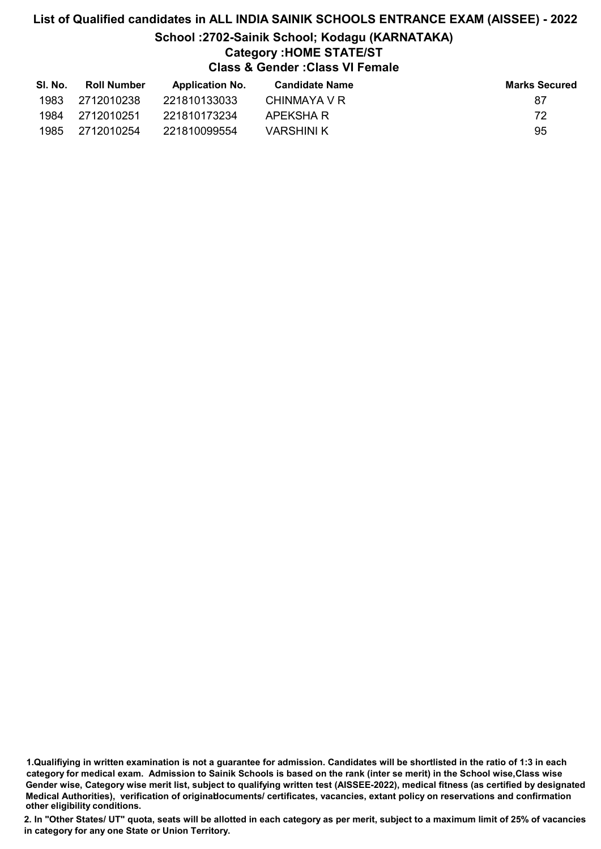### List of Qualified candidates in ALL INDIA SAINIK SCHOOLS ENTRANCE EXAM (AISSEE) - 2022 School :2702-Sainik School; Kodagu (KARNATAKA) Category :HOME STATE/ST Class & Gender :Class VI Female

| SI. No. | <b>Roll Number</b> | <b>Application No.</b> | <b>Candidate Name</b> | <b>Marks Secured</b> |
|---------|--------------------|------------------------|-----------------------|----------------------|
| 1983    | 2712010238         | 221810133033           | CHINMAYA V R          | 87                   |
| 1984    | 2712010251         | 221810173234           | APEKSHA R             | 72                   |
| 1985    | 2712010254         | 221810099554           | VARSHINI K            | 95                   |

1.Qualifiying in written examination is not a guarantee for admission. Candidates will be shortlisted in the ratio of 1:3 in each category for medical exam. Admission to Sainik Schools is based on the rank (inter se merit) in the School wise,Class wise Gender wise, Category wise merit list, subject to qualifying written test (AISSEE-2022), medical fitness (as certified by designated Medical Authorities), verification of originablocuments/ certificates, vacancies, extant policy on reservations and confirmation other eligibility conditions.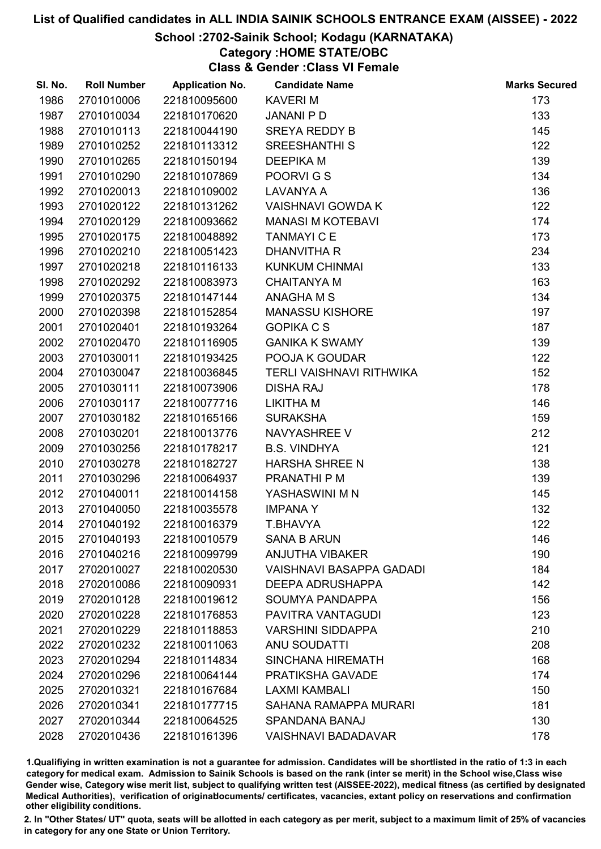### School :2702-Sainik School; Kodagu (KARNATAKA)

### Category :HOME STATE/OBC

Class & Gender :Class VI Female

| SI. No. | <b>Roll Number</b> | <b>Application No.</b> | <b>Candidate Name</b>           | <b>Marks Secured</b> |
|---------|--------------------|------------------------|---------------------------------|----------------------|
| 1986    | 2701010006         | 221810095600           | <b>KAVERIM</b>                  | 173                  |
| 1987    | 2701010034         | 221810170620           | <b>JANANI P D</b>               | 133                  |
| 1988    | 2701010113         | 221810044190           | <b>SREYA REDDY B</b>            | 145                  |
| 1989    | 2701010252         | 221810113312           | <b>SREESHANTHI S</b>            | 122                  |
| 1990    | 2701010265         | 221810150194           | <b>DEEPIKA M</b>                | 139                  |
| 1991    | 2701010290         | 221810107869           | POORVIGS                        | 134                  |
| 1992    | 2701020013         | 221810109002           | <b>LAVANYA A</b>                | 136                  |
| 1993    | 2701020122         | 221810131262           | <b>VAISHNAVI GOWDA K</b>        | 122                  |
| 1994    | 2701020129         | 221810093662           | <b>MANASI M KOTEBAVI</b>        | 174                  |
| 1995    | 2701020175         | 221810048892           | <b>TANMAYI C E</b>              | 173                  |
| 1996    | 2701020210         | 221810051423           | <b>DHANVITHA R</b>              | 234                  |
| 1997    | 2701020218         | 221810116133           | <b>KUNKUM CHINMAI</b>           | 133                  |
| 1998    | 2701020292         | 221810083973           | <b>CHAITANYA M</b>              | 163                  |
| 1999    | 2701020375         | 221810147144           | <b>ANAGHAMS</b>                 | 134                  |
| 2000    | 2701020398         | 221810152854           | <b>MANASSU KISHORE</b>          | 197                  |
| 2001    | 2701020401         | 221810193264           | <b>GOPIKA C S</b>               | 187                  |
| 2002    | 2701020470         | 221810116905           | <b>GANIKA K SWAMY</b>           | 139                  |
| 2003    | 2701030011         | 221810193425           | POOJA K GOUDAR                  | 122                  |
| 2004    | 2701030047         | 221810036845           | TERLI VAISHNAVI RITHWIKA        | 152                  |
| 2005    | 2701030111         | 221810073906           | <b>DISHA RAJ</b>                | 178                  |
| 2006    | 2701030117         | 221810077716           | LIKITHA M                       | 146                  |
| 2007    | 2701030182         | 221810165166           | <b>SURAKSHA</b>                 | 159                  |
| 2008    | 2701030201         | 221810013776           | NAVYASHREE V                    | 212                  |
| 2009    | 2701030256         | 221810178217           | <b>B.S. VINDHYA</b>             | 121                  |
| 2010    | 2701030278         | 221810182727           | <b>HARSHA SHREE N</b>           | 138                  |
| 2011    | 2701030296         | 221810064937           | PRANATHI P M                    | 139                  |
| 2012    | 2701040011         | 221810014158           | YASHASWINI M N                  | 145                  |
| 2013    | 2701040050         | 221810035578           | <b>IMPANAY</b>                  | 132                  |
| 2014    | 2701040192         | 221810016379           | T.BHAVYA                        | 122                  |
| 2015    | 2701040193         | 221810010579           | <b>SANA B ARUN</b>              | 146                  |
| 2016    | 2701040216         | 221810099799           | <b>ANJUTHA VIBAKER</b>          | 190                  |
| 2017    | 2702010027         | 221810020530           | <b>VAISHNAVI BASAPPA GADADI</b> | 184                  |
| 2018    | 2702010086         | 221810090931           | <b>DEEPA ADRUSHAPPA</b>         | 142                  |
| 2019    | 2702010128         | 221810019612           | SOUMYA PANDAPPA                 | 156                  |
| 2020    | 2702010228         | 221810176853           | PAVITRA VANTAGUDI               | 123                  |
| 2021    | 2702010229         | 221810118853           | <b>VARSHINI SIDDAPPA</b>        | 210                  |
| 2022    | 2702010232         | 221810011063           | <b>ANU SOUDATTI</b>             | 208                  |
| 2023    | 2702010294         | 221810114834           | <b>SINCHANA HIREMATH</b>        | 168                  |
| 2024    | 2702010296         | 221810064144           | PRATIKSHA GAVADE                | 174                  |
| 2025    | 2702010321         | 221810167684           | <b>LAXMI KAMBALI</b>            | 150                  |
| 2026    | 2702010341         | 221810177715           | SAHANA RAMAPPA MURARI           | 181                  |
| 2027    | 2702010344         | 221810064525           | SPANDANA BANAJ                  | 130                  |
| 2028    | 2702010436         | 221810161396           | <b>VAISHNAVI BADADAVAR</b>      | 178                  |

1.Qualifiying in written examination is not a guarantee for admission. Candidates will be shortlisted in the ratio of 1:3 in each category for medical exam. Admission to Sainik Schools is based on the rank (inter se merit) in the School wise,Class wise Gender wise, Category wise merit list, subject to qualifying written test (AISSEE-2022), medical fitness (as certified by designated Medical Authorities), verification of originablocuments/ certificates, vacancies, extant policy on reservations and confirmation other eligibility conditions.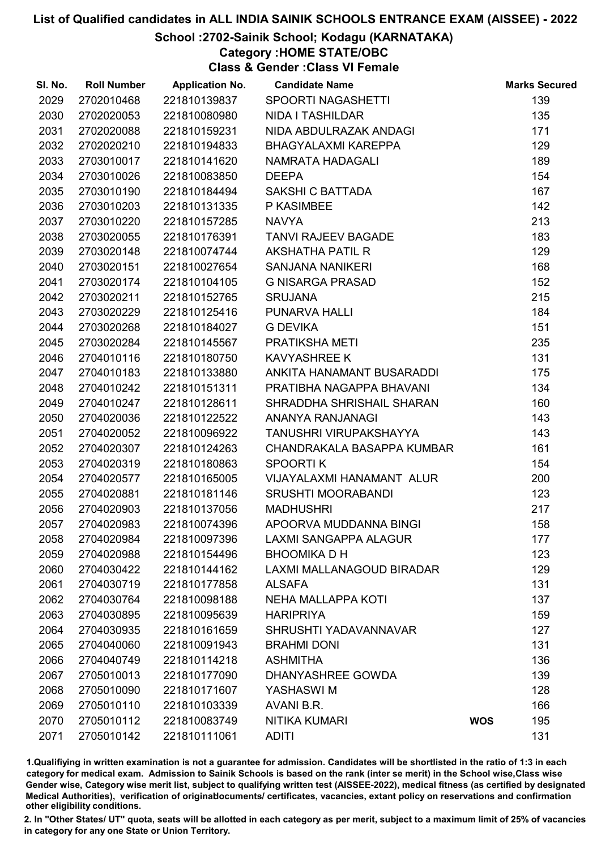### School :2702-Sainik School; Kodagu (KARNATAKA)

Category :HOME STATE/OBC

Class & Gender :Class VI Female

| SI. No. | <b>Roll Number</b> | <b>Application No.</b> | <b>Candidate Name</b>        |            | <b>Marks Secured</b> |
|---------|--------------------|------------------------|------------------------------|------------|----------------------|
| 2029    | 2702010468         | 221810139837           | <b>SPOORTI NAGASHETTI</b>    |            | 139                  |
| 2030    | 2702020053         | 221810080980           | <b>NIDA I TASHILDAR</b>      |            | 135                  |
| 2031    | 2702020088         | 221810159231           | NIDA ABDULRAZAK ANDAGI       |            | 171                  |
| 2032    | 2702020210         | 221810194833           | <b>BHAGYALAXMI KAREPPA</b>   |            | 129                  |
| 2033    | 2703010017         | 221810141620           | NAMRATA HADAGALI             |            | 189                  |
| 2034    | 2703010026         | 221810083850           | <b>DEEPA</b>                 |            | 154                  |
| 2035    | 2703010190         | 221810184494           | SAKSHI C BATTADA             |            | 167                  |
| 2036    | 2703010203         | 221810131335           | P KASIMBEE                   |            | 142                  |
| 2037    | 2703010220         | 221810157285           | <b>NAVYA</b>                 |            | 213                  |
| 2038    | 2703020055         | 221810176391           | <b>TANVI RAJEEV BAGADE</b>   |            | 183                  |
| 2039    | 2703020148         | 221810074744           | <b>AKSHATHA PATIL R</b>      |            | 129                  |
| 2040    | 2703020151         | 221810027654           | <b>SANJANA NANIKERI</b>      |            | 168                  |
| 2041    | 2703020174         | 221810104105           | <b>G NISARGA PRASAD</b>      |            | 152                  |
| 2042    | 2703020211         | 221810152765           | <b>SRUJANA</b>               |            | 215                  |
| 2043    | 2703020229         | 221810125416           | <b>PUNARVA HALLI</b>         |            | 184                  |
| 2044    | 2703020268         | 221810184027           | <b>G DEVIKA</b>              |            | 151                  |
| 2045    | 2703020284         | 221810145567           | PRATIKSHA METI               |            | 235                  |
| 2046    | 2704010116         | 221810180750           | <b>KAVYASHREE K</b>          |            | 131                  |
| 2047    | 2704010183         | 221810133880           | ANKITA HANAMANT BUSARADDI    |            | 175                  |
| 2048    | 2704010242         | 221810151311           | PRATIBHA NAGAPPA BHAVANI     |            | 134                  |
| 2049    | 2704010247         | 221810128611           | SHRADDHA SHRISHAIL SHARAN    |            | 160                  |
| 2050    | 2704020036         | 221810122522           | ANANYA RANJANAGI             |            | 143                  |
| 2051    | 2704020052         | 221810096922           | TANUSHRI VIRUPAKSHAYYA       |            | 143                  |
| 2052    | 2704020307         | 221810124263           | CHANDRAKALA BASAPPA KUMBAR   |            | 161                  |
| 2053    | 2704020319         | 221810180863           | <b>SPOORTIK</b>              |            | 154                  |
| 2054    | 2704020577         | 221810165005           | VIJAYALAXMI HANAMANT ALUR    |            | 200                  |
| 2055    | 2704020881         | 221810181146           | <b>SRUSHTI MOORABANDI</b>    |            | 123                  |
| 2056    | 2704020903         | 221810137056           | <b>MADHUSHRI</b>             |            | 217                  |
| 2057    | 2704020983         | 221810074396           | APOORVA MUDDANNA BINGI       |            | 158                  |
| 2058    | 2704020984         | 221810097396           | <b>LAXMI SANGAPPA ALAGUR</b> |            | 177                  |
| 2059    | 2704020988         | 221810154496           | <b>BHOOMIKA D H</b>          |            | 123                  |
| 2060    | 2704030422         | 221810144162           | LAXMI MALLANAGOUD BIRADAR    |            | 129                  |
| 2061    | 2704030719         | 221810177858           | <b>ALSAFA</b>                |            | 131                  |
| 2062    | 2704030764         | 221810098188           | <b>NEHA MALLAPPA KOTI</b>    |            | 137                  |
| 2063    | 2704030895         | 221810095639           | <b>HARIPRIYA</b>             |            | 159                  |
| 2064    | 2704030935         | 221810161659           | SHRUSHTI YADAVANNAVAR        |            | 127                  |
| 2065    | 2704040060         | 221810091943           | <b>BRAHMI DONI</b>           |            | 131                  |
| 2066    | 2704040749         | 221810114218           | <b>ASHMITHA</b>              |            | 136                  |
| 2067    | 2705010013         | 221810177090           | DHANYASHREE GOWDA            |            | 139                  |
| 2068    | 2705010090         | 221810171607           | YASHASWI M                   |            | 128                  |
| 2069    | 2705010110         | 221810103339           | AVANI B.R.                   |            | 166                  |
| 2070    | 2705010112         | 221810083749           | <b>NITIKA KUMARI</b>         | <b>WOS</b> | 195                  |
| 2071    | 2705010142         | 221810111061           | <b>ADITI</b>                 |            | 131                  |

1.Qualifiying in written examination is not a guarantee for admission. Candidates will be shortlisted in the ratio of 1:3 in each category for medical exam. Admission to Sainik Schools is based on the rank (inter se merit) in the School wise,Class wise Gender wise, Category wise merit list, subject to qualifying written test (AISSEE-2022), medical fitness (as certified by designated Medical Authorities), verification of originablocuments/ certificates, vacancies, extant policy on reservations and confirmation other eligibility conditions.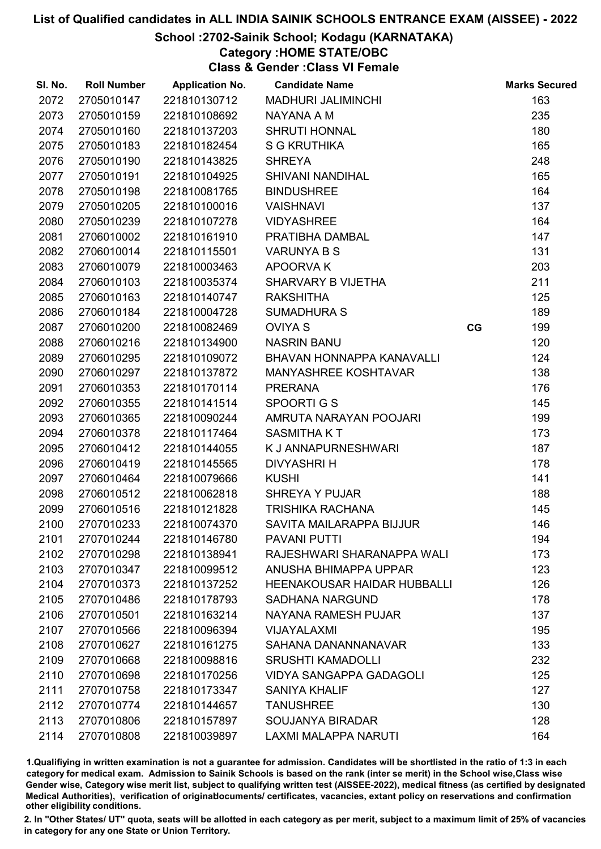### School :2702-Sainik School; Kodagu (KARNATAKA)

### Category :HOME STATE/OBC

Class & Gender :Class VI Female

| SI. No. | <b>Roll Number</b> | <b>Application No.</b> | <b>Candidate Name</b>              |    | <b>Marks Secured</b> |
|---------|--------------------|------------------------|------------------------------------|----|----------------------|
| 2072    | 2705010147         | 221810130712           | <b>MADHURI JALIMINCHI</b>          |    | 163                  |
| 2073    | 2705010159         | 221810108692           | NAYANA A M                         |    | 235                  |
| 2074    | 2705010160         | 221810137203           | <b>SHRUTI HONNAL</b>               |    | 180                  |
| 2075    | 2705010183         | 221810182454           | <b>S G KRUTHIKA</b>                |    | 165                  |
| 2076    | 2705010190         | 221810143825           | <b>SHREYA</b>                      |    | 248                  |
| 2077    | 2705010191         | 221810104925           | <b>SHIVANI NANDIHAL</b>            |    | 165                  |
| 2078    | 2705010198         | 221810081765           | <b>BINDUSHREE</b>                  |    | 164                  |
| 2079    | 2705010205         | 221810100016           | <b>VAISHNAVI</b>                   |    | 137                  |
| 2080    | 2705010239         | 221810107278           | <b>VIDYASHREE</b>                  |    | 164                  |
| 2081    | 2706010002         | 221810161910           | PRATIBHA DAMBAL                    |    | 147                  |
| 2082    | 2706010014         | 221810115501           | <b>VARUNYA B S</b>                 |    | 131                  |
| 2083    | 2706010079         | 221810003463           | <b>APOORVAK</b>                    |    | 203                  |
| 2084    | 2706010103         | 221810035374           | SHARVARY B VIJETHA                 |    | 211                  |
| 2085    | 2706010163         | 221810140747           | <b>RAKSHITHA</b>                   |    | 125                  |
| 2086    | 2706010184         | 221810004728           | <b>SUMADHURA S</b>                 |    | 189                  |
| 2087    | 2706010200         | 221810082469           | <b>OVIYA S</b>                     | CG | 199                  |
| 2088    | 2706010216         | 221810134900           | <b>NASRIN BANU</b>                 |    | 120                  |
| 2089    | 2706010295         | 221810109072           | BHAVAN HONNAPPA KANAVALLI          |    | 124                  |
| 2090    | 2706010297         | 221810137872           | <b>MANYASHREE KOSHTAVAR</b>        |    | 138                  |
| 2091    | 2706010353         | 221810170114           | <b>PRERANA</b>                     |    | 176                  |
| 2092    | 2706010355         | 221810141514           | SPOORTIGS                          |    | 145                  |
| 2093    | 2706010365         | 221810090244           | AMRUTA NARAYAN POOJARI             |    | 199                  |
| 2094    | 2706010378         | 221810117464           | <b>SASMITHAKT</b>                  |    | 173                  |
| 2095    | 2706010412         | 221810144055           | K J ANNAPURNESHWARI                |    | 187                  |
| 2096    | 2706010419         | 221810145565           | <b>DIVYASHRI H</b>                 |    | 178                  |
| 2097    | 2706010464         | 221810079666           | <b>KUSHI</b>                       |    | 141                  |
| 2098    | 2706010512         | 221810062818           | <b>SHREYA Y PUJAR</b>              |    | 188                  |
| 2099    | 2706010516         | 221810121828           | <b>TRISHIKA RACHANA</b>            |    | 145                  |
| 2100    | 2707010233         | 221810074370           | SAVITA MAILARAPPA BIJJUR           |    | 146                  |
| 2101    | 2707010244         | 221810146780           | <b>PAVANI PUTTI</b>                |    | 194                  |
| 2102    | 2707010298         | 221810138941           | RAJESHWARI SHARANAPPA WALI         |    | 173                  |
| 2103    | 2707010347         | 221810099512           | ANUSHA BHIMAPPA UPPAR              |    | 123                  |
| 2104    | 2707010373         | 221810137252           | <b>HEENAKOUSAR HAIDAR HUBBALLI</b> |    | 126                  |
| 2105    | 2707010486         | 221810178793           | <b>SADHANA NARGUND</b>             |    | 178                  |
| 2106    | 2707010501         | 221810163214           | NAYANA RAMESH PUJAR                |    | 137                  |
| 2107    | 2707010566         | 221810096394           | VIJAYALAXMI                        |    | 195                  |
| 2108    | 2707010627         | 221810161275           | SAHANA DANANNANAVAR                |    | 133                  |
| 2109    | 2707010668         | 221810098816           | <b>SRUSHTI KAMADOLLI</b>           |    | 232                  |
| 2110    | 2707010698         | 221810170256           | <b>VIDYA SANGAPPA GADAGOLI</b>     |    | 125                  |
| 2111    | 2707010758         | 221810173347           | <b>SANIYA KHALIF</b>               |    | 127                  |
| 2112    | 2707010774         | 221810144657           | <b>TANUSHREE</b>                   |    | 130                  |
| 2113    | 2707010806         | 221810157897           | <b>SOUJANYA BIRADAR</b>            |    | 128                  |
| 2114    | 2707010808         | 221810039897           | <b>LAXMI MALAPPA NARUTI</b>        |    | 164                  |

1.Qualifiying in written examination is not a guarantee for admission. Candidates will be shortlisted in the ratio of 1:3 in each category for medical exam. Admission to Sainik Schools is based on the rank (inter se merit) in the School wise,Class wise Gender wise, Category wise merit list, subject to qualifying written test (AISSEE-2022), medical fitness (as certified by designated Medical Authorities), verification of originablocuments/ certificates, vacancies, extant policy on reservations and confirmation other eligibility conditions.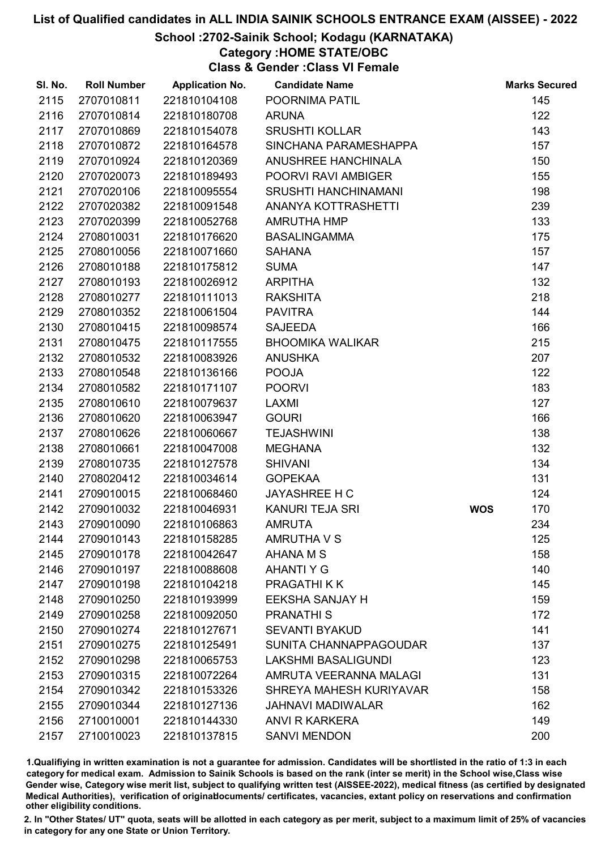### School :2702-Sainik School; Kodagu (KARNATAKA)

### Category :HOME STATE/OBC

Class & Gender :Class VI Female

| SI. No. | <b>Roll Number</b> | <b>Application No.</b> | <b>Candidate Name</b>       |            | <b>Marks Secured</b> |
|---------|--------------------|------------------------|-----------------------------|------------|----------------------|
| 2115    | 2707010811         | 221810104108           | POORNIMA PATIL              |            | 145                  |
| 2116    | 2707010814         | 221810180708           | <b>ARUNA</b>                |            | 122                  |
| 2117    | 2707010869         | 221810154078           | <b>SRUSHTI KOLLAR</b>       |            | 143                  |
| 2118    | 2707010872         | 221810164578           | SINCHANA PARAMESHAPPA       |            | 157                  |
| 2119    | 2707010924         | 221810120369           | <b>ANUSHREE HANCHINALA</b>  |            | 150                  |
| 2120    | 2707020073         | 221810189493           | POORVI RAVI AMBIGER         |            | 155                  |
| 2121    | 2707020106         | 221810095554           | <b>SRUSHTI HANCHINAMANI</b> |            | 198                  |
| 2122    | 2707020382         | 221810091548           | ANANYA KOTTRASHETTI         |            | 239                  |
| 2123    | 2707020399         | 221810052768           | <b>AMRUTHA HMP</b>          |            | 133                  |
| 2124    | 2708010031         | 221810176620           | <b>BASALINGAMMA</b>         |            | 175                  |
| 2125    | 2708010056         | 221810071660           | <b>SAHANA</b>               |            | 157                  |
| 2126    | 2708010188         | 221810175812           | <b>SUMA</b>                 |            | 147                  |
| 2127    | 2708010193         | 221810026912           | <b>ARPITHA</b>              |            | 132                  |
| 2128    | 2708010277         | 221810111013           | <b>RAKSHITA</b>             |            | 218                  |
| 2129    | 2708010352         | 221810061504           | <b>PAVITRA</b>              |            | 144                  |
| 2130    | 2708010415         | 221810098574           | <b>SAJEEDA</b>              |            | 166                  |
| 2131    | 2708010475         | 221810117555           | <b>BHOOMIKA WALIKAR</b>     |            | 215                  |
| 2132    | 2708010532         | 221810083926           | <b>ANUSHKA</b>              |            | 207                  |
| 2133    | 2708010548         | 221810136166           | <b>POOJA</b>                |            | 122                  |
| 2134    | 2708010582         | 221810171107           | <b>POORVI</b>               |            | 183                  |
| 2135    | 2708010610         | 221810079637           | LAXMI                       |            | 127                  |
| 2136    | 2708010620         | 221810063947           | <b>GOURI</b>                |            | 166                  |
| 2137    | 2708010626         | 221810060667           | <b>TEJASHWINI</b>           |            | 138                  |
| 2138    | 2708010661         | 221810047008           | <b>MEGHANA</b>              |            | 132                  |
| 2139    | 2708010735         | 221810127578           | <b>SHIVANI</b>              |            | 134                  |
| 2140    | 2708020412         | 221810034614           | <b>GOPEKAA</b>              |            | 131                  |
| 2141    | 2709010015         | 221810068460           | <b>JAYASHREE H C</b>        |            | 124                  |
| 2142    | 2709010032         | 221810046931           | KANURI TEJA SRI             | <b>WOS</b> | 170                  |
| 2143    | 2709010090         | 221810106863           | <b>AMRUTA</b>               |            | 234                  |
| 2144    | 2709010143         | 221810158285           | <b>AMRUTHA V S</b>          |            | 125                  |
| 2145    | 2709010178         | 221810042647           | AHANA M S                   |            | 158                  |
| 2146    | 2709010197         | 221810088608           | <b>AHANTI Y G</b>           |            | 140                  |
| 2147    | 2709010198         | 221810104218           | PRAGATHI K K                |            | 145                  |
| 2148    | 2709010250         | 221810193999           | <b>EEKSHA SANJAY H</b>      |            | 159                  |
| 2149    | 2709010258         | 221810092050           | <b>PRANATHIS</b>            |            | 172                  |
| 2150    | 2709010274         | 221810127671           | <b>SEVANTI BYAKUD</b>       |            | 141                  |
| 2151    | 2709010275         | 221810125491           | SUNITA CHANNAPPAGOUDAR      |            | 137                  |
| 2152    | 2709010298         | 221810065753           | <b>LAKSHMI BASALIGUNDI</b>  |            | 123                  |
| 2153    | 2709010315         | 221810072264           | AMRUTA VEERANNA MALAGI      |            | 131                  |
| 2154    | 2709010342         | 221810153326           | SHREYA MAHESH KURIYAVAR     |            | 158                  |
| 2155    | 2709010344         | 221810127136           | <b>JAHNAVI MADIWALAR</b>    |            | 162                  |
| 2156    | 2710010001         | 221810144330           | <b>ANVI R KARKERA</b>       |            | 149                  |
| 2157    | 2710010023         | 221810137815           | <b>SANVI MENDON</b>         |            | 200                  |

1.Qualifiying in written examination is not a guarantee for admission. Candidates will be shortlisted in the ratio of 1:3 in each category for medical exam. Admission to Sainik Schools is based on the rank (inter se merit) in the School wise,Class wise Gender wise, Category wise merit list, subject to qualifying written test (AISSEE-2022), medical fitness (as certified by designated Medical Authorities), verification of originablocuments/ certificates, vacancies, extant policy on reservations and confirmation other eligibility conditions.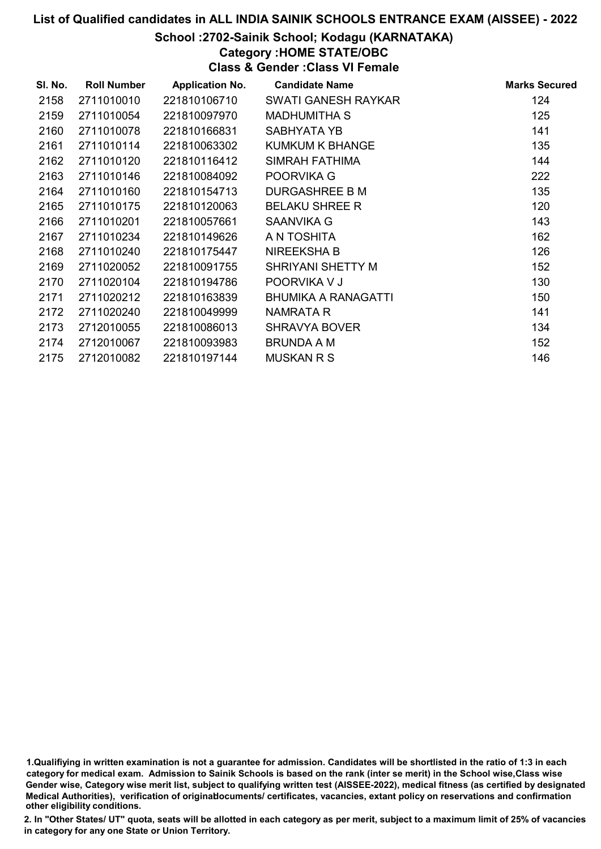### School :2702-Sainik School; Kodagu (KARNATAKA)

### Category :HOME STATE/OBC

Class & Gender :Class VI Female

| SI. No. | <b>Roll Number</b> | <b>Application No.</b> | <b>Candidate Name</b>      | <b>Marks Secured</b> |
|---------|--------------------|------------------------|----------------------------|----------------------|
| 2158    | 2711010010         | 221810106710           | SWATI GANESH RAYKAR        | 124                  |
| 2159    | 2711010054         | 221810097970           | <b>MADHUMITHA S</b>        | 125                  |
| 2160    | 2711010078         | 221810166831           | SABHYATA YB                | 141                  |
| 2161    | 2711010114         | 221810063302           | <b>KUMKUM K BHANGE</b>     | 135                  |
| 2162    | 2711010120         | 221810116412           | SIMRAH FATHIMA             | 144                  |
| 2163    | 2711010146         | 221810084092           | POORVIKA G                 | 222                  |
| 2164    | 2711010160         | 221810154713           | <b>DURGASHREE B M</b>      | 135                  |
| 2165    | 2711010175         | 221810120063           | <b>BELAKU SHREE R</b>      | 120                  |
| 2166    | 2711010201         | 221810057661           | SAANVIKA G                 | 143                  |
| 2167    | 2711010234         | 221810149626           | A N TOSHITA                | 162                  |
| 2168    | 2711010240         | 221810175447           | <b>NIREEKSHAB</b>          | 126                  |
| 2169    | 2711020052         | 221810091755           | <b>SHRIYANI SHETTY M</b>   | 152                  |
| 2170    | 2711020104         | 221810194786           | POORVIKA V J               | 130                  |
| 2171    | 2711020212         | 221810163839           | <b>BHUMIKA A RANAGATTI</b> | 150                  |
| 2172    | 2711020240         | 221810049999           | NAMRATA R                  | 141                  |
| 2173    | 2712010055         | 221810086013           | <b>SHRAVYA BOVER</b>       | 134                  |
| 2174    | 2712010067         | 221810093983           | <b>BRUNDA A M</b>          | 152                  |
| 2175    | 2712010082         | 221810197144           | <b>MUSKAN R S</b>          | 146                  |

1.Qualifiying in written examination is not a guarantee for admission. Candidates will be shortlisted in the ratio of 1:3 in each category for medical exam. Admission to Sainik Schools is based on the rank (inter se merit) in the School wise,Class wise Gender wise, Category wise merit list, subject to qualifying written test (AISSEE-2022), medical fitness (as certified by designated Medical Authorities), verification of originablocuments/ certificates, vacancies, extant policy on reservations and confirmation other eligibility conditions.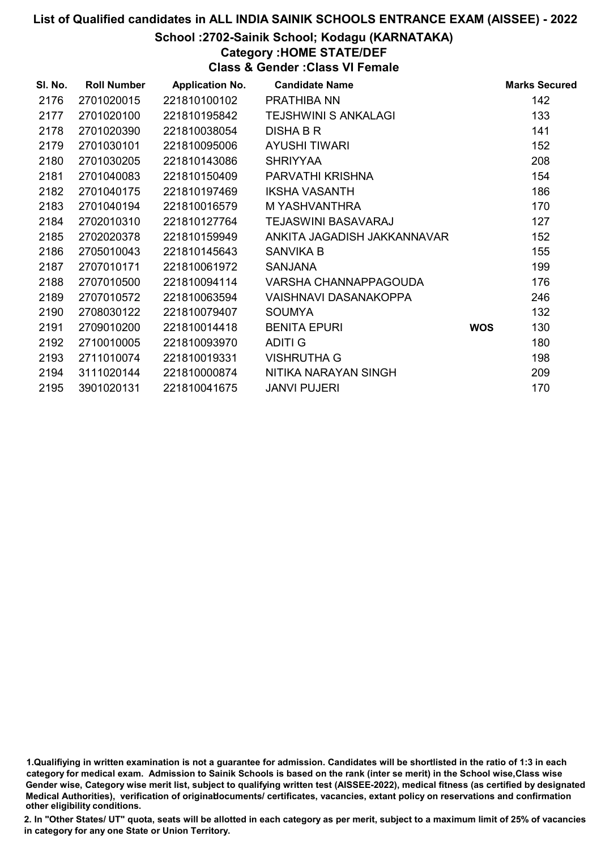### School :2702-Sainik School; Kodagu (KARNATAKA)

### Category :HOME STATE/DEF

Class & Gender :Class VI Female

| SI. No. | <b>Roll Number</b> | <b>Application No.</b> | <b>Candidate Name</b>        |            | <b>Marks Secured</b> |
|---------|--------------------|------------------------|------------------------------|------------|----------------------|
| 2176    | 2701020015         | 221810100102           | PRATHIBA NN                  |            | 142                  |
| 2177    | 2701020100         | 221810195842           | <b>TEJSHWINI S ANKALAGI</b>  |            | 133                  |
| 2178    | 2701020390         | 221810038054           | DISHA B R                    |            | 141                  |
| 2179    | 2701030101         | 221810095006           | <b>AYUSHI TIWARI</b>         |            | 152                  |
| 2180    | 2701030205         | 221810143086           | <b>SHRIYYAA</b>              |            | 208                  |
| 2181    | 2701040083         | 221810150409           | PARVATHI KRISHNA             |            | 154                  |
| 2182    | 2701040175         | 221810197469           | <b>IKSHA VASANTH</b>         |            | 186                  |
| 2183    | 2701040194         | 221810016579           | M YASHVANTHRA                |            | 170                  |
| 2184    | 2702010310         | 221810127764           | <b>TEJASWINI BASAVARAJ</b>   |            | 127                  |
| 2185    | 2702020378         | 221810159949           | ANKITA JAGADISH JAKKANNAVAR  |            | 152                  |
| 2186    | 2705010043         | 221810145643           | <b>SANVIKA B</b>             |            | 155                  |
| 2187    | 2707010171         | 221810061972           | <b>SANJANA</b>               |            | 199                  |
| 2188    | 2707010500         | 221810094114           | VARSHA CHANNAPPAGOUDA        |            | 176                  |
| 2189    | 2707010572         | 221810063594           | <b>VAISHNAVI DASANAKOPPA</b> |            | 246                  |
| 2190    | 2708030122         | 221810079407           | <b>SOUMYA</b>                |            | 132                  |
| 2191    | 2709010200         | 221810014418           | <b>BENITA EPURI</b>          | <b>WOS</b> | 130                  |
| 2192    | 2710010005         | 221810093970           | <b>ADITI G</b>               |            | 180                  |
| 2193    | 2711010074         | 221810019331           | <b>VISHRUTHA G</b>           |            | 198                  |
| 2194    | 3111020144         | 221810000874           | NITIKA NARAYAN SINGH         |            | 209                  |
| 2195    | 3901020131         | 221810041675           | <b>JANVI PUJERI</b>          |            | 170                  |

1.Qualifiying in written examination is not a guarantee for admission. Candidates will be shortlisted in the ratio of 1:3 in each category for medical exam. Admission to Sainik Schools is based on the rank (inter se merit) in the School wise,Class wise Gender wise, Category wise merit list, subject to qualifying written test (AISSEE-2022), medical fitness (as certified by designated Medical Authorities), verification of originablocuments/ certificates, vacancies, extant policy on reservations and confirmation other eligibility conditions.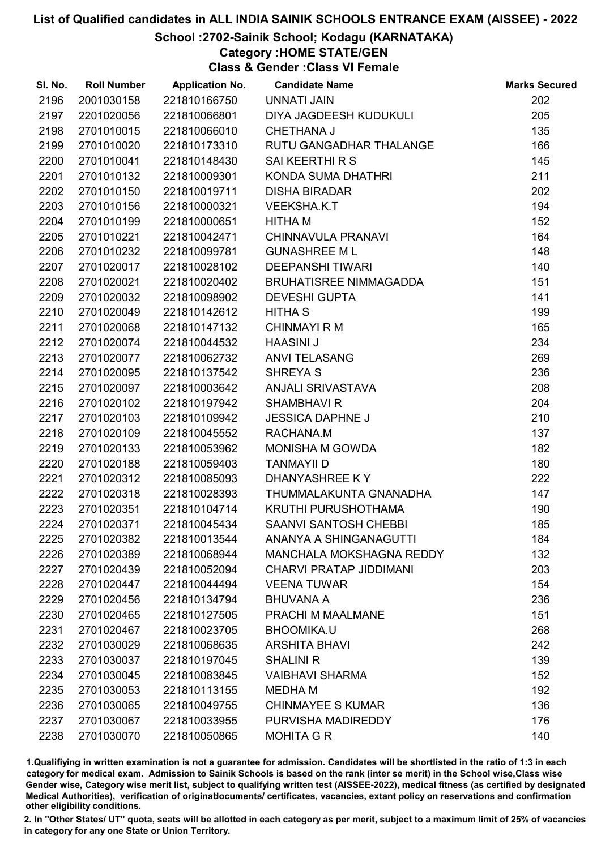### School :2702-Sainik School; Kodagu (KARNATAKA)

### Category :HOME STATE/GEN

Class & Gender :Class VI Female

| SI. No. | <b>Roll Number</b> | <b>Application No.</b> | <b>Candidate Name</b>           | <b>Marks Secured</b> |
|---------|--------------------|------------------------|---------------------------------|----------------------|
| 2196    | 2001030158         | 221810166750           | <b>UNNATI JAIN</b>              | 202                  |
| 2197    | 2201020056         | 221810066801           | DIYA JAGDEESH KUDUKULI          | 205                  |
| 2198    | 2701010015         | 221810066010           | <b>CHETHANA J</b>               | 135                  |
| 2199    | 2701010020         | 221810173310           | RUTU GANGADHAR THALANGE         | 166                  |
| 2200    | 2701010041         | 221810148430           | SAI KEERTHI R S                 | 145                  |
| 2201    | 2701010132         | 221810009301           | KONDA SUMA DHATHRI              | 211                  |
| 2202    | 2701010150         | 221810019711           | <b>DISHA BIRADAR</b>            | 202                  |
| 2203    | 2701010156         | 221810000321           | <b>VEEKSHA.K.T</b>              | 194                  |
| 2204    | 2701010199         | 221810000651           | HITHA M                         | 152                  |
| 2205    | 2701010221         | 221810042471           | CHINNAVULA PRANAVI              | 164                  |
| 2206    | 2701010232         | 221810099781           | <b>GUNASHREE ML</b>             | 148                  |
| 2207    | 2701020017         | 221810028102           | <b>DEEPANSHI TIWARI</b>         | 140                  |
| 2208    | 2701020021         | 221810020402           | BRUHATISREE NIMMAGADDA          | 151                  |
| 2209    | 2701020032         | 221810098902           | <b>DEVESHI GUPTA</b>            | 141                  |
| 2210    | 2701020049         | 221810142612           | <b>HITHA S</b>                  | 199                  |
| 2211    | 2701020068         | 221810147132           | <b>CHINMAYI R M</b>             | 165                  |
| 2212    | 2701020074         | 221810044532           | <b>HAASINI J</b>                | 234                  |
| 2213    | 2701020077         | 221810062732           | <b>ANVI TELASANG</b>            | 269                  |
| 2214    | 2701020095         | 221810137542           | <b>SHREYA S</b>                 | 236                  |
| 2215    | 2701020097         | 221810003642           | ANJALI SRIVASTAVA               | 208                  |
| 2216    | 2701020102         | 221810197942           | <b>SHAMBHAVI R</b>              | 204                  |
| 2217    | 2701020103         | 221810109942           | <b>JESSICA DAPHNE J</b>         | 210                  |
| 2218    | 2701020109         | 221810045552           | RACHANA.M                       | 137                  |
| 2219    | 2701020133         | 221810053962           | MONISHA M GOWDA                 | 182                  |
| 2220    | 2701020188         | 221810059403           | <b>TANMAYII D</b>               | 180                  |
| 2221    | 2701020312         | 221810085093           | DHANYASHREE KY                  | 222                  |
| 2222    | 2701020318         | 221810028393           | THUMMALAKUNTA GNANADHA          | 147                  |
| 2223    | 2701020351         | 221810104714           | <b>KRUTHI PURUSHOTHAMA</b>      | 190                  |
| 2224    | 2701020371         | 221810045434           | <b>SAANVI SANTOSH CHEBBI</b>    | 185                  |
| 2225    | 2701020382         | 221810013544           | ANANYA A SHINGANAGUTTI          | 184                  |
| 2226    | 2701020389         | 221810068944           | <b>MANCHALA MOKSHAGNA REDDY</b> | 132                  |
| 2227    | 2701020439         | 221810052094           | <b>CHARVI PRATAP JIDDIMANI</b>  | 203                  |
| 2228    | 2701020447         | 221810044494           | <b>VEENA TUWAR</b>              | 154                  |
| 2229    | 2701020456         | 221810134794           | <b>BHUVANA A</b>                | 236                  |
| 2230    | 2701020465         | 221810127505           | PRACHI M MAALMANE               | 151                  |
| 2231    | 2701020467         | 221810023705           | <b>BHOOMIKA.U</b>               | 268                  |
| 2232    | 2701030029         | 221810068635           | <b>ARSHITA BHAVI</b>            | 242                  |
| 2233    | 2701030037         | 221810197045           | <b>SHALINI R</b>                | 139                  |
| 2234    | 2701030045         | 221810083845           | <b>VAIBHAVI SHARMA</b>          | 152                  |
| 2235    | 2701030053         | 221810113155           | <b>MEDHAM</b>                   | 192                  |
| 2236    | 2701030065         | 221810049755           | <b>CHINMAYEE S KUMAR</b>        | 136                  |
| 2237    | 2701030067         | 221810033955           | PURVISHA MADIREDDY              | 176                  |
| 2238    | 2701030070         | 221810050865           | <b>MOHITA G R</b>               | 140                  |

1.Qualifiying in written examination is not a guarantee for admission. Candidates will be shortlisted in the ratio of 1:3 in each category for medical exam. Admission to Sainik Schools is based on the rank (inter se merit) in the School wise,Class wise Gender wise, Category wise merit list, subject to qualifying written test (AISSEE-2022), medical fitness (as certified by designated Medical Authorities), verification of originablocuments/ certificates, vacancies, extant policy on reservations and confirmation other eligibility conditions.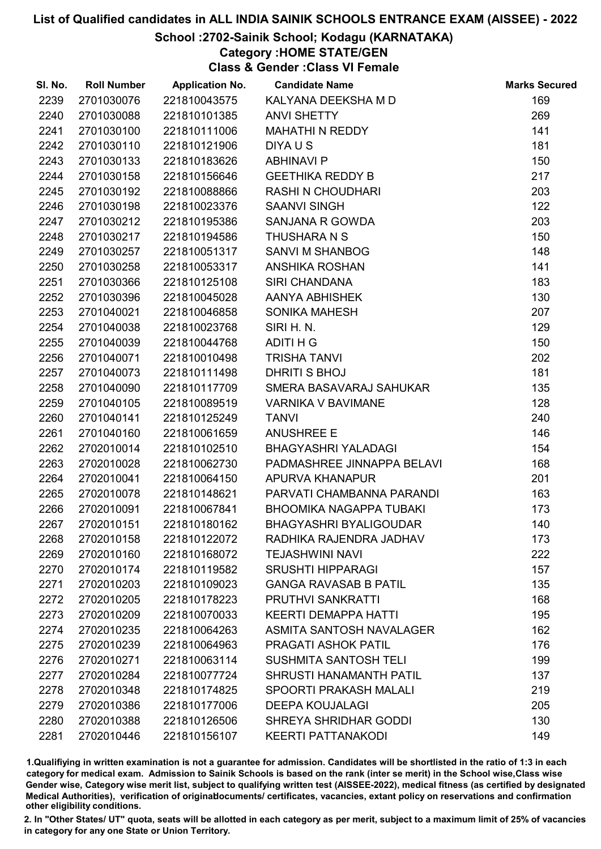### School :2702-Sainik School; Kodagu (KARNATAKA)

### Category :HOME STATE/GEN

Class & Gender :Class VI Female

| SI. No. | <b>Roll Number</b> | <b>Application No.</b> | <b>Candidate Name</b>          | <b>Marks Secured</b> |
|---------|--------------------|------------------------|--------------------------------|----------------------|
| 2239    | 2701030076         | 221810043575           | KALYANA DEEKSHA M D            | 169                  |
| 2240    | 2701030088         | 221810101385           | <b>ANVI SHETTY</b>             | 269                  |
| 2241    | 2701030100         | 221810111006           | <b>MAHATHI N REDDY</b>         | 141                  |
| 2242    | 2701030110         | 221810121906           | DIYA U S                       | 181                  |
| 2243    | 2701030133         | 221810183626           | <b>ABHINAVI P</b>              | 150                  |
| 2244    | 2701030158         | 221810156646           | <b>GEETHIKA REDDY B</b>        | 217                  |
| 2245    | 2701030192         | 221810088866           | <b>RASHI N CHOUDHARI</b>       | 203                  |
| 2246    | 2701030198         | 221810023376           | <b>SAANVI SINGH</b>            | 122                  |
| 2247    | 2701030212         | 221810195386           | SANJANA R GOWDA                | 203                  |
| 2248    | 2701030217         | 221810194586           | THUSHARA N S                   | 150                  |
| 2249    | 2701030257         | 221810051317           | <b>SANVI M SHANBOG</b>         | 148                  |
| 2250    | 2701030258         | 221810053317           | <b>ANSHIKA ROSHAN</b>          | 141                  |
| 2251    | 2701030366         | 221810125108           | <b>SIRI CHANDANA</b>           | 183                  |
| 2252    | 2701030396         | 221810045028           | AANYA ABHISHEK                 | 130                  |
| 2253    | 2701040021         | 221810046858           | <b>SONIKA MAHESH</b>           | 207                  |
| 2254    | 2701040038         | 221810023768           | SIRI H. N.                     | 129                  |
| 2255    | 2701040039         | 221810044768           | ADITI H G                      | 150                  |
| 2256    | 2701040071         | 221810010498           | <b>TRISHA TANVI</b>            | 202                  |
| 2257    | 2701040073         | 221810111498           | DHRITI S BHOJ                  | 181                  |
| 2258    | 2701040090         | 221810117709           | SMERA BASAVARAJ SAHUKAR        | 135                  |
| 2259    | 2701040105         | 221810089519           | <b>VARNIKA V BAVIMANE</b>      | 128                  |
| 2260    | 2701040141         | 221810125249           | <b>TANVI</b>                   | 240                  |
| 2261    | 2701040160         | 221810061659           | <b>ANUSHREE E</b>              | 146                  |
| 2262    | 2702010014         | 221810102510           | <b>BHAGYASHRI YALADAGI</b>     | 154                  |
| 2263    | 2702010028         | 221810062730           | PADMASHREE JINNAPPA BELAVI     | 168                  |
| 2264    | 2702010041         | 221810064150           | APURVA KHANAPUR                | 201                  |
| 2265    | 2702010078         | 221810148621           | PARVATI CHAMBANNA PARANDI      | 163                  |
| 2266    | 2702010091         | 221810067841           | <b>BHOOMIKA NAGAPPA TUBAKI</b> | 173                  |
| 2267    | 2702010151         | 221810180162           | <b>BHAGYASHRI BYALIGOUDAR</b>  | 140                  |
| 2268    | 2702010158         | 221810122072           | RADHIKA RAJENDRA JADHAV        | 173                  |
| 2269    | 2702010160         | 221810168072           | <b>TEJASHWINI NAVI</b>         | 222                  |
| 2270    | 2702010174         | 221810119582           | <b>SRUSHTI HIPPARAGI</b>       | 157                  |
| 2271    | 2702010203         | 221810109023           | <b>GANGA RAVASAB B PATIL</b>   | 135                  |
| 2272    | 2702010205         | 221810178223           | <b>PRUTHVI SANKRATTI</b>       | 168                  |
| 2273    | 2702010209         | 221810070033           | <b>KEERTI DEMAPPA HATTI</b>    | 195                  |
| 2274    | 2702010235         | 221810064263           | ASMITA SANTOSH NAVALAGER       | 162                  |
| 2275    | 2702010239         | 221810064963           | PRAGATI ASHOK PATIL            | 176                  |
| 2276    | 2702010271         | 221810063114           | <b>SUSHMITA SANTOSH TELI</b>   | 199                  |
| 2277    | 2702010284         | 221810077724           | SHRUSTI HANAMANTH PATIL        | 137                  |
| 2278    | 2702010348         | 221810174825           | <b>SPOORTI PRAKASH MALALI</b>  | 219                  |
| 2279    | 2702010386         | 221810177006           | <b>DEEPA KOUJALAGI</b>         | 205                  |
| 2280    | 2702010388         | 221810126506           | <b>SHREYA SHRIDHAR GODDI</b>   | 130                  |
| 2281    | 2702010446         | 221810156107           | <b>KEERTI PATTANAKODI</b>      | 149                  |

1.Qualifiying in written examination is not a guarantee for admission. Candidates will be shortlisted in the ratio of 1:3 in each category for medical exam. Admission to Sainik Schools is based on the rank (inter se merit) in the School wise,Class wise Gender wise, Category wise merit list, subject to qualifying written test (AISSEE-2022), medical fitness (as certified by designated Medical Authorities), verification of originablocuments/ certificates, vacancies, extant policy on reservations and confirmation other eligibility conditions.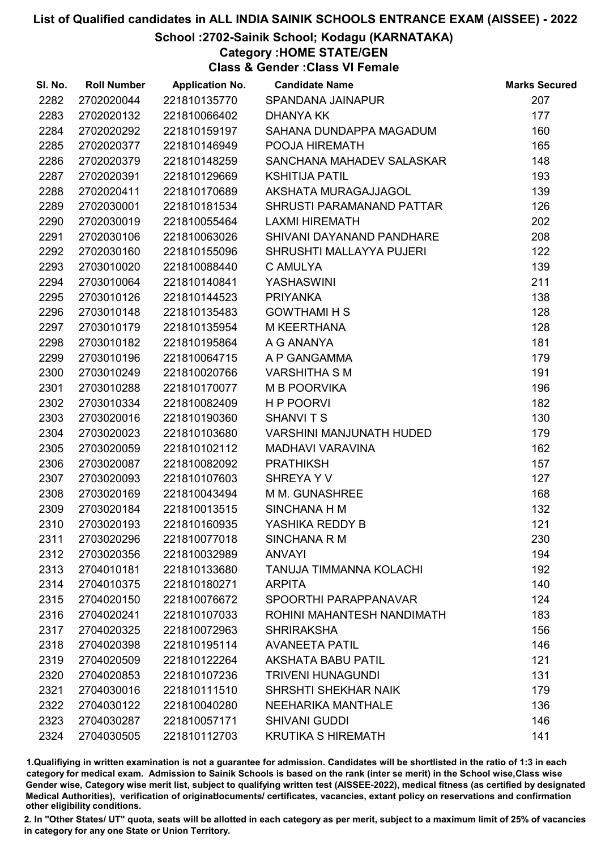### School :2702-Sainik School; Kodagu (KARNATAKA)

Category :HOME STATE/GEN

Class & Gender :Class VI Female

| SI. No. | <b>Roll Number</b> | <b>Application No.</b> | <b>Candidate Name</b>           | <b>Marks Secured</b> |
|---------|--------------------|------------------------|---------------------------------|----------------------|
| 2282    | 2702020044         | 221810135770           | SPANDANA JAINAPUR               | 207                  |
| 2283    | 2702020132         | 221810066402           | <b>DHANYA KK</b>                | 177                  |
| 2284    | 2702020292         | 221810159197           | SAHANA DUNDAPPA MAGADUM         | 160                  |
| 2285    | 2702020377         | 221810146949           | POOJA HIREMATH                  | 165                  |
| 2286    | 2702020379         | 221810148259           | SANCHANA MAHADEV SALASKAR       | 148                  |
| 2287    | 2702020391         | 221810129669           | <b>KSHITIJA PATIL</b>           | 193                  |
| 2288    | 2702020411         | 221810170689           | AKSHATA MURAGAJJAGOL            | 139                  |
| 2289    | 2702030001         | 221810181534           | SHRUSTI PARAMANAND PATTAR       | 126                  |
| 2290    | 2702030019         | 221810055464           | <b>LAXMI HIREMATH</b>           | 202                  |
| 2291    | 2702030106         | 221810063026           | SHIVANI DAYANAND PANDHARE       | 208                  |
| 2292    | 2702030160         | 221810155096           | SHRUSHTI MALLAYYA PUJERI        | 122                  |
| 2293    | 2703010020         | 221810088440           | C AMULYA                        | 139                  |
| 2294    | 2703010064         | 221810140841           | YASHASWINI                      | 211                  |
| 2295    | 2703010126         | 221810144523           | <b>PRIYANKA</b>                 | 138                  |
| 2296    | 2703010148         | 221810135483           | <b>GOWTHAMI H S</b>             | 128                  |
| 2297    | 2703010179         | 221810135954           | <b>M KEERTHANA</b>              | 128                  |
| 2298    | 2703010182         | 221810195864           | A G ANANYA                      | 181                  |
| 2299    | 2703010196         | 221810064715           | A P GANGAMMA                    | 179                  |
| 2300    | 2703010249         | 221810020766           | <b>VARSHITHA S M</b>            | 191                  |
| 2301    | 2703010288         | 221810170077           | <b>M B POORVIKA</b>             | 196                  |
| 2302    | 2703010334         | 221810082409           | H P POORVI                      | 182                  |
| 2303    | 2703020016         | 221810190360           | <b>SHANVITS</b>                 | 130                  |
| 2304    | 2703020023         | 221810103680           | <b>VARSHINI MANJUNATH HUDED</b> | 179                  |
| 2305    | 2703020059         | 221810102112           | <b>MADHAVI VARAVINA</b>         | 162                  |
| 2306    | 2703020087         | 221810082092           | <b>PRATHIKSH</b>                | 157                  |
| 2307    | 2703020093         | 221810107603           | SHREYA Y V                      | 127                  |
| 2308    | 2703020169         | 221810043494           | M M. GUNASHREE                  | 168                  |
| 2309    | 2703020184         | 221810013515           | SINCHANA H M                    | 132                  |
| 2310    | 2703020193         | 221810160935           | YASHIKA REDDY B                 | 121                  |
| 2311    | 2703020296         | 221810077018           | <b>SINCHANA R M</b>             | 230                  |
| 2312    | 2703020356         | 221810032989           | <b>ANVAYI</b>                   | 194                  |
| 2313    | 2704010181         | 221810133680           | <b>TANUJA TIMMANNA KOLACHI</b>  | 192                  |
| 2314    | 2704010375         | 221810180271           | <b>ARPITA</b>                   | 140                  |
| 2315    | 2704020150         | 221810076672           | SPOORTHI PARAPPANAVAR           | 124                  |
| 2316    | 2704020241         | 221810107033           | ROHINI MAHANTESH NANDIMATH      | 183                  |
| 2317    | 2704020325         | 221810072963           | <b>SHRIRAKSHA</b>               | 156                  |
| 2318    | 2704020398         | 221810195114           | <b>AVANEETA PATIL</b>           | 146                  |
| 2319    | 2704020509         | 221810122264           | <b>AKSHATA BABU PATIL</b>       | 121                  |
| 2320    | 2704020853         | 221810107236           | <b>TRIVENI HUNAGUNDI</b>        | 131                  |
| 2321    | 2704030016         | 221810111510           | SHRSHTI SHEKHAR NAIK            | 179                  |
| 2322    | 2704030122         | 221810040280           | <b>NEEHARIKA MANTHALE</b>       | 136                  |
| 2323    | 2704030287         | 221810057171           | <b>SHIVANI GUDDI</b>            | 146                  |
| 2324    | 2704030505         | 221810112703           | <b>KRUTIKA S HIREMATH</b>       | 141                  |

1.Qualifiying in written examination is not a guarantee for admission. Candidates will be shortlisted in the ratio of 1:3 in each category for medical exam. Admission to Sainik Schools is based on the rank (inter se merit) in the School wise,Class wise Gender wise, Category wise merit list, subject to qualifying written test (AISSEE-2022), medical fitness (as certified by designated Medical Authorities), verification of originablocuments/ certificates, vacancies, extant policy on reservations and confirmation other eligibility conditions.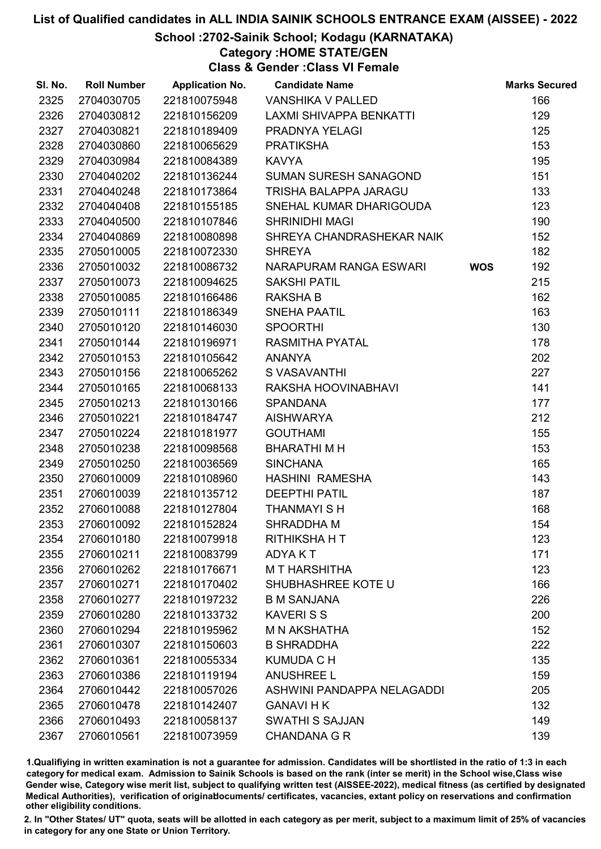### School :2702-Sainik School; Kodagu (KARNATAKA)

Category :HOME STATE/GEN

Class & Gender :Class VI Female

| SI. No. | <b>Roll Number</b> | <b>Application No.</b> | <b>Candidate Name</b>        |            | <b>Marks Secured</b> |
|---------|--------------------|------------------------|------------------------------|------------|----------------------|
| 2325    | 2704030705         | 221810075948           | <b>VANSHIKA V PALLED</b>     |            | 166                  |
| 2326    | 2704030812         | 221810156209           | LAXMI SHIVAPPA BENKATTI      |            | 129                  |
| 2327    | 2704030821         | 221810189409           | PRADNYA YELAGI               |            | 125                  |
| 2328    | 2704030860         | 221810065629           | <b>PRATIKSHA</b>             |            | 153                  |
| 2329    | 2704030984         | 221810084389           | <b>KAVYA</b>                 |            | 195                  |
| 2330    | 2704040202         | 221810136244           | <b>SUMAN SURESH SANAGOND</b> |            | 151                  |
| 2331    | 2704040248         | 221810173864           | TRISHA BALAPPA JARAGU        |            | 133                  |
| 2332    | 2704040408         | 221810155185           | SNEHAL KUMAR DHARIGOUDA      |            | 123                  |
| 2333    | 2704040500         | 221810107846           | <b>SHRINIDHI MAGI</b>        |            | 190                  |
| 2334    | 2704040869         | 221810080898           | SHREYA CHANDRASHEKAR NAIK    |            | 152                  |
| 2335    | 2705010005         | 221810072330           | <b>SHREYA</b>                |            | 182                  |
| 2336    | 2705010032         | 221810086732           | NARAPURAM RANGA ESWARI       | <b>WOS</b> | 192                  |
| 2337    | 2705010073         | 221810094625           | <b>SAKSHI PATIL</b>          |            | 215                  |
| 2338    | 2705010085         | 221810166486           | <b>RAKSHA B</b>              |            | 162                  |
| 2339    | 2705010111         | 221810186349           | <b>SNEHA PAATIL</b>          |            | 163                  |
| 2340    | 2705010120         | 221810146030           | <b>SPOORTHI</b>              |            | 130                  |
| 2341    | 2705010144         | 221810196971           | <b>RASMITHA PYATAL</b>       |            | 178                  |
| 2342    | 2705010153         | 221810105642           | <b>ANANYA</b>                |            | 202                  |
| 2343    | 2705010156         | 221810065262           | S VASAVANTHI                 |            | 227                  |
| 2344    | 2705010165         | 221810068133           | RAKSHA HOOVINABHAVI          |            | 141                  |
| 2345    | 2705010213         | 221810130166           | <b>SPANDANA</b>              |            | 177                  |
| 2346    | 2705010221         | 221810184747           | <b>AISHWARYA</b>             |            | 212                  |
| 2347    | 2705010224         | 221810181977           | <b>GOUTHAMI</b>              |            | 155                  |
| 2348    | 2705010238         | 221810098568           | <b>BHARATHIMH</b>            |            | 153                  |
| 2349    | 2705010250         | 221810036569           | <b>SINCHANA</b>              |            | 165                  |
| 2350    | 2706010009         | 221810108960           | <b>HASHINI RAMESHA</b>       |            | 143                  |
| 2351    | 2706010039         | 221810135712           | <b>DEEPTHI PATIL</b>         |            | 187                  |
| 2352    | 2706010088         | 221810127804           | <b>THANMAYI SH</b>           |            | 168                  |
| 2353    | 2706010092         | 221810152824           | SHRADDHA M                   |            | 154                  |
| 2354    | 2706010180         | 221810079918           | <b>RITHIKSHAHT</b>           |            | 123                  |
| 2355    | 2706010211         | 221810083799           | ADYA K T                     |            | 171                  |
| 2356    | 2706010262         | 221810176671           | <b>MT HARSHITHA</b>          |            | 123                  |
| 2357    | 2706010271         | 221810170402           | SHUBHASHREE KOTE U           |            | 166                  |
| 2358    | 2706010277         | 221810197232           | <b>B M SANJANA</b>           |            | 226                  |
| 2359    | 2706010280         | 221810133732           | <b>KAVERISS</b>              |            | 200                  |
| 2360    | 2706010294         | 221810195962           | <b>M N AKSHATHA</b>          |            | 152                  |
| 2361    | 2706010307         | 221810150603           | <b>B SHRADDHA</b>            |            | 222                  |
| 2362    | 2706010361         | 221810055334           | <b>KUMUDA C H</b>            |            | 135                  |
| 2363    | 2706010386         | 221810119194           | <b>ANUSHREE L</b>            |            | 159                  |
| 2364    | 2706010442         | 221810057026           | ASHWINI PANDAPPA NELAGADDI   |            | 205                  |
| 2365    | 2706010478         | 221810142407           | <b>GANAVI H K</b>            |            | 132                  |
| 2366    | 2706010493         | 221810058137           | <b>SWATHI S SAJJAN</b>       |            | 149                  |
| 2367    | 2706010561         | 221810073959           | <b>CHANDANA G R</b>          |            | 139                  |

1.Qualifiying in written examination is not a guarantee for admission. Candidates will be shortlisted in the ratio of 1:3 in each category for medical exam. Admission to Sainik Schools is based on the rank (inter se merit) in the School wise,Class wise Gender wise, Category wise merit list, subject to qualifying written test (AISSEE-2022), medical fitness (as certified by designated Medical Authorities), verification of originablocuments/ certificates, vacancies, extant policy on reservations and confirmation other eligibility conditions.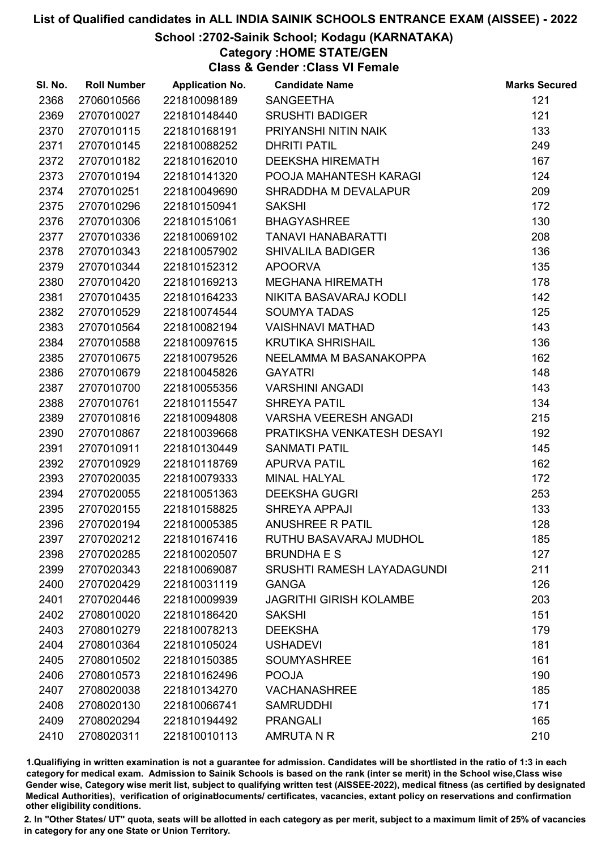### School :2702-Sainik School; Kodagu (KARNATAKA)

### Category :HOME STATE/GEN

Class & Gender :Class VI Female

| 2368<br>121<br>2706010566<br>221810098189<br><b>SANGEETHA</b><br>2369<br>2707010027<br><b>SRUSHTI BADIGER</b><br>121<br>221810148440<br>133<br>2370<br>2707010115<br>221810168191<br>PRIYANSHI NITIN NAIK<br>2371<br><b>DHRITI PATIL</b><br>249<br>2707010145<br>221810088252<br>167<br>2372<br>2707010182<br><b>DEEKSHA HIREMATH</b><br>221810162010<br>124<br>2373<br>2707010194<br>POOJA MAHANTESH KARAGI<br>221810141320<br>2707010251<br>SHRADDHA M DEVALAPUR<br>209<br>2374<br>221810049690<br>172<br>2375<br>2707010296<br>221810150941<br><b>SAKSHI</b><br>130<br>2376<br>2707010306<br>221810151061<br><b>BHAGYASHREE</b><br>208<br>2377<br>2707010336<br>221810069102<br><b>TANAVI HANABARATTI</b><br>136<br>2378<br>2707010343<br>221810057902<br><b>SHIVALILA BADIGER</b><br>135<br>2379<br>2707010344<br>221810152312<br><b>APOORVA</b><br>178<br>2707010420<br>2380<br>221810169213<br><b>MEGHANA HIREMATH</b><br>2381<br>142<br>2707010435<br>221810164233<br>NIKITA BASAVARAJ KODLI<br>2382<br>2707010529<br><b>SOUMYA TADAS</b><br>125<br>221810074544<br>2383<br>143<br>2707010564<br>221810082194<br><b>VAISHNAVI MATHAD</b><br>136<br><b>KRUTIKA SHRISHAIL</b><br>2384<br>2707010588<br>221810097615<br>2385<br>NEELAMMA M BASANAKOPPA<br>162<br>2707010675<br>221810079526<br>2386<br>2707010679<br><b>GAYATRI</b><br>148<br>221810045826<br>143<br>2387<br>2707010700<br>221810055356<br><b>VARSHINI ANGADI</b><br>134<br>2388<br>2707010761<br>221810115547<br><b>SHREYA PATIL</b><br><b>VARSHA VEERESH ANGADI</b><br>215<br>2389<br>2707010816<br>221810094808<br>PRATIKSHA VENKATESH DESAYI<br>192<br>2390<br>2707010867<br>221810039668<br>145<br>2391<br>2707010911<br>221810130449<br><b>SANMATI PATIL</b><br>162<br>2392<br>2707010929<br>221810118769<br><b>APURVA PATIL</b><br>2707020035<br><b>MINAL HALYAL</b><br>172<br>2393<br>221810079333<br>253<br>2394<br>2707020055<br>221810051363<br><b>DEEKSHA GUGRI</b><br>133<br>2395<br>2707020155<br>221810158825<br><b>SHREYA APPAJI</b><br>128<br>2396<br>2707020194<br>221810005385<br><b>ANUSHREE R PATIL</b><br>2397<br>RUTHU BASAVARAJ MUDHOL<br>185<br>2707020212<br>221810167416<br>127<br>2398<br>2707020285<br>221810020507<br><b>BRUNDHA E S</b><br>2399<br>2707020343<br>221810069087<br>SRUSHTI RAMESH LAYADAGUNDI<br>211<br>126<br>2400<br>2707020429<br>221810031119<br><b>GANGA</b><br>2401<br>2707020446<br>221810009939<br><b>JAGRITHI GIRISH KOLAMBE</b><br>203<br>2402<br>151<br>2708010020<br>221810186420<br><b>SAKSHI</b><br>179<br>2403<br>2708010279<br>221810078213<br><b>DEEKSHA</b><br>181<br>2404<br>2708010364<br>221810105024<br><b>USHADEVI</b><br>2405<br>2708010502<br>221810150385<br><b>SOUMYASHREE</b><br>161<br>190<br>2406<br>2708010573<br><b>POOJA</b><br>221810162496<br>2407<br>2708020038<br>221810134270<br><b>VACHANASHREE</b><br>185<br>2408<br>2708020130<br>221810066741<br><b>SAMRUDDHI</b><br>171<br>2409<br>2708020294<br><b>PRANGALI</b><br>165<br>221810194492 | SI. No. | <b>Roll Number</b> | <b>Application No.</b> | <b>Candidate Name</b> | <b>Marks Secured</b> |
|-----------------------------------------------------------------------------------------------------------------------------------------------------------------------------------------------------------------------------------------------------------------------------------------------------------------------------------------------------------------------------------------------------------------------------------------------------------------------------------------------------------------------------------------------------------------------------------------------------------------------------------------------------------------------------------------------------------------------------------------------------------------------------------------------------------------------------------------------------------------------------------------------------------------------------------------------------------------------------------------------------------------------------------------------------------------------------------------------------------------------------------------------------------------------------------------------------------------------------------------------------------------------------------------------------------------------------------------------------------------------------------------------------------------------------------------------------------------------------------------------------------------------------------------------------------------------------------------------------------------------------------------------------------------------------------------------------------------------------------------------------------------------------------------------------------------------------------------------------------------------------------------------------------------------------------------------------------------------------------------------------------------------------------------------------------------------------------------------------------------------------------------------------------------------------------------------------------------------------------------------------------------------------------------------------------------------------------------------------------------------------------------------------------------------------------------------------------------------------------------------------------------------------------------------------------------------------------------------------------------------------------------------------------------------------------------------------------------------------------------------------------------------------------------------------------------------------------------------------------------------------------------------------------------------------------------------------------------------------------------------------|---------|--------------------|------------------------|-----------------------|----------------------|
|                                                                                                                                                                                                                                                                                                                                                                                                                                                                                                                                                                                                                                                                                                                                                                                                                                                                                                                                                                                                                                                                                                                                                                                                                                                                                                                                                                                                                                                                                                                                                                                                                                                                                                                                                                                                                                                                                                                                                                                                                                                                                                                                                                                                                                                                                                                                                                                                                                                                                                                                                                                                                                                                                                                                                                                                                                                                                                                                                                                                     |         |                    |                        |                       |                      |
|                                                                                                                                                                                                                                                                                                                                                                                                                                                                                                                                                                                                                                                                                                                                                                                                                                                                                                                                                                                                                                                                                                                                                                                                                                                                                                                                                                                                                                                                                                                                                                                                                                                                                                                                                                                                                                                                                                                                                                                                                                                                                                                                                                                                                                                                                                                                                                                                                                                                                                                                                                                                                                                                                                                                                                                                                                                                                                                                                                                                     |         |                    |                        |                       |                      |
|                                                                                                                                                                                                                                                                                                                                                                                                                                                                                                                                                                                                                                                                                                                                                                                                                                                                                                                                                                                                                                                                                                                                                                                                                                                                                                                                                                                                                                                                                                                                                                                                                                                                                                                                                                                                                                                                                                                                                                                                                                                                                                                                                                                                                                                                                                                                                                                                                                                                                                                                                                                                                                                                                                                                                                                                                                                                                                                                                                                                     |         |                    |                        |                       |                      |
|                                                                                                                                                                                                                                                                                                                                                                                                                                                                                                                                                                                                                                                                                                                                                                                                                                                                                                                                                                                                                                                                                                                                                                                                                                                                                                                                                                                                                                                                                                                                                                                                                                                                                                                                                                                                                                                                                                                                                                                                                                                                                                                                                                                                                                                                                                                                                                                                                                                                                                                                                                                                                                                                                                                                                                                                                                                                                                                                                                                                     |         |                    |                        |                       |                      |
|                                                                                                                                                                                                                                                                                                                                                                                                                                                                                                                                                                                                                                                                                                                                                                                                                                                                                                                                                                                                                                                                                                                                                                                                                                                                                                                                                                                                                                                                                                                                                                                                                                                                                                                                                                                                                                                                                                                                                                                                                                                                                                                                                                                                                                                                                                                                                                                                                                                                                                                                                                                                                                                                                                                                                                                                                                                                                                                                                                                                     |         |                    |                        |                       |                      |
|                                                                                                                                                                                                                                                                                                                                                                                                                                                                                                                                                                                                                                                                                                                                                                                                                                                                                                                                                                                                                                                                                                                                                                                                                                                                                                                                                                                                                                                                                                                                                                                                                                                                                                                                                                                                                                                                                                                                                                                                                                                                                                                                                                                                                                                                                                                                                                                                                                                                                                                                                                                                                                                                                                                                                                                                                                                                                                                                                                                                     |         |                    |                        |                       |                      |
|                                                                                                                                                                                                                                                                                                                                                                                                                                                                                                                                                                                                                                                                                                                                                                                                                                                                                                                                                                                                                                                                                                                                                                                                                                                                                                                                                                                                                                                                                                                                                                                                                                                                                                                                                                                                                                                                                                                                                                                                                                                                                                                                                                                                                                                                                                                                                                                                                                                                                                                                                                                                                                                                                                                                                                                                                                                                                                                                                                                                     |         |                    |                        |                       |                      |
|                                                                                                                                                                                                                                                                                                                                                                                                                                                                                                                                                                                                                                                                                                                                                                                                                                                                                                                                                                                                                                                                                                                                                                                                                                                                                                                                                                                                                                                                                                                                                                                                                                                                                                                                                                                                                                                                                                                                                                                                                                                                                                                                                                                                                                                                                                                                                                                                                                                                                                                                                                                                                                                                                                                                                                                                                                                                                                                                                                                                     |         |                    |                        |                       |                      |
|                                                                                                                                                                                                                                                                                                                                                                                                                                                                                                                                                                                                                                                                                                                                                                                                                                                                                                                                                                                                                                                                                                                                                                                                                                                                                                                                                                                                                                                                                                                                                                                                                                                                                                                                                                                                                                                                                                                                                                                                                                                                                                                                                                                                                                                                                                                                                                                                                                                                                                                                                                                                                                                                                                                                                                                                                                                                                                                                                                                                     |         |                    |                        |                       |                      |
|                                                                                                                                                                                                                                                                                                                                                                                                                                                                                                                                                                                                                                                                                                                                                                                                                                                                                                                                                                                                                                                                                                                                                                                                                                                                                                                                                                                                                                                                                                                                                                                                                                                                                                                                                                                                                                                                                                                                                                                                                                                                                                                                                                                                                                                                                                                                                                                                                                                                                                                                                                                                                                                                                                                                                                                                                                                                                                                                                                                                     |         |                    |                        |                       |                      |
|                                                                                                                                                                                                                                                                                                                                                                                                                                                                                                                                                                                                                                                                                                                                                                                                                                                                                                                                                                                                                                                                                                                                                                                                                                                                                                                                                                                                                                                                                                                                                                                                                                                                                                                                                                                                                                                                                                                                                                                                                                                                                                                                                                                                                                                                                                                                                                                                                                                                                                                                                                                                                                                                                                                                                                                                                                                                                                                                                                                                     |         |                    |                        |                       |                      |
|                                                                                                                                                                                                                                                                                                                                                                                                                                                                                                                                                                                                                                                                                                                                                                                                                                                                                                                                                                                                                                                                                                                                                                                                                                                                                                                                                                                                                                                                                                                                                                                                                                                                                                                                                                                                                                                                                                                                                                                                                                                                                                                                                                                                                                                                                                                                                                                                                                                                                                                                                                                                                                                                                                                                                                                                                                                                                                                                                                                                     |         |                    |                        |                       |                      |
|                                                                                                                                                                                                                                                                                                                                                                                                                                                                                                                                                                                                                                                                                                                                                                                                                                                                                                                                                                                                                                                                                                                                                                                                                                                                                                                                                                                                                                                                                                                                                                                                                                                                                                                                                                                                                                                                                                                                                                                                                                                                                                                                                                                                                                                                                                                                                                                                                                                                                                                                                                                                                                                                                                                                                                                                                                                                                                                                                                                                     |         |                    |                        |                       |                      |
|                                                                                                                                                                                                                                                                                                                                                                                                                                                                                                                                                                                                                                                                                                                                                                                                                                                                                                                                                                                                                                                                                                                                                                                                                                                                                                                                                                                                                                                                                                                                                                                                                                                                                                                                                                                                                                                                                                                                                                                                                                                                                                                                                                                                                                                                                                                                                                                                                                                                                                                                                                                                                                                                                                                                                                                                                                                                                                                                                                                                     |         |                    |                        |                       |                      |
|                                                                                                                                                                                                                                                                                                                                                                                                                                                                                                                                                                                                                                                                                                                                                                                                                                                                                                                                                                                                                                                                                                                                                                                                                                                                                                                                                                                                                                                                                                                                                                                                                                                                                                                                                                                                                                                                                                                                                                                                                                                                                                                                                                                                                                                                                                                                                                                                                                                                                                                                                                                                                                                                                                                                                                                                                                                                                                                                                                                                     |         |                    |                        |                       |                      |
|                                                                                                                                                                                                                                                                                                                                                                                                                                                                                                                                                                                                                                                                                                                                                                                                                                                                                                                                                                                                                                                                                                                                                                                                                                                                                                                                                                                                                                                                                                                                                                                                                                                                                                                                                                                                                                                                                                                                                                                                                                                                                                                                                                                                                                                                                                                                                                                                                                                                                                                                                                                                                                                                                                                                                                                                                                                                                                                                                                                                     |         |                    |                        |                       |                      |
|                                                                                                                                                                                                                                                                                                                                                                                                                                                                                                                                                                                                                                                                                                                                                                                                                                                                                                                                                                                                                                                                                                                                                                                                                                                                                                                                                                                                                                                                                                                                                                                                                                                                                                                                                                                                                                                                                                                                                                                                                                                                                                                                                                                                                                                                                                                                                                                                                                                                                                                                                                                                                                                                                                                                                                                                                                                                                                                                                                                                     |         |                    |                        |                       |                      |
|                                                                                                                                                                                                                                                                                                                                                                                                                                                                                                                                                                                                                                                                                                                                                                                                                                                                                                                                                                                                                                                                                                                                                                                                                                                                                                                                                                                                                                                                                                                                                                                                                                                                                                                                                                                                                                                                                                                                                                                                                                                                                                                                                                                                                                                                                                                                                                                                                                                                                                                                                                                                                                                                                                                                                                                                                                                                                                                                                                                                     |         |                    |                        |                       |                      |
|                                                                                                                                                                                                                                                                                                                                                                                                                                                                                                                                                                                                                                                                                                                                                                                                                                                                                                                                                                                                                                                                                                                                                                                                                                                                                                                                                                                                                                                                                                                                                                                                                                                                                                                                                                                                                                                                                                                                                                                                                                                                                                                                                                                                                                                                                                                                                                                                                                                                                                                                                                                                                                                                                                                                                                                                                                                                                                                                                                                                     |         |                    |                        |                       |                      |
|                                                                                                                                                                                                                                                                                                                                                                                                                                                                                                                                                                                                                                                                                                                                                                                                                                                                                                                                                                                                                                                                                                                                                                                                                                                                                                                                                                                                                                                                                                                                                                                                                                                                                                                                                                                                                                                                                                                                                                                                                                                                                                                                                                                                                                                                                                                                                                                                                                                                                                                                                                                                                                                                                                                                                                                                                                                                                                                                                                                                     |         |                    |                        |                       |                      |
|                                                                                                                                                                                                                                                                                                                                                                                                                                                                                                                                                                                                                                                                                                                                                                                                                                                                                                                                                                                                                                                                                                                                                                                                                                                                                                                                                                                                                                                                                                                                                                                                                                                                                                                                                                                                                                                                                                                                                                                                                                                                                                                                                                                                                                                                                                                                                                                                                                                                                                                                                                                                                                                                                                                                                                                                                                                                                                                                                                                                     |         |                    |                        |                       |                      |
|                                                                                                                                                                                                                                                                                                                                                                                                                                                                                                                                                                                                                                                                                                                                                                                                                                                                                                                                                                                                                                                                                                                                                                                                                                                                                                                                                                                                                                                                                                                                                                                                                                                                                                                                                                                                                                                                                                                                                                                                                                                                                                                                                                                                                                                                                                                                                                                                                                                                                                                                                                                                                                                                                                                                                                                                                                                                                                                                                                                                     |         |                    |                        |                       |                      |
|                                                                                                                                                                                                                                                                                                                                                                                                                                                                                                                                                                                                                                                                                                                                                                                                                                                                                                                                                                                                                                                                                                                                                                                                                                                                                                                                                                                                                                                                                                                                                                                                                                                                                                                                                                                                                                                                                                                                                                                                                                                                                                                                                                                                                                                                                                                                                                                                                                                                                                                                                                                                                                                                                                                                                                                                                                                                                                                                                                                                     |         |                    |                        |                       |                      |
|                                                                                                                                                                                                                                                                                                                                                                                                                                                                                                                                                                                                                                                                                                                                                                                                                                                                                                                                                                                                                                                                                                                                                                                                                                                                                                                                                                                                                                                                                                                                                                                                                                                                                                                                                                                                                                                                                                                                                                                                                                                                                                                                                                                                                                                                                                                                                                                                                                                                                                                                                                                                                                                                                                                                                                                                                                                                                                                                                                                                     |         |                    |                        |                       |                      |
|                                                                                                                                                                                                                                                                                                                                                                                                                                                                                                                                                                                                                                                                                                                                                                                                                                                                                                                                                                                                                                                                                                                                                                                                                                                                                                                                                                                                                                                                                                                                                                                                                                                                                                                                                                                                                                                                                                                                                                                                                                                                                                                                                                                                                                                                                                                                                                                                                                                                                                                                                                                                                                                                                                                                                                                                                                                                                                                                                                                                     |         |                    |                        |                       |                      |
|                                                                                                                                                                                                                                                                                                                                                                                                                                                                                                                                                                                                                                                                                                                                                                                                                                                                                                                                                                                                                                                                                                                                                                                                                                                                                                                                                                                                                                                                                                                                                                                                                                                                                                                                                                                                                                                                                                                                                                                                                                                                                                                                                                                                                                                                                                                                                                                                                                                                                                                                                                                                                                                                                                                                                                                                                                                                                                                                                                                                     |         |                    |                        |                       |                      |
|                                                                                                                                                                                                                                                                                                                                                                                                                                                                                                                                                                                                                                                                                                                                                                                                                                                                                                                                                                                                                                                                                                                                                                                                                                                                                                                                                                                                                                                                                                                                                                                                                                                                                                                                                                                                                                                                                                                                                                                                                                                                                                                                                                                                                                                                                                                                                                                                                                                                                                                                                                                                                                                                                                                                                                                                                                                                                                                                                                                                     |         |                    |                        |                       |                      |
|                                                                                                                                                                                                                                                                                                                                                                                                                                                                                                                                                                                                                                                                                                                                                                                                                                                                                                                                                                                                                                                                                                                                                                                                                                                                                                                                                                                                                                                                                                                                                                                                                                                                                                                                                                                                                                                                                                                                                                                                                                                                                                                                                                                                                                                                                                                                                                                                                                                                                                                                                                                                                                                                                                                                                                                                                                                                                                                                                                                                     |         |                    |                        |                       |                      |
|                                                                                                                                                                                                                                                                                                                                                                                                                                                                                                                                                                                                                                                                                                                                                                                                                                                                                                                                                                                                                                                                                                                                                                                                                                                                                                                                                                                                                                                                                                                                                                                                                                                                                                                                                                                                                                                                                                                                                                                                                                                                                                                                                                                                                                                                                                                                                                                                                                                                                                                                                                                                                                                                                                                                                                                                                                                                                                                                                                                                     |         |                    |                        |                       |                      |
|                                                                                                                                                                                                                                                                                                                                                                                                                                                                                                                                                                                                                                                                                                                                                                                                                                                                                                                                                                                                                                                                                                                                                                                                                                                                                                                                                                                                                                                                                                                                                                                                                                                                                                                                                                                                                                                                                                                                                                                                                                                                                                                                                                                                                                                                                                                                                                                                                                                                                                                                                                                                                                                                                                                                                                                                                                                                                                                                                                                                     |         |                    |                        |                       |                      |
|                                                                                                                                                                                                                                                                                                                                                                                                                                                                                                                                                                                                                                                                                                                                                                                                                                                                                                                                                                                                                                                                                                                                                                                                                                                                                                                                                                                                                                                                                                                                                                                                                                                                                                                                                                                                                                                                                                                                                                                                                                                                                                                                                                                                                                                                                                                                                                                                                                                                                                                                                                                                                                                                                                                                                                                                                                                                                                                                                                                                     |         |                    |                        |                       |                      |
|                                                                                                                                                                                                                                                                                                                                                                                                                                                                                                                                                                                                                                                                                                                                                                                                                                                                                                                                                                                                                                                                                                                                                                                                                                                                                                                                                                                                                                                                                                                                                                                                                                                                                                                                                                                                                                                                                                                                                                                                                                                                                                                                                                                                                                                                                                                                                                                                                                                                                                                                                                                                                                                                                                                                                                                                                                                                                                                                                                                                     |         |                    |                        |                       |                      |
|                                                                                                                                                                                                                                                                                                                                                                                                                                                                                                                                                                                                                                                                                                                                                                                                                                                                                                                                                                                                                                                                                                                                                                                                                                                                                                                                                                                                                                                                                                                                                                                                                                                                                                                                                                                                                                                                                                                                                                                                                                                                                                                                                                                                                                                                                                                                                                                                                                                                                                                                                                                                                                                                                                                                                                                                                                                                                                                                                                                                     |         |                    |                        |                       |                      |
|                                                                                                                                                                                                                                                                                                                                                                                                                                                                                                                                                                                                                                                                                                                                                                                                                                                                                                                                                                                                                                                                                                                                                                                                                                                                                                                                                                                                                                                                                                                                                                                                                                                                                                                                                                                                                                                                                                                                                                                                                                                                                                                                                                                                                                                                                                                                                                                                                                                                                                                                                                                                                                                                                                                                                                                                                                                                                                                                                                                                     |         |                    |                        |                       |                      |
|                                                                                                                                                                                                                                                                                                                                                                                                                                                                                                                                                                                                                                                                                                                                                                                                                                                                                                                                                                                                                                                                                                                                                                                                                                                                                                                                                                                                                                                                                                                                                                                                                                                                                                                                                                                                                                                                                                                                                                                                                                                                                                                                                                                                                                                                                                                                                                                                                                                                                                                                                                                                                                                                                                                                                                                                                                                                                                                                                                                                     |         |                    |                        |                       |                      |
|                                                                                                                                                                                                                                                                                                                                                                                                                                                                                                                                                                                                                                                                                                                                                                                                                                                                                                                                                                                                                                                                                                                                                                                                                                                                                                                                                                                                                                                                                                                                                                                                                                                                                                                                                                                                                                                                                                                                                                                                                                                                                                                                                                                                                                                                                                                                                                                                                                                                                                                                                                                                                                                                                                                                                                                                                                                                                                                                                                                                     |         |                    |                        |                       |                      |
|                                                                                                                                                                                                                                                                                                                                                                                                                                                                                                                                                                                                                                                                                                                                                                                                                                                                                                                                                                                                                                                                                                                                                                                                                                                                                                                                                                                                                                                                                                                                                                                                                                                                                                                                                                                                                                                                                                                                                                                                                                                                                                                                                                                                                                                                                                                                                                                                                                                                                                                                                                                                                                                                                                                                                                                                                                                                                                                                                                                                     |         |                    |                        |                       |                      |
|                                                                                                                                                                                                                                                                                                                                                                                                                                                                                                                                                                                                                                                                                                                                                                                                                                                                                                                                                                                                                                                                                                                                                                                                                                                                                                                                                                                                                                                                                                                                                                                                                                                                                                                                                                                                                                                                                                                                                                                                                                                                                                                                                                                                                                                                                                                                                                                                                                                                                                                                                                                                                                                                                                                                                                                                                                                                                                                                                                                                     |         |                    |                        |                       |                      |
|                                                                                                                                                                                                                                                                                                                                                                                                                                                                                                                                                                                                                                                                                                                                                                                                                                                                                                                                                                                                                                                                                                                                                                                                                                                                                                                                                                                                                                                                                                                                                                                                                                                                                                                                                                                                                                                                                                                                                                                                                                                                                                                                                                                                                                                                                                                                                                                                                                                                                                                                                                                                                                                                                                                                                                                                                                                                                                                                                                                                     |         |                    |                        |                       |                      |
|                                                                                                                                                                                                                                                                                                                                                                                                                                                                                                                                                                                                                                                                                                                                                                                                                                                                                                                                                                                                                                                                                                                                                                                                                                                                                                                                                                                                                                                                                                                                                                                                                                                                                                                                                                                                                                                                                                                                                                                                                                                                                                                                                                                                                                                                                                                                                                                                                                                                                                                                                                                                                                                                                                                                                                                                                                                                                                                                                                                                     |         |                    |                        |                       |                      |
|                                                                                                                                                                                                                                                                                                                                                                                                                                                                                                                                                                                                                                                                                                                                                                                                                                                                                                                                                                                                                                                                                                                                                                                                                                                                                                                                                                                                                                                                                                                                                                                                                                                                                                                                                                                                                                                                                                                                                                                                                                                                                                                                                                                                                                                                                                                                                                                                                                                                                                                                                                                                                                                                                                                                                                                                                                                                                                                                                                                                     |         |                    |                        |                       |                      |
|                                                                                                                                                                                                                                                                                                                                                                                                                                                                                                                                                                                                                                                                                                                                                                                                                                                                                                                                                                                                                                                                                                                                                                                                                                                                                                                                                                                                                                                                                                                                                                                                                                                                                                                                                                                                                                                                                                                                                                                                                                                                                                                                                                                                                                                                                                                                                                                                                                                                                                                                                                                                                                                                                                                                                                                                                                                                                                                                                                                                     |         |                    |                        |                       |                      |
| 2410<br>210<br>2708020311<br>221810010113<br>AMRUTA N R                                                                                                                                                                                                                                                                                                                                                                                                                                                                                                                                                                                                                                                                                                                                                                                                                                                                                                                                                                                                                                                                                                                                                                                                                                                                                                                                                                                                                                                                                                                                                                                                                                                                                                                                                                                                                                                                                                                                                                                                                                                                                                                                                                                                                                                                                                                                                                                                                                                                                                                                                                                                                                                                                                                                                                                                                                                                                                                                             |         |                    |                        |                       |                      |

1.Qualifiying in written examination is not a guarantee for admission. Candidates will be shortlisted in the ratio of 1:3 in each category for medical exam. Admission to Sainik Schools is based on the rank (inter se merit) in the School wise,Class wise Gender wise, Category wise merit list, subject to qualifying written test (AISSEE-2022), medical fitness (as certified by designated Medical Authorities), verification of originablocuments/ certificates, vacancies, extant policy on reservations and confirmation other eligibility conditions.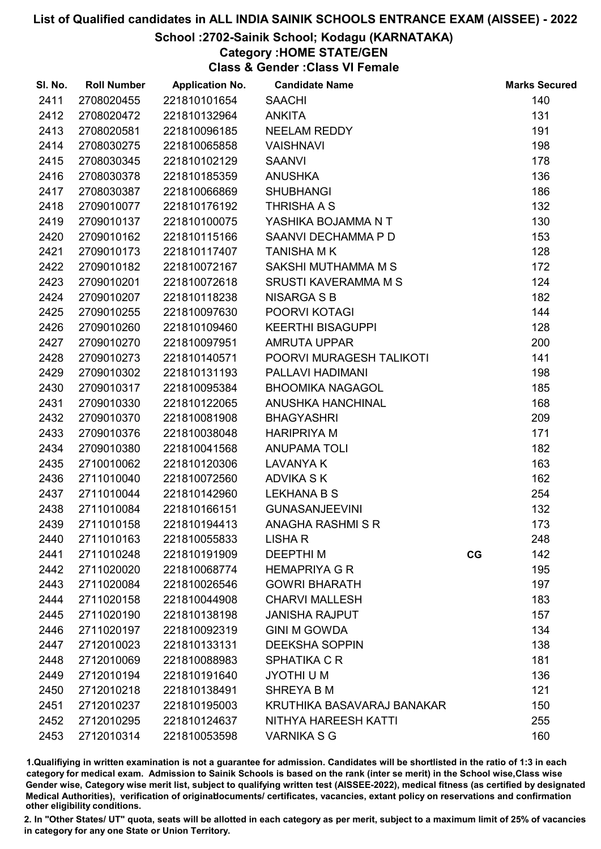### School :2702-Sainik School; Kodagu (KARNATAKA)

### Category :HOME STATE/GEN

Class & Gender :Class VI Female

| SI. No. | <b>Roll Number</b> | <b>Application No.</b> | <b>Candidate Name</b>       |    | <b>Marks Secured</b> |
|---------|--------------------|------------------------|-----------------------------|----|----------------------|
| 2411    | 2708020455         | 221810101654           | <b>SAACHI</b>               |    | 140                  |
| 2412    | 2708020472         | 221810132964           | <b>ANKITA</b>               |    | 131                  |
| 2413    | 2708020581         | 221810096185           | <b>NEELAM REDDY</b>         |    | 191                  |
| 2414    | 2708030275         | 221810065858           | <b>VAISHNAVI</b>            |    | 198                  |
| 2415    | 2708030345         | 221810102129           | <b>SAANVI</b>               |    | 178                  |
| 2416    | 2708030378         | 221810185359           | <b>ANUSHKA</b>              |    | 136                  |
| 2417    | 2708030387         | 221810066869           | <b>SHUBHANGI</b>            |    | 186                  |
| 2418    | 2709010077         | 221810176192           | <b>THRISHA A S</b>          |    | 132                  |
| 2419    | 2709010137         | 221810100075           | YASHIKA BOJAMMA N T         |    | 130                  |
| 2420    | 2709010162         | 221810115166           | SAANVI DECHAMMA P D         |    | 153                  |
| 2421    | 2709010173         | 221810117407           | <b>TANISHA MK</b>           |    | 128                  |
| 2422    | 2709010182         | 221810072167           | SAKSHI MUTHAMMA M S         |    | 172                  |
| 2423    | 2709010201         | 221810072618           | <b>SRUSTI KAVERAMMA M S</b> |    | 124                  |
| 2424    | 2709010207         | 221810118238           | <b>NISARGA S B</b>          |    | 182                  |
| 2425    | 2709010255         | 221810097630           | POORVI KOTAGI               |    | 144                  |
| 2426    | 2709010260         | 221810109460           | <b>KEERTHI BISAGUPPI</b>    |    | 128                  |
| 2427    | 2709010270         | 221810097951           | AMRUTA UPPAR                |    | 200                  |
| 2428    | 2709010273         | 221810140571           | POORVI MURAGESH TALIKOTI    |    | 141                  |
| 2429    | 2709010302         | 221810131193           | PALLAVI HADIMANI            |    | 198                  |
| 2430    | 2709010317         | 221810095384           | <b>BHOOMIKA NAGAGOL</b>     |    | 185                  |
| 2431    | 2709010330         | 221810122065           | ANUSHKA HANCHINAL           |    | 168                  |
| 2432    | 2709010370         | 221810081908           | <b>BHAGYASHRI</b>           |    | 209                  |
| 2433    | 2709010376         | 221810038048           | <b>HARIPRIYA M</b>          |    | 171                  |
| 2434    | 2709010380         | 221810041568           | <b>ANUPAMA TOLI</b>         |    | 182                  |
| 2435    | 2710010062         | 221810120306           | <b>LAVANYA K</b>            |    | 163                  |
| 2436    | 2711010040         | 221810072560           | <b>ADVIKA S K</b>           |    | 162                  |
| 2437    | 2711010044         | 221810142960           | <b>LEKHANA B S</b>          |    | 254                  |
| 2438    | 2711010084         | 221810166151           | <b>GUNASANJEEVINI</b>       |    | 132                  |
| 2439    | 2711010158         | 221810194413           | ANAGHA RASHMISR             |    | 173                  |
| 2440    | 2711010163         | 221810055833           | <b>LISHAR</b>               |    | 248                  |
| 2441    | 2711010248         | 221810191909           | <b>DEEPTHIM</b>             | CG | 142                  |
| 2442    | 2711020020         | 221810068774           | <b>HEMAPRIYA G R</b>        |    | 195                  |
| 2443    | 2711020084         | 221810026546           | <b>GOWRI BHARATH</b>        |    | 197                  |
| 2444    | 2711020158         | 221810044908           | <b>CHARVI MALLESH</b>       |    | 183                  |
| 2445    | 2711020190         | 221810138198           | <b>JANISHA RAJPUT</b>       |    | 157                  |
| 2446    | 2711020197         | 221810092319           | <b>GINI M GOWDA</b>         |    | 134                  |
| 2447    | 2712010023         | 221810133131           | <b>DEEKSHA SOPPIN</b>       |    | 138                  |
| 2448    | 2712010069         | 221810088983           | <b>SPHATIKA C R</b>         |    | 181                  |
| 2449    | 2712010194         | 221810191640           | JYOTHI U M                  |    | 136                  |
| 2450    | 2712010218         | 221810138491           | <b>SHREYA B M</b>           |    | 121                  |
| 2451    | 2712010237         | 221810195003           | KRUTHIKA BASAVARAJ BANAKAR  |    | 150                  |
| 2452    | 2712010295         | 221810124637           | NITHYA HAREESH KATTI        |    | 255                  |
| 2453    | 2712010314         | 221810053598           | <b>VARNIKA S G</b>          |    | 160                  |

1.Qualifiying in written examination is not a guarantee for admission. Candidates will be shortlisted in the ratio of 1:3 in each category for medical exam. Admission to Sainik Schools is based on the rank (inter se merit) in the School wise,Class wise Gender wise, Category wise merit list, subject to qualifying written test (AISSEE-2022), medical fitness (as certified by designated Medical Authorities), verification of originablocuments/ certificates, vacancies, extant policy on reservations and confirmation other eligibility conditions.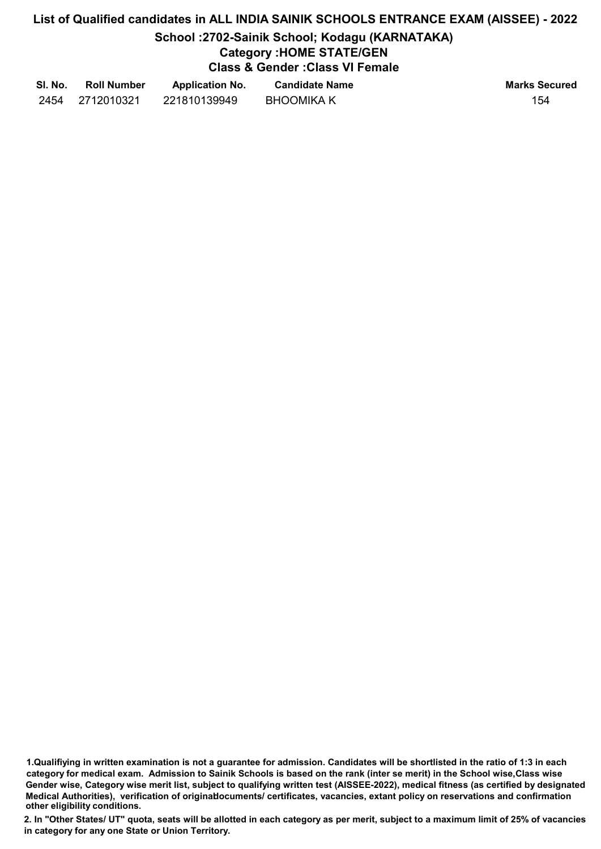## School :2702-Sainik School; Kodagu (KARNATAKA)

### Category :HOME STATE/GEN

Class & Gender :Class VI Female

| SI. No. | <b>Roll Number</b> | <b>Application No.</b> | <b>Candidate Name</b> | <b>Marks Secured</b> |
|---------|--------------------|------------------------|-----------------------|----------------------|
| 2454    | 2712010321         | 221810139949           | <b>BHOOMIKA K</b>     | 154                  |

1.Qualifiying in written examination is not a guarantee for admission. Candidates will be shortlisted in the ratio of 1:3 in each category for medical exam. Admission to Sainik Schools is based on the rank (inter se merit) in the School wise,Class wise Gender wise, Category wise merit list, subject to qualifying written test (AISSEE-2022), medical fitness (as certified by designated Medical Authorities), verification of originablocuments/ certificates, vacancies, extant policy on reservations and confirmation other eligibility conditions.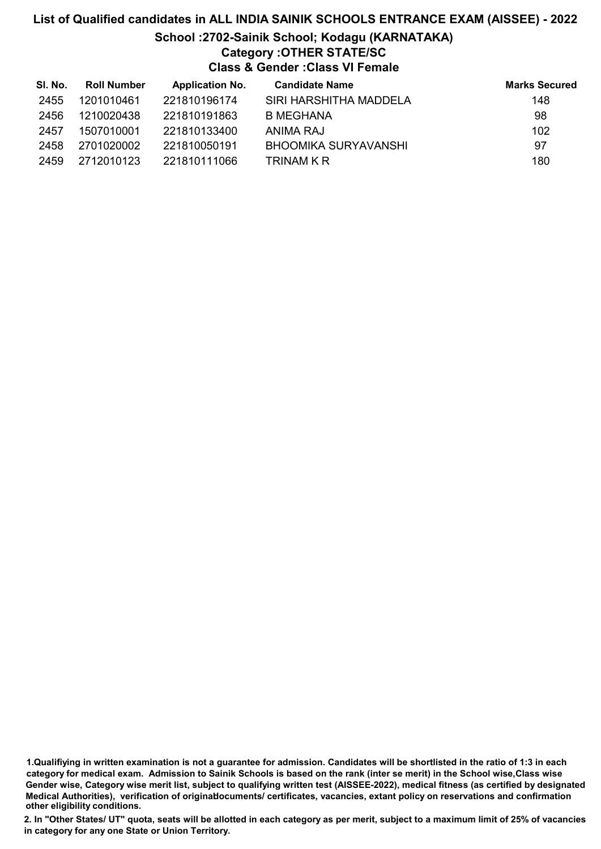### List of Qualified candidates in ALL INDIA SAINIK SCHOOLS ENTRANCE EXAM (AISSEE) - 2022 School :2702-Sainik School; Kodagu (KARNATAKA) Category :OTHER STATE/SC Class & Gender :Class VI Female

| SI. No. | <b>Roll Number</b> | <b>Application No.</b> | <b>Candidate Name</b>  | <b>Marks Secured</b> |
|---------|--------------------|------------------------|------------------------|----------------------|
| 2455    | 1201010461         | 221810196174           | SIRI HARSHITHA MADDELA | 148                  |
| 2456    | 1210020438         | 221810191863           | B MEGHANA              | 98                   |
| 2457    | 1507010001         | 221810133400           | ANIMA RAJ              | 102                  |
| 2458    | 2701020002         | 221810050191           | BHOOMIKA SURYAVANSHI   | 97                   |
| 2459    | 2712010123         | 221810111066           | TRINAM K R             | 180                  |

1.Qualifiying in written examination is not a guarantee for admission. Candidates will be shortlisted in the ratio of 1:3 in each category for medical exam. Admission to Sainik Schools is based on the rank (inter se merit) in the School wise,Class wise Gender wise, Category wise merit list, subject to qualifying written test (AISSEE-2022), medical fitness (as certified by designated Medical Authorities), verification of originablocuments/ certificates, vacancies, extant policy on reservations and confirmation other eligibility conditions.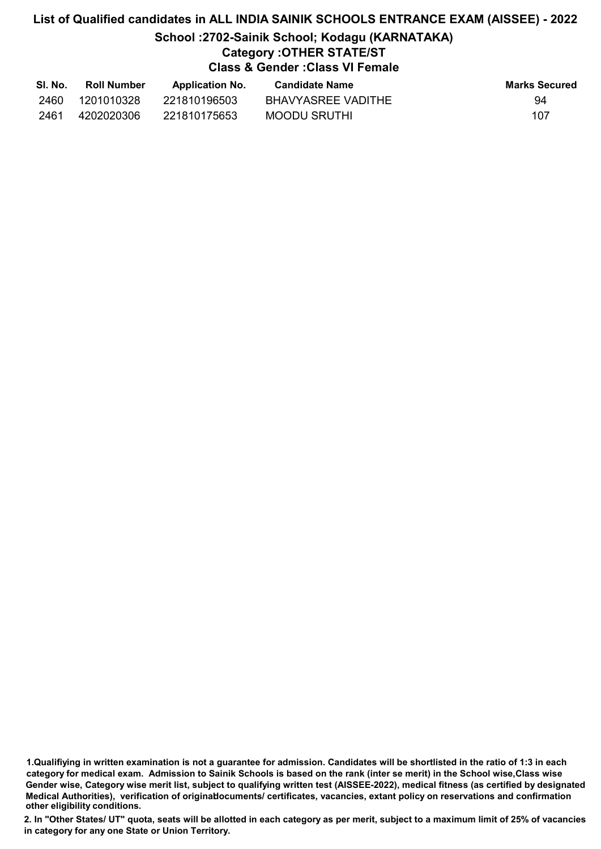### List of Qualified candidates in ALL INDIA SAINIK SCHOOLS ENTRANCE EXAM (AISSEE) - 2022 School :2702-Sainik School; Kodagu (KARNATAKA) Category :OTHER STATE/ST Class & Gender :Class VI Female

| SI. No. | <b>Roll Number</b> | <b>Application No.</b> | <b>Candidate Name</b> | <b>Marks Secured</b> |
|---------|--------------------|------------------------|-----------------------|----------------------|
| 2460    | 1201010328         | 221810196503           | BHAVYASREE VADITHE    | 94                   |
| 2461    | 4202020306         | 221810175653           | MOODU SRUTHI          | 107                  |

<sup>1.</sup>Qualifiying in written examination is not a guarantee for admission. Candidates will be shortlisted in the ratio of 1:3 in each category for medical exam. Admission to Sainik Schools is based on the rank (inter se merit) in the School wise,Class wise Gender wise, Category wise merit list, subject to qualifying written test (AISSEE-2022), medical fitness (as certified by designated Medical Authorities), verification of originablocuments/ certificates, vacancies, extant policy on reservations and confirmation other eligibility conditions.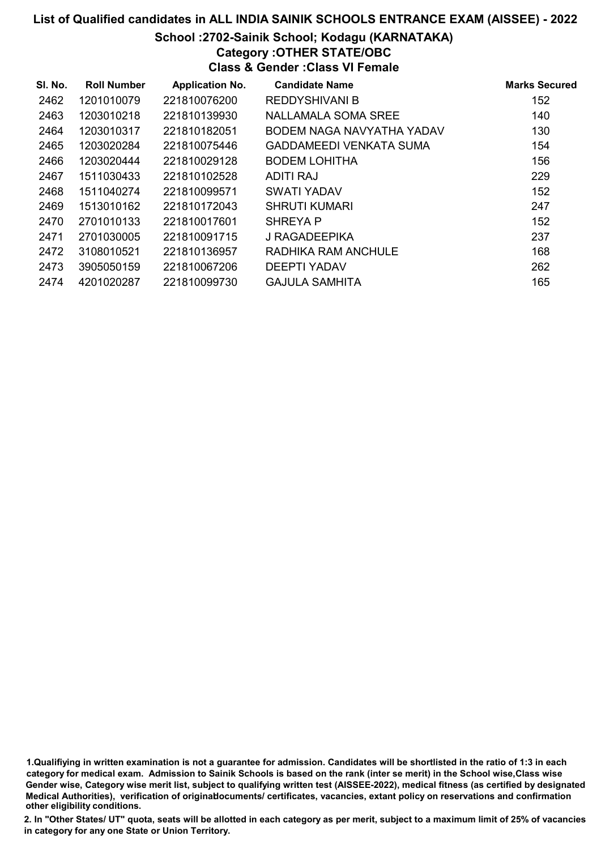### School :2702-Sainik School; Kodagu (KARNATAKA) Category :OTHER STATE/OBC

Class & Gender :Class VI Female

| SI. No. | <b>Roll Number</b> | <b>Application No.</b> | <b>Candidate Name</b>          | <b>Marks Secured</b> |
|---------|--------------------|------------------------|--------------------------------|----------------------|
| 2462    | 1201010079         | 221810076200           | <b>REDDYSHIVANI B</b>          | 152                  |
| 2463    | 1203010218         | 221810139930           | NALLAMALA SOMA SREE            | 140                  |
| 2464    | 1203010317         | 221810182051           | BODEM NAGA NAVYATHA YADAV      | 130                  |
| 2465    | 1203020284         | 221810075446           | <b>GADDAMEEDI VENKATA SUMA</b> | 154                  |
| 2466    | 1203020444         | 221810029128           | <b>BODEM LOHITHA</b>           | 156                  |
| 2467    | 1511030433         | 221810102528           | ADITI RAJ                      | 229                  |
| 2468    | 1511040274         | 221810099571           | <b>SWATI YADAV</b>             | 152                  |
| 2469    | 1513010162         | 221810172043           | <b>SHRUTI KUMARI</b>           | 247                  |
| 2470    | 2701010133         | 221810017601           | <b>SHREYA P</b>                | 152                  |
| 2471    | 2701030005         | 221810091715           | J RAGADEEPIKA                  | 237                  |
| 2472    | 3108010521         | 221810136957           | RADHIKA RAM ANCHULE            | 168                  |
| 2473    | 3905050159         | 221810067206           | <b>DEEPTI YADAV</b>            | 262                  |
| 2474    | 4201020287         | 221810099730           | <b>GAJULA SAMHITA</b>          | 165                  |

1.Qualifiying in written examination is not a guarantee for admission. Candidates will be shortlisted in the ratio of 1:3 in each category for medical exam. Admission to Sainik Schools is based on the rank (inter se merit) in the School wise,Class wise Gender wise, Category wise merit list, subject to qualifying written test (AISSEE-2022), medical fitness (as certified by designated Medical Authorities), verification of originablocuments/ certificates, vacancies, extant policy on reservations and confirmation other eligibility conditions.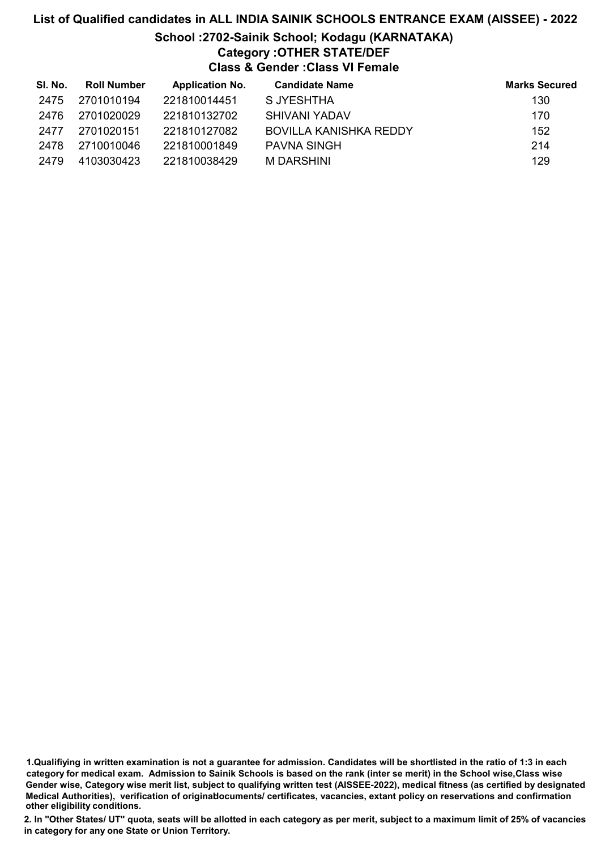### List of Qualified candidates in ALL INDIA SAINIK SCHOOLS ENTRANCE EXAM (AISSEE) - 2022 School :2702-Sainik School; Kodagu (KARNATAKA) Category :OTHER STATE/DEF Class & Gender :Class VI Female

| SI. No. | <b>Roll Number</b> | <b>Application No.</b> | <b>Candidate Name</b>  | <b>Marks Secured</b> |
|---------|--------------------|------------------------|------------------------|----------------------|
| 2475    | 2701010194         | 221810014451           | S JYESHTHA             | 130                  |
| 2476    | 2701020029         | 221810132702           | SHIVANI YADAV          | 170                  |
| 2477    | 2701020151         | 221810127082           | BOVILLA KANISHKA REDDY | 152                  |
| 2478    | 2710010046         | 221810001849           | <b>PAVNA SINGH</b>     | 214                  |
| 2479    | 4103030423         | 221810038429           | M DARSHINI             | 129                  |

<sup>1.</sup>Qualifiying in written examination is not a guarantee for admission. Candidates will be shortlisted in the ratio of 1:3 in each category for medical exam. Admission to Sainik Schools is based on the rank (inter se merit) in the School wise,Class wise Gender wise, Category wise merit list, subject to qualifying written test (AISSEE-2022), medical fitness (as certified by designated Medical Authorities), verification of originablocuments/ certificates, vacancies, extant policy on reservations and confirmation other eligibility conditions.